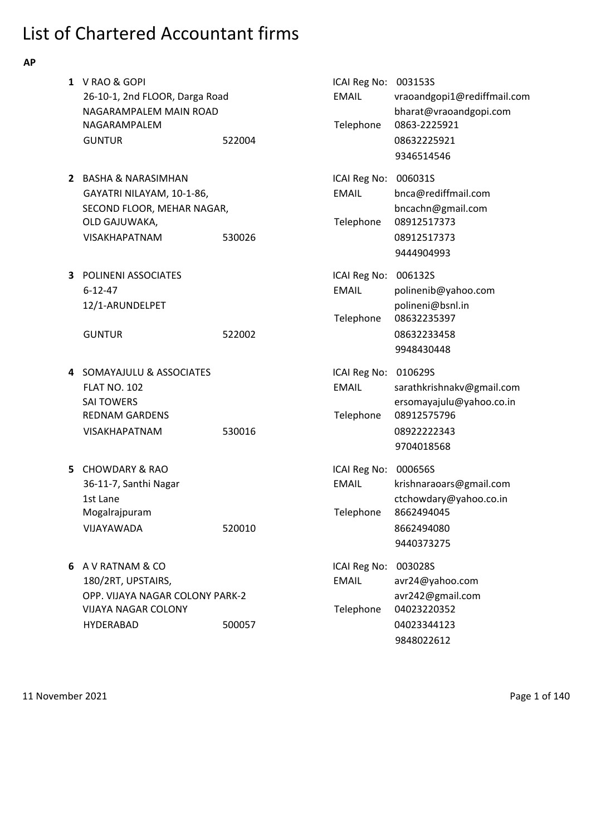# List of Chartered Accountant firms

**AP**

|    | 1 V RAO & GOPI<br>26-10-1, 2nd FLOOR, Darga Road<br>NAGARAMPALEM MAIN ROAD<br>NAGARAMPALEM                                   |        | ICAI Reg No: 003153S<br><b>EMAIL</b><br>Telephone | vraoandgopi1@rediffmail.com<br>bharat@vraoandgopi.com<br>0863-2225921                             |
|----|------------------------------------------------------------------------------------------------------------------------------|--------|---------------------------------------------------|---------------------------------------------------------------------------------------------------|
|    | <b>GUNTUR</b>                                                                                                                | 522004 |                                                   | 08632225921<br>9346514546                                                                         |
|    | 2 BASHA & NARASIMHAN<br>GAYATRI NILAYAM, 10-1-86,<br>SECOND FLOOR, MEHAR NAGAR,<br>OLD GAJUWAKA,<br><b>VISAKHAPATNAM</b>     | 530026 | ICAI Reg No: 006031S<br><b>EMAIL</b><br>Telephone | bnca@rediffmail.com<br>bncachn@gmail.com<br>08912517373<br>08912517373<br>9444904993              |
| 3  | <b>POLINENI ASSOCIATES</b><br>$6 - 12 - 47$<br>12/1-ARUNDELPET<br><b>GUNTUR</b>                                              | 522002 | ICAI Reg No: 006132S<br><b>EMAIL</b><br>Telephone | polinenib@yahoo.com<br>polineni@bsnl.in<br>08632235397<br>08632233458<br>9948430448               |
|    | 4 SOMAYAJULU & ASSOCIATES<br><b>FLAT NO. 102</b><br><b>SAI TOWERS</b><br><b>REDNAM GARDENS</b><br><b>VISAKHAPATNAM</b>       | 530016 | ICAI Reg No: 010629S<br><b>EMAIL</b><br>Telephone | sarathkrishnakv@gmail.com<br>ersomayajulu@yahoo.co.in<br>08912575796<br>08922222343<br>9704018568 |
| 5. | <b>CHOWDARY &amp; RAO</b><br>36-11-7, Santhi Nagar<br>1st Lane<br>Mogalrajpuram<br>VIJAYAWADA                                | 520010 | ICAI Reg No: 000656S<br><b>EMAIL</b><br>Telephone | krishnaraoars@gmail.com<br>ctchowdary@yahoo.co.in<br>8662494045<br>8662494080<br>9440373275       |
|    | 6 A V RATNAM & CO<br>180/2RT, UPSTAIRS,<br>OPP. VIJAYA NAGAR COLONY PARK-2<br><b>VIJAYA NAGAR COLONY</b><br><b>HYDERABAD</b> | 500057 | ICAI Reg No:<br><b>EMAIL</b><br>Telephone         | 003028S<br>avr24@yahoo.com<br>avr242@gmail.com<br>04023220352<br>04023344123<br>9848022612        |

11 November 2021 **Page 1 of 140**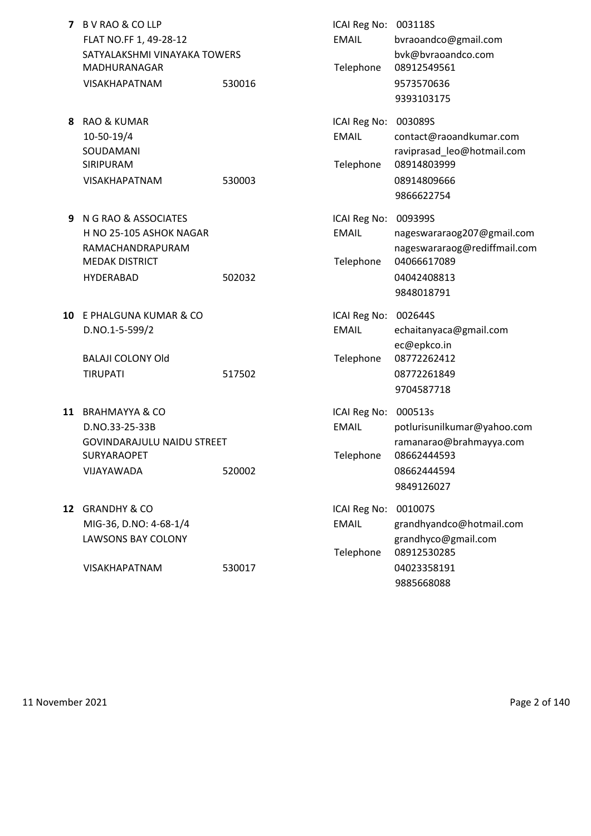| 7  | B V RAO & CO LLP<br>FLAT NO.FF 1, 49-28-12<br>SATYALAKSHMI VINAYAKA TOWERS<br>MADHURANAGAR<br><b>VISAKHAPATNAM</b> | 530016 | ICAI Reg No:<br><b>EMAIL</b><br>Telephone         | 003118S<br>bvraoandco@gmail.com<br>bvk@bvraoandco.com<br>08912549561<br>9573570636<br>9393103175                  |
|----|--------------------------------------------------------------------------------------------------------------------|--------|---------------------------------------------------|-------------------------------------------------------------------------------------------------------------------|
| 8. | RAO & KUMAR<br>10-50-19/4<br>SOUDAMANI<br>SIRIPURAM<br><b>VISAKHAPATNAM</b>                                        | 530003 | ICAI Reg No:<br><b>EMAIL</b><br>Telephone         | 003089S<br>contact@raoandkumar.com<br>raviprasad leo@hotmail.com<br>08914803999<br>08914809666<br>9866622754      |
| 9  | N G RAO & ASSOCIATES<br>H NO 25-105 ASHOK NAGAR<br>RAMACHANDRAPURAM<br><b>MEDAK DISTRICT</b><br>HYDERABAD          | 502032 | ICAI Reg No:<br><b>EMAIL</b><br>Telephone         | 009399S<br>nageswararaog207@gmail.com<br>nageswararaog@rediffmail.com<br>04066617089<br>04042408813<br>9848018791 |
| 10 | E PHALGUNA KUMAR & CO<br>D.NO.1-5-599/2<br><b>BALAJI COLONY Old</b><br><b>TIRUPATI</b>                             | 517502 | ICAI Reg No:<br><b>EMAIL</b><br>Telephone         | 002644S<br>echaitanyaca@gmail.com<br>ec@epkco.in<br>08772262412<br>08772261849<br>9704587718                      |
|    | 11 BRAHMAYYA & CO<br>D.NO.33-25-33B<br><b>GOVINDARAJULU NAIDU STREET</b><br>SURYARAOPET<br>VIJAYAWADA              | 520002 | ICAI Reg No: 000513s<br><b>EMAIL</b><br>Telephone | potlurisunilkumar@yahoo.com<br>ramanarao@brahmayya.com<br>08662444593<br>08662444594<br>9849126027                |
| 12 | <b>GRANDHY &amp; CO</b><br>MIG-36, D.NO: 4-68-1/4<br><b>LAWSONS BAY COLONY</b><br>VISAKHAPATNAM                    | 530017 | ICAI Reg No:<br><b>EMAIL</b><br>Telephone         | 001007S<br>grandhyandco@hotmail.com<br>grandhyco@gmail.com<br>08912530285<br>04023358191<br>9885668088            |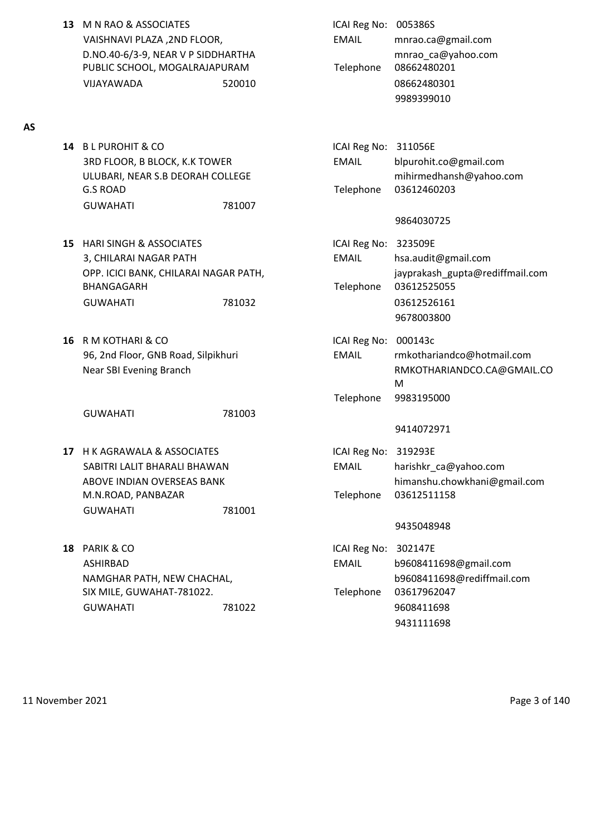**13** M N RAO & ASSOCIATES **ICAI Reg No: 005386S** VAISHNAVI PLAZA ,2ND FLOOR, EMAIL mnrao.ca@gmail.com D.NO.40-6/3-9, NEAR V P SIDDHARTHA mnrao\_ca@yahoo.com PUBLIC SCHOOL, MOGALRAJAPURAM Telephone 08662480201 VIJAYAWADA 520010 08662480301

#### **AS**

- **14** B L PUROHIT & CO **ICAI Reg No: 311056E** 3RD FLOOR, B BLOCK, K.K TOWER EMAIL blpurohit.co@gmail.com G.S ROAD Telephone 03612460203 GUWAHATI 781007
- **15** HARI SINGH & ASSOCIATES ICAI Reg No: 323509E 3, CHILARAI NAGAR PATH **EMAIL** EMAIL hsa.audit@gmail.com BHANGAGARH Telephone 03612525055 GUWAHATI 781032 03612526161
- **16** R M KOTHARI & CO **ICAI Reg No: 000143c**

GUWAHATI 781003

- **17** H K AGRAWALA & ASSOCIATES **ICAI Reg No: 319293E** M.N.ROAD, PANBAZAR Telephone 03612511158 GUWAHATI 781001
- **18** PARIK & CO **ICAI Reg No: 302147E** SIX MILE, GUWAHAT-781022. Telephone 03617962047 GUWAHATI 781022 9608411698

9989399010

ULUBARI, NEAR S.B DEORAH COLLEGE mihirmedhansh@yahoo.com

## 9864030725

- OPP. ICICI BANK, CHILARAI NAGAR PATH, jayprakash\_gupta@rediffmail.com 9678003800
- 96, 2nd Floor, GNB Road, Silpikhuri EMAIL rmkothariandco@hotmail.com Near SBI Evening Branch **RMKOTHARIANDCO.CA@GMAIL.CO** M Telephone 9983195000

### 9414072971

SABITRI LALIT BHARALI BHAWAN EMAIL harishkr\_ca@yahoo.com ABOVE INDIAN OVERSEAS BANK himanshu.chowkhani@gmail.com

### 9435048948

ASHIRBAD EMAIL b9608411698@gmail.com NAMGHAR PATH, NEW CHACHAL, and the state of the b9608411698@rediffmail.com 9431111698

11 November 2021 Page 3 of 140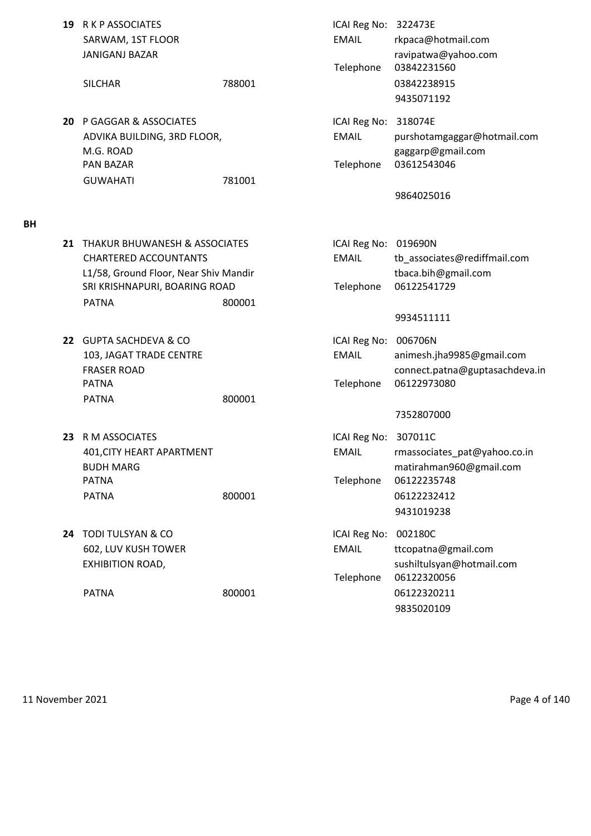| 19 R K P ASSOCIATES<br>SARWAM, 1ST FLOOR<br><b>JANIGANJ BAZAR</b><br><b>SILCHAR</b>                       | 788001 | ICAI Reg No: 322473E<br><b>EMAIL</b><br>Telephone | rkpaca@hotmail.com<br>ravipatwa@yahoo.com<br>03842231560<br>03842238915               |
|-----------------------------------------------------------------------------------------------------------|--------|---------------------------------------------------|---------------------------------------------------------------------------------------|
| 20 P GAGGAR & ASSOCIATES                                                                                  |        | ICAI Reg No: 318074E                              | 9435071192                                                                            |
| ADVIKA BUILDING, 3RD FLOOR,<br>M.G. ROAD                                                                  |        | <b>EMAIL</b>                                      | purshotamgaggar@hotmail.com<br>gaggarp@gmail.com                                      |
| <b>PAN BAZAR</b><br><b>GUWAHATI</b>                                                                       | 781001 | Telephone                                         | 03612543046                                                                           |
|                                                                                                           |        |                                                   | 9864025016                                                                            |
| 21 THAKUR BHUWANESH & ASSOCIATES<br><b>CHARTERED ACCOUNTANTS</b><br>L1/58, Ground Floor, Near Shiv Mandir |        | ICAI Reg No:<br><b>EMAIL</b>                      | 019690N<br>tb associates@rediffmail.com<br>tbaca.bih@gmail.com                        |
| SRI KRISHNAPURI, BOARING ROAD<br><b>PATNA</b>                                                             | 800001 | Telephone                                         | 06122541729<br>9934511111                                                             |
| 22 GUPTA SACHDEVA & CO<br>103, JAGAT TRADE CENTRE<br><b>FRASER ROAD</b><br><b>PATNA</b>                   |        | ICAI Reg No:<br>EMAIL<br>Telephone                | 006706N<br>animesh.jha9985@gmail.com<br>connect.patna@guptasachdeva.in<br>06122973080 |
| <b>PATNA</b>                                                                                              | 800001 |                                                   | 7352807000                                                                            |
| 23 R M ASSOCIATES<br>401, CITY HEART APARTMENT<br><b>BUDH MARG</b><br><b>PATNA</b>                        |        | ICAI Reg No: 307011C<br><b>EMAIL</b><br>Telephone | rmassociates_pat@yahoo.co.in<br>matirahman960@gmail.com<br>06122235748                |
| <b>PATNA</b>                                                                                              | 800001 |                                                   | 06122232412<br>9431019238                                                             |
| 24 TODI TULSYAN & CO<br>602, LUV KUSH TOWER<br>EXHIBITION ROAD,                                           |        | ICAI Reg No:<br><b>EMAIL</b><br>Telephone         | 002180C<br>ttcopatna@gmail.com<br>sushiltulsyan@hotmail.com<br>06122320056            |
| <b>PATNA</b>                                                                                              | 800001 |                                                   | 06122320211<br>9835020109                                                             |

**BH**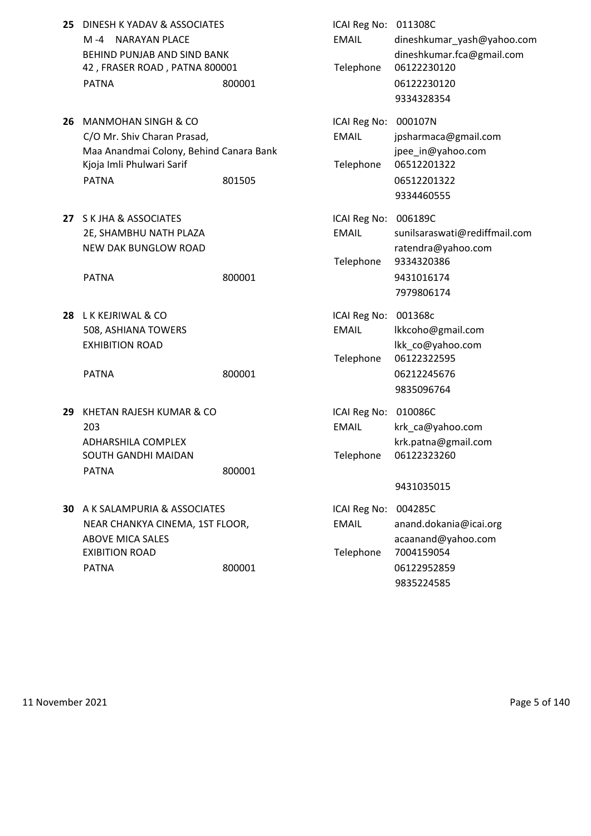| 25 DINESH K YADAV & ASSOCIATES |        | ICAI Reg No: 011308C |                       |
|--------------------------------|--------|----------------------|-----------------------|
| M-4 NARAYAN PLACE              |        | EMAIL                | dineshkumar           |
| BEHIND PUNJAB AND SIND BANK    |        |                      | dineshkumar.          |
| 42, FRASER ROAD, PATNA 800001  |        |                      | Telephone 06122230120 |
| <b>PATNA</b>                   | 800001 |                      | 06122230120           |

- **26 MANMOHAN SINGH & CO** C/O Mr. Shiv Charan Prasad, Maa Anandmai Colony, Behind Canara Bank Kjoja Imli Phulwari Sarif PATNA 801505 801505 801505 801505 801505 801505
- **27** S K JHA & ASSOCIATES 2E, SHAMBHU NATH PLAZA NEW DAK BUNGLOW ROAD

**28** L K KEJRIWAL & CO 508, ASHIANA TOWERS EXHIBITION ROAD

- **29 KHETAN RAJESH KUMAR & CO** ADHARSHILA COMPLEX SOUTH GANDHI MAIDAN PATNA 800001
- **30** A K SALAMPURIA & ASSOCIATES NEAR CHANKYA CINEMA, 1ST FLOOR, ABOVE MICA SALES **EXIBITION ROAD** PATNA 800001 800001 06122952859

| DINESH K YADAV & ASSOCIATES<br>$M - 4$<br><b>NARAYAN PLACE</b><br>BEHIND PUNJAB AND SIND BANK<br>42, FRASER ROAD, PATNA 800001<br><b>PATNA</b>        | 800001 | ICAI Reg No: 011308C<br><b>EMAIL</b><br>Telephone | dineshkumar_yash@yahoo.com<br>dineshkumar.fca@gmail.com<br>06122230120<br>06122230120<br>9334328354 |
|-------------------------------------------------------------------------------------------------------------------------------------------------------|--------|---------------------------------------------------|-----------------------------------------------------------------------------------------------------|
| <b>MANMOHAN SINGH &amp; CO</b><br>C/O Mr. Shiv Charan Prasad,<br>Maa Anandmai Colony, Behind Canara Bank<br>Kjoja Imli Phulwari Sarif<br><b>PATNA</b> | 801505 | ICAI Reg No: 000107N<br><b>EMAIL</b><br>Telephone | jpsharmaca@gmail.com<br>jpee in@yahoo.com<br>06512201322<br>06512201322<br>9334460555               |
| <b>S K JHA &amp; ASSOCIATES</b><br>2E, SHAMBHU NATH PLAZA<br><b>NEW DAK BUNGLOW ROAD</b><br><b>PATNA</b>                                              | 800001 | ICAI Reg No: 006189C<br><b>EMAIL</b><br>Telephone | sunilsaraswati@rediffmail.com<br>ratendra@yahoo.com<br>9334320386<br>9431016174<br>7979806174       |
| L K KEJRIWAL & CO<br>508, ASHIANA TOWERS<br><b>EXHIBITION ROAD</b><br><b>PATNA</b>                                                                    | 800001 | ICAI Reg No: 001368c<br>EMAIL<br>Telephone        | lkkcoho@gmail.com<br>lkk_co@yahoo.com<br>06122322595<br>06212245676<br>9835096764                   |
| KHETAN RAJESH KUMAR & CO<br>203<br>ADHARSHILA COMPLEX<br>SOUTH GANDHI MAIDAN<br><b>PATNA</b>                                                          | 800001 | ICAI Reg No: 010086C<br><b>EMAIL</b><br>Telephone | krk_ca@yahoo.com<br>krk.patna@gmail.com<br>06122323260<br>9431035015                                |
| A K SALAMPURIA & ASSOCIATES<br>NEAR CHANKYA CINEMA, 1ST FLOOR,<br><b>ABOVE MICA SALES</b><br>EXIBITION ROAD                                           |        | ICAI Reg No:<br><b>EMAIL</b><br>Telephone         | 004285C<br>anand.dokania@icai.org<br>acaanand@yahoo.com<br>7004159054                               |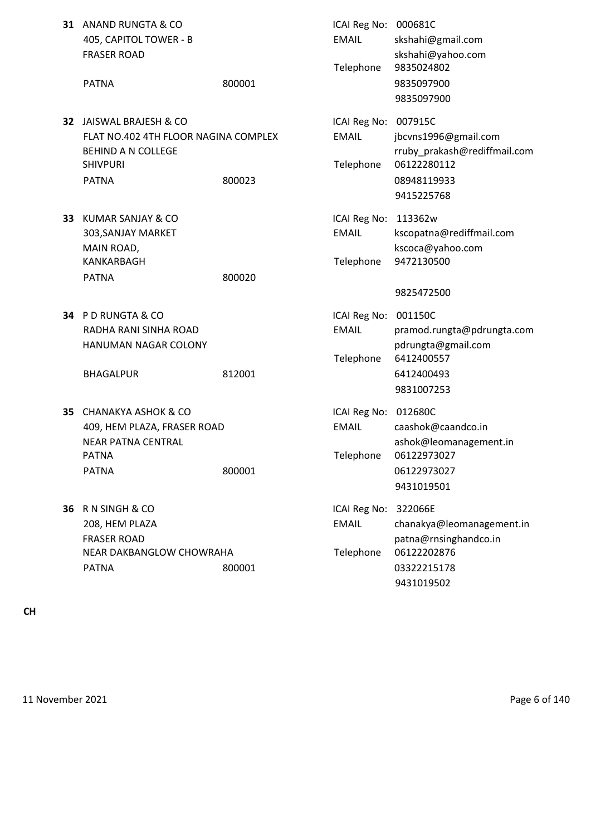| 31 | ANAND RUNGTA & CO<br>405, CAPITOL TOWER - B<br><b>FRASER ROAD</b>                                                                          |        | ICAI Reg No: 000681C<br><b>EMAIL</b>              | skshahi@gmail.com<br>skshahi@yahoo.com                                                                    |
|----|--------------------------------------------------------------------------------------------------------------------------------------------|--------|---------------------------------------------------|-----------------------------------------------------------------------------------------------------------|
|    | <b>PATNA</b>                                                                                                                               | 800001 | Telephone                                         | 9835024802<br>9835097900<br>9835097900                                                                    |
|    | <b>32 JAISWAL BRAJESH &amp; CO</b><br>FLAT NO.402 4TH FLOOR NAGINA COMPLEX<br><b>BEHIND A N COLLEGE</b><br><b>SHIVPURI</b><br><b>PATNA</b> | 800023 | ICAI Reg No: 007915C<br><b>EMAIL</b><br>Telephone | jbcvns1996@gmail.com<br>rruby prakash@rediffmail.com<br>06122280112<br>08948119933<br>9415225768          |
|    | <b>33 KUMAR SANJAY &amp; CO</b><br>303, SANJAY MARKET<br>MAIN ROAD,<br>KANKARBAGH<br><b>PATNA</b>                                          | 800020 | ICAI Reg No: 113362w<br><b>EMAIL</b><br>Telephone | kscopatna@rediffmail.com<br>kscoca@yahoo.com<br>9472130500<br>9825472500                                  |
|    | 34 PD RUNGTA & CO<br>RADHA RANI SINHA ROAD<br>HANUMAN NAGAR COLONY<br><b>BHAGALPUR</b>                                                     | 812001 | ICAI Reg No:<br><b>EMAIL</b><br>Telephone         | 001150C<br>pramod.rungta@pdrungta.com<br>pdrungta@gmail.com<br>6412400557<br>6412400493<br>9831007253     |
| 35 | <b>CHANAKYA ASHOK &amp; CO</b><br>409, HEM PLAZA, FRASER ROAD<br><b>NEAR PATNA CENTRAL</b><br><b>PATNA</b><br><b>PATNA</b>                 | 800001 | ICAI Reg No:<br><b>EMAIL</b><br>Telephone         | 012680C<br>caashok@caandco.in<br>ashok@leomanagement.in<br>06122973027<br>06122973027<br>9431019501       |
|    | 36 R N SINGH & CO<br>208, HEM PLAZA<br><b>FRASER ROAD</b><br>NEAR DAKBANGLOW CHOWRAHA<br><b>PATNA</b>                                      | 800001 | ICAI Reg No:<br><b>EMAIL</b><br>Telephone         | 322066E<br>chanakya@leomanagement.in<br>patna@rnsinghandco.in<br>06122202876<br>03322215178<br>9431019502 |

**CH**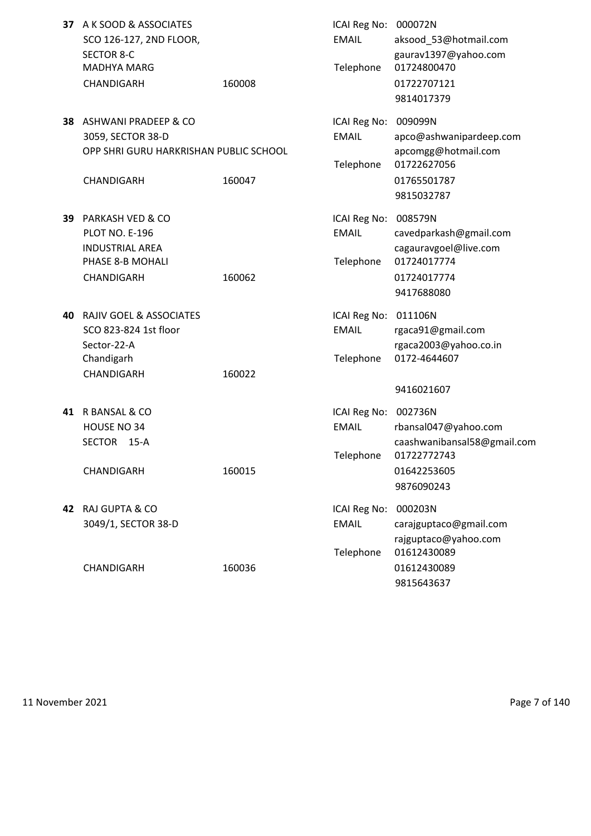| 37 | A K SOOD & ASSOCIATES<br>SCO 126-127, 2ND FLOOR,<br><b>SECTOR 8-C</b><br><b>MADHYA MARG</b><br>CHANDIGARH        | 160008 | ICAI Reg No: 000072N<br><b>EMAIL</b><br>Telephone | aksood 53@hotmail.com<br>gaurav1397@yahoo.com<br>01724800470<br>01722707121<br>9814017379             |
|----|------------------------------------------------------------------------------------------------------------------|--------|---------------------------------------------------|-------------------------------------------------------------------------------------------------------|
| 38 | ASHWANI PRADEEP & CO<br>3059, SECTOR 38-D<br>OPP SHRI GURU HARKRISHAN PUBLIC SCHOOL<br>CHANDIGARH                | 160047 | ICAI Reg No: 009099N<br><b>EMAIL</b><br>Telephone | apco@ashwanipardeep.com<br>apcomgg@hotmail.com<br>01722627056<br>01765501787<br>9815032787            |
| 39 | <b>PARKASH VED &amp; CO</b><br><b>PLOT NO. E-196</b><br><b>INDUSTRIAL AREA</b><br>PHASE 8-B MOHALI<br>CHANDIGARH | 160062 | ICAI Reg No: 008579N<br><b>EMAIL</b><br>Telephone | cavedparkash@gmail.com<br>cagauravgoel@live.com<br>01724017774<br>01724017774<br>9417688080           |
| 40 | RAJIV GOEL & ASSOCIATES<br>SCO 823-824 1st floor<br>Sector-22-A<br>Chandigarh<br>CHANDIGARH                      | 160022 | ICAI Reg No: 011106N<br><b>EMAIL</b><br>Telephone | rgaca91@gmail.com<br>rgaca2003@yahoo.co.in<br>0172-4644607<br>9416021607                              |
| 41 | R BANSAL & CO<br>HOUSE NO 34<br><b>SECTOR</b><br>$15-A$<br>CHANDIGARH                                            | 160015 | ICAI Reg No: 002736N<br><b>EMAIL</b><br>Telephone | rbansal047@yahoo.com<br>caashwanibansal58@gmail.com<br>01722772743<br>01642253605<br>9876090243       |
|    | 42 RAJ GUPTA & CO<br>3049/1, SECTOR 38-D<br>CHANDIGARH                                                           | 160036 | ICAI Reg No:<br><b>EMAIL</b><br>Telephone         | 000203N<br>carajguptaco@gmail.com<br>rajguptaco@yahoo.com<br>01612430089<br>01612430089<br>9815643637 |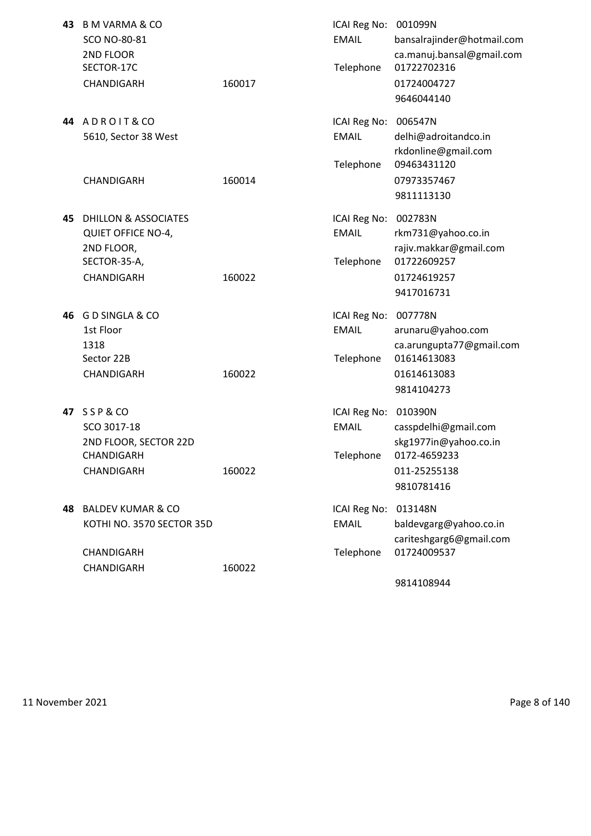| 43  | B M VARMA & CO<br>SCO NO-80-81<br>2ND FLOOR<br>SECTOR-17C<br>CHANDIGARH                       | 160017 | ICAI Reg No: 001099N<br><b>EMAIL</b><br>Telephone | bansalrajinder@hotmail.com<br>ca.manuj.bansal@gmail.com<br>01722702316<br>01724004727<br>9646044140  |
|-----|-----------------------------------------------------------------------------------------------|--------|---------------------------------------------------|------------------------------------------------------------------------------------------------------|
|     | 44 ADROIT&CO<br>5610, Sector 38 West<br>CHANDIGARH                                            | 160014 | ICAI Reg No:<br><b>EMAIL</b><br>Telephone         | 006547N<br>delhi@adroitandco.in<br>rkdonline@gmail.com<br>09463431120<br>07973357467<br>9811113130   |
| 45  | DHILLON & ASSOCIATES<br><b>QUIET OFFICE NO-4,</b><br>2ND FLOOR,<br>SECTOR-35-A,<br>CHANDIGARH | 160022 | ICAI Reg No:<br><b>EMAIL</b><br>Telephone         | 002783N<br>rkm731@yahoo.co.in<br>rajiv.makkar@gmail.com<br>01722609257<br>01724619257<br>9417016731  |
| 46  | <b>GD SINGLA &amp; CO</b><br>1st Floor<br>1318<br>Sector 22B<br>CHANDIGARH                    | 160022 | ICAI Reg No:<br><b>EMAIL</b><br>Telephone         | 007778N<br>arunaru@yahoo.com<br>ca.arungupta77@gmail.com<br>01614613083<br>01614613083<br>9814104273 |
|     | 47 SSP&CO<br>SCO 3017-18<br>2ND FLOOR, SECTOR 22D<br>CHANDIGARH<br>CHANDIGARH                 | 160022 | ICAI Reg No: 010390N<br><b>EMAIL</b><br>Telephone | casspdelhi@gmail.com<br>skg1977in@yahoo.co.in<br>0172-4659233<br>011-25255138<br>9810781416          |
| 48. | <b>BALDEV KUMAR &amp; CO</b><br>KOTHI NO. 3570 SECTOR 35D<br>CHANDIGARH<br>CHANDIGARH         | 160022 | ICAI Reg No:<br><b>EMAIL</b><br>Telephone         | 013148N<br>baldevgarg@yahoo.co.in<br>cariteshgarg6@gmail.com<br>01724009537                          |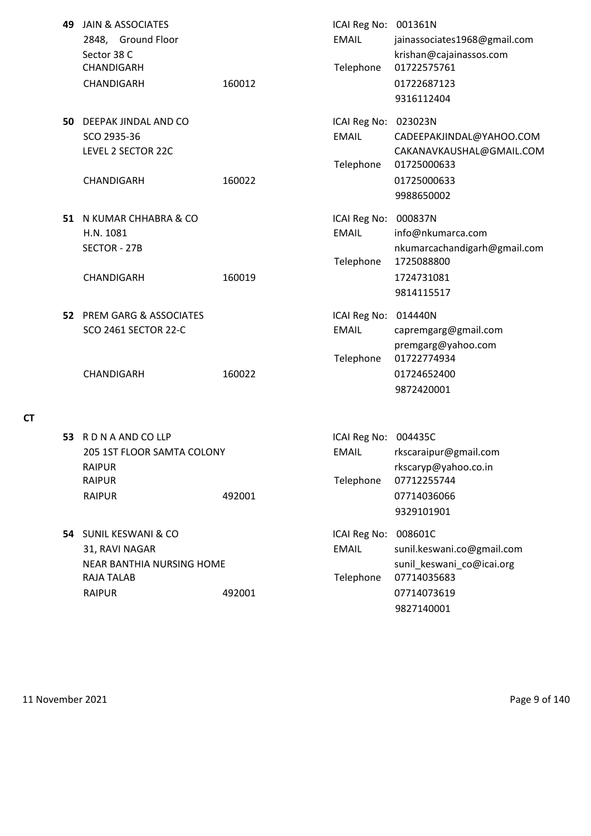| 49 | <b>JAIN &amp; ASSOCIATES</b><br>2848, Ground Floor<br>Sector 38 C<br>CHANDIGARH<br>CHANDIGARH       | 160012 | ICAI Reg No: 001361N<br><b>EMAIL</b><br>Telephone | jainassociates1968@gmail.com<br>krishan@cajainassos.com<br>01722575761<br>01722687123<br>9316112404            |
|----|-----------------------------------------------------------------------------------------------------|--------|---------------------------------------------------|----------------------------------------------------------------------------------------------------------------|
| 50 | DEEPAK JINDAL AND CO<br>SCO 2935-36<br>LEVEL 2 SECTOR 22C<br>CHANDIGARH                             | 160022 | ICAI Reg No:<br><b>EMAIL</b><br>Telephone         | 023023N<br>CADEEPAKJINDAL@YAHOO.COM<br>CAKANAVKAUSHAL@GMAIL.COM<br>01725000633<br>01725000633<br>9988650002    |
|    | 51 N KUMAR CHHABRA & CO<br>H.N. 1081<br>SECTOR - 27B<br>CHANDIGARH                                  | 160019 | ICAI Reg No:<br><b>EMAIL</b><br>Telephone         | 000837N<br>info@nkumarca.com<br>nkumarcachandigarh@gmail.com<br>1725088800<br>1724731081<br>9814115517         |
|    | <b>52 PREM GARG &amp; ASSOCIATES</b><br><b>SCO 2461 SECTOR 22-C</b><br>CHANDIGARH                   | 160022 | ICAI Reg No:<br><b>EMAIL</b><br>Telephone         | 014440N<br>capremgarg@gmail.com<br>premgarg@yahoo.com<br>01722774934<br>01724652400<br>9872420001              |
|    | 53 RDNAANDCOLLP<br>205 1ST FLOOR SAMTA COLONY<br><b>RAIPUR</b><br><b>RAIPUR</b><br><b>RAIPUR</b>    | 492001 | ICAI Reg No:<br><b>EMAIL</b><br>Telephone         | 004435C<br>rkscaraipur@gmail.com<br>rkscaryp@yahoo.co.in<br>07712255744<br>07714036066<br>9329101901           |
|    | 54 SUNIL KESWANI & CO<br>31, RAVI NAGAR<br>NEAR BANTHIA NURSING HOME<br>RAJA TALAB<br><b>RAIPUR</b> | 492001 | ICAI Reg No:<br><b>EMAIL</b><br>Telephone         | 008601C<br>sunil.keswani.co@gmail.com<br>sunil_keswani_co@icai.org<br>07714035683<br>07714073619<br>9827140001 |

11 November 2021 **Page 9 of 140** 

**CT**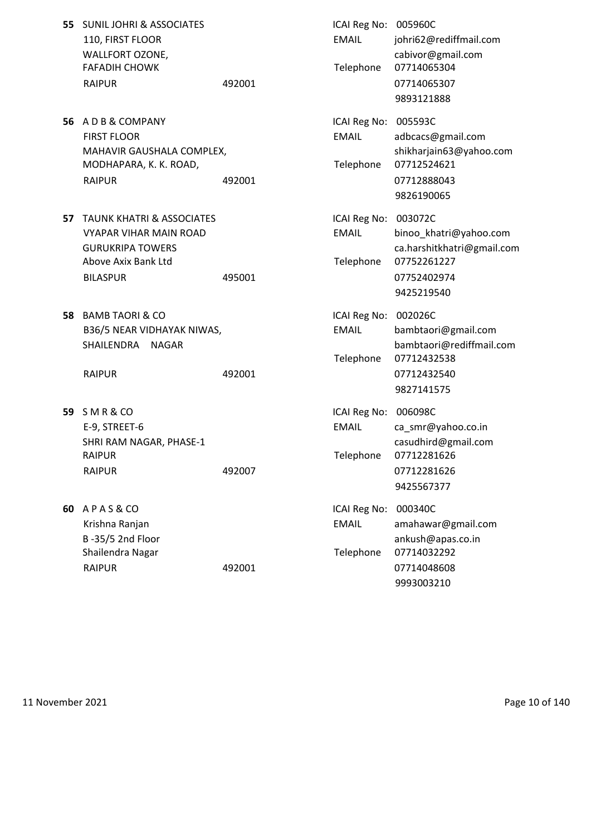| 55. | <b>SUNIL JOHRI &amp; ASSOCIATES</b><br>110, FIRST FLOOR<br>WALLFORT OZONE,<br><b>FAFADIH CHOWK</b><br><b>RAIPUR</b>                        | 492001 | ICAI Reg No: 005960C<br><b>EMAIL</b><br>Telephone | johri62@rediffmail.com<br>cabivor@gmail.com<br>07714065304<br>07714065307<br>9893121888                     |
|-----|--------------------------------------------------------------------------------------------------------------------------------------------|--------|---------------------------------------------------|-------------------------------------------------------------------------------------------------------------|
|     | 56 ADB&COMPANY<br><b>FIRST FLOOR</b><br>MAHAVIR GAUSHALA COMPLEX,<br>MODHAPARA, K. K. ROAD,<br><b>RAIPUR</b>                               | 492001 | ICAI Reg No:<br><b>EMAIL</b><br>Telephone         | 005593C<br>adbcacs@gmail.com<br>shikharjain63@yahoo.com<br>07712524621<br>07712888043<br>9826190065         |
| 57  | <b>TAUNK KHATRI &amp; ASSOCIATES</b><br><b>VYAPAR VIHAR MAIN ROAD</b><br><b>GURUKRIPA TOWERS</b><br>Above Axix Bank Ltd<br><b>BILASPUR</b> | 495001 | ICAI Reg No:<br><b>EMAIL</b><br>Telephone         | 003072C<br>binoo_khatri@yahoo.com<br>ca.harshitkhatri@gmail.com<br>07752261227<br>07752402974<br>9425219540 |
| 58  | <b>BAMB TAORI &amp; CO</b><br>B36/5 NEAR VIDHAYAK NIWAS,<br>SHAILENDRA<br>NAGAR<br><b>RAIPUR</b>                                           | 492001 | ICAI Reg No:<br><b>EMAIL</b><br>Telephone         | 002026C<br>bambtaori@gmail.com<br>bambtaori@rediffmail.com<br>07712432538<br>07712432540<br>9827141575      |
| 59  | SMR&CO<br>E-9, STREET-6<br>SHRI RAM NAGAR, PHASE-1<br><b>RAIPUR</b><br><b>RAIPUR</b>                                                       | 492007 | ICAI Reg No:<br><b>EMAIL</b><br>Telephone         | 006098C<br>ca_smr@yahoo.co.in<br>casudhird@gmail.com<br>07712281626<br>07712281626<br>9425567377            |
| 60  | APAS&CO<br>Krishna Ranjan<br>B-35/5 2nd Floor<br>Shailendra Nagar<br><b>RAIPUR</b>                                                         | 492001 | ICAI Reg No:<br><b>EMAIL</b><br>Telephone         | 000340C<br>amahawar@gmail.com<br>ankush@apas.co.in<br>07714032292<br>07714048608<br>9993003210              |

11 November 2021 **Page 10 of 140**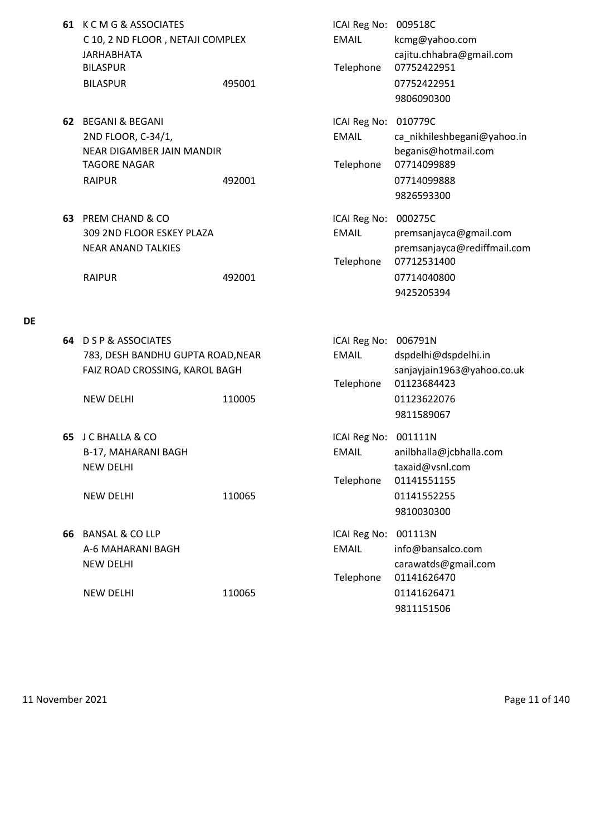| 61 K C M G & ASSOCIATES          |        | ICAI Reg No: 009518C |                       |
|----------------------------------|--------|----------------------|-----------------------|
| C 10, 2 ND FLOOR, NETAJI COMPLEX |        | EMAIL                | kcmg@yahoo.           |
| JARHABHATA                       |        |                      | cajitu.chhabra        |
| <b>BILASPUR</b>                  |        |                      | Telephone 07752422951 |
| <b>BILASPUR</b>                  | 495001 |                      | 07752422951           |

- **62** BEGANI & BEGANI **ICAI Reg No: 010779C** 2ND FLOOR, C-34/1, EMAIL ca\_nikhileshbegani@yahoo.in NEAR DIGAMBER JAIN MANDIR beganis@hotmail.com TAGORE NAGAR TAGORE NAGAR TELEPHONE 07714099889 RAIPUR 492001 492001
- **63** PREM CHAND & CO **ICAI Reg No: 000275C** 309 2ND FLOOR ESKEY PLAZA EMAIL premsanjayca@gmail.com NEAR ANAND TALKIES **premsanjayca@rediffmail.com**

RAIPUR 492001 492001 07714040800

## **DE**

|    | 64 D S P & ASSOCIATES             |        | ICAI Reg No: | 006791N                    |
|----|-----------------------------------|--------|--------------|----------------------------|
|    | 783, DESH BANDHU GUPTA ROAD, NEAR |        | <b>EMAIL</b> | dspdelhi@dspdelhi.in       |
|    | FAIZ ROAD CROSSING, KAROL BAGH    |        |              | sanjayjain1963@yahoo.co.uk |
|    |                                   |        | Telephone    | 01123684423                |
|    | <b>NEW DELHI</b>                  | 110005 |              | 01123622076                |
|    |                                   |        |              | 9811589067                 |
| 65 | <b>J C BHALLA &amp; CO</b>        |        | ICAI Reg No: | 001111N                    |
|    | B-17, MAHARANI BAGH               |        | <b>EMAIL</b> | anilbhalla@jcbhalla.com    |
|    | <b>NEW DELHI</b>                  |        |              | taxaid@vsnl.com            |
|    |                                   |        | Telephone    | 01141551155                |
|    | <b>NEW DELHI</b>                  | 110065 |              | 01141552255                |
|    |                                   |        |              | 9810030300                 |
| 66 | <b>BANSAL &amp; CO LLP</b>        |        | ICAI Reg No: | 001113N                    |
|    | A-6 MAHARANI BAGH                 |        | <b>EMAIL</b> | info@bansalco.com          |
|    | <b>NEW DELHI</b>                  |        |              | carawatds@gmail.com        |
|    |                                   |        | Telephone    | 01141626470                |
|    | <b>NEW DELHI</b>                  | 110065 |              | 01141626471                |
|    |                                   |        |              | 9811151506                 |
|    |                                   |        |              |                            |

EMAIL kcmg@yahoo.com

9806090300

9826593300

9425205394

Telephone 07712531400

cajitu.chhabra@gmail.com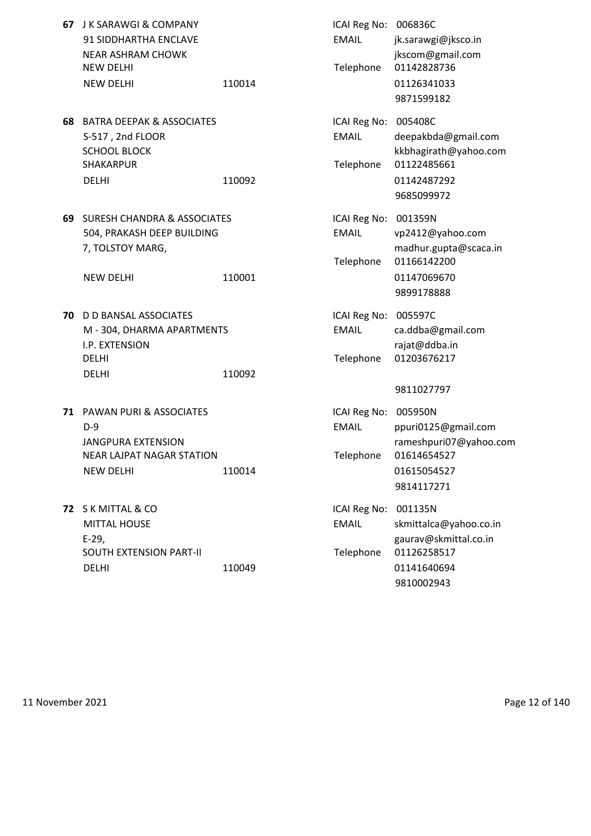| 67 | <b>J K SARAWGI &amp; COMPANY</b><br>91 SIDDHARTHA ENCLAVE<br><b>NEAR ASHRAM CHOWK</b><br><b>NEW DELHI</b><br><b>NEW DELHI</b> | 110014 | ICAI Reg No: 006836C<br><b>EMAIL</b><br>Telephone | jk.sarawgi@jksco.in<br>jkscom@gmail.com<br>01142828736<br>01126341033<br>9871599182         |
|----|-------------------------------------------------------------------------------------------------------------------------------|--------|---------------------------------------------------|---------------------------------------------------------------------------------------------|
| 68 | <b>BATRA DEEPAK &amp; ASSOCIATES</b><br>S-517, 2nd FLOOR<br><b>SCHOOL BLOCK</b><br><b>SHAKARPUR</b><br><b>DELHI</b>           | 110092 | ICAI Reg No: 005408C<br><b>EMAIL</b><br>Telephone | deepakbda@gmail.com<br>kkbhagirath@yahoo.com<br>01122485661<br>01142487292<br>9685099972    |
| 69 | <b>SURESH CHANDRA &amp; ASSOCIATES</b><br>504, PRAKASH DEEP BUILDING<br>7, TOLSTOY MARG,<br><b>NEW DELHI</b>                  | 110001 | ICAI Reg No: 001359N<br><b>EMAIL</b><br>Telephone | vp2412@yahoo.com<br>madhur.gupta@scaca.in<br>01166142200<br>01147069670<br>9899178888       |
| 70 | D D BANSAL ASSOCIATES<br>M - 304, DHARMA APARTMENTS<br>I.P. EXTENSION<br><b>DELHI</b><br><b>DELHI</b>                         | 110092 | ICAI Reg No: 005597C<br><b>EMAIL</b><br>Telephone | ca.ddba@gmail.com<br>rajat@ddba.in<br>01203676217<br>9811027797                             |
|    | 71 PAWAN PURI & ASSOCIATES<br>$D-9$<br><b>JANGPURA EXTENSION</b><br>NEAR LAJPAT NAGAR STATION<br><b>NEW DELHI</b>             | 110014 | ICAI Reg No: 005950N<br><b>EMAIL</b><br>Telephone | ppuri0125@gmail.com<br>rameshpuri07@yahoo.com<br>01614654527<br>01615054527<br>9814117271   |
|    | 72 S K MITTAL & CO<br><b>MITTAL HOUSE</b><br>$E-29,$<br>SOUTH EXTENSION PART-II<br><b>DELHI</b>                               | 110049 | ICAI Reg No: 001135N<br><b>EMAIL</b><br>Telephone | skmittalca@yahoo.co.in<br>gaurav@skmittal.co.in<br>01126258517<br>01141640694<br>9810002943 |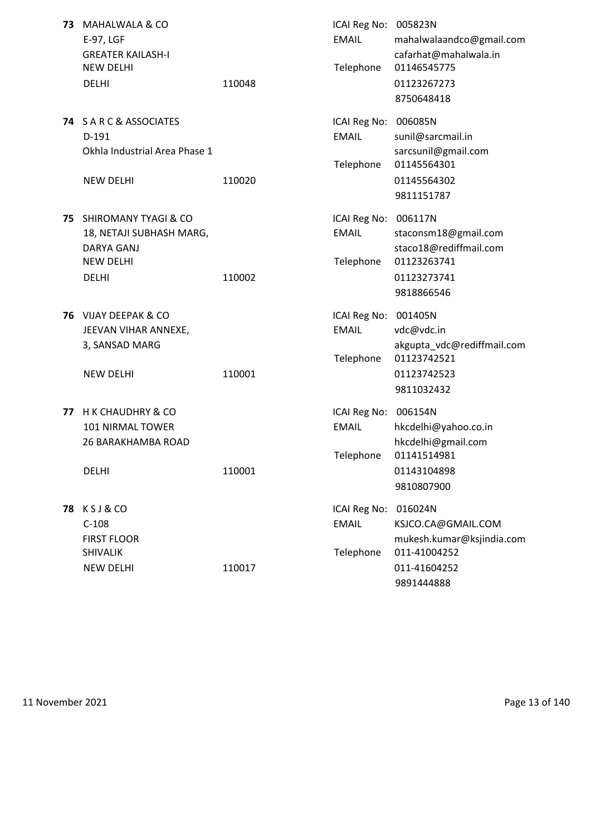| 73 | <b>MAHALWALA &amp; CO</b><br>E-97, LGF<br><b>GREATER KAILASH-I</b><br><b>NEW DELHI</b><br><b>DELHI</b>    | 110048 | ICAI Reg No: 005823N<br><b>EMAIL</b><br>Telephone | mahalwalaandco@gmail.com<br>cafarhat@mahalwala.in<br>01146545775<br>01123267273<br>8750648418            |
|----|-----------------------------------------------------------------------------------------------------------|--------|---------------------------------------------------|----------------------------------------------------------------------------------------------------------|
|    | <b>74 SARC&amp;ASSOCIATES</b><br>$D-191$<br>Okhla Industrial Area Phase 1<br><b>NEW DELHI</b>             | 110020 | ICAI Reg No:<br><b>EMAIL</b><br>Telephone         | 006085N<br>sunil@sarcmail.in<br>sarcsunil@gmail.com<br>01145564301<br>01145564302<br>9811151787          |
| 75 | SHIROMANY TYAGI & CO<br>18, NETAJI SUBHASH MARG,<br><b>DARYA GANJ</b><br><b>NEW DELHI</b><br><b>DELHI</b> | 110002 | ICAI Reg No: 006117N<br><b>EMAIL</b><br>Telephone | staconsm18@gmail.com<br>staco18@rediffmail.com<br>01123263741<br>01123273741<br>9818866546               |
| 76 | VIJAY DEEPAK & CO<br>JEEVAN VIHAR ANNEXE,<br>3, SANSAD MARG<br><b>NEW DELHI</b>                           | 110001 | ICAI Reg No:<br><b>EMAIL</b><br>Telephone         | 001405N<br>vdc@vdc.in<br>akgupta_vdc@rediffmail.com<br>01123742521<br>01123742523<br>9811032432          |
| 77 | H K CHAUDHRY & CO<br>101 NIRMAL TOWER<br><b>26 BARAKHAMBA ROAD</b><br><b>DELHI</b>                        | 110001 | ICAI Reg No: 006154N<br><b>EMAIL</b><br>Telephone | hkcdelhi@yahoo.co.in<br>hkcdelhi@gmail.com<br>01141514981<br>01143104898<br>9810807900                   |
|    | <b>78 KSJ&amp;CO</b><br>$C-108$<br><b>FIRST FLOOR</b><br><b>SHIVALIK</b><br><b>NEW DELHI</b>              | 110017 | ICAI Reg No:<br><b>EMAIL</b><br>Telephone         | 016024N<br>KSJCO.CA@GMAIL.COM<br>mukesh.kumar@ksjindia.com<br>011-41004252<br>011-41604252<br>9891444888 |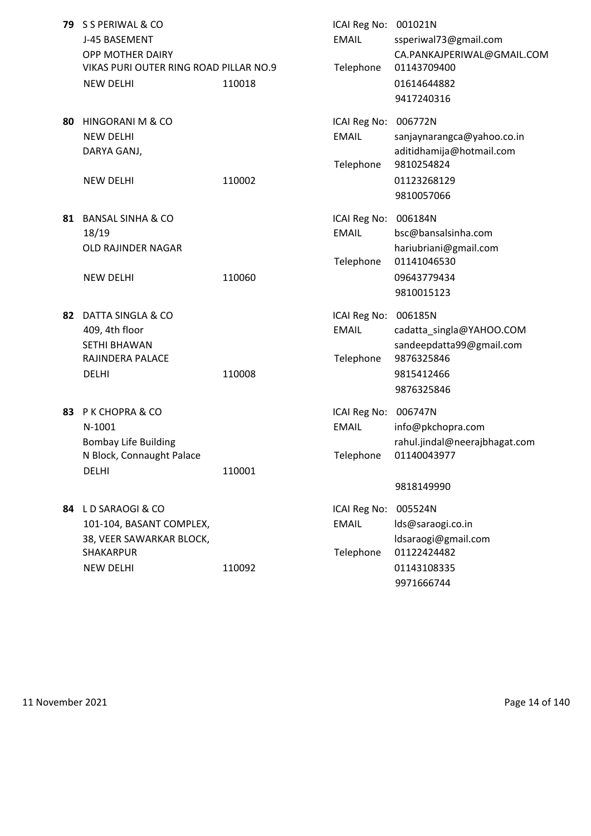| 79 | S S PERIWAL & CO<br>J-45 BASEMENT<br>OPP MOTHER DAIRY<br>VIKAS PURI OUTER RING ROAD PILLAR NO.9<br><b>NEW DELHI</b> | 110018 | ICAI Reg No: 001021N<br><b>EMAIL</b><br>Telephone | ssperiwal73@gmail.com<br>CA.PANKAJPERIWAL@GMAIL.COM<br>01143709400<br>01614644882                                          |
|----|---------------------------------------------------------------------------------------------------------------------|--------|---------------------------------------------------|----------------------------------------------------------------------------------------------------------------------------|
| 80 | HINGORANI M & CO<br><b>NEW DELHI</b><br>DARYA GANJ,<br><b>NEW DELHI</b>                                             | 110002 | ICAI Reg No:<br><b>EMAIL</b><br>Telephone         | 9417240316<br>006772N<br>sanjaynarangca@yahoo.co.in<br>aditidhamija@hotmail.com<br>9810254824<br>01123268129<br>9810057066 |
| 81 | <b>BANSAL SINHA &amp; CO</b><br>18/19<br>OLD RAJINDER NAGAR<br><b>NEW DELHI</b>                                     | 110060 | ICAI Reg No: 006184N<br><b>EMAIL</b><br>Telephone | bsc@bansalsinha.com<br>hariubriani@gmail.com<br>01141046530<br>09643779434<br>9810015123                                   |
| 82 | DATTA SINGLA & CO<br>409, 4th floor<br><b>SETHI BHAWAN</b><br>RAJINDERA PALACE<br><b>DELHI</b>                      | 110008 | ICAI Reg No: 006185N<br><b>EMAIL</b><br>Telephone | cadatta_singla@YAHOO.COM<br>sandeepdatta99@gmail.com<br>9876325846<br>9815412466<br>9876325846                             |
| 83 | <b>P K CHOPRA &amp; CO</b><br>N-1001<br><b>Bombay Life Building</b><br>N Block, Connaught Palace<br><b>DELHI</b>    | 110001 | ICAI Reg No: 006747N<br><b>EMAIL</b><br>Telephone | info@pkchopra.com<br>rahul.jindal@neerajbhagat.com<br>01140043977<br>9818149990                                            |
|    | 84 LD SARAOGI & CO<br>101-104, BASANT COMPLEX,<br>38, VEER SAWARKAR BLOCK,<br>SHAKARPUR<br><b>NEW DELHI</b>         | 110092 | ICAI Reg No:<br><b>EMAIL</b><br>Telephone         | 005524N<br>lds@saraogi.co.in<br>ldsaraogi@gmail.com<br>01122424482<br>01143108335<br>9971666744                            |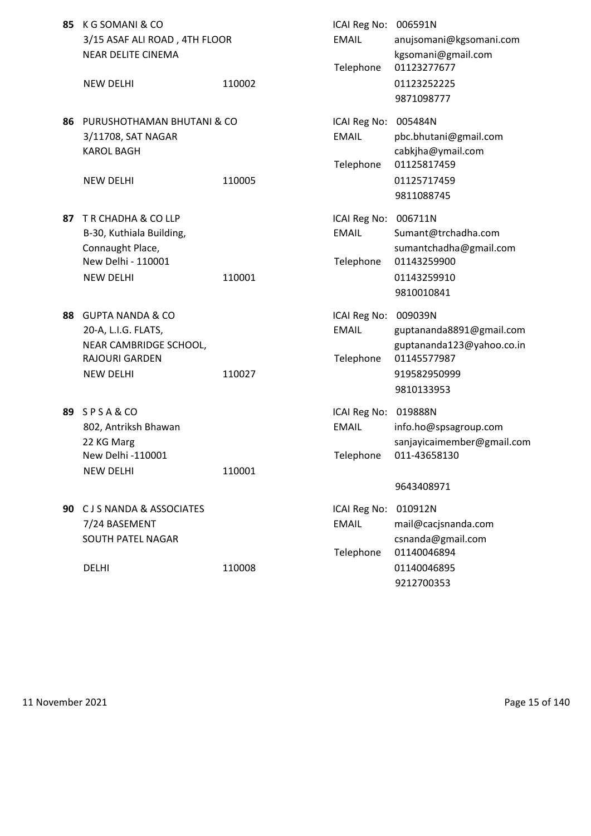| 85 | K G SOMANI & CO<br>3/15 ASAF ALI ROAD, 4TH FLOOR<br><b>NEAR DELITE CINEMA</b>                                             |        | ICAI Reg No: 006591N<br><b>EMAIL</b><br>Telephone | anujsomani@kgsomani.com<br>kgsomani@gmail.com<br>01123277677                                                  |
|----|---------------------------------------------------------------------------------------------------------------------------|--------|---------------------------------------------------|---------------------------------------------------------------------------------------------------------------|
|    | <b>NEW DELHI</b>                                                                                                          | 110002 |                                                   | 01123252225<br>9871098777                                                                                     |
| 86 | PURUSHOTHAMAN BHUTANI & CO<br>3/11708, SAT NAGAR<br><b>KAROL BAGH</b><br><b>NEW DELHI</b>                                 | 110005 | ICAI Reg No:<br><b>EMAIL</b><br>Telephone         | 005484N<br>pbc.bhutani@gmail.com<br>cabkjha@ymail.com<br>01125817459<br>01125717459<br>9811088745             |
| 87 | T R CHADHA & CO LLP<br>B-30, Kuthiala Building,<br>Connaught Place,<br>New Delhi - 110001<br><b>NEW DELHI</b>             | 110001 | ICAI Reg No: 006711N<br><b>EMAIL</b><br>Telephone | Sumant@trchadha.com<br>sumantchadha@gmail.com<br>01143259900<br>01143259910<br>9810010841                     |
| 88 | <b>GUPTA NANDA &amp; CO</b><br>20-A, L.I.G. FLATS,<br>NEAR CAMBRIDGE SCHOOL,<br><b>RAJOURI GARDEN</b><br><b>NEW DELHI</b> | 110027 | ICAI Reg No:<br><b>EMAIL</b><br>Telephone         | 009039N<br>guptananda8891@gmail.com<br>guptananda123@yahoo.co.in<br>01145577987<br>919582950999<br>9810133953 |
|    | 89 SPSA&CO<br>802, Antriksh Bhawan<br>22 KG Marg<br>New Delhi -110001<br><b>NEW DELHI</b>                                 | 110001 | ICAI Reg No: 019888N<br><b>EMAIL</b>              | info.ho@spsagroup.com<br>sanjayicaimember@gmail.com<br>Telephone 011-43658130<br>9643408971                   |
|    | 90 C J S NANDA & ASSOCIATES<br>7/24 BASEMENT<br><b>SOUTH PATEL NAGAR</b><br><b>DELHI</b>                                  | 110008 | ICAI Reg No:<br><b>EMAIL</b><br>Telephone         | 010912N<br>mail@cacjsnanda.com<br>csnanda@gmail.com<br>01140046894<br>01140046895<br>9212700353               |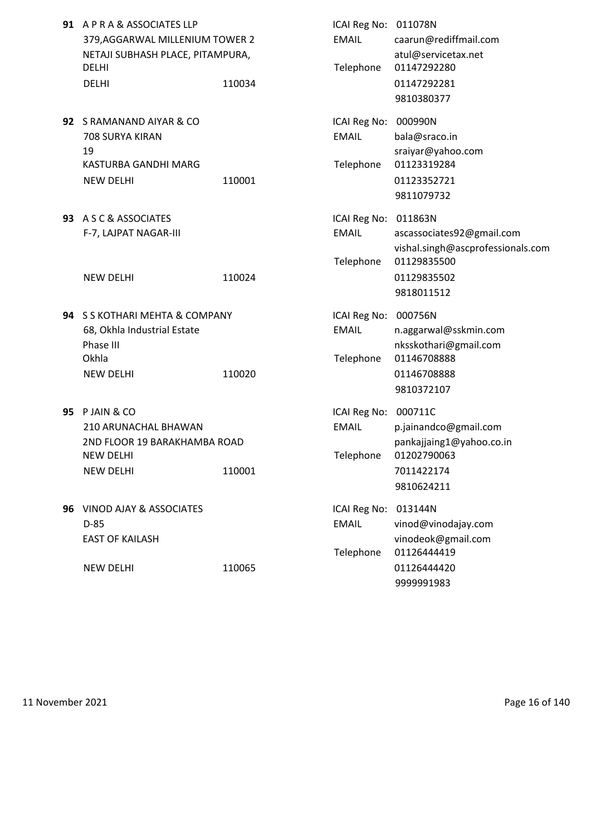|    | 91 A P R A & ASSOCIATES LLP<br>379, AGGARWAL MILLENIUM TOWER 2<br>NETAJI SUBHASH PLACE, PITAMPURA,<br><b>DELHI</b><br><b>DELHI</b> | 110034 | ICAI Reg No: 011078N<br><b>EMAIL</b><br>Telephone | caarun@rediffmail.com<br>atul@servicetax.net<br>01147292280<br>01147292281<br>9810380377                   |
|----|------------------------------------------------------------------------------------------------------------------------------------|--------|---------------------------------------------------|------------------------------------------------------------------------------------------------------------|
|    | 92 S RAMANAND AIYAR & CO<br>708 SURYA KIRAN<br>19<br>KASTURBA GANDHI MARG<br><b>NEW DELHI</b>                                      | 110001 | ICAI Reg No: 000990N<br><b>EMAIL</b><br>Telephone | bala@sraco.in<br>sraiyar@yahoo.com<br>01123319284<br>01123352721<br>9811079732                             |
|    | 93 A S C & ASSOCIATES<br>F-7, LAJPAT NAGAR-III<br><b>NEW DELHI</b>                                                                 | 110024 | ICAI Reg No: 011863N<br><b>EMAIL</b><br>Telephone | ascassociates92@gmail.com<br>vishal.singh@ascprofessionals.com<br>01129835500<br>01129835502<br>9818011512 |
|    | 94 S S KOTHARI MEHTA & COMPANY                                                                                                     |        | ICAI Reg No: 000756N                              |                                                                                                            |
|    | 68, Okhla Industrial Estate<br>Phase III<br>Okhla<br><b>NEW DELHI</b>                                                              | 110020 | <b>EMAIL</b><br>Telephone                         | n.aggarwal@sskmin.com<br>nksskothari@gmail.com<br>01146708888<br>01146708888<br>9810372107                 |
| 95 | P JAIN & CO<br>210 ARUNACHAL BHAWAN<br>2ND FLOOR 19 BARAKHAMBA ROAD<br>NEW DELHI<br><b>NEW DELHI</b>                               | 110001 | ICAI Reg No: 000711C<br><b>EMAIL</b><br>Telephone | p.jainandco@gmail.com<br>pankajjaing1@yahoo.co.in<br>01202790063<br>7011422174<br>9810624211               |
|    | 96 VINOD AJAY & ASSOCIATES<br>$D-85$<br><b>EAST OF KAILASH</b><br><b>NEW DELHI</b>                                                 | 110065 | ICAI Reg No: 013144N<br><b>EMAIL</b><br>Telephone | vinod@vinodajay.com<br>vinodeok@gmail.com<br>01126444419<br>01126444420                                    |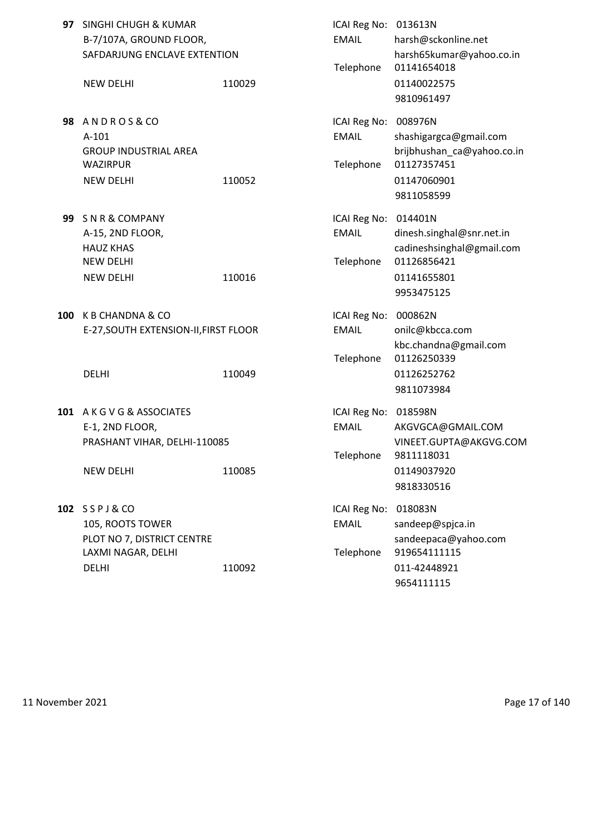|     | 97 SINGHI CHUGH & KUMAR<br>B-7/107A, GROUND FLOOR,<br>SAFDARJUNG ENCLAVE EXTENTION             |        | ICAI Reg No: 013613N<br><b>EMAIL</b><br>Telephone | harsh@sckonline.net<br>harsh65kumar@yahoo.co.in<br>01141654018                                              |
|-----|------------------------------------------------------------------------------------------------|--------|---------------------------------------------------|-------------------------------------------------------------------------------------------------------------|
|     | <b>NEW DELHI</b>                                                                               | 110029 |                                                   | 01140022575<br>9810961497                                                                                   |
|     | 98 ANDROS&CO<br>$A-101$<br><b>GROUP INDUSTRIAL AREA</b><br><b>WAZIRPUR</b><br><b>NEW DELHI</b> | 110052 | ICAI Reg No:<br><b>EMAIL</b><br>Telephone         | 008976N<br>shashigargca@gmail.com<br>brijbhushan_ca@yahoo.co.in<br>01127357451<br>01147060901<br>9811058599 |
| 99  | SNR&COMPANY<br>A-15, 2ND FLOOR,<br><b>HAUZ KHAS</b><br><b>NEW DELHI</b><br><b>NEW DELHI</b>    | 110016 | ICAI Reg No: 014401N<br><b>EMAIL</b><br>Telephone | dinesh.singhal@snr.net.in<br>cadineshsinghal@gmail.com<br>01126856421<br>01141655801<br>9953475125          |
| 100 | K B CHANDNA & CO<br>E-27, SOUTH EXTENSION-II, FIRST FLOOR                                      |        | ICAI Reg No: 000862N<br><b>EMAIL</b>              | onilc@kbcca.com<br>kbc.chandna@gmail.com                                                                    |
|     | <b>DELHI</b>                                                                                   | 110049 | Telephone                                         | 01126250339<br>01126252762<br>9811073984                                                                    |
|     | 101 A K G V G & ASSOCIATES<br>E-1, 2ND FLOOR,<br>PRASHANT VIHAR, DELHI-110085                  |        | ICAI Reg No: 018598N<br><b>EMAIL</b><br>Telephone | AKGVGCA@GMAIL.COM<br>VINEET.GUPTA@AKGVG.COM<br>9811118031                                                   |
|     | <b>NEW DELHI</b>                                                                               | 110085 |                                                   | 01149037920<br>9818330516                                                                                   |
|     | 102 SSPJ&CO<br>105, ROOTS TOWER<br>PLOT NO 7, DISTRICT CENTRE<br>LAXMI NAGAR, DELHI            |        | ICAI Reg No:<br><b>EMAIL</b><br>Telephone         | 018083N<br>sandeep@spjca.in<br>sandeepaca@yahoo.com<br>919654111115                                         |
|     | <b>DELHI</b>                                                                                   | 110092 |                                                   | 011-42448921<br>9654111115                                                                                  |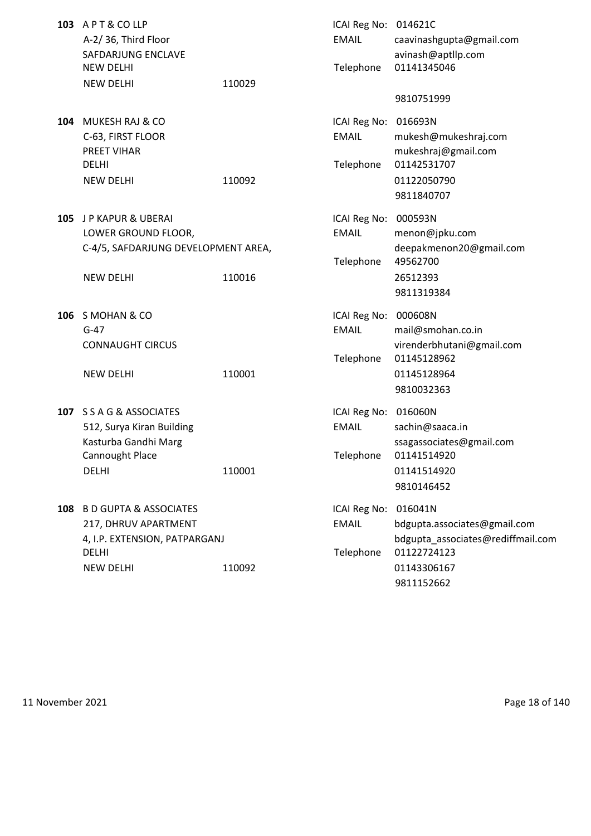|     | 103 APT&COLLP<br>A-2/36, Third Floor<br>SAFDARJUNG ENCLAVE                            |        | ICAI Reg No: 014621C<br><b>EMAIL</b>              | caavinashgupta@gmail.com<br>avinash@aptllp.com             |
|-----|---------------------------------------------------------------------------------------|--------|---------------------------------------------------|------------------------------------------------------------|
|     | <b>NEW DELHI</b>                                                                      |        | Telephone                                         | 01141345046                                                |
|     | <b>NEW DELHI</b>                                                                      | 110029 |                                                   |                                                            |
|     |                                                                                       |        |                                                   | 9810751999                                                 |
| 104 | <b>MUKESH RAJ &amp; CO</b><br>C-63, FIRST FLOOR<br><b>PREET VIHAR</b><br><b>DELHI</b> |        | ICAI Reg No: 016693N<br><b>EMAIL</b><br>Telephone | mukesh@mukeshraj.com<br>mukeshraj@gmail.com<br>01142531707 |
|     | <b>NEW DELHI</b>                                                                      | 110092 |                                                   | 01122050790<br>9811840707                                  |
| 105 | J P KAPUR & UBERAI<br>LOWER GROUND FLOOR,<br>C-4/5, SAFDARJUNG DEVELOPMENT AREA,      |        | ICAI Reg No:<br><b>EMAIL</b>                      | 000593N<br>menon@jpku.com<br>deepakmenon20@gmail.com       |
|     | <b>NEW DELHI</b>                                                                      | 110016 | Telephone                                         | 49562700<br>26512393<br>9811319384                         |
| 106 | S MOHAN & CO                                                                          |        | ICAI Reg No: 000608N                              |                                                            |
|     | $G-47$                                                                                |        | <b>EMAIL</b>                                      | mail@smohan.co.in                                          |
|     | <b>CONNAUGHT CIRCUS</b>                                                               |        | Telephone                                         | virenderbhutani@gmail.com<br>01145128962                   |
|     | <b>NEW DELHI</b>                                                                      | 110001 |                                                   | 01145128964<br>9810032363                                  |
|     | 107 S S A G & ASSOCIATES                                                              |        | ICAI Reg No: 016060N                              |                                                            |
|     | 512, Surya Kiran Building<br>Kasturba Gandhi Marg                                     |        | <b>EMAIL</b>                                      | sachin@saaca.in<br>ssagassociates@gmail.com                |
|     | Cannought Place                                                                       |        | Telephone                                         | 01141514920                                                |
|     | <b>DELHI</b>                                                                          | 110001 |                                                   | 01141514920                                                |
|     |                                                                                       |        |                                                   | 9810146452                                                 |
|     | 108 B D GUPTA & ASSOCIATES                                                            |        | ICAI Reg No: 016041N                              |                                                            |
|     | 217, DHRUV APARTMENT                                                                  |        | <b>EMAIL</b>                                      | bdgupta.associates@gmail.com                               |
|     | 4, I.P. EXTENSION, PATPARGANJ<br><b>DELHI</b>                                         |        | Telephone                                         | bdgupta_associates@rediffmail.com<br>01122724123           |
|     | <b>NEW DELHI</b>                                                                      | 110092 |                                                   | 01143306167<br>9811152662                                  |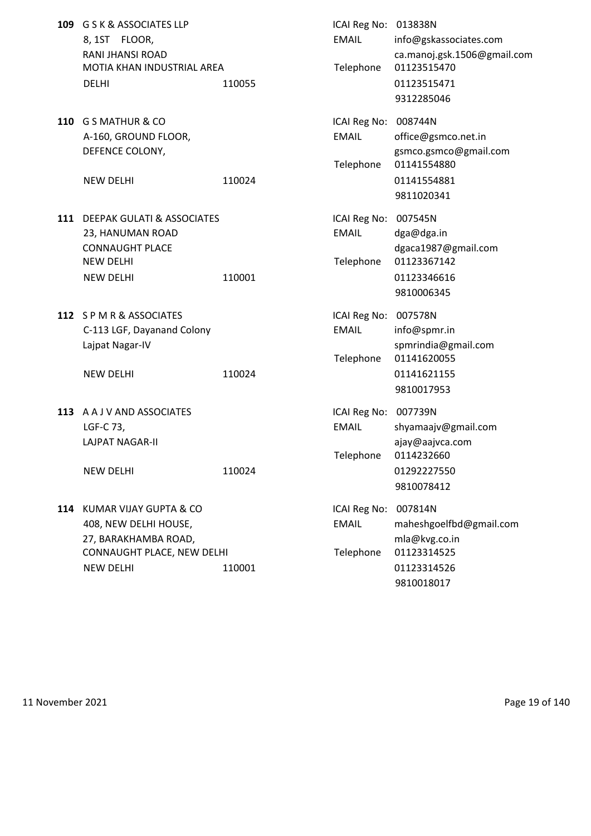- 109 G S K & ASSOCIATES LLP 8, 1ST FLOOR, RANI JHANSI ROAD MOTIA KHAN INDUSTRIAL AREA DELHI 110055 110055 01123515471
- **110** G S MATHUR & CO A-160, GROUND FLOOR, DEFENCE COLONY,

- **111 DEEPAK GULATI & ASSOCIATES** 23, HANUMAN ROAD **CONNAUGHT PLACE** NEW DELHI NEW DELHI 110001
- **112** S P M R & ASSOCIATES C-113 LGF, Dayanand Colony Lajpat Nagar-IV

**113** A A J V AND ASSOCIATES LAJPAT NAGAR-II

**114** KUMAR VIJAY GUPTA & CO 408, NEW DELHI HOUSE, 27, BARAKHAMBA ROAD, CONNAUGHT PLACE, NEW DELHI NEW DELHI 110001 01123314526

| <b>G S K &amp; ASSOCIATES LLP</b><br>8,1ST FLOOR,<br>RANI JHANSI ROAD<br>MOTIA KHAN INDUSTRIAL AREA<br>DELHI       | 110055 | ICAI Reg No: 013838N<br><b>EMAIL</b><br>Telephone | info@gskassociates.com<br>ca.manoj.gsk.1506@gmail.com<br>01123515470<br>01123515471<br>9312285046 |
|--------------------------------------------------------------------------------------------------------------------|--------|---------------------------------------------------|---------------------------------------------------------------------------------------------------|
| G S MATHUR & CO<br>A-160, GROUND FLOOR,<br>DEFENCE COLONY,<br><b>NEW DELHI</b>                                     | 110024 | ICAI Reg No: 008744N<br><b>EMAIL</b><br>Telephone | office@gsmco.net.in<br>gsmco.gsmco@gmail.com<br>01141554880<br>01141554881<br>9811020341          |
| <b>DEEPAK GULATI &amp; ASSOCIATES</b><br>23, HANUMAN ROAD<br><b>CONNAUGHT PLACE</b><br>NEW DELHI<br>NEW DELHI      | 110001 | ICAI Reg No: 007545N<br><b>EMAIL</b><br>Telephone | dga@dga.in<br>dgaca1987@gmail.com<br>01123367142<br>01123346616<br>9810006345                     |
| S P M R & ASSOCIATES<br>C-113 LGF, Dayanand Colony<br>Lajpat Nagar-IV<br>NEW DELHI                                 | 110024 | ICAI Reg No: 007578N<br><b>EMAIL</b><br>Telephone | info@spmr.in<br>spmrindia@gmail.com<br>01141620055<br>01141621155<br>9810017953                   |
| A A J V AND ASSOCIATES<br>LGF-C 73,<br>LAJPAT NAGAR-II<br><b>NEW DELHI</b>                                         | 110024 | ICAI Reg No: 007739N<br><b>EMAIL</b><br>Telephone | shyamaajv@gmail.com<br>ajay@aajvca.com<br>0114232660<br>01292227550<br>9810078412                 |
| KUMAR VIJAY GUPTA & CO<br>408, NEW DELHI HOUSE,<br>27, BARAKHAMBA ROAD,<br>CONNAUGHT PLACE, NEW DELHI<br>NEW DELHI | 110001 | ICAI Reg No:<br><b>EMAIL</b><br>Telephone         | 007814N<br>maheshgoelfbd@gmail.com<br>mla@kvg.co.in<br>01123314525<br>01123314526                 |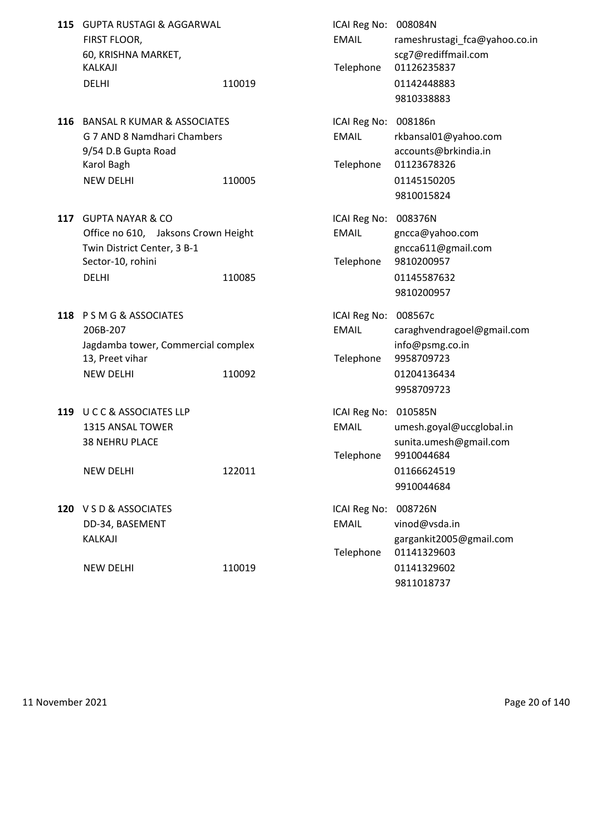|     | 115 GUPTA RUSTAGI & AGGARWAL<br>FIRST FLOOR,<br>60, KRISHNA MARKET,<br>KALKAJI<br><b>DELHI</b>                                         | 110019 | ICAI Reg No: 008084N<br><b>EMAIL</b><br>Telephone | rameshrustagi_fca@yahoo.co.in<br>scg7@rediffmail.com<br>01126235837<br>01142448883<br>9810338883         |
|-----|----------------------------------------------------------------------------------------------------------------------------------------|--------|---------------------------------------------------|----------------------------------------------------------------------------------------------------------|
|     | 116 BANSAL R KUMAR & ASSOCIATES<br>G 7 AND 8 Namdhari Chambers<br>9/54 D.B Gupta Road<br>Karol Bagh<br><b>NEW DELHI</b>                | 110005 | ICAI Reg No:<br><b>EMAIL</b><br>Telephone         | 008186n<br>rkbansal01@yahoo.com<br>accounts@brkindia.in<br>01123678326<br>01145150205<br>9810015824      |
| 117 | <b>GUPTA NAYAR &amp; CO</b><br>Office no 610, Jaksons Crown Height<br>Twin District Center, 3 B-1<br>Sector-10, rohini<br><b>DELHI</b> | 110085 | ICAI Reg No:<br><b>EMAIL</b><br>Telephone         | 008376N<br>gncca@yahoo.com<br>gncca611@gmail.com<br>9810200957<br>01145587632<br>9810200957              |
|     | 118 PSMG&ASSOCIATES<br>206B-207<br>Jagdamba tower, Commercial complex<br>13, Preet vihar<br><b>NEW DELHI</b>                           | 110092 | ICAI Reg No:<br><b>EMAIL</b><br>Telephone         | 008567c<br>caraghvendragoel@gmail.com<br>info@psmg.co.in<br>9958709723<br>01204136434<br>9958709723      |
|     | 119 U C C & ASSOCIATES LLP<br>1315 ANSAL TOWER<br><b>38 NEHRU PLACE</b><br><b>NEW DELHI</b>                                            | 122011 | ICAI Reg No:<br><b>EMAIL</b><br>Telephone         | 010585N<br>umesh.goyal@uccglobal.in<br>sunita.umesh@gmail.com<br>9910044684<br>01166624519<br>9910044684 |
|     | 120 VSD & ASSOCIATES<br>DD-34, BASEMENT<br>KALKAJI<br><b>NEW DELHI</b>                                                                 | 110019 | ICAI Reg No:<br><b>EMAIL</b><br>Telephone         | 008726N<br>vinod@vsda.in<br>gargankit2005@gmail.com<br>01141329603<br>01141329602<br>9811018737          |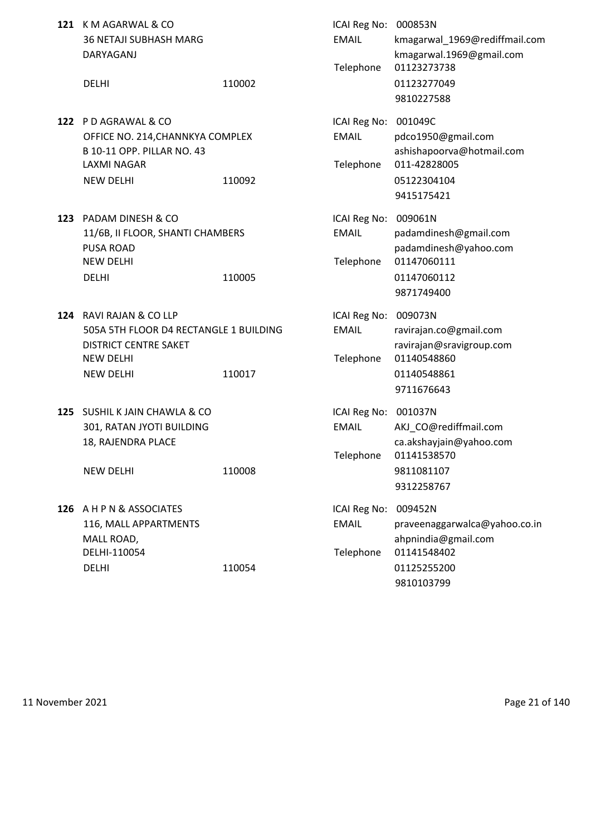|     | 121 K M AGARWAL & CO<br><b>36 NETAJI SUBHASH MARG</b><br>DARYAGANJ                                                                        |        | ICAI Reg No: 000853N<br><b>EMAIL</b><br>Telephone | kmagarwal_1969@rediffmail.com<br>kmagarwal.1969@gmail.com<br>01123273738                                    |
|-----|-------------------------------------------------------------------------------------------------------------------------------------------|--------|---------------------------------------------------|-------------------------------------------------------------------------------------------------------------|
|     | <b>DELHI</b>                                                                                                                              | 110002 |                                                   | 01123277049<br>9810227588                                                                                   |
|     | 122 PD AGRAWAL & CO<br>OFFICE NO. 214, CHANNKYA COMPLEX<br>B 10-11 OPP. PILLAR NO. 43<br><b>LAXMI NAGAR</b><br><b>NEW DELHI</b>           | 110092 | ICAI Reg No:<br><b>EMAIL</b><br>Telephone         | 001049C<br>pdco1950@gmail.com<br>ashishapoorva@hotmail.com<br>011-42828005<br>05122304104<br>9415175421     |
|     | 123 PADAM DINESH & CO<br>11/6B, II FLOOR, SHANTI CHAMBERS<br><b>PUSA ROAD</b><br><b>NEW DELHI</b><br><b>DELHI</b>                         | 110005 | ICAI Reg No:<br><b>EMAIL</b><br>Telephone         | 009061N<br>padamdinesh@gmail.com<br>padamdinesh@yahoo.com<br>01147060111<br>01147060112<br>9871749400       |
|     | 124 RAVI RAJAN & CO LLP<br>505A 5TH FLOOR D4 RECTANGLE 1 BUILDING<br><b>DISTRICT CENTRE SAKET</b><br><b>NEW DELHI</b><br><b>NEW DELHI</b> | 110017 | ICAI Reg No:<br><b>EMAIL</b><br>Telephone         | 009073N<br>ravirajan.co@gmail.com<br>ravirajan@sravigroup.com<br>01140548860<br>01140548861<br>9711676643   |
| 125 | SUSHIL K JAIN CHAWLA & CO<br>301, RATAN JYOTI BUILDING<br>18, RAJENDRA PLACE<br><b>NEW DELHI</b>                                          | 110008 | ICAI Reg No:<br><b>EMAIL</b><br>Telephone         | 001037N<br>AKJ_CO@rediffmail.com<br>ca.akshayjain@yahoo.com<br>01141538570<br>9811081107<br>9312258767      |
|     | 126 A H P N & ASSOCIATES<br>116, MALL APPARTMENTS<br>MALL ROAD,<br>DELHI-110054<br><b>DELHI</b>                                           | 110054 | ICAI Reg No:<br><b>EMAIL</b><br>Telephone         | 009452N<br>praveenaggarwalca@yahoo.co.in<br>ahpnindia@gmail.com<br>01141548402<br>01125255200<br>9810103799 |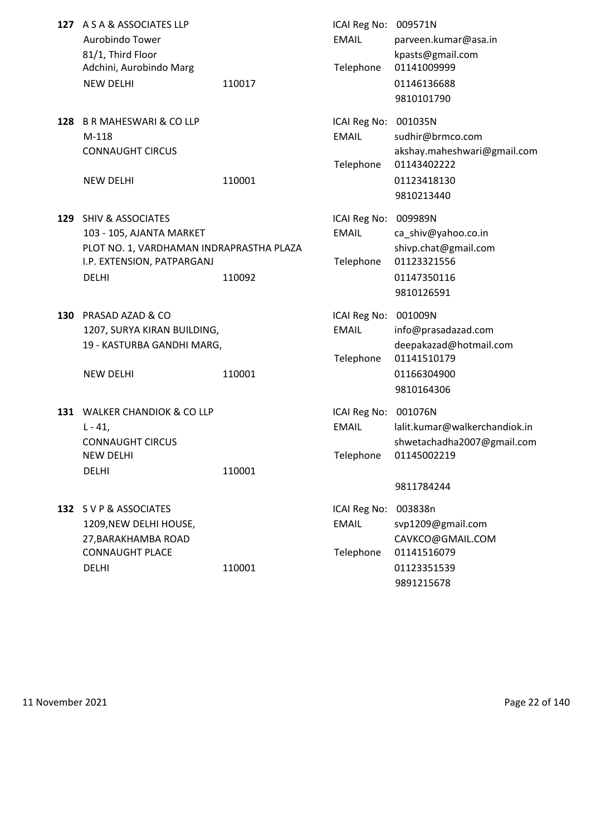|     | 127 A S A & ASSOCIATES LLP<br>Aurobindo Tower<br>81/1, Third Floor<br>Adchini, Aurobindo Marg<br><b>NEW DELHI</b>                           | 110017 | ICAI Reg No: 009571N<br><b>EMAIL</b><br>Telephone | parveen.kumar@asa.in<br>kpasts@gmail.com<br>01141009999<br>01146136688<br>9810101790                 |
|-----|---------------------------------------------------------------------------------------------------------------------------------------------|--------|---------------------------------------------------|------------------------------------------------------------------------------------------------------|
|     | 128 B R MAHESWARI & CO LLP<br>M-118<br><b>CONNAUGHT CIRCUS</b>                                                                              |        | ICAI Reg No:<br><b>EMAIL</b><br>Telephone         | 001035N<br>sudhir@brmco.com<br>akshay.maheshwari@gmail.com<br>01143402222                            |
|     | <b>NEW DELHI</b>                                                                                                                            | 110001 |                                                   | 01123418130<br>9810213440                                                                            |
|     | 129 SHIV & ASSOCIATES<br>103 - 105, AJANTA MARKET<br>PLOT NO. 1, VARDHAMAN INDRAPRASTHA PLAZA<br>I.P. EXTENSION, PATPARGANJ<br><b>DELHI</b> | 110092 | ICAI Reg No:<br><b>EMAIL</b><br>Telephone         | 009989N<br>ca_shiv@yahoo.co.in<br>shivp.chat@gmail.com<br>01123321556<br>01147350116<br>9810126591   |
| 130 | <b>PRASAD AZAD &amp; CO</b><br>1207, SURYA KIRAN BUILDING,<br>19 - KASTURBA GANDHI MARG,<br><b>NEW DELHI</b>                                | 110001 | ICAI Reg No:<br><b>EMAIL</b><br>Telephone         | 001009N<br>info@prasadazad.com<br>deepakazad@hotmail.com<br>01141510179<br>01166304900<br>9810164306 |
|     | 131 WALKER CHANDIOK & CO LLP<br>$L - 41$ ,<br><b>CONNAUGHT CIRCUS</b><br>NEW DELHI<br><b>DELHI</b>                                          | 110001 | ICAI Reg No:<br>EMAIL<br>Telephone                | 001076N<br>lalit.kumar@walkerchandiok.in<br>shwetachadha2007@gmail.com<br>01145002219<br>9811784244  |
|     | 132 SVP& ASSOCIATES<br>1209, NEW DELHI HOUSE,<br>27, BARAKHAMBA ROAD<br><b>CONNAUGHT PLACE</b><br><b>DELHI</b>                              | 110001 | ICAI Reg No:<br><b>EMAIL</b><br>Telephone         | 003838n<br>svp1209@gmail.com<br>CAVKCO@GMAIL.COM<br>01141516079<br>01123351539<br>9891215678         |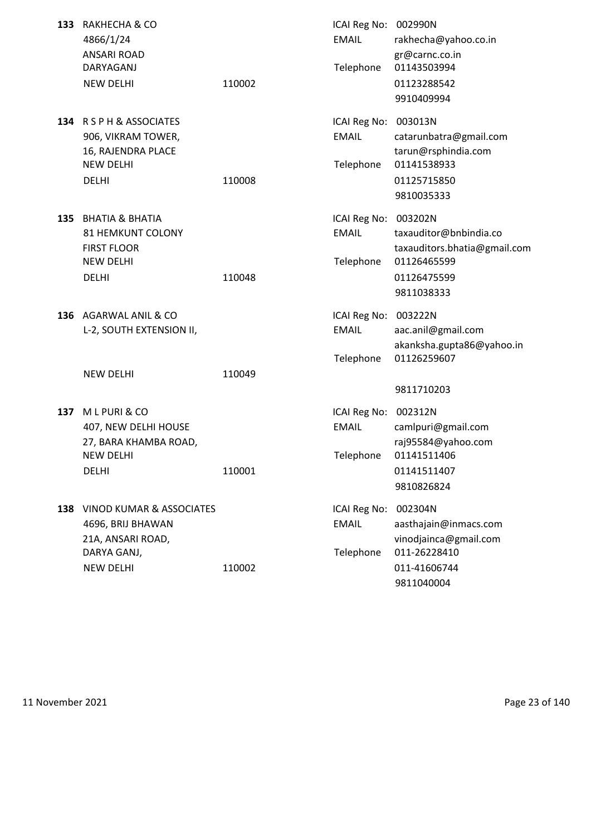| 133 | RAKHECHA & CO<br>4866/1/24<br><b>ANSARI ROAD</b>                                                          |        | ICAI Reg No: 002990N<br><b>EMAIL</b>              | rakhecha@yahoo.co.in<br>gr@carnc.co.in                                                                        |
|-----|-----------------------------------------------------------------------------------------------------------|--------|---------------------------------------------------|---------------------------------------------------------------------------------------------------------------|
|     | DARYAGANJ<br><b>NEW DELHI</b>                                                                             | 110002 | Telephone                                         | 01143503994<br>01123288542<br>9910409994                                                                      |
|     | 134 RSPH&ASSOCIATES<br>906, VIKRAM TOWER,<br>16, RAJENDRA PLACE<br><b>NEW DELHI</b><br><b>DELHI</b>       | 110008 | ICAI Reg No: 003013N<br><b>EMAIL</b><br>Telephone | catarunbatra@gmail.com<br>tarun@rsphindia.com<br>01141538933<br>01125715850<br>9810035333                     |
| 135 | <b>BHATIA &amp; BHATIA</b><br>81 HEMKUNT COLONY<br><b>FIRST FLOOR</b><br><b>NEW DELHI</b><br><b>DELHI</b> | 110048 | ICAI Reg No:<br><b>EMAIL</b><br>Telephone         | 003202N<br>taxauditor@bnbindia.co<br>taxauditors.bhatia@gmail.com<br>01126465599<br>01126475599<br>9811038333 |
|     | 136 AGARWAL ANIL & CO<br>L-2, SOUTH EXTENSION II,                                                         |        | ICAI Reg No: 003222N<br><b>EMAIL</b><br>Telephone | aac.anil@gmail.com<br>akanksha.gupta86@yahoo.in<br>01126259607                                                |
|     | <b>NEW DELHI</b>                                                                                          | 110049 |                                                   | 9811710203                                                                                                    |
| 137 | MLPURI & CO<br>407, NEW DELHI HOUSE<br>27, BARA KHAMBA ROAD,                                              |        | ICAI Reg No:<br><b>EMAIL</b>                      | 002312N<br>camlpuri@gmail.com<br>raj95584@yahoo.com                                                           |
|     | <b>NEW DELHI</b><br><b>DELHI</b>                                                                          | 110001 | Telephone                                         | 01141511406<br>01141511407<br>9810826824                                                                      |
|     | 138 VINOD KUMAR & ASSOCIATES<br>4696, BRIJ BHAWAN<br>21A, ANSARI ROAD,<br>DARYA GANJ,                     |        | ICAI Reg No:<br><b>EMAIL</b><br>Telephone         | 002304N<br>aasthajain@inmacs.com<br>vinodjainca@gmail.com<br>011-26228410                                     |
|     | <b>NEW DELHI</b>                                                                                          | 110002 |                                                   | 011-41606744<br>9811040004                                                                                    |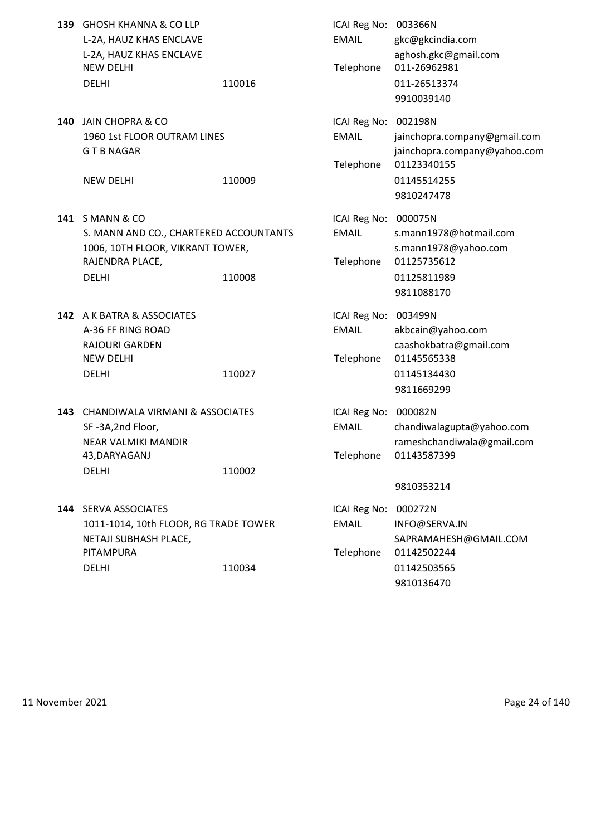| 139 | <b>GHOSH KHANNA &amp; CO LLP</b><br>L-2A, HAUZ KHAS ENCLAVE<br>L-2A, HAUZ KHAS ENCLAVE<br><b>NEW DELHI</b><br><b>DELHI</b>      | 110016 | ICAI Reg No: 003366N<br><b>EMAIL</b><br>Telephone | gkc@gkcindia.com<br>aghosh.gkc@gmail.com<br>011-26962981<br>011-26513374<br>9910039140                              |
|-----|---------------------------------------------------------------------------------------------------------------------------------|--------|---------------------------------------------------|---------------------------------------------------------------------------------------------------------------------|
|     | 140 JAIN CHOPRA & CO<br>1960 1st FLOOR OUTRAM LINES<br><b>GTBNAGAR</b><br><b>NEW DELHI</b>                                      | 110009 | ICAI Reg No:<br><b>EMAIL</b><br>Telephone         | 002198N<br>jainchopra.company@gmail.com<br>jainchopra.company@yahoo.com<br>01123340155<br>01145514255<br>9810247478 |
|     | 141 SMANN & CO<br>S. MANN AND CO., CHARTERED ACCOUNTANTS<br>1006, 10TH FLOOR, VIKRANT TOWER,<br>RAJENDRA PLACE,<br><b>DELHI</b> | 110008 | ICAI Reg No:<br><b>EMAIL</b><br>Telephone         | 000075N<br>s.mann1978@hotmail.com<br>s.mann1978@yahoo.com<br>01125735612<br>01125811989<br>9811088170               |
|     | 142 A K BATRA & ASSOCIATES<br>A-36 FF RING ROAD<br><b>RAJOURI GARDEN</b><br><b>NEW DELHI</b><br><b>DELHI</b>                    | 110027 | ICAI Reg No: 003499N<br><b>EMAIL</b><br>Telephone | akbcain@yahoo.com<br>caashokbatra@gmail.com<br>01145565338<br>01145134430<br>9811669299                             |
|     | 143 CHANDIWALA VIRMANI & ASSOCIATES<br>SF-3A,2nd Floor,<br><b>NEAR VALMIKI MANDIR</b><br>43, DARYAGANJ<br><b>DELHI</b>          | 110002 | ICAI Reg No: 000082N<br><b>EMAIL</b><br>Telephone | chandiwalagupta@yahoo.com<br>rameshchandiwala@gmail.com<br>01143587399<br>9810353214                                |
|     | 144 SERVA ASSOCIATES<br>1011-1014, 10th FLOOR, RG TRADE TOWER<br>NETAJI SUBHASH PLACE,<br>PITAMPURA<br><b>DELHI</b>             | 110034 | ICAI Reg No:<br><b>EMAIL</b><br>Telephone         | 000272N<br>INFO@SERVA.IN<br>SAPRAMAHESH@GMAIL.COM<br>01142502244<br>01142503565<br>9810136470                       |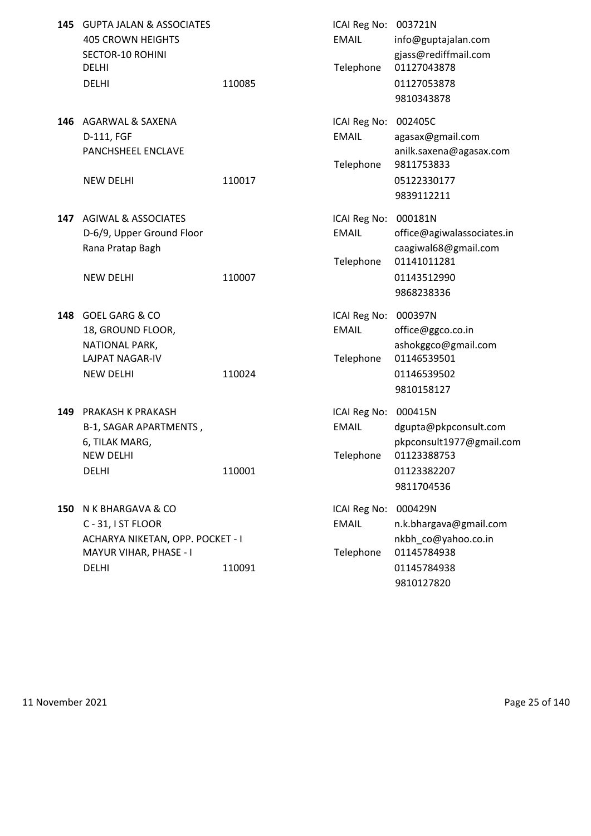| 145 | <b>GUPTA JALAN &amp; ASSOCIATES</b><br><b>405 CROWN HEIGHTS</b><br><b>SECTOR-10 ROHINI</b>                            |        | ICAI Reg No: 003721N<br><b>EMAIL</b>              | info@guptajalan.com<br>gjass@rediffmail.com                                                              |
|-----|-----------------------------------------------------------------------------------------------------------------------|--------|---------------------------------------------------|----------------------------------------------------------------------------------------------------------|
|     | <b>DELHI</b><br><b>DELHI</b>                                                                                          | 110085 | Telephone                                         | 01127043878<br>01127053878<br>9810343878                                                                 |
| 146 | AGARWAL & SAXENA<br>D-111, FGF<br>PANCHSHEEL ENCLAVE                                                                  |        | ICAI Reg No: 002405C<br><b>EMAIL</b><br>Telephone | agasax@gmail.com<br>anilk.saxena@agasax.com<br>9811753833                                                |
|     | <b>NEW DELHI</b>                                                                                                      | 110017 |                                                   | 05122330177<br>9839112211                                                                                |
| 147 | <b>AGIWAL &amp; ASSOCIATES</b><br>D-6/9, Upper Ground Floor<br>Rana Pratap Bagh                                       |        | ICAI Reg No: 000181N<br><b>EMAIL</b><br>Telephone | office@agiwalassociates.in<br>caagiwal68@gmail.com<br>01141011281                                        |
|     | <b>NEW DELHI</b>                                                                                                      | 110007 |                                                   | 01143512990<br>9868238336                                                                                |
| 148 | <b>GOEL GARG &amp; CO</b><br>18, GROUND FLOOR,<br>NATIONAL PARK,<br>LAJPAT NAGAR-IV<br><b>NEW DELHI</b>               | 110024 | ICAI Reg No: 000397N<br><b>EMAIL</b><br>Telephone | office@ggco.co.in<br>ashokggco@gmail.com<br>01146539501<br>01146539502<br>9810158127                     |
| 149 | PRAKASH K PRAKASH<br>B-1, SAGAR APARTMENTS,<br>6, TILAK MARG,<br><b>NEW DELHI</b><br><b>DELHI</b>                     | 110001 | ICAI Reg No:<br><b>EMAIL</b><br>Telephone         | 000415N<br>dgupta@pkpconsult.com<br>pkpconsult1977@gmail.com<br>01123388753<br>01123382207<br>9811704536 |
| 150 | N K BHARGAVA & CO<br>C - 31, I ST FLOOR<br>ACHARYA NIKETAN, OPP. POCKET - I<br>MAYUR VIHAR, PHASE - I<br><b>DELHI</b> | 110091 | ICAI Reg No:<br><b>EMAIL</b><br>Telephone         | 000429N<br>n.k.bhargava@gmail.com<br>nkbh co@yahoo.co.in<br>01145784938<br>01145784938<br>9810127820     |

11 November 2021 **Page 25 of 140**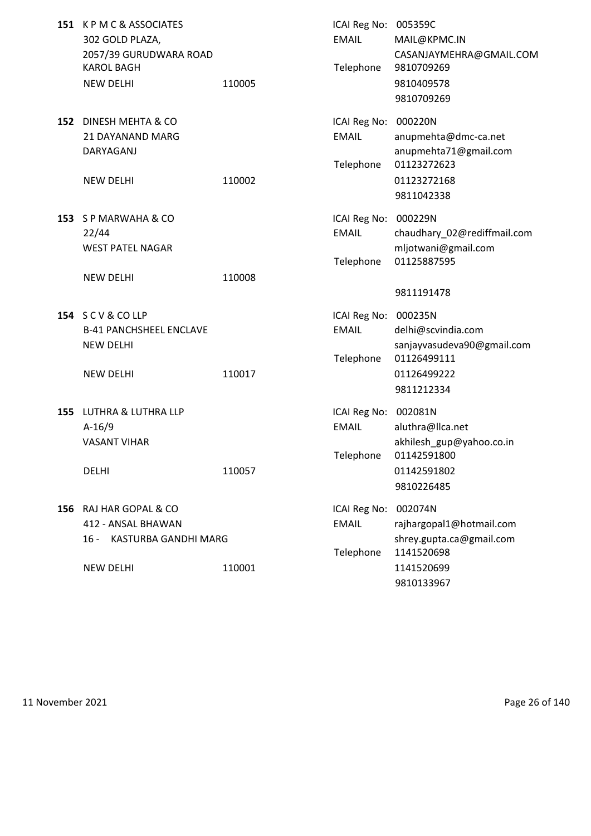| 151 KPMC&ASSOCIATES<br>302 GOLD PLAZA,<br>2057/39 GURUDWARA ROAD<br><b>KAROL BAGH</b><br><b>NEW DELHI</b> | 110005 | ICAI Reg No: 005359C<br><b>EMAIL</b><br>Telephone | MAIL@KPMC.IN<br>CASANJAYMEHRA@GMAIL.COM<br>9810709269<br>9810409578<br>9810709269                          |
|-----------------------------------------------------------------------------------------------------------|--------|---------------------------------------------------|------------------------------------------------------------------------------------------------------------|
| 152 DINESH MEHTA & CO<br>21 DAYANAND MARG<br>DARYAGANJ<br><b>NEW DELHI</b>                                | 110002 | ICAI Reg No: 000220N<br><b>EMAIL</b><br>Telephone | anupmehta@dmc-ca.net<br>anupmehta71@gmail.com<br>01123272623<br>01123272168<br>9811042338                  |
| 153 SP MARWAHA & CO<br>22/44<br><b>WEST PATEL NAGAR</b><br><b>NEW DELHI</b>                               | 110008 | ICAI Reg No: 000229N<br><b>EMAIL</b><br>Telephone | chaudhary_02@rediffmail.com<br>mljotwani@gmail.com<br>01125887595                                          |
| 154 SCV&COLLP<br><b>B-41 PANCHSHEEL ENCLAVE</b><br><b>NEW DELHI</b><br><b>NEW DELHI</b>                   | 110017 | ICAI Reg No: 000235N<br><b>EMAIL</b><br>Telephone | 9811191478<br>delhi@scvindia.com<br>sanjayvasudeva90@gmail.com<br>01126499111<br>01126499222<br>9811212334 |
| 155 LUTHRA & LUTHRA LLP<br>$A-16/9$<br><b>VASANT VIHAR</b><br><b>DELHI</b>                                | 110057 | ICAI Reg No: 002081N<br><b>EMAIL</b><br>Telephone | aluthra@llca.net<br>akhilesh_gup@yahoo.co.in<br>01142591800<br>01142591802<br>9810226485                   |
| 156 RAJ HAR GOPAL & CO<br>412 - ANSAL BHAWAN<br>KASTURBA GANDHI MARG<br>16 -<br><b>NEW DELHI</b>          | 110001 | ICAI Reg No:<br><b>EMAIL</b><br>Telephone         | 002074N<br>rajhargopal1@hotmail.com<br>shrey.gupta.ca@gmail.com<br>1141520698<br>1141520699<br>9810133967  |

11 November 2021 **Page 26 of 140**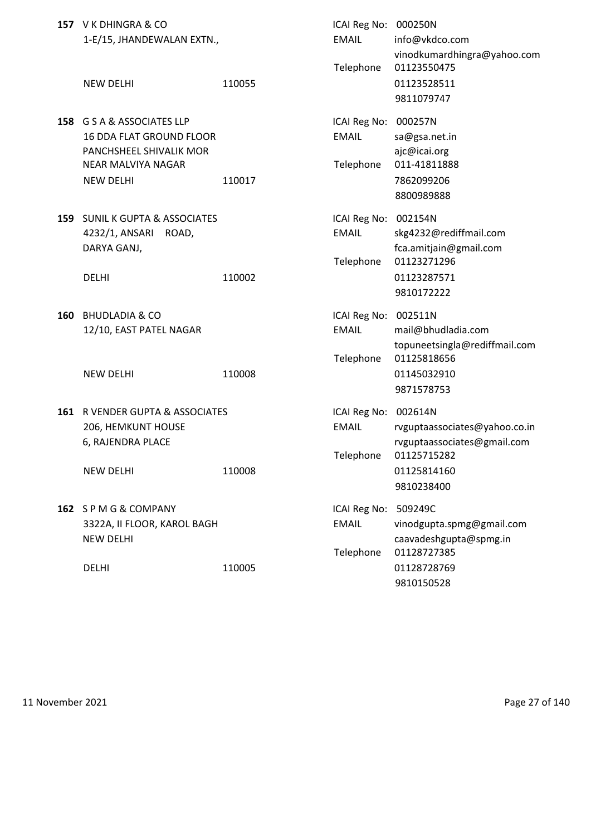|     | 157 V K DHINGRA & CO<br>1-E/15, JHANDEWALAN EXTN.,<br><b>NEW DELHI</b>                                                  | 110055 | ICAI Reg No: 000250N<br><b>EMAIL</b><br>Telephone | info@vkdco.com<br>vinodkumardhingra@yahoo.com<br>01123550475<br>01123528511                                |
|-----|-------------------------------------------------------------------------------------------------------------------------|--------|---------------------------------------------------|------------------------------------------------------------------------------------------------------------|
| 158 | G S A & ASSOCIATES LLP<br>16 DDA FLAT GROUND FLOOR<br>PANCHSHEEL SHIVALIK MOR<br>NEAR MALVIYA NAGAR<br><b>NEW DELHI</b> | 110017 | ICAI Reg No:<br><b>EMAIL</b><br>Telephone         | 9811079747<br>000257N<br>sa@gsa.net.in<br>ajc@icai.org<br>011-41811888<br>7862099206<br>8800989888         |
| 159 | <b>SUNIL K GUPTA &amp; ASSOCIATES</b><br>4232/1, ANSARI<br>ROAD,<br>DARYA GANJ,<br><b>DELHI</b>                         | 110002 | ICAI Reg No:<br><b>EMAIL</b><br>Telephone         | 002154N<br>skg4232@rediffmail.com<br>fca.amitjain@gmail.com<br>01123271296<br>01123287571<br>9810172222    |
| 160 | <b>BHUDLADIA &amp; CO</b><br>12/10, EAST PATEL NAGAR<br><b>NEW DELHI</b>                                                | 110008 | ICAI Reg No:<br><b>EMAIL</b><br>Telephone         | 002511N<br>mail@bhudladia.com<br>topuneetsingla@rediffmail.com<br>01125818656<br>01145032910<br>9871578753 |
| 161 | R VENDER GUPTA & ASSOCIATES<br>206, HEMKUNT HOUSE<br>6, RAJENDRA PLACE<br><b>NEW DELHI</b>                              | 110008 | ICAI Reg No: 002614N<br><b>EMAIL</b><br>Telephone | rvguptaassociates@yahoo.co.in<br>rvguptaassociates@gmail.com<br>01125715282<br>01125814160<br>9810238400   |
|     | 162 SPMG&COMPANY<br>3322A, II FLOOR, KAROL BAGH<br><b>NEW DELHI</b><br><b>DELHI</b>                                     | 110005 | ICAI Reg No:<br><b>EMAIL</b><br>Telephone         | 509249C<br>vinodgupta.spmg@gmail.com<br>caavadeshgupta@spmg.in<br>01128727385<br>01128728769<br>9810150528 |

11 November 2021 **Page 27 of 140**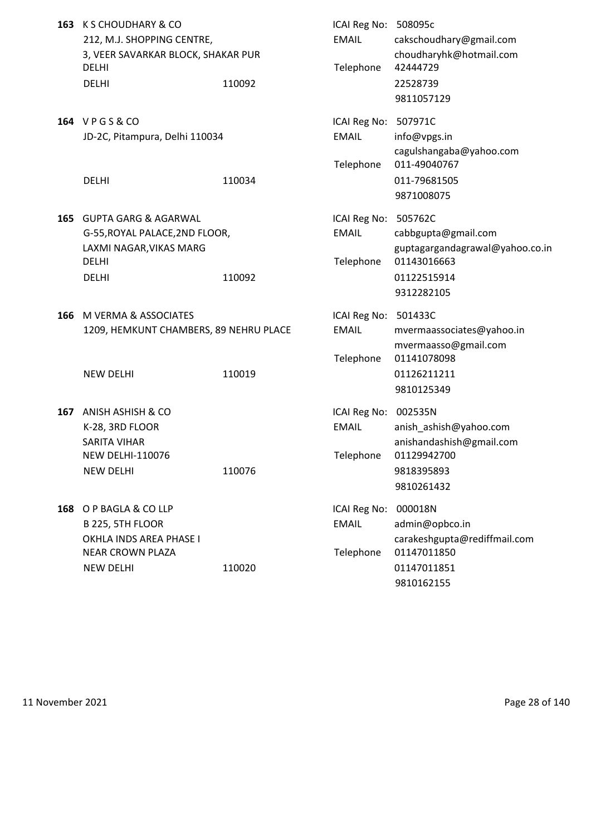| 163 | K S CHOUDHARY & CO<br>212, M.J. SHOPPING CENTRE,<br>3, VEER SAVARKAR BLOCK, SHAKAR PUR<br><b>DELHI</b><br><b>DELHI</b>       | 110092 | ICAI Reg No: 508095c<br><b>EMAIL</b><br>Telephone | cakschoudhary@gmail.com<br>choudharyhk@hotmail.com<br>42444729<br>22528739<br>9811057129           |
|-----|------------------------------------------------------------------------------------------------------------------------------|--------|---------------------------------------------------|----------------------------------------------------------------------------------------------------|
|     | 164 VPGS&CO<br>JD-2C, Pitampura, Delhi 110034                                                                                |        | ICAI Reg No: 507971C<br><b>EMAIL</b>              | info@vpgs.in<br>cagulshangaba@yahoo.com                                                            |
|     | <b>DELHI</b>                                                                                                                 | 110034 | Telephone                                         | 011-49040767<br>011-79681505<br>9871008075                                                         |
| 165 | <b>GUPTA GARG &amp; AGARWAL</b><br>G-55, ROYAL PALACE, 2ND FLOOR,<br>LAXMI NAGAR, VIKAS MARG<br><b>DELHI</b><br><b>DELHI</b> | 110092 | ICAI Reg No: 505762C<br><b>EMAIL</b><br>Telephone | cabbgupta@gmail.com<br>guptagargandagrawal@yahoo.co.in<br>01143016663<br>01122515914<br>9312282105 |
| 166 | M VERMA & ASSOCIATES<br>1209, HEMKUNT CHAMBERS, 89 NEHRU PLACE                                                               |        | ICAI Reg No: 501433C<br><b>EMAIL</b><br>Telephone | mvermaassociates@yahoo.in<br>mvermaasso@gmail.com<br>01141078098                                   |
|     | <b>NEW DELHI</b>                                                                                                             | 110019 |                                                   | 01126211211<br>9810125349                                                                          |
| 167 | <b>ANISH ASHISH &amp; CO</b><br>K-28, 3RD FLOOR<br><b>SARITA VIHAR</b>                                                       |        | ICAI Reg No: 002535N<br><b>EMAIL</b>              | anish_ashish@yahoo.com<br>anishandashish@gmail.com                                                 |
|     | <b>NEW DELHI-110076</b><br><b>NEW DELHI</b>                                                                                  | 110076 | Telephone                                         | 01129942700<br>9818395893<br>9810261432                                                            |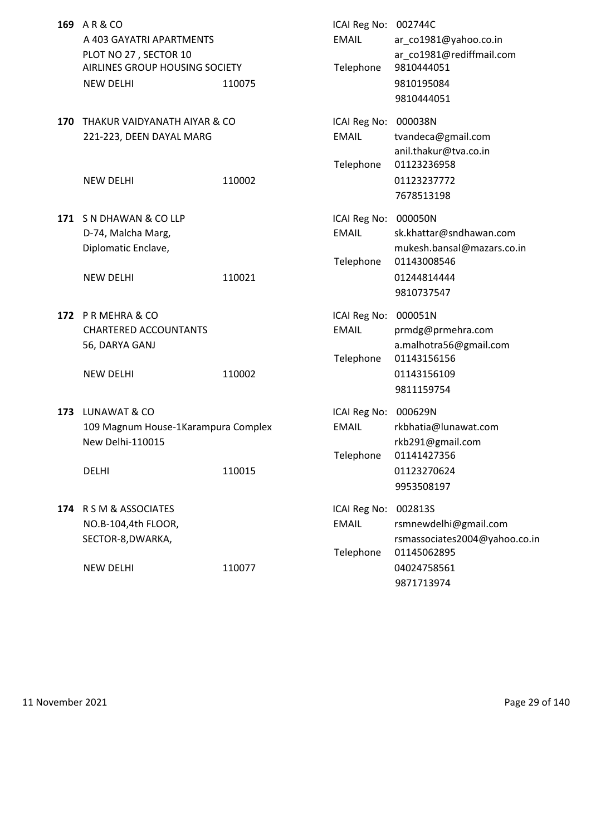| 169 | AR&CO<br>A 403 GAYATRI APARTMENTS                                           |        | ICAI Reg No: 002744C<br><b>EMAIL</b>      | ar_co1981@yahoo.co.in                                                            |
|-----|-----------------------------------------------------------------------------|--------|-------------------------------------------|----------------------------------------------------------------------------------|
|     | PLOT NO 27, SECTOR 10<br>AIRLINES GROUP HOUSING SOCIETY<br><b>NEW DELHI</b> | 110075 | Telephone                                 | ar_co1981@rediffmail.com<br>9810444051<br>9810195084<br>9810444051               |
| 170 | THAKUR VAIDYANATH AIYAR & CO<br>221-223, DEEN DAYAL MARG                    |        | ICAI Reg No: 000038N<br><b>EMAIL</b>      | tvandeca@gmail.com<br>anil.thakur@tva.co.in                                      |
|     | <b>NEW DELHI</b>                                                            | 110002 | Telephone                                 | 01123236958<br>01123237772<br>7678513198                                         |
| 171 | S N DHAWAN & CO LLP<br>D-74, Malcha Marg,<br>Diplomatic Enclave,            |        | ICAI Reg No:<br><b>EMAIL</b><br>Telephone | 000050N<br>sk.khattar@sndhawan.com<br>mukesh.bansal@mazars.co.in<br>01143008546  |
|     | <b>NEW DELHI</b>                                                            | 110021 |                                           | 01244814444<br>9810737547                                                        |
|     | 172 PR MEHRA & CO<br><b>CHARTERED ACCOUNTANTS</b><br>56, DARYA GANJ         |        | ICAI Reg No:<br><b>EMAIL</b><br>Telephone | 000051N<br>prmdg@prmehra.com<br>a.malhotra56@gmail.com<br>01143156156            |
|     | <b>NEW DELHI</b>                                                            | 110002 |                                           | 01143156109<br>9811159754                                                        |
| 173 | LUNAWAT & CO<br>109 Magnum House-1Karampura Complex<br>New Delhi-110015     |        | ICAI Reg No:<br><b>EMAIL</b><br>Telephone | 000629N<br>rkbhatia@lunawat.com<br>rkb291@gmail.com<br>01141427356               |
|     | <b>DELHI</b>                                                                | 110015 |                                           | 01123270624<br>9953508197                                                        |
|     | 174 R S M & ASSOCIATES<br>NO.B-104,4th FLOOR,<br>SECTOR-8, DWARKA,          |        | ICAI Reg No:<br><b>EMAIL</b><br>Telephone | 002813S<br>rsmnewdelhi@gmail.com<br>rsmassociates2004@yahoo.co.in<br>01145062895 |
|     | <b>NEW DELHI</b>                                                            | 110077 |                                           | 04024758561<br>9871713974                                                        |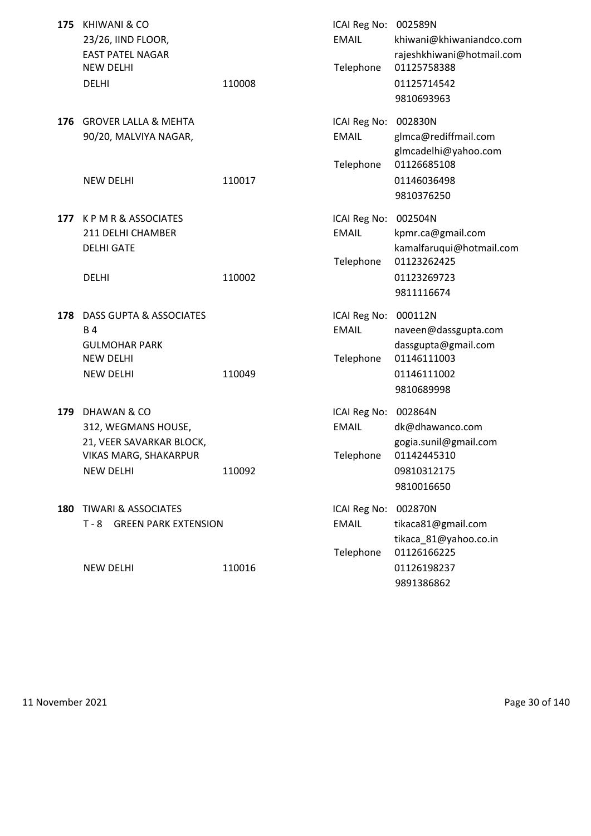| <b>EAST PATEL NAGAR</b><br>rajeshkhiwani@hotmail.com<br>Telephone<br><b>NEW DELHI</b><br>01125758388<br>110008<br>01125714542<br><b>DELHI</b><br>9810693963<br><b>GROVER LALLA &amp; MEHTA</b><br>002830N<br>176<br>ICAI Reg No:<br>90/20, MALVIYA NAGAR,<br><b>EMAIL</b><br>glmca@rediffmail.com<br>glmcadelhi@yahoo.com<br>Telephone<br>01126685108<br><b>NEW DELHI</b><br>110017<br>01146036498<br>9810376250<br>K P M R & ASSOCIATES<br>ICAI Reg No:<br>002504N<br>177<br>211 DELHI CHAMBER<br><b>EMAIL</b><br>kpmr.ca@gmail.com<br>kamalfaruqui@hotmail.com<br><b>DELHI GATE</b><br>Telephone<br>01123262425<br><b>DELHI</b><br>110002<br>01123269723<br>9811116674<br>DASS GUPTA & ASSOCIATES<br>ICAI Reg No:<br>000112N<br>178<br><b>EMAIL</b><br><b>B4</b><br>naveen@dassgupta.com<br><b>GULMOHAR PARK</b><br>dassgupta@gmail.com<br><b>NEW DELHI</b><br>Telephone<br>01146111003<br><b>NEW DELHI</b><br>110049<br>01146111002<br>9810689998<br>179<br>DHAWAN & CO<br>ICAI Reg No:<br>002864N<br><b>EMAIL</b><br>312, WEGMANS HOUSE,<br>dk@dhawanco.com<br>gogia.sunil@gmail.com<br>21, VEER SAVARKAR BLOCK,<br><b>VIKAS MARG, SHAKARPUR</b><br>Telephone<br>01142445310<br><b>NEW DELHI</b><br>110092<br>09810312175<br>9810016650<br>180 TIWARI & ASSOCIATES<br>ICAI Reg No: 002870N<br><b>GREEN PARK EXTENSION</b><br><b>EMAIL</b><br>$T - 8$<br>tikaca81@gmail.com<br>tikaca_81@yahoo.co.in<br>01126166225<br>Telephone<br><b>NEW DELHI</b><br>110016<br>01126198237 | 175 | <b>KHIWANI &amp; CO</b><br>23/26, IIND FLOOR, | ICAI Reg No: 002589N<br><b>EMAIL</b> | khiwani@khiwaniandco.com |
|----------------------------------------------------------------------------------------------------------------------------------------------------------------------------------------------------------------------------------------------------------------------------------------------------------------------------------------------------------------------------------------------------------------------------------------------------------------------------------------------------------------------------------------------------------------------------------------------------------------------------------------------------------------------------------------------------------------------------------------------------------------------------------------------------------------------------------------------------------------------------------------------------------------------------------------------------------------------------------------------------------------------------------------------------------------------------------------------------------------------------------------------------------------------------------------------------------------------------------------------------------------------------------------------------------------------------------------------------------------------------------------------------------------------------------------------------------------------------------|-----|-----------------------------------------------|--------------------------------------|--------------------------|
|                                                                                                                                                                                                                                                                                                                                                                                                                                                                                                                                                                                                                                                                                                                                                                                                                                                                                                                                                                                                                                                                                                                                                                                                                                                                                                                                                                                                                                                                                  |     |                                               |                                      |                          |
|                                                                                                                                                                                                                                                                                                                                                                                                                                                                                                                                                                                                                                                                                                                                                                                                                                                                                                                                                                                                                                                                                                                                                                                                                                                                                                                                                                                                                                                                                  |     |                                               |                                      |                          |
|                                                                                                                                                                                                                                                                                                                                                                                                                                                                                                                                                                                                                                                                                                                                                                                                                                                                                                                                                                                                                                                                                                                                                                                                                                                                                                                                                                                                                                                                                  |     |                                               |                                      |                          |
|                                                                                                                                                                                                                                                                                                                                                                                                                                                                                                                                                                                                                                                                                                                                                                                                                                                                                                                                                                                                                                                                                                                                                                                                                                                                                                                                                                                                                                                                                  |     |                                               |                                      |                          |
|                                                                                                                                                                                                                                                                                                                                                                                                                                                                                                                                                                                                                                                                                                                                                                                                                                                                                                                                                                                                                                                                                                                                                                                                                                                                                                                                                                                                                                                                                  |     |                                               |                                      |                          |
|                                                                                                                                                                                                                                                                                                                                                                                                                                                                                                                                                                                                                                                                                                                                                                                                                                                                                                                                                                                                                                                                                                                                                                                                                                                                                                                                                                                                                                                                                  |     |                                               |                                      |                          |
|                                                                                                                                                                                                                                                                                                                                                                                                                                                                                                                                                                                                                                                                                                                                                                                                                                                                                                                                                                                                                                                                                                                                                                                                                                                                                                                                                                                                                                                                                  |     |                                               |                                      |                          |
|                                                                                                                                                                                                                                                                                                                                                                                                                                                                                                                                                                                                                                                                                                                                                                                                                                                                                                                                                                                                                                                                                                                                                                                                                                                                                                                                                                                                                                                                                  |     |                                               |                                      |                          |
|                                                                                                                                                                                                                                                                                                                                                                                                                                                                                                                                                                                                                                                                                                                                                                                                                                                                                                                                                                                                                                                                                                                                                                                                                                                                                                                                                                                                                                                                                  |     |                                               |                                      |                          |
|                                                                                                                                                                                                                                                                                                                                                                                                                                                                                                                                                                                                                                                                                                                                                                                                                                                                                                                                                                                                                                                                                                                                                                                                                                                                                                                                                                                                                                                                                  |     |                                               |                                      |                          |
|                                                                                                                                                                                                                                                                                                                                                                                                                                                                                                                                                                                                                                                                                                                                                                                                                                                                                                                                                                                                                                                                                                                                                                                                                                                                                                                                                                                                                                                                                  |     |                                               |                                      |                          |
|                                                                                                                                                                                                                                                                                                                                                                                                                                                                                                                                                                                                                                                                                                                                                                                                                                                                                                                                                                                                                                                                                                                                                                                                                                                                                                                                                                                                                                                                                  |     |                                               |                                      |                          |
|                                                                                                                                                                                                                                                                                                                                                                                                                                                                                                                                                                                                                                                                                                                                                                                                                                                                                                                                                                                                                                                                                                                                                                                                                                                                                                                                                                                                                                                                                  |     |                                               |                                      |                          |
|                                                                                                                                                                                                                                                                                                                                                                                                                                                                                                                                                                                                                                                                                                                                                                                                                                                                                                                                                                                                                                                                                                                                                                                                                                                                                                                                                                                                                                                                                  |     |                                               |                                      |                          |
|                                                                                                                                                                                                                                                                                                                                                                                                                                                                                                                                                                                                                                                                                                                                                                                                                                                                                                                                                                                                                                                                                                                                                                                                                                                                                                                                                                                                                                                                                  |     |                                               |                                      |                          |
|                                                                                                                                                                                                                                                                                                                                                                                                                                                                                                                                                                                                                                                                                                                                                                                                                                                                                                                                                                                                                                                                                                                                                                                                                                                                                                                                                                                                                                                                                  |     |                                               |                                      |                          |
|                                                                                                                                                                                                                                                                                                                                                                                                                                                                                                                                                                                                                                                                                                                                                                                                                                                                                                                                                                                                                                                                                                                                                                                                                                                                                                                                                                                                                                                                                  |     |                                               |                                      |                          |
|                                                                                                                                                                                                                                                                                                                                                                                                                                                                                                                                                                                                                                                                                                                                                                                                                                                                                                                                                                                                                                                                                                                                                                                                                                                                                                                                                                                                                                                                                  |     |                                               |                                      |                          |
|                                                                                                                                                                                                                                                                                                                                                                                                                                                                                                                                                                                                                                                                                                                                                                                                                                                                                                                                                                                                                                                                                                                                                                                                                                                                                                                                                                                                                                                                                  |     |                                               |                                      |                          |
|                                                                                                                                                                                                                                                                                                                                                                                                                                                                                                                                                                                                                                                                                                                                                                                                                                                                                                                                                                                                                                                                                                                                                                                                                                                                                                                                                                                                                                                                                  |     |                                               |                                      |                          |
|                                                                                                                                                                                                                                                                                                                                                                                                                                                                                                                                                                                                                                                                                                                                                                                                                                                                                                                                                                                                                                                                                                                                                                                                                                                                                                                                                                                                                                                                                  |     |                                               |                                      |                          |
|                                                                                                                                                                                                                                                                                                                                                                                                                                                                                                                                                                                                                                                                                                                                                                                                                                                                                                                                                                                                                                                                                                                                                                                                                                                                                                                                                                                                                                                                                  |     |                                               |                                      |                          |
|                                                                                                                                                                                                                                                                                                                                                                                                                                                                                                                                                                                                                                                                                                                                                                                                                                                                                                                                                                                                                                                                                                                                                                                                                                                                                                                                                                                                                                                                                  |     |                                               |                                      |                          |
|                                                                                                                                                                                                                                                                                                                                                                                                                                                                                                                                                                                                                                                                                                                                                                                                                                                                                                                                                                                                                                                                                                                                                                                                                                                                                                                                                                                                                                                                                  |     |                                               |                                      |                          |
|                                                                                                                                                                                                                                                                                                                                                                                                                                                                                                                                                                                                                                                                                                                                                                                                                                                                                                                                                                                                                                                                                                                                                                                                                                                                                                                                                                                                                                                                                  |     |                                               |                                      |                          |
|                                                                                                                                                                                                                                                                                                                                                                                                                                                                                                                                                                                                                                                                                                                                                                                                                                                                                                                                                                                                                                                                                                                                                                                                                                                                                                                                                                                                                                                                                  |     |                                               |                                      |                          |
|                                                                                                                                                                                                                                                                                                                                                                                                                                                                                                                                                                                                                                                                                                                                                                                                                                                                                                                                                                                                                                                                                                                                                                                                                                                                                                                                                                                                                                                                                  |     |                                               |                                      |                          |
|                                                                                                                                                                                                                                                                                                                                                                                                                                                                                                                                                                                                                                                                                                                                                                                                                                                                                                                                                                                                                                                                                                                                                                                                                                                                                                                                                                                                                                                                                  |     |                                               |                                      |                          |
|                                                                                                                                                                                                                                                                                                                                                                                                                                                                                                                                                                                                                                                                                                                                                                                                                                                                                                                                                                                                                                                                                                                                                                                                                                                                                                                                                                                                                                                                                  |     |                                               |                                      |                          |
|                                                                                                                                                                                                                                                                                                                                                                                                                                                                                                                                                                                                                                                                                                                                                                                                                                                                                                                                                                                                                                                                                                                                                                                                                                                                                                                                                                                                                                                                                  |     |                                               |                                      |                          |
|                                                                                                                                                                                                                                                                                                                                                                                                                                                                                                                                                                                                                                                                                                                                                                                                                                                                                                                                                                                                                                                                                                                                                                                                                                                                                                                                                                                                                                                                                  |     |                                               |                                      |                          |
| 9891386862                                                                                                                                                                                                                                                                                                                                                                                                                                                                                                                                                                                                                                                                                                                                                                                                                                                                                                                                                                                                                                                                                                                                                                                                                                                                                                                                                                                                                                                                       |     |                                               |                                      |                          |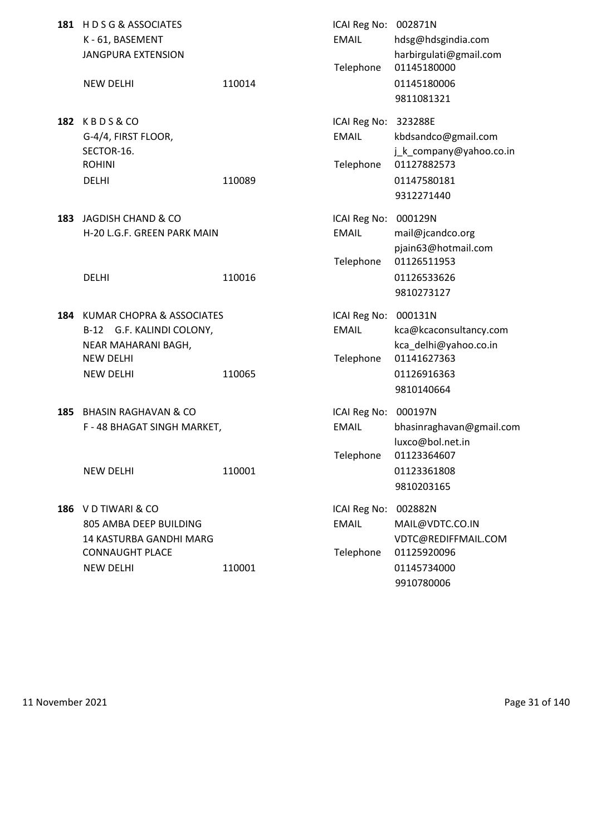|     | 181 HDSG&ASSOCIATES<br>K-61, BASEMENT<br><b>JANGPURA EXTENSION</b>                                                    |        | ICAI Reg No: 002871N<br><b>EMAIL</b><br>Telephone | hdsg@hdsgindia.com<br>harbirgulati@gmail.com<br>01145180000                                 |
|-----|-----------------------------------------------------------------------------------------------------------------------|--------|---------------------------------------------------|---------------------------------------------------------------------------------------------|
|     | <b>NEW DELHI</b>                                                                                                      | 110014 |                                                   | 01145180006<br>9811081321                                                                   |
| 182 | KBDS&CO<br>G-4/4, FIRST FLOOR,<br>SECTOR-16.<br><b>ROHINI</b>                                                         |        | ICAI Reg No: 323288E<br><b>EMAIL</b><br>Telephone | kbdsandco@gmail.com<br>j_k_company@yahoo.co.in<br>01127882573                               |
|     | <b>DELHI</b>                                                                                                          | 110089 |                                                   | 01147580181<br>9312271440                                                                   |
| 183 | JAGDISH CHAND & CO<br>H-20 L.G.F. GREEN PARK MAIN                                                                     |        | ICAI Reg No: 000129N<br><b>EMAIL</b>              | mail@jcandco.org<br>pjain63@hotmail.com                                                     |
|     | <b>DELHI</b>                                                                                                          | 110016 | Telephone                                         | 01126511953<br>01126533626<br>9810273127                                                    |
| 184 | KUMAR CHOPRA & ASSOCIATES<br>B-12 G.F. KALINDI COLONY,<br>NEAR MAHARANI BAGH,<br><b>NEW DELHI</b><br><b>NEW DELHI</b> | 110065 | ICAI Reg No: 000131N<br><b>EMAIL</b><br>Telephone | kca@kcaconsultancy.com<br>kca_delhi@yahoo.co.in<br>01141627363<br>01126916363<br>9810140664 |
| 185 | <b>BHASIN RAGHAVAN &amp; CO</b><br>F - 48 BHAGAT SINGH MARKET,                                                        |        | ICAI Reg No: 000197N<br><b>EMAIL</b><br>Telephone | bhasinraghavan@gmail.com<br>luxco@bol.net.in<br>01123364607                                 |
|     | <b>NEW DELHI</b>                                                                                                      | 110001 |                                                   | 01123361808<br>9810203165                                                                   |
|     | 186 V D TIWARI & CO<br>805 AMBA DEEP BUILDING<br>14 KASTURBA GANDHI MARG<br><b>CONNAUGHT PLACE</b>                    |        | ICAI Reg No:<br><b>EMAIL</b><br>Telephone         | 002882N<br>MAIL@VDTC.CO.IN<br>VDTC@REDIFFMAIL.COM<br>01125920096                            |
|     | <b>NEW DELHI</b>                                                                                                      | 110001 |                                                   | 01145734000<br>9910780006                                                                   |

11 November 2021 **Page 31 of 140**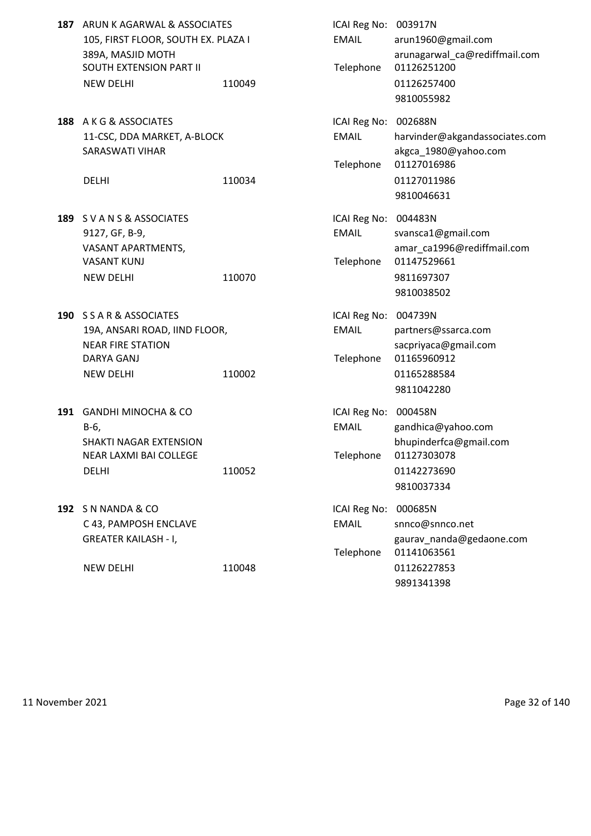| 187 ARUN K AGARWAL & ASSOCIATES     |        | ICAI Reg No: 003917N |                       |
|-------------------------------------|--------|----------------------|-----------------------|
| 105, FIRST FLOOR, SOUTH EX. PLAZA I |        | EMAIL                | arun1960@gr           |
| 389A, MASJID MOTH                   |        |                      | arunagarwal           |
| SOUTH EXTENSION PART II             |        |                      | Telephone 01126251200 |
| <b>NEW DELHI</b>                    | 110049 |                      | 01126257400           |

**188** A K G & ASSOCIATES 11-CSC, DDA MARKET, A-BLOCK SARASWATI VIHAR

- 189 S V A N S & ASSOCIATES 9127, GF, B-9, VASANT APARTMENTS, VASANT KUNJ NEW DELHI 110070
- **190** S S A R & ASSOCIATES 19A, ANSARI ROAD, IIND FLOOR, NEAR FIRE STATION DARYA GANJ NEW DELHI 110002
- **191 GANDHI MINOCHA & CO** SHAKTI NAGAR EXTENSION NEAR LAXMI BAI COLLEGE DELHI 110052 01142273690
- **192** S N NANDA & CO C 43, PAMPOSH ENCLAVE GREATER KAILASH - I,

NEW DELHI 110048

| ARUN K AGARWAL & ASSOCIATES<br>105, FIRST FLOOR, SOUTH EX. PLAZA I<br>389A, MASJID MOTH |        | ICAI Reg No: 003917N<br><b>EMAIL</b> | arun1960@gmail.com<br>arunagarwal ca@rediffmail.com |
|-----------------------------------------------------------------------------------------|--------|--------------------------------------|-----------------------------------------------------|
| SOUTH EXTENSION PART II                                                                 |        | Telephone                            | 01126251200                                         |
| <b>NEW DELHI</b>                                                                        | 110049 |                                      | 01126257400                                         |
|                                                                                         |        |                                      | 9810055982                                          |
| A K G & ASSOCIATES                                                                      |        | ICAI Reg No: 002688N                 |                                                     |
| 11-CSC, DDA MARKET, A-BLOCK                                                             |        | <b>EMAIL</b>                         | harvinder@akgandassociates.com                      |
| <b>SARASWATI VIHAR</b>                                                                  |        | Telephone                            | akgca 1980@yahoo.com<br>01127016986                 |
| <b>DELHI</b>                                                                            | 110034 |                                      | 01127011986                                         |
|                                                                                         |        |                                      | 9810046631                                          |
| S V A N S & ASSOCIATES                                                                  |        | ICAI Reg No: 004483N                 |                                                     |
| 9127, GF, B-9,                                                                          |        | <b>EMAIL</b>                         | svansca1@gmail.com                                  |
| VASANT APARTMENTS,                                                                      |        |                                      | amar_ca1996@rediffmail.com                          |
| VASANT KUNJ                                                                             |        | Telephone                            | 01147529661                                         |
| <b>NEW DELHI</b>                                                                        | 110070 |                                      | 9811697307                                          |
|                                                                                         |        |                                      | 9810038502                                          |
| <b>S S A R &amp; ASSOCIATES</b>                                                         |        | ICAI Reg No: 004739N                 |                                                     |
| 19A, ANSARI ROAD, IIND FLOOR,                                                           |        | <b>EMAIL</b>                         | partners@ssarca.com                                 |
| <b>NEAR FIRE STATION</b>                                                                |        |                                      | sacpriyaca@gmail.com                                |
| DARYA GANJ                                                                              |        | Telephone                            | 01165960912                                         |
| <b>NEW DELHI</b>                                                                        | 110002 |                                      | 01165288584                                         |
|                                                                                         |        |                                      | 9811042280                                          |
| GANDHI MINOCHA & CO                                                                     |        | ICAI Reg No: 000458N                 |                                                     |
| B-6,                                                                                    |        | <b>EMAIL</b>                         | gandhica@yahoo.com                                  |
| SHAKTI NAGAR EXTENSION                                                                  |        |                                      | bhupinderfca@gmail.com                              |
| NEAR LAXMI BAI COLLEGE                                                                  |        | Telephone                            | 01127303078                                         |
| DELHI                                                                                   | 110052 |                                      | 01142273690                                         |
|                                                                                         |        |                                      | 9810037334                                          |
| S N NANDA & CO                                                                          |        | ICAI Reg No:                         | 000685N                                             |
| C 43, PAMPOSH ENCLAVE                                                                   |        | <b>EMAIL</b>                         | snnco@snnco.net                                     |
| <b>GREATER KAILASH - I,</b>                                                             |        |                                      | gaurav_nanda@gedaone.com                            |
|                                                                                         |        | Telephone                            | 01141063561                                         |
| <b>NEW DELHI</b>                                                                        | 110048 |                                      | 01126227853                                         |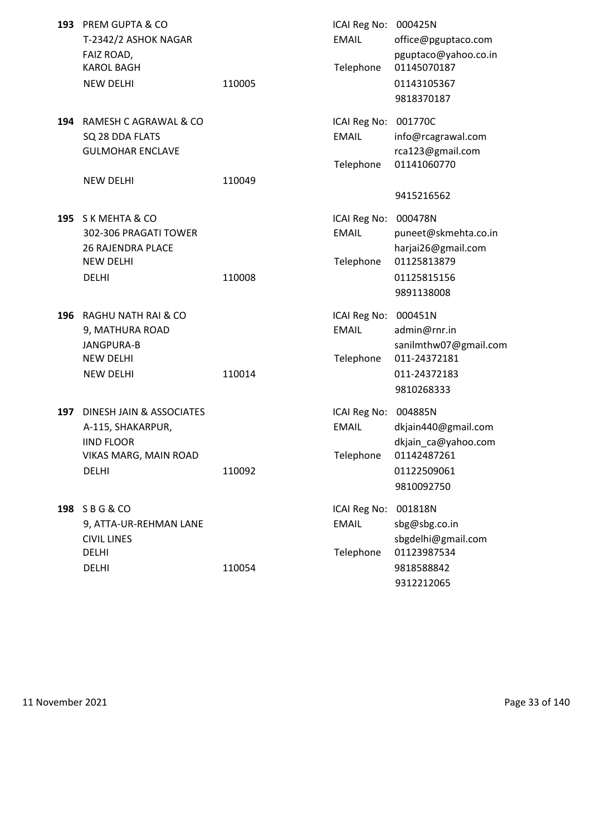|     | 193 PREM GUPTA & CO<br>T-2342/2 ASHOK NAGAR<br>FAIZ ROAD,                                                   |        | ICAI Reg No: 000425N<br><b>EMAIL</b>              | office@pguptaco.com<br>pguptaco@yahoo.co.in                                                       |
|-----|-------------------------------------------------------------------------------------------------------------|--------|---------------------------------------------------|---------------------------------------------------------------------------------------------------|
|     | <b>KAROL BAGH</b><br><b>NEW DELHI</b>                                                                       | 110005 | Telephone                                         | 01145070187<br>01143105367<br>9818370187                                                          |
|     | 194 RAMESH C AGRAWAL & CO<br>SQ 28 DDA FLATS<br><b>GULMOHAR ENCLAVE</b>                                     |        | ICAI Reg No:<br><b>EMAIL</b><br>Telephone         | 001770C<br>info@rcagrawal.com<br>rca123@gmail.com<br>01141060770                                  |
|     | <b>NEW DELHI</b>                                                                                            | 110049 |                                                   | 9415216562                                                                                        |
|     | 195 SK MEHTA & CO<br>302-306 PRAGATI TOWER<br><b>26 RAJENDRA PLACE</b><br><b>NEW DELHI</b><br><b>DELHI</b>  | 110008 | ICAI Reg No:<br><b>EMAIL</b><br>Telephone         | 000478N<br>puneet@skmehta.co.in<br>harjai26@gmail.com<br>01125813879<br>01125815156<br>9891138008 |
| 196 | RAGHU NATH RAI & CO<br>9, MATHURA ROAD<br>JANGPURA-B<br><b>NEW DELHI</b><br><b>NEW DELHI</b>                | 110014 | ICAI Reg No:<br><b>EMAIL</b><br>Telephone         | 000451N<br>admin@rnr.in<br>sanilmthw07@gmail.com<br>011-24372181<br>011-24372183<br>9810268333    |
| 197 | DINESH JAIN & ASSOCIATES<br>A-115, SHAKARPUR,<br><b>IIND FLOOR</b><br>VIKAS MARG, MAIN ROAD<br><b>DELHI</b> | 110092 | ICAI Reg No: 004885N<br><b>EMAIL</b><br>Telephone | dkjain440@gmail.com<br>dkjain_ca@yahoo.com<br>01142487261<br>01122509061<br>9810092750            |
|     | 198 SBG&CO<br>9, ATTA-UR-REHMAN LANE<br><b>CIVIL LINES</b><br><b>DELHI</b><br><b>DELHI</b>                  | 110054 | ICAI Reg No:<br><b>EMAIL</b><br>Telephone         | 001818N<br>sbg@sbg.co.in<br>sbgdelhi@gmail.com<br>01123987534<br>9818588842                       |
|     |                                                                                                             |        |                                                   | 9312212065                                                                                        |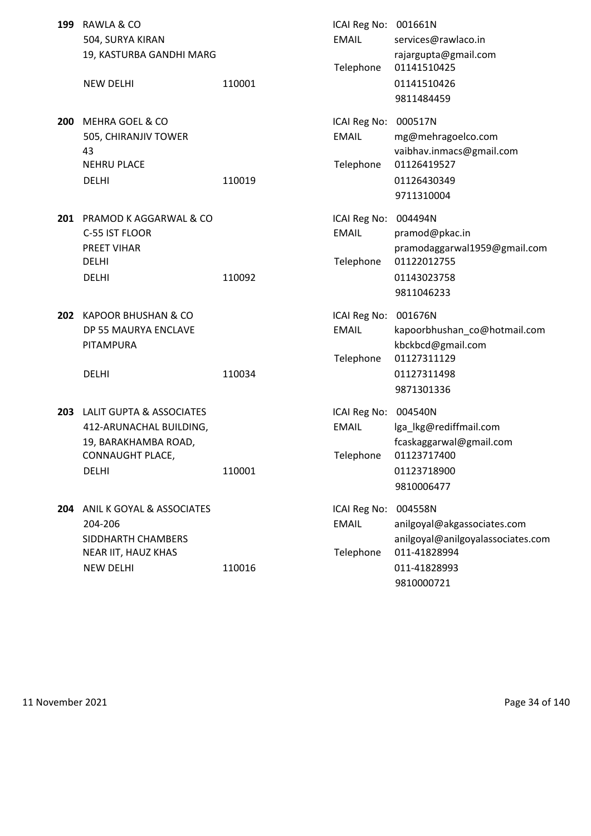| 199 | RAWLA & CO<br>504, SURYA KIRAN<br>19, KASTURBA GANDHI MARG |        | ICAI Reg No:<br><b>EMAIL</b><br>Telephone | 001661N<br>services@rawlaco.in<br>rajargupta@gmail.com<br>01141510425 |
|-----|------------------------------------------------------------|--------|-------------------------------------------|-----------------------------------------------------------------------|
|     | <b>NEW DELHI</b>                                           | 110001 |                                           | 01141510426<br>9811484459                                             |
| 200 | <b>MEHRA GOEL &amp; CO</b>                                 |        | ICAI Reg No:                              | 000517N                                                               |
|     | 505, CHIRANJIV TOWER<br>43                                 |        | <b>EMAIL</b>                              | mg@mehragoelco.com<br>vaibhav.inmacs@gmail.com                        |
|     | <b>NEHRU PLACE</b>                                         |        | Telephone                                 | 01126419527                                                           |
|     | <b>DELHI</b>                                               | 110019 |                                           | 01126430349                                                           |
|     |                                                            |        |                                           | 9711310004                                                            |
| 201 | PRAMOD K AGGARWAL & CO                                     |        | ICAI Reg No:                              | 004494N                                                               |
|     | C-55 IST FLOOR                                             |        | <b>EMAIL</b>                              | pramod@pkac.in                                                        |
|     | PREET VIHAR<br><b>DELHI</b>                                |        |                                           | pramodaggarwal1959@gmail.com<br>01122012755                           |
|     | <b>DELHI</b>                                               | 110092 | Telephone                                 | 01143023758                                                           |
|     |                                                            |        |                                           | 9811046233                                                            |
| 202 | <b>KAPOOR BHUSHAN &amp; CO</b>                             |        | ICAI Reg No:                              | 001676N                                                               |
|     | DP 55 MAURYA ENCLAVE                                       |        | <b>EMAIL</b>                              | kapoorbhushan_co@hotmail.com                                          |
|     | PITAMPURA                                                  |        | Telephone                                 | kbckbcd@gmail.com<br>01127311129                                      |
|     | <b>DELHI</b>                                               | 110034 |                                           | 01127311498                                                           |
|     |                                                            |        |                                           | 9871301336                                                            |
|     | 203 LALIT GUPTA & ASSOCIATES                               |        | ICAI Reg No:                              | 004540N                                                               |
|     | 412-ARUNACHAL BUILDING,                                    |        | <b>EMAIL</b>                              | lga_lkg@rediffmail.com                                                |
|     | 19, BARAKHAMBA ROAD,                                       |        |                                           | fcaskaggarwal@gmail.com                                               |
|     | CONNAUGHT PLACE,<br><b>DELHI</b>                           | 110001 | Telephone                                 | 01123717400<br>01123718900                                            |
|     |                                                            |        |                                           | 9810006477                                                            |
|     |                                                            |        |                                           |                                                                       |
|     | 204 ANIL K GOYAL & ASSOCIATES<br>204-206                   |        | ICAI Reg No:<br><b>EMAIL</b>              | 004558N<br>anilgoyal@akgassociates.com                                |
|     | SIDDHARTH CHAMBERS                                         |        |                                           | anilgoyal@anilgoyalassociates.com                                     |
|     | NEAR IIT, HAUZ KHAS                                        |        | Telephone                                 | 011-41828994                                                          |
|     | <b>NEW DELHI</b>                                           | 110016 |                                           | 011-41828993                                                          |
|     |                                                            |        |                                           | 9810000721                                                            |

11 November 2021 Page 34 of 140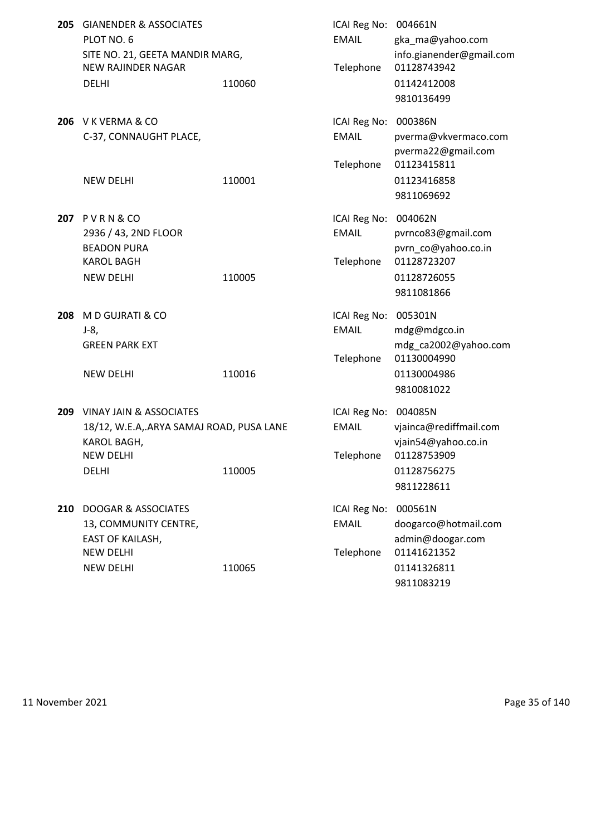| 205 | <b>GIANENDER &amp; ASSOCIATES</b><br>PLOT NO. 6<br>SITE NO. 21, GEETA MANDIR MARG,<br><b>NEW RAJINDER NAGAR</b><br><b>DELHI</b> | 110060 | ICAI Reg No: 004661N<br><b>EMAIL</b><br>Telephone | gka_ma@yahoo.com<br>info.gianender@gmail.com<br>01128743942<br>01142412008<br>9810136499 |
|-----|---------------------------------------------------------------------------------------------------------------------------------|--------|---------------------------------------------------|------------------------------------------------------------------------------------------|
|     | 206 V K VERMA & CO<br>C-37, CONNAUGHT PLACE,                                                                                    |        | ICAI Reg No: 000386N<br><b>EMAIL</b>              | pverma@vkvermaco.com<br>pverma22@gmail.com                                               |
|     | <b>NEW DELHI</b>                                                                                                                | 110001 | Telephone                                         | 01123415811<br>01123416858<br>9811069692                                                 |
|     | <b>207 PVRN&amp;CO</b>                                                                                                          |        | ICAI Reg No: 004062N                              |                                                                                          |
|     | 2936 / 43, 2ND FLOOR<br><b>BEADON PURA</b>                                                                                      |        | <b>EMAIL</b>                                      | pvrnco83@gmail.com<br>pvrn_co@yahoo.co.in                                                |
|     | <b>KAROL BAGH</b>                                                                                                               |        | Telephone                                         | 01128723207                                                                              |
|     | <b>NEW DELHI</b>                                                                                                                | 110005 |                                                   | 01128726055<br>9811081866                                                                |
| 208 | M D GUJRATI & CO                                                                                                                |        | ICAI Reg No: 005301N                              |                                                                                          |
|     | $J-8,$                                                                                                                          |        | <b>EMAIL</b>                                      | mdg@mdgco.in                                                                             |
|     | <b>GREEN PARK EXT</b>                                                                                                           |        | Telephone                                         | mdg_ca2002@yahoo.com<br>01130004990                                                      |
|     | <b>NEW DELHI</b>                                                                                                                | 110016 |                                                   | 01130004986                                                                              |
|     |                                                                                                                                 |        |                                                   | 9810081022                                                                               |
| 209 | <b>VINAY JAIN &amp; ASSOCIATES</b>                                                                                              |        | ICAI Reg No:                                      | 004085N                                                                                  |
|     | 18/12, W.E.A,.ARYA SAMAJ ROAD, PUSA LANE                                                                                        |        | <b>EMAIL</b>                                      | vjainca@rediffmail.com                                                                   |
|     | KAROL BAGH,                                                                                                                     |        |                                                   | vjain54@yahoo.co.in                                                                      |
|     | NEW DELHI<br><b>DELHI</b>                                                                                                       | 110005 | Telephone                                         | 01128753909<br>01128756275                                                               |
|     |                                                                                                                                 |        |                                                   | 9811228611                                                                               |
| 210 | <b>DOOGAR &amp; ASSOCIATES</b>                                                                                                  |        | ICAI Reg No:                                      | 000561N                                                                                  |
|     | 13, COMMUNITY CENTRE,                                                                                                           |        | <b>EMAIL</b>                                      | doogarco@hotmail.com                                                                     |
|     | EAST OF KAILASH,                                                                                                                |        |                                                   | admin@doogar.com                                                                         |
|     | <b>NEW DELHI</b>                                                                                                                |        | Telephone                                         | 01141621352                                                                              |
|     | <b>NEW DELHI</b>                                                                                                                | 110065 |                                                   | 01141326811                                                                              |
|     |                                                                                                                                 |        |                                                   | 9811083219                                                                               |

11 November 2021 **Page 35 of 140**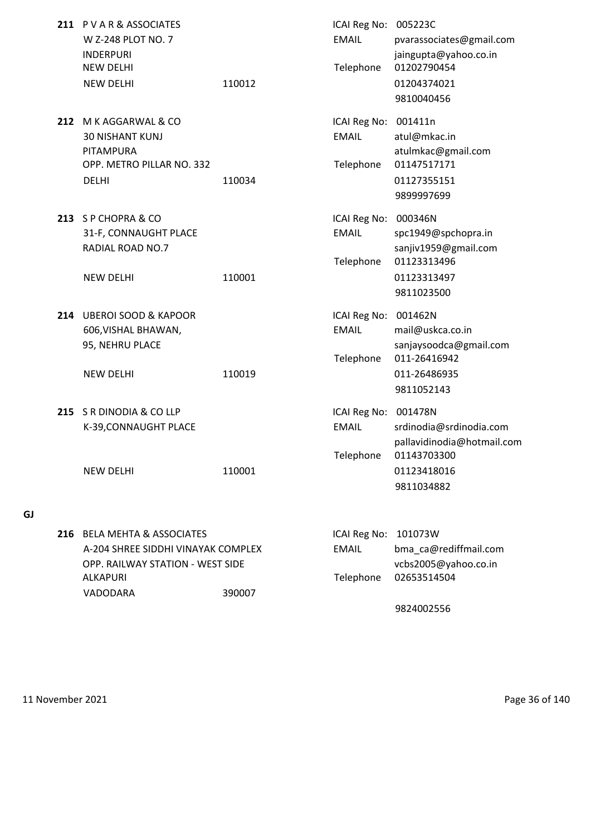|     | 211 PVAR& ASSOCIATES<br>W Z-248 PLOT NO. 7<br><b>INDERPURI</b>         |        | ICAI Reg No: 005223C<br><b>EMAIL</b> | pvarassociates@gmail.com<br>jaingupta@yahoo.co.in |
|-----|------------------------------------------------------------------------|--------|--------------------------------------|---------------------------------------------------|
|     | <b>NEW DELHI</b><br><b>NEW DELHI</b>                                   | 110012 | Telephone                            | 01202790454<br>01204374021<br>9810040456          |
| 212 | M K AGGARWAL & CO                                                      |        | ICAI Reg No:                         | 001411n                                           |
|     | <b>30 NISHANT KUNJ</b><br>PITAMPURA                                    |        | <b>EMAIL</b>                         | atul@mkac.in<br>atulmkac@gmail.com                |
|     | OPP. METRO PILLAR NO. 332                                              |        | Telephone                            | 01147517171                                       |
|     | <b>DELHI</b>                                                           | 110034 |                                      | 01127355151                                       |
|     |                                                                        |        |                                      | 9899997699                                        |
|     | 213 SP CHOPRA & CO                                                     |        | ICAI Reg No: 000346N                 |                                                   |
|     | 31-F, CONNAUGHT PLACE                                                  |        | <b>EMAIL</b>                         | spc1949@spchopra.in                               |
|     | <b>RADIAL ROAD NO.7</b>                                                |        |                                      | sanjiv1959@gmail.com                              |
|     |                                                                        |        | Telephone                            | 01123313496                                       |
|     | <b>NEW DELHI</b>                                                       | 110001 |                                      | 01123313497<br>9811023500                         |
|     |                                                                        |        |                                      |                                                   |
|     | 214 UBEROI SOOD & KAPOOR                                               |        | ICAI Reg No:<br><b>EMAIL</b>         | 001462N<br>mail@uskca.co.in                       |
|     | 606, VISHAL BHAWAN,<br>95, NEHRU PLACE                                 |        |                                      | sanjaysoodca@gmail.com                            |
|     |                                                                        |        | Telephone                            | 011-26416942                                      |
|     | <b>NEW DELHI</b>                                                       | 110019 |                                      | 011-26486935                                      |
|     |                                                                        |        |                                      | 9811052143                                        |
| 215 | S R DINODIA & CO LLP                                                   |        | ICAI Reg No: 001478N                 |                                                   |
|     | K-39, CONNAUGHT PLACE                                                  |        | <b>EMAIL</b>                         | srdinodia@srdinodia.com                           |
|     |                                                                        |        |                                      | pallavidinodia@hotmail.com                        |
|     |                                                                        |        | Telephone                            | 01143703300                                       |
|     | <b>NEW DELHI</b>                                                       | 110001 |                                      | 01123418016<br>9811034882                         |
|     |                                                                        |        |                                      |                                                   |
|     |                                                                        |        |                                      |                                                   |
| 216 | <b>BELA MEHTA &amp; ASSOCIATES</b>                                     |        | ICAI Reg No:                         | 101073W                                           |
|     | A-204 SHREE SIDDHI VINAYAK COMPLEX<br>OPP. RAILWAY STATION - WEST SIDE |        | <b>EMAIL</b>                         | bma_ca@rediffmail.com<br>vcbs2005@yahoo.co.in     |
|     | ALKAPURI                                                               |        | Telephone                            | 02653514504                                       |
|     | VADODARA                                                               | 390007 |                                      |                                                   |

9824002556

**GJ**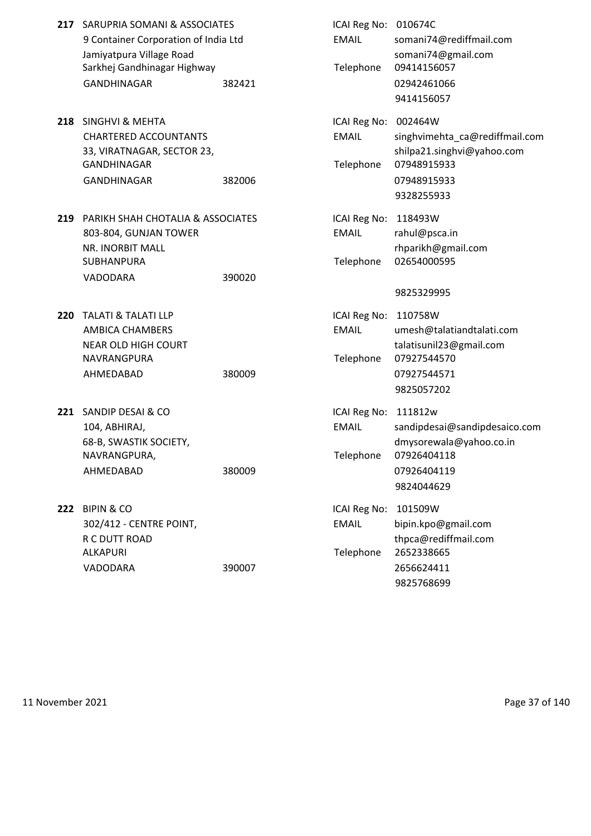|     | 217 SARUPRIA SOMANI & ASSOCIATES<br>9 Container Corporation of India Ltd<br>Jamiyatpura Village Road<br>Sarkhej Gandhinagar Highway<br><b>GANDHINAGAR</b> | 382421 | ICAI Reg No: 010674C<br><b>EMAIL</b><br>Telephone | somani74@rediffmail.com<br>somani74@gmail.com<br>09414156057<br>02942461066<br>9414156057                           |
|-----|-----------------------------------------------------------------------------------------------------------------------------------------------------------|--------|---------------------------------------------------|---------------------------------------------------------------------------------------------------------------------|
|     | 218 SINGHVI & MEHTA<br><b>CHARTERED ACCOUNTANTS</b><br>33, VIRATNAGAR, SECTOR 23,<br><b>GANDHINAGAR</b><br>GANDHINAGAR                                    | 382006 | ICAI Reg No:<br><b>EMAIL</b><br>Telephone         | 002464W<br>singhvimehta_ca@rediffmail.com<br>shilpa21.singhvi@yahoo.com<br>07948915933<br>07948915933<br>9328255933 |
| 219 | PARIKH SHAH CHOTALIA & ASSOCIATES<br>803-804, GUNJAN TOWER<br>NR. INORBIT MALL<br>SUBHANPURA<br>VADODARA                                                  | 390020 | ICAI Reg No:<br><b>EMAIL</b><br>Telephone         | 118493W<br>rahul@psca.in<br>rhparikh@gmail.com<br>02654000595<br>9825329995                                         |
| 220 | <b>TALATI &amp; TALATI LLP</b><br>AMBICA CHAMBERS<br><b>NEAR OLD HIGH COURT</b><br>NAVRANGPURA<br>AHMEDABAD                                               | 380009 | ICAI Reg No:<br><b>EMAIL</b><br>Telephone         | 110758W<br>umesh@talatiandtalati.com<br>talatisunil23@gmail.com<br>07927544570<br>07927544571<br>9825057202         |
| 221 | SANDIP DESAI & CO<br>104, ABHIRAJ,<br>68-B, SWASTIK SOCIETY,<br>NAVRANGPURA,<br>AHMEDABAD                                                                 | 380009 | ICAI Reg No:<br><b>EMAIL</b><br>Telephone         | 111812w<br>sandipdesai@sandipdesaico.com<br>dmysorewala@yahoo.co.in<br>07926404118<br>07926404119<br>9824044629     |
|     | <b>222 BIPIN &amp; CO</b><br>302/412 - CENTRE POINT,<br>R C DUTT ROAD<br>ALKAPURI<br>VADODARA                                                             | 390007 | ICAI Reg No:<br><b>EMAIL</b><br>Telephone         | 101509W<br>bipin.kpo@gmail.com<br>thpca@rediffmail.com<br>2652338665<br>2656624411<br>9825768699                    |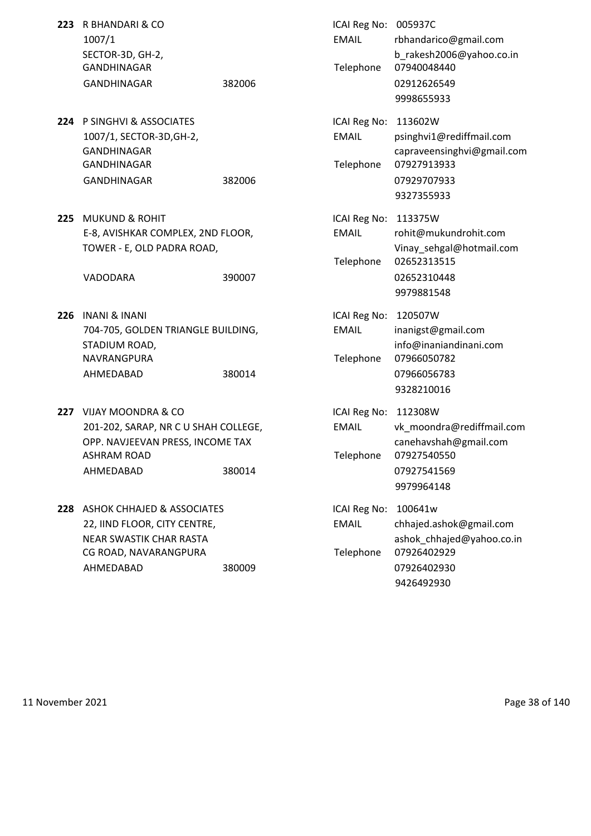| 223 R BHANDARI & CO |        | ICAI Reg No: 005937C |          |
|---------------------|--------|----------------------|----------|
| 1007/1              |        | EMAIL                | rbhandar |
| SECTOR-3D, GH-2.    |        |                      | b rakesh |
| GANDHINAGAR         |        | Telephone 0794004    |          |
| <b>GANDHINAGAR</b>  | 382006 |                      | 0291262  |

- **224** P SINGHVI & ASSOCIATES 1007/1, SECTOR-3D, GH-2, GANDHINAGAR GANDHINAGAR GANDHINAGAR 382006
- **225 MUKUND & ROHIT** E-8, AVISHKAR COMPLEX, 2ND FLOOR, TOWER - E, OLD PADRA ROAD,

- **226 INANI & INANI** 704-705, GOLDEN TRIANGLE BUILDING, STADIUM ROAD. NAVRANGPURA AHMEDABAD 380014
- **227** VIJAY MOONDRA & CO 201-202, SARAP, NR C U SHAH COLLEGE, OPP. NAVJEEVAN PRESS, INCOME TAX ASHRAM ROAD AHMEDABAD 380014
- **228** ASHOK CHHAJED & ASSOCIATES 22, IIND FLOOR, CITY CENTRE, NEAR SWASTIK CHAR RASTA CG ROAD, NAVARANGPURA AHMEDABAD 380009

| R BHANDARI & CO<br>1007/1<br>SECTOR-3D, GH-2,<br>GANDHINAGAR<br><b>GANDHINAGAR</b>                                                     | 382006 | ICAI Reg No: 005937C<br><b>EMAIL</b><br>Telephone | rbhandarico@gmail.com<br>b_rakesh2006@yahoo.co.in<br>07940048440<br>02912626549<br>9998655933                 |
|----------------------------------------------------------------------------------------------------------------------------------------|--------|---------------------------------------------------|---------------------------------------------------------------------------------------------------------------|
| P SINGHVI & ASSOCIATES<br>1007/1, SECTOR-3D, GH-2,<br>GANDHINAGAR<br>GANDHINAGAR<br><b>GANDHINAGAR</b>                                 | 382006 | ICAI Reg No:<br><b>EMAIL</b><br>Telephone         | 113602W<br>psinghvi1@rediffmail.com<br>capraveensinghvi@gmail.com<br>07927913933<br>07929707933<br>9327355933 |
| <b>MUKUND &amp; ROHIT</b><br>E-8, AVISHKAR COMPLEX, 2ND FLOOR,<br>TOWER - E, OLD PADRA ROAD,<br>VADODARA                               | 390007 | ICAI Reg No: 113375W<br><b>EMAIL</b><br>Telephone | rohit@mukundrohit.com<br>Vinay_sehgal@hotmail.com<br>02652313515<br>02652310448<br>9979881548                 |
| INANI & INANI<br>704-705, GOLDEN TRIANGLE BUILDING,<br>STADIUM ROAD,<br>NAVRANGPURA<br>AHMEDABAD                                       | 380014 | ICAI Reg No:<br><b>EMAIL</b><br>Telephone         | 120507W<br>inanigst@gmail.com<br>info@inaniandinani.com<br>07966050782<br>07966056783<br>9328210016           |
| VIJAY MOONDRA & CO<br>201-202, SARAP, NR C U SHAH COLLEGE,<br>OPP. NAVJEEVAN PRESS, INCOME TAX<br>ASHRAM ROAD<br>AHMEDABAD             | 380014 | ICAI Reg No:<br><b>EMAIL</b><br>Telephone         | 112308W<br>vk moondra@rediffmail.com<br>canehavshah@gmail.com<br>07927540550<br>07927541569<br>9979964148     |
| <b>ASHOK CHHAJED &amp; ASSOCIATES</b><br>22, IIND FLOOR, CITY CENTRE,<br>NEAR SWASTIK CHAR RASTA<br>CG ROAD, NAVARANGPURA<br>AHMEDABAD | 380009 | ICAI Reg No:<br><b>EMAIL</b><br>Telephone         | 100641w<br>chhajed.ashok@gmail.com<br>ashok_chhajed@yahoo.co.in<br>07926402929<br>07926402930<br>9426492930   |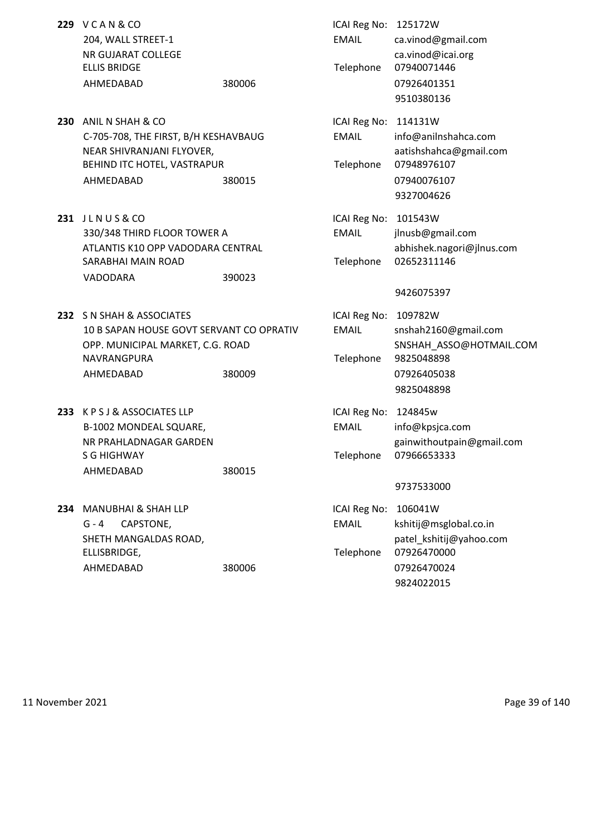| <b>229 VCAN&amp;CO</b><br>204, WALL STREET-1<br>NR GUJARAT COLLEGE<br><b>ELLIS BRIDGE</b><br>AHMEDABAD                                       | 380006 | ICAI Reg No: 125172W<br><b>EMAIL</b><br>Telephone | ca.vinod@gmail.com<br>ca.vinod@icai.org<br>07940071446<br>07926401351<br>9510380136                      |
|----------------------------------------------------------------------------------------------------------------------------------------------|--------|---------------------------------------------------|----------------------------------------------------------------------------------------------------------|
| 230 ANIL N SHAH & CO<br>C-705-708, THE FIRST, B/H KESHAVBAUG<br>NEAR SHIVRANJANI FLYOVER,<br>BEHIND ITC HOTEL, VASTRAPUR<br>AHMEDABAD        | 380015 | ICAI Reg No: 114131W<br><b>EMAIL</b><br>Telephone | info@anilnshahca.com<br>aatishshahca@gmail.com<br>07948976107<br>07940076107<br>9327004626               |
| 231 JLNUS&CO<br>330/348 THIRD FLOOR TOWER A<br>ATLANTIS K10 OPP VADODARA CENTRAL<br>SARABHAI MAIN ROAD<br>VADODARA                           | 390023 | ICAI Reg No: 101543W<br><b>FMAIL</b><br>Telephone | jlnusb@gmail.com<br>abhishek.nagori@jlnus.com<br>02652311146<br>9426075397                               |
| 232 S N SHAH & ASSOCIATES<br>10 B SAPAN HOUSE GOVT SERVANT CO OPRATIV<br>OPP. MUNICIPAL MARKET, C.G. ROAD<br><b>NAVRANGPURA</b><br>AHMEDABAD | 380009 | ICAI Reg No:<br><b>EMAIL</b><br>Telephone         | 109782W<br>snshah2160@gmail.com<br>SNSHAH_ASSO@HOTMAIL.COM<br>9825048898<br>07926405038<br>9825048898    |
| 233 KPSJ&ASSOCIATES LLP<br>B-1002 MONDEAL SQUARE,<br>NR PRAHLADNAGAR GARDEN<br><b>S G HIGHWAY</b><br>AHMEDABAD                               | 380015 | ICAI Reg No: 124845w<br><b>EMAIL</b><br>Telephone | info@kpsjca.com<br>gainwithoutpain@gmail.com<br>07966653333<br>9737533000                                |
| 234 MANUBHAI & SHAH LLP<br>$G - 4$<br>CAPSTONE,<br>SHETH MANGALDAS ROAD,<br>ELLISBRIDGE,<br>AHMEDABAD                                        | 380006 | ICAI Reg No:<br><b>EMAIL</b><br>Telephone         | 106041W<br>kshitij@msglobal.co.in<br>patel kshitij@yahoo.com<br>07926470000<br>07926470024<br>9824022015 |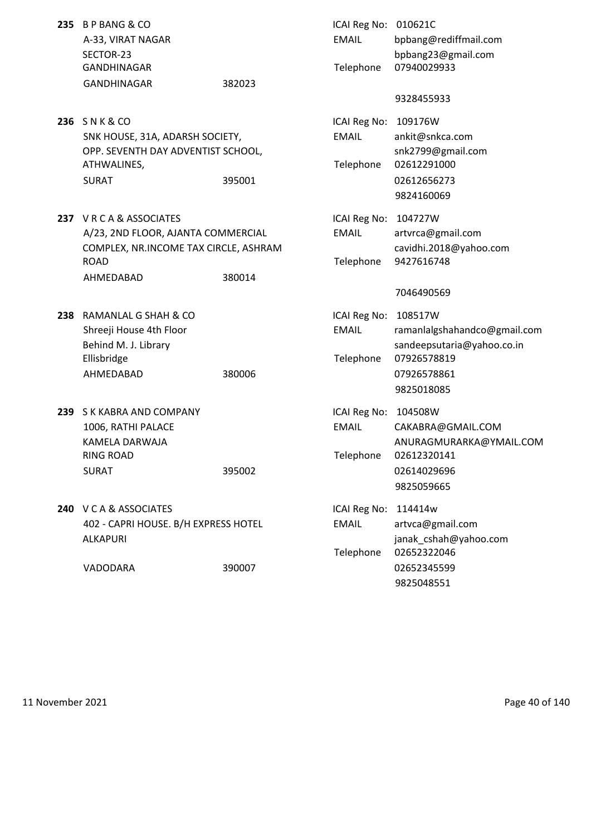| 235 B P BANG & CO<br>A-33, VIRAT NAGAR<br>SECTOR-23<br><b>GANDHINAGAR</b>                                                      |        | ICAI Reg No: 010621C<br><b>EMAIL</b>      | bpbang@rediffmail.com<br>bpbang23@gmail.com<br>07940029933                                                        |
|--------------------------------------------------------------------------------------------------------------------------------|--------|-------------------------------------------|-------------------------------------------------------------------------------------------------------------------|
| GANDHINAGAR                                                                                                                    | 382023 | Telephone                                 |                                                                                                                   |
|                                                                                                                                |        |                                           | 9328455933                                                                                                        |
| 236 SNK&CO<br>SNK HOUSE, 31A, ADARSH SOCIETY,<br>OPP. SEVENTH DAY ADVENTIST SCHOOL,<br>ATHWALINES,<br><b>SURAT</b>             | 395001 | ICAI Reg No:<br><b>EMAIL</b><br>Telephone | 109176W<br>ankit@snkca.com<br>snk2799@gmail.com<br>02612291000<br>02612656273<br>9824160069                       |
| 237 VRCA&ASSOCIATES<br>A/23, 2ND FLOOR, AJANTA COMMERCIAL<br>COMPLEX, NR.INCOME TAX CIRCLE, ASHRAM<br><b>ROAD</b><br>AHMEDABAD | 380014 | ICAI Reg No:<br><b>EMAIL</b><br>Telephone | 104727W<br>artvrca@gmail.com<br>cavidhi.2018@yahoo.com<br>9427616748<br>7046490569                                |
| 238 RAMANLAL G SHAH & CO<br>Shreeji House 4th Floor<br>Behind M. J. Library<br>Ellisbridge<br>AHMEDABAD                        | 380006 | ICAI Reg No:<br><b>EMAIL</b><br>Telephone | 108517W<br>ramanlalgshahandco@gmail.com<br>sandeepsutaria@yahoo.co.in<br>07926578819<br>07926578861<br>9825018085 |
| 239 S K KABRA AND COMPANY<br>1006, RATHI PALACE<br>KAMELA DARWAJA<br><b>RING ROAD</b><br><b>SURAT</b>                          | 395002 | ICAI Reg No:<br><b>EMAIL</b><br>Telephone | 104508W<br>CAKABRA@GMAIL.COM<br>ANURAGMURARKA@YMAIL.COM<br>02612320141<br>02614029696<br>9825059665               |
| 240 V C A & ASSOCIATES<br>402 - CAPRI HOUSE. B/H EXPRESS HOTEL<br>ALKAPURI                                                     |        | ICAI Reg No:<br><b>EMAIL</b><br>Telephone | 114414w<br>artvca@gmail.com<br>janak_cshah@yahoo.com<br>02652322046                                               |
| VADODARA                                                                                                                       | 390007 |                                           | 02652345599<br>9825048551                                                                                         |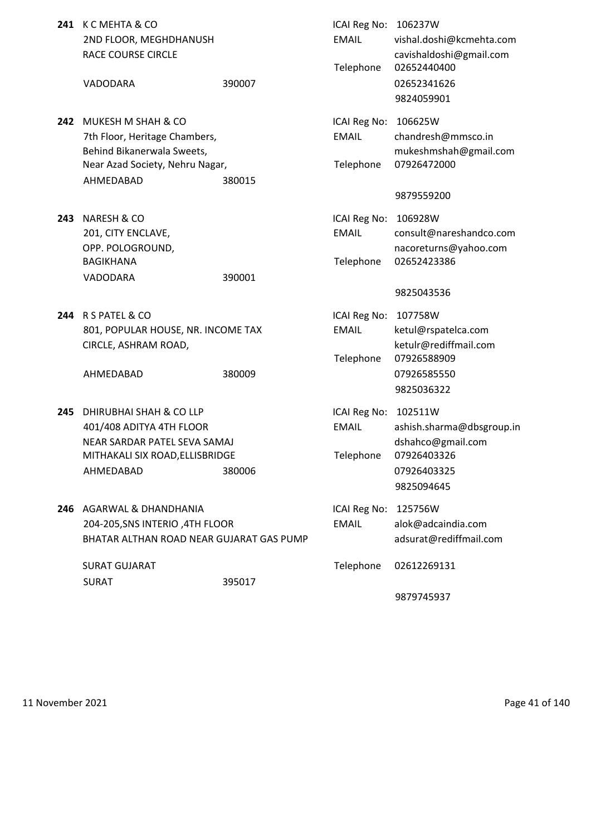|     | 241 K C MEHTA & CO<br>2ND FLOOR, MEGHDHANUSH<br>RACE COURSE CIRCLE                                                                    |        | ICAI Reg No: 106237W<br><b>EMAIL</b><br>Telephone | vishal.doshi@kcmehta.com<br>cavishaldoshi@gmail.com<br>02652440400                                    |
|-----|---------------------------------------------------------------------------------------------------------------------------------------|--------|---------------------------------------------------|-------------------------------------------------------------------------------------------------------|
|     | VADODARA                                                                                                                              | 390007 |                                                   | 02652341626<br>9824059901                                                                             |
|     | 242 MUKESH M SHAH & CO<br>7th Floor, Heritage Chambers,<br>Behind Bikanerwala Sweets,<br>Near Azad Society, Nehru Nagar,<br>AHMEDABAD | 380015 | ICAI Reg No: 106625W<br><b>EMAIL</b><br>Telephone | chandresh@mmsco.in<br>mukeshmshah@gmail.com<br>07926472000                                            |
|     |                                                                                                                                       |        |                                                   | 9879559200                                                                                            |
|     | 243 NARESH & CO<br>201, CITY ENCLAVE,<br>OPP. POLOGROUND,<br><b>BAGIKHANA</b>                                                         |        | ICAI Reg No:<br><b>EMAIL</b><br>Telephone         | 106928W<br>consult@nareshandco.com<br>nacoreturns@yahoo.com<br>02652423386                            |
|     | VADODARA                                                                                                                              | 390001 |                                                   |                                                                                                       |
|     |                                                                                                                                       |        |                                                   | 9825043536                                                                                            |
|     | 244 R S PATEL & CO<br>801, POPULAR HOUSE, NR. INCOME TAX<br>CIRCLE, ASHRAM ROAD,                                                      |        | ICAI Reg No:<br><b>EMAIL</b><br>Telephone         | 107758W<br>ketul@rspatelca.com<br>ketulr@rediffmail.com<br>07926588909                                |
|     | AHMEDABAD                                                                                                                             | 380009 |                                                   | 07926585550<br>9825036322                                                                             |
| 245 | DHIRUBHAI SHAH & CO LLP<br>401/408 ADITYA 4TH FLOOR<br>NEAR SARDAR PATEL SEVA SAMAJ<br>MITHAKALI SIX ROAD, ELLISBRIDGE<br>AHMEDABAD   | 380006 | ICAI Reg No:<br><b>EMAIL</b><br>Telephone         | 102511W<br>ashish.sharma@dbsgroup.in<br>dshahco@gmail.com<br>07926403326<br>07926403325<br>9825094645 |
| 246 | AGARWAL & DHANDHANIA<br>204-205, SNS INTERIO, 4TH FLOOR<br>BHATAR ALTHAN ROAD NEAR GUJARAT GAS PUMP                                   |        | ICAI Reg No:<br><b>EMAIL</b>                      | 125756W<br>alok@adcaindia.com<br>adsurat@rediffmail.com                                               |
|     | <b>SURAT GUJARAT</b>                                                                                                                  |        | Telephone                                         | 02612269131                                                                                           |
|     | <b>SURAT</b>                                                                                                                          | 395017 |                                                   | 9879745937                                                                                            |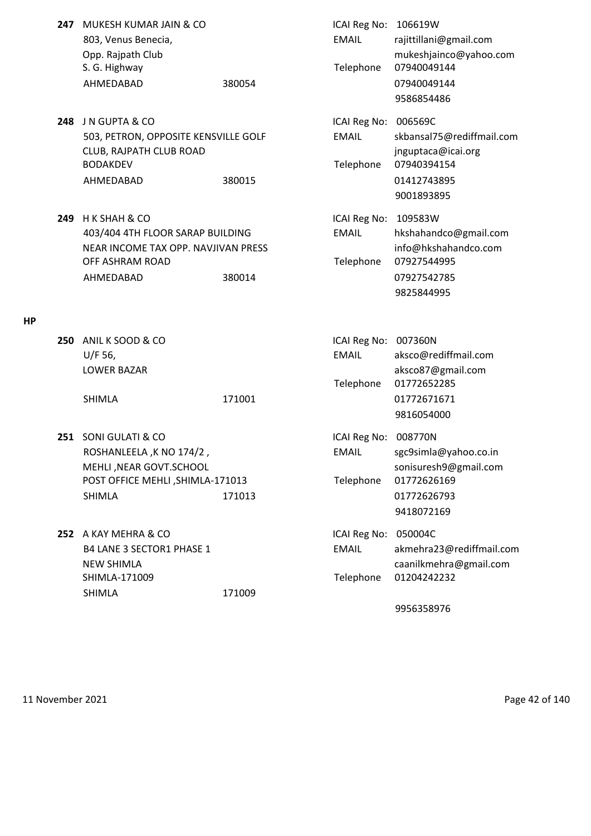| 247 | MUKESH KUMAR JAIN & CO               |        | ICAI Reg No: | 106619W                   |
|-----|--------------------------------------|--------|--------------|---------------------------|
|     | 803, Venus Benecia,                  |        | <b>EMAIL</b> | rajittillani@gmail.com    |
|     | Opp. Rajpath Club                    |        |              | mukeshjainco@yahoo.com    |
|     | S. G. Highway                        |        | Telephone    | 07940049144               |
|     | AHMEDABAD                            | 380054 |              | 07940049144               |
|     |                                      |        |              | 9586854486                |
|     | 248 JN GUPTA & CO                    |        | ICAI Reg No: | 006569C                   |
|     | 503, PETRON, OPPOSITE KENSVILLE GOLF |        | <b>EMAIL</b> | skbansal75@rediffmail.com |
|     | CLUB, RAJPATH CLUB ROAD              |        |              | jnguptaca@icai.org        |
|     | <b>BODAKDEV</b>                      |        | Telephone    | 07940394154               |
|     | AHMEDABAD                            | 380015 |              | 01412743895               |
|     |                                      |        |              | 9001893895                |
| 249 | H K SHAH & CO                        |        | ICAI Reg No: | 109583W                   |
|     | 403/404 4TH FLOOR SARAP BUILDING     |        | <b>EMAIL</b> | hkshahandco@gmail.com     |
|     | NEAR INCOME TAX OPP. NAVJIVAN PRESS  |        |              | info@hkshahandco.com      |
|     | OFF ASHRAM ROAD                      |        | Telephone    | 07927544995               |
|     | AHMEDABAD                            | 380014 |              | 07927542785               |
|     |                                      |        |              | 9825844995                |

## **HP**

| <b>250 ANIL K SOOD &amp; CO</b> |        | ICAI Reg No: 007360N |                       |
|---------------------------------|--------|----------------------|-----------------------|
| $U/F$ 56,                       |        | <b>EMAIL</b>         | aksco@rediffmail.com  |
| <b>LOWER BAZAR</b>              |        |                      | aksco87@gmail.com     |
|                                 |        | Telephone            | 01772652285           |
| <b>SHIMLA</b>                   | 171001 |                      | 01772671671           |
|                                 |        |                      | 9816054000            |
| 251 SONI GULATI & CO            |        | ICAI Reg No: 008770N |                       |
|                                 |        |                      |                       |
| ROSHANLEELA, K NO 174/2,        |        | <b>EMAIL</b>         | sgc9simla@yahoo.co.in |

- MEHLI , NEAR GOVT.SCHOOL SONISURESHIM SONISURESHIM SONISURESHIM SONISURESHIM SONISURESHIM SONISURESHIM SONISURESHIM SONISURESHIM SONISURESHIM SONISURESHIM SONISURESHIM SONISURESHIM SONISURESHIM SONISURESHIM SONISURESHIM SO POST OFFICE MEHLI, SHIMLA-171013 Telephone 01772626169 SHIMLA 171013 01772626793
- **252** A KAY MEHRA & CO **ICAI Reg No: 050004C** B4 LANE 3 SECTOR1 PHASE 1 EMAIL akmehra23@rediffmail.com NEW SHIMLA caanilkmehra@gmail.com SHIMLA-171009 Telephone 01204242232 SHIMLA 171009

9956358976

9418072169

11 November 2021 **Page 42 of 140**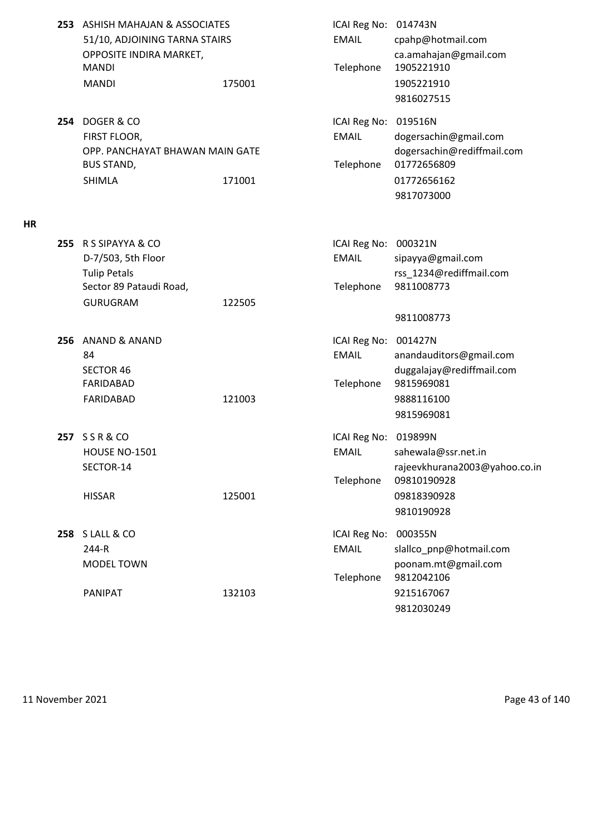|     | 253 ASHISH MAHAJAN & ASSOCIATES<br>51/10, ADJOINING TARNA STAIRS<br>OPPOSITE INDIRA MARKET,<br><b>MANDI</b><br><b>MANDI</b> | 175001 | ICAI Reg No: 014743N<br><b>EMAIL</b><br>Telephone | cpahp@hotmail.com<br>ca.amahajan@gmail.com<br>1905221910<br>1905221910<br>9816027515             |
|-----|-----------------------------------------------------------------------------------------------------------------------------|--------|---------------------------------------------------|--------------------------------------------------------------------------------------------------|
| 254 | DOGER & CO<br>FIRST FLOOR,<br>OPP. PANCHAYAT BHAWAN MAIN GATE<br><b>BUS STAND,</b><br><b>SHIMLA</b>                         | 171001 | ICAI Reg No: 019516N<br><b>EMAIL</b><br>Telephone | dogersachin@gmail.com<br>dogersachin@rediffmail.com<br>01772656809<br>01772656162<br>9817073000  |
| 255 | R S SIPAYYA & CO<br>D-7/503, 5th Floor<br><b>Tulip Petals</b><br>Sector 89 Pataudi Road,<br><b>GURUGRAM</b>                 | 122505 | ICAI Reg No: 000321N<br><b>EMAIL</b><br>Telephone | sipayya@gmail.com<br>rss_1234@rediffmail.com<br>9811008773                                       |
|     |                                                                                                                             |        |                                                   | 9811008773                                                                                       |
| 256 | <b>ANAND &amp; ANAND</b><br>84<br><b>SECTOR 46</b><br>FARIDABAD<br>FARIDABAD                                                | 121003 | ICAI Reg No: 001427N<br><b>EMAIL</b><br>Telephone | anandauditors@gmail.com<br>duggalajay@rediffmail.com<br>9815969081<br>9888116100<br>9815969081   |
|     | 257 SSR&CO<br><b>HOUSE NO-1501</b><br>SECTOR-14<br><b>HISSAR</b>                                                            | 125001 | ICAI Reg No: 019899N<br><b>EMAIL</b><br>Telephone | sahewala@ssr.net.in<br>rajeevkhurana2003@yahoo.co.in<br>09810190928<br>09818390928<br>9810190928 |
|     | <b>258 S LALL &amp; CO</b><br>244-R<br>MODEL TOWN<br><b>PANIPAT</b>                                                         | 132103 | ICAI Reg No: 000355N<br><b>EMAIL</b><br>Telephone | slallco_pnp@hotmail.com<br>poonam.mt@gmail.com<br>9812042106<br>9215167067                       |
|     |                                                                                                                             |        |                                                   | 9812030249                                                                                       |

**HR**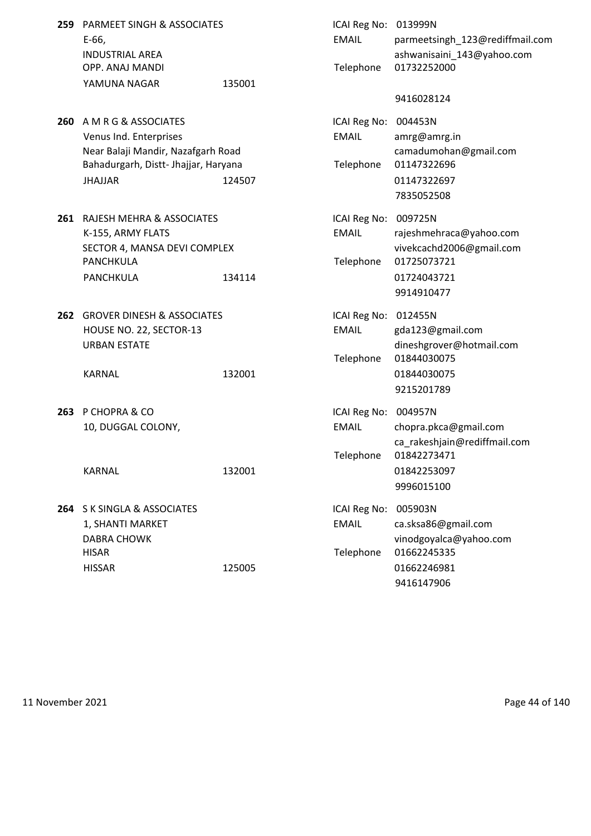| 259 | <b>PARMEET SINGH &amp; ASSOCIATES</b><br>E-66,<br><b>INDUSTRIAL AREA</b><br>OPP. ANAJ MANDI<br>YAMUNA NAGAR                                    | 135001 | ICAI Reg No: 013999N<br><b>EMAIL</b><br>Telephone | parmeetsingh_123@rediffmail.com<br>ashwanisaini_143@yahoo.com<br>01732252000<br>9416028124           |
|-----|------------------------------------------------------------------------------------------------------------------------------------------------|--------|---------------------------------------------------|------------------------------------------------------------------------------------------------------|
| 260 | A M R G & ASSOCIATES<br>Venus Ind. Enterprises<br>Near Balaji Mandir, Nazafgarh Road<br>Bahadurgarh, Distt- Jhajjar, Haryana<br><b>JHAJJAR</b> | 124507 | ICAI Reg No:<br><b>EMAIL</b><br>Telephone         | 004453N<br>amrg@amrg.in<br>camadumohan@gmail.com<br>01147322696<br>01147322697<br>7835052508         |
|     | 261 RAJESH MEHRA & ASSOCIATES<br>K-155, ARMY FLATS<br>SECTOR 4, MANSA DEVI COMPLEX<br><b>PANCHKULA</b><br>PANCHKULA                            | 134114 | ICAI Reg No: 009725N<br><b>EMAIL</b><br>Telephone | rajeshmehraca@yahoo.com<br>vivekcachd2006@gmail.com<br>01725073721<br>01724043721<br>9914910477      |
|     | <b>262 GROVER DINESH &amp; ASSOCIATES</b><br>HOUSE NO. 22, SECTOR-13<br><b>URBAN ESTATE</b><br><b>KARNAL</b>                                   | 132001 | ICAI Reg No:<br><b>EMAIL</b><br>Telephone         | 012455N<br>gda123@gmail.com<br>dineshgrover@hotmail.com<br>01844030075<br>01844030075<br>9215201789  |
|     | 263 P CHOPRA & CO<br>10, DUGGAL COLONY,<br><b>KARNAL</b>                                                                                       | 132001 | ICAI Reg No: 004957N<br><b>EMAIL</b><br>Telephone | chopra.pkca@gmail.com<br>ca_rakeshjain@rediffmail.com<br>01842273471<br>01842253097<br>9996015100    |
|     | 264 S K SINGLA & ASSOCIATES<br>1, SHANTI MARKET<br><b>DABRA CHOWK</b><br><b>HISAR</b><br><b>HISSAR</b>                                         | 125005 | ICAI Reg No:<br><b>EMAIL</b><br>Telephone         | 005903N<br>ca.sksa86@gmail.com<br>vinodgoyalca@yahoo.com<br>01662245335<br>01662246981<br>9416147906 |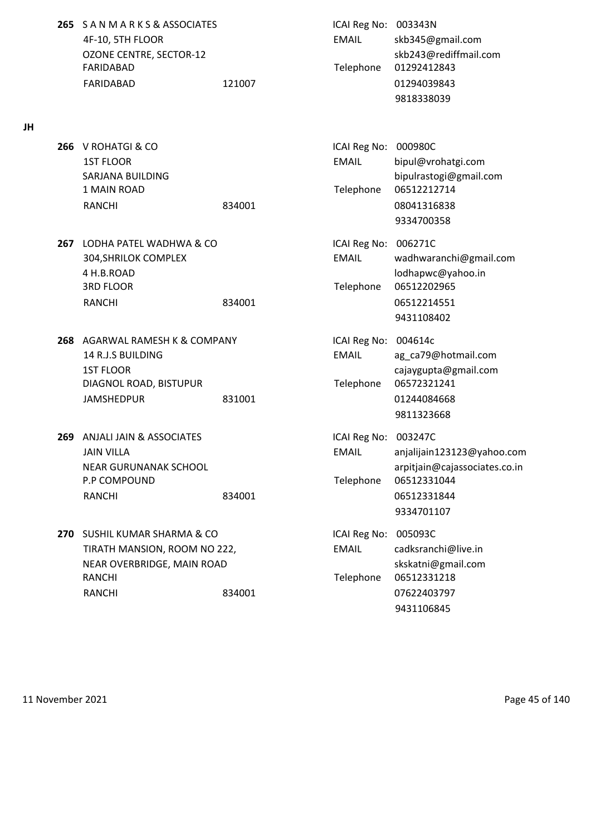**265** S A N M A R K S & ASSOCIATES ICAI Reg No: 003343N 4F-10, 5TH FLOOR EMAIL skb345@gmail.com FARIDABAD Telephone 01292412843 FARIDABAD 121007 01294039843

**JH**

- **266** V ROHATGI & CO **ICAI Reg No: 000980C** 1ST FLOOR EMAIL bipul@vrohatgi.com 1 MAIN ROAD Telephone 06512212714 RANCHI 834001 834001 08041316838
- **267** LODHA PATEL WADHWA & CO **ICAI Reg No: 006271C** 4 H.B.ROAD lodhapwc@yahoo.in 3RD FLOOR Telephone 06512202965 RANCHI 834001 834001 834001
- **268** AGARWAL RAMESH K & COMPANY ICAI Reg No: 004614c 14 R.J.S BUILDING **EMAIL** ag\_ca79@hotmail.com 1ST FLOOR cajaygupta@gmail.com DIAGNOL ROAD, BISTUPUR Telephone 06572321241 JAMSHEDPUR 831001 01244084668
- **269** ANJALI JAIN & ASSOCIATES **ICAI Reg No: 003247C** P.P COMPOUND Telephone 06512331044 RANCHI 834001 06512331844
- **270** SUSHIL KUMAR SHARMA & CO **ICAI Reg No: 005093C** TIRATH MANSION, ROOM NO 222, EMAIL cadksranchi@live.in NEAR OVERBRIDGE, MAIN ROAD skskatni@gmail.com RANCHI 2001 - Telephone 06512331218 RANCHI 834001 834001 07622403797

OZONE CENTRE, SECTOR-12 skb243@rediffmail.com 9818338039

SARJANA BUILDING bipulrastogi@gmail.com 9334700358

304,SHRILOK COMPLEX EMAIL wadhwaranchi@gmail.com 9431108402

9811323668

- JAIN VILLA EMAIL anjalijain123123@yahoo.com NEAR GURUNANAK SCHOOL **arpitiain@cajassociates.co.in** 9334701107
	- 9431106845

11 November 2021 Page 45 of 140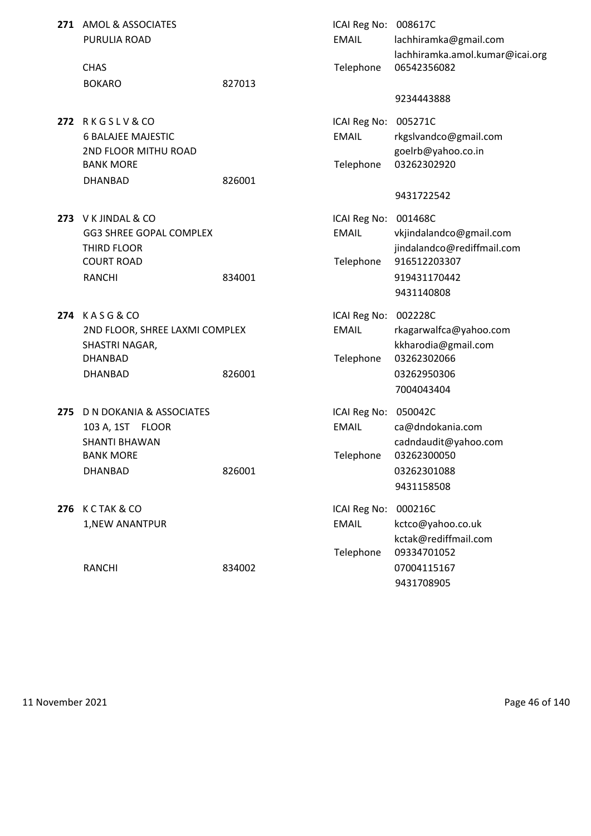|     | 271 AMOL & ASSOCIATES<br>PURULIA ROAD                                                                                 |        | ICAI Reg No: 008617C<br><b>EMAIL</b>       | lachhiramka@gmail.com<br>lachhiramka.amol.kumar@icai.org                                             |
|-----|-----------------------------------------------------------------------------------------------------------------------|--------|--------------------------------------------|------------------------------------------------------------------------------------------------------|
|     | <b>CHAS</b>                                                                                                           |        | Telephone                                  | 06542356082                                                                                          |
|     | <b>BOKARO</b>                                                                                                         | 827013 |                                            |                                                                                                      |
|     |                                                                                                                       |        |                                            | 9234443888                                                                                           |
|     | 272 RKGSLV&CO<br><b>6 BALAJEE MAJESTIC</b><br>2ND FLOOR MITHU ROAD                                                    |        | ICAI Reg No:<br><b>EMAIL</b>               | 005271C<br>rkgslvandco@gmail.com<br>goelrb@yahoo.co.in                                               |
|     | <b>BANK MORE</b>                                                                                                      |        | Telephone                                  | 03262302920                                                                                          |
|     | <b>DHANBAD</b>                                                                                                        | 826001 |                                            |                                                                                                      |
|     |                                                                                                                       |        |                                            | 9431722542                                                                                           |
|     | 273 V K JINDAL & CO<br><b>GG3 SHREE GOPAL COMPLEX</b><br>THIRD FLOOR<br><b>COURT ROAD</b><br><b>RANCHI</b>            | 834001 | ICAI Reg No:<br><b>EMAIL</b><br>Telephone  | 001468C<br>vkjindalandco@gmail.com<br>jindalandco@rediffmail.com<br>916512203307<br>919431170442     |
|     |                                                                                                                       |        |                                            | 9431140808                                                                                           |
|     | 274 KASG&CO<br>2ND FLOOR, SHREE LAXMI COMPLEX<br>SHASTRI NAGAR,<br><b>DHANBAD</b><br><b>DHANBAD</b>                   | 826001 | ICAI Reg No:<br><b>EMAIL</b><br>Telephone  | 002228C<br>rkagarwalfca@yahoo.com<br>kkharodia@gmail.com<br>03262302066<br>03262950306<br>7004043404 |
| 275 | <b>D N DOKANIA &amp; ASSOCIATES</b><br>103 A, 1ST FLOOR<br><b>SHANTI BHAWAN</b><br><b>BANK MORE</b><br><b>DHANBAD</b> | 826001 | ICAI Reg No: 050042C<br>EMAIL<br>Telephone | ca@dndokania.com<br>cadndaudit@yahoo.com<br>03262300050<br>03262301088<br>9431158508                 |
|     | <b>276 K C TAK &amp; CO</b><br>1, NEW ANANTPUR                                                                        |        | ICAI Reg No:<br><b>EMAIL</b><br>Telephone  | 000216C<br>kctco@yahoo.co.uk<br>kctak@rediffmail.com<br>09334701052                                  |
|     | <b>RANCHI</b>                                                                                                         | 834002 |                                            | 07004115167<br>9431708905                                                                            |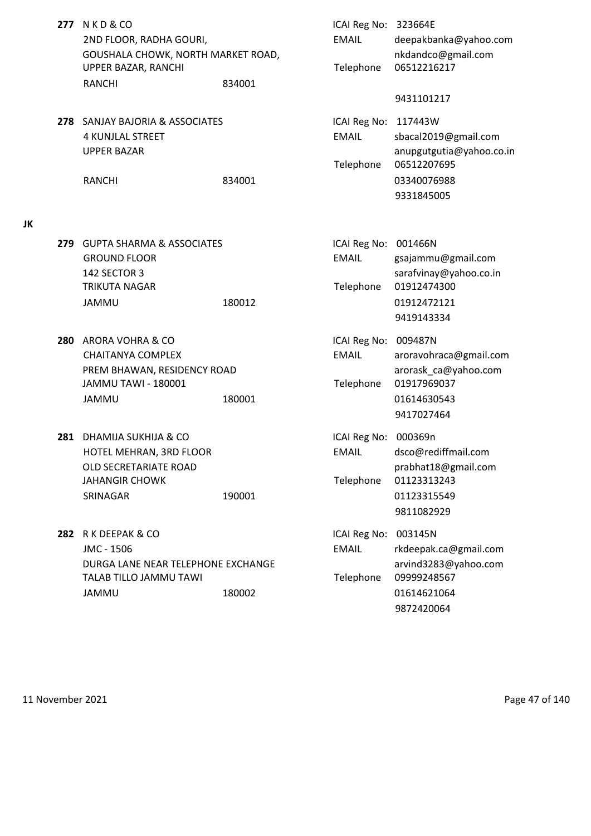- **277** N K D & CO 2ND FLOOR, RADHA GOURI, GOUSHALA CHOWK, NORTH MARKET ROAD, UPPER BAZAR, RANCHI RANCHI 834001
- **278** SANJAY BAJORIA & ASSOCIATES 4 KUNJLAL STREET **UPPER BAZAR**

## **JK**

- **279** GUPTA SHARMA & ASSOCIATES **GROUND FLOOR** 142 SECTOR 3 TRIKUTA NAGAR
- **280** ARORA VOHRA & CO CHAITANYA COMPLEX PREM BHAWAN, RESIDENCY ROAD JAMMU TAWI - 180001 JAMMU 180001 180001 180001
- **281 DHAMIJA SUKHIJA & CO** HOTEL MEHRAN, 3RD FLOOR OLD SECRETARIATE ROAD JAHANGIR CHOWK
- **282** R K DEEPAK & CO JMC - 1506 EMAIL rkdeepak.ca@gmail.com DURGA LANE NEAR TELEPHONE EXCHANGE TALAB TILLO JAMMU TAWI JAMMU 180002 01614621064

| N K D & CO<br>2ND FLOOR, RADHA GOURI,<br>GOUSHALA CHOWK, NORTH MARKET ROAD,<br>UPPER BAZAR, RANCHI              |        | ICAI Reg No: 323664E<br><b>EMAIL</b><br>Telephone | deepakbanka@yahoo.com<br>nkdandco@gmail.com<br>06512216217                                                 |
|-----------------------------------------------------------------------------------------------------------------|--------|---------------------------------------------------|------------------------------------------------------------------------------------------------------------|
| RANCHI                                                                                                          | 834001 |                                                   |                                                                                                            |
| SANJAY BAJORIA & ASSOCIATES<br>4 KUNJLAL STREET<br><b>UPPER BAZAR</b><br>RANCHI                                 | 834001 | ICAI Reg No: 117443W<br><b>EMAIL</b><br>Telephone | 9431101217<br>sbacal2019@gmail.com<br>anupgutgutia@yahoo.co.in<br>06512207695<br>03340076988<br>9331845005 |
| <b>GUPTA SHARMA &amp; ASSOCIATES</b><br><b>GROUND FLOOR</b><br>142 SECTOR 3<br>TRIKUTA NAGAR<br>JAMMU           | 180012 | ICAI Reg No: 001466N<br><b>EMAIL</b><br>Telephone | gsajammu@gmail.com<br>sarafvinay@yahoo.co.in<br>01912474300<br>01912472121<br>9419143334                   |
| <b>ARORA VOHRA &amp; CO</b><br>CHAITANYA COMPLEX<br>PREM BHAWAN, RESIDENCY ROAD<br>JAMMU TAWI - 180001<br>JAMMU | 180001 | ICAI Reg No: 009487N<br><b>EMAIL</b><br>Telephone | aroravohraca@gmail.com<br>arorask_ca@yahoo.com<br>01917969037<br>01614630543<br>9417027464                 |
| DHAMIJA SUKHIJA & CO<br>HOTEL MEHRAN, 3RD FLOOR<br>OLD SECRETARIATE ROAD<br>JAHANGIR CHOWK<br>SRINAGAR          | 190001 | ICAI Reg No: 000369n<br>EMAIL<br>Telephone        | dsco@rediffmail.com<br>prabhat18@gmail.com<br>01123313243<br>01123315549<br>9811082929                     |
| R K DEEPAK & CO<br>JMC - 1506<br>DURGA LANE NEAR TELEPHONE EXCHANGE<br>TALAB TILLO JAMMU TAWI<br>JAMMU          | 180002 | ICAI Reg No: 003145N<br><b>EMAIL</b><br>Telephone | rkdeepak.ca@gmail.com<br>arvind3283@yahoo.com<br>09999248567<br>01614621064<br>9872420064                  |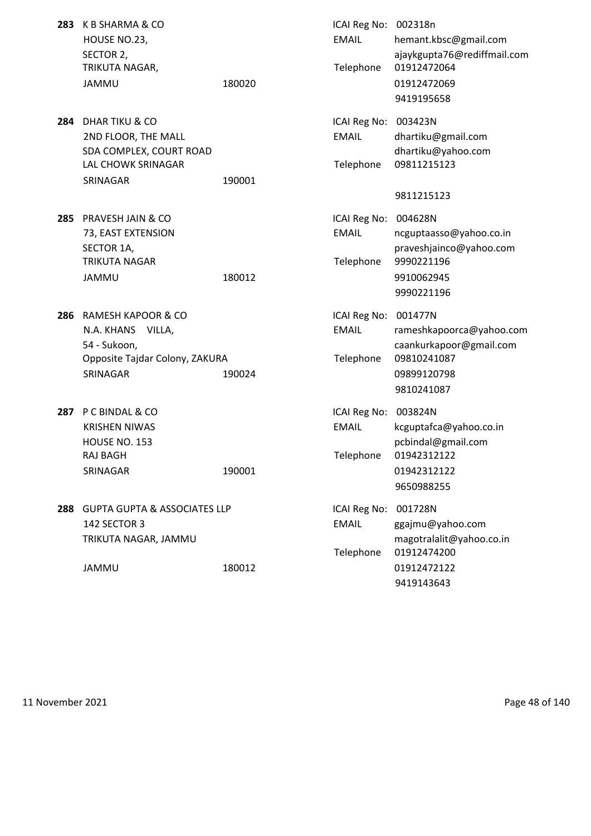| 283 | K B SHARMA & CO<br>HOUSE NO.23,<br>SECTOR 2,                                                           |        | ICAI Reg No: 002318n<br><b>EMAIL</b>      | hemant.kbsc@gmail.com<br>ajaykgupta76@rediffmail.com<br>01912472064         |
|-----|--------------------------------------------------------------------------------------------------------|--------|-------------------------------------------|-----------------------------------------------------------------------------|
|     | TRIKUTA NAGAR,<br><b>JAMMU</b>                                                                         | 180020 | Telephone                                 | 01912472069<br>9419195658                                                   |
|     | 284 DHAR TIKU & CO<br>2ND FLOOR, THE MALL<br>SDA COMPLEX, COURT ROAD<br>LAL CHOWK SRINAGAR<br>SRINAGAR | 190001 | ICAI Reg No:<br><b>EMAIL</b><br>Telephone | 003423N<br>dhartiku@gmail.com<br>dhartiku@yahoo.com<br>09811215123          |
|     |                                                                                                        |        |                                           | 9811215123                                                                  |
| 285 | PRAVESH JAIN & CO<br>73, EAST EXTENSION<br>SECTOR 1A,<br><b>TRIKUTA NAGAR</b>                          |        | ICAI Reg No:<br><b>EMAIL</b><br>Telephone | 004628N<br>ncguptaasso@yahoo.co.in<br>praveshjainco@yahoo.com<br>9990221196 |
|     | JAMMU                                                                                                  | 180012 |                                           | 9910062945<br>9990221196                                                    |
| 286 | <b>RAMESH KAPOOR &amp; CO</b><br>N.A. KHANS<br>VILLA,<br>54 - Sukoon,                                  |        | ICAI Reg No:<br><b>EMAIL</b>              | 001477N<br>rameshkapoorca@yahoo.com<br>caankurkapoor@gmail.com              |
|     | Opposite Tajdar Colony, ZAKURA<br>SRINAGAR                                                             | 190024 | Telephone                                 | 09810241087<br>09899120798<br>9810241087                                    |
| 287 | P C BINDAL & CO<br><b>KRISHEN NIWAS</b>                                                                |        | ICAI Reg No:<br><b>EMAIL</b>              | 003824N<br>kcguptafca@yahoo.co.in                                           |
|     | HOUSE NO. 153                                                                                          |        |                                           | pcbindal@gmail.com                                                          |
|     | RAJ BAGH<br>SRINAGAR                                                                                   | 190001 | Telephone                                 | 01942312122<br>01942312122<br>9650988255                                    |
| 288 | <b>GUPTA GUPTA &amp; ASSOCIATES LLP</b><br>142 SECTOR 3<br>TRIKUTA NAGAR, JAMMU                        |        | ICAI Reg No:<br><b>EMAIL</b><br>Telephone | 001728N<br>ggajmu@yahoo.com<br>magotralalit@yahoo.co.in<br>01912474200      |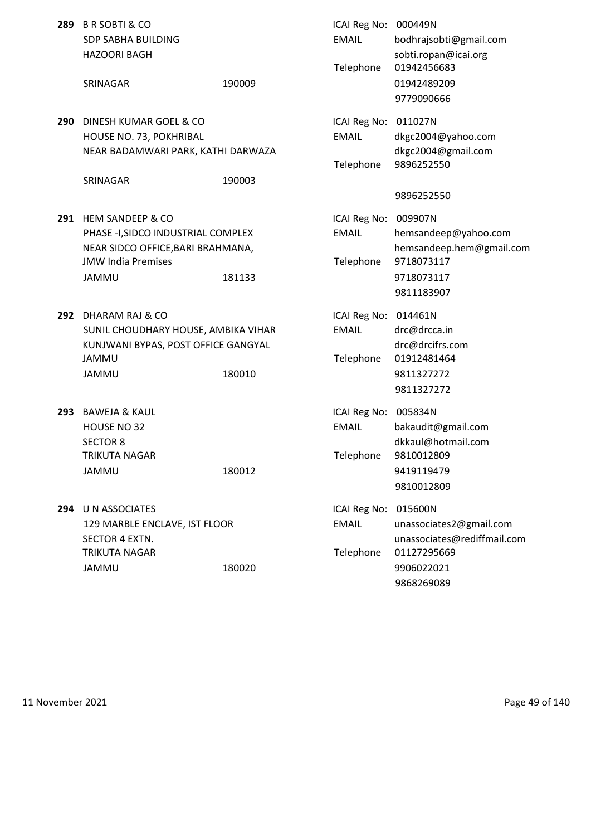| 289 | <b>B R SOBTI &amp; CO</b><br><b>SDP SABHA BUILDING</b><br><b>HAZOORI BAGH</b>                                                                |        | ICAI Reg No: 000449N<br><b>EMAIL</b><br>Telephone | bodhrajsobti@gmail.com<br>sobti.ropan@icai.org<br>01942456683                                         |
|-----|----------------------------------------------------------------------------------------------------------------------------------------------|--------|---------------------------------------------------|-------------------------------------------------------------------------------------------------------|
|     | SRINAGAR                                                                                                                                     | 190009 |                                                   | 01942489209<br>9779090666                                                                             |
| 290 | DINESH KUMAR GOEL & CO<br>HOUSE NO. 73, POKHRIBAL<br>NEAR BADAMWARI PARK, KATHI DARWAZA<br>SRINAGAR                                          | 190003 | ICAI Reg No:<br><b>EMAIL</b><br>Telephone         | 011027N<br>dkgc2004@yahoo.com<br>dkgc2004@gmail.com<br>9896252550                                     |
|     |                                                                                                                                              |        |                                                   | 9896252550                                                                                            |
| 291 | <b>HEM SANDEEP &amp; CO</b><br>PHASE -I, SIDCO INDUSTRIAL COMPLEX<br>NEAR SIDCO OFFICE, BARI BRAHMANA,<br><b>JMW India Premises</b><br>JAMMU | 181133 | ICAI Reg No:<br><b>EMAIL</b><br>Telephone         | 009907N<br>hemsandeep@yahoo.com<br>hemsandeep.hem@gmail.com<br>9718073117<br>9718073117<br>9811183907 |
| 292 | DHARAM RAJ & CO<br>SUNIL CHOUDHARY HOUSE, AMBIKA VIHAR<br>KUNJWANI BYPAS, POST OFFICE GANGYAL<br>JAMMU<br>JAMMU                              | 180010 | ICAI Reg No: 014461N<br><b>EMAIL</b><br>Telephone | drc@drcca.in<br>drc@drcifrs.com<br>01912481464<br>9811327272<br>9811327272                            |
| 293 | <b>BAWEJA &amp; KAUL</b><br>HOUSE NO 32<br><b>SECTOR 8</b><br>TRIKUTA NAGAR<br><b>JAMMU</b>                                                  | 180012 | ICAI Reg No:<br><b>EMAIL</b><br>Telephone         | 005834N<br>bakaudit@gmail.com<br>dkkaul@hotmail.com<br>9810012809<br>9419119479<br>9810012809         |
| 294 | U N ASSOCIATES<br>129 MARBLE ENCLAVE, IST FLOOR<br>SECTOR 4 EXTN.<br><b>TRIKUTA NAGAR</b><br><b>JAMMU</b>                                    | 180020 | ICAI Reg No: 015600N<br><b>EMAIL</b><br>Telephone | unassociates2@gmail.com<br>unassociates@rediffmail.com<br>01127295669<br>9906022021<br>9868269089     |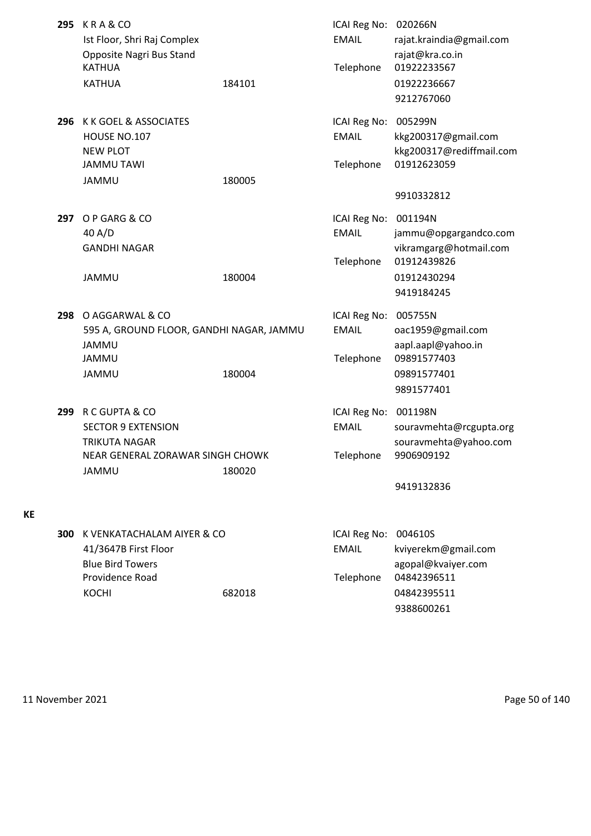| 295 | KRA&CO<br>Ist Floor, Shri Raj Complex<br>Opposite Nagri Bus Stand<br><b>KATHUA</b><br><b>KATHUA</b>                     | 184101 | ICAI Reg No: 020266N<br><b>EMAIL</b><br>Telephone | rajat.kraindia@gmail.com<br>rajat@kra.co.in<br>01922233567<br>01922236667<br>9212767060          |
|-----|-------------------------------------------------------------------------------------------------------------------------|--------|---------------------------------------------------|--------------------------------------------------------------------------------------------------|
| 296 | K K GOEL & ASSOCIATES<br>HOUSE NO.107<br><b>NEW PLOT</b><br><b>JAMMU TAWI</b><br>JAMMU                                  | 180005 | ICAI Reg No: 005299N<br><b>EMAIL</b><br>Telephone | kkg200317@gmail.com<br>kkg200317@rediffmail.com<br>01912623059<br>9910332812                     |
| 297 | O P GARG & CO<br>40 A/D<br><b>GANDHI NAGAR</b><br><b>JAMMU</b>                                                          | 180004 | ICAI Reg No: 001194N<br><b>EMAIL</b><br>Telephone | jammu@opgargandco.com<br>vikramgarg@hotmail.com<br>01912439826<br>01912430294<br>9419184245      |
| 298 | O AGGARWAL & CO<br>595 A, GROUND FLOOR, GANDHI NAGAR, JAMMU<br><b>JAMMU</b><br><b>JAMMU</b><br>JAMMU                    | 180004 | ICAI Reg No:<br><b>EMAIL</b><br>Telephone         | 005755N<br>oac1959@gmail.com<br>aapl.aapl@yahoo.in<br>09891577403<br>09891577401<br>9891577401   |
| 299 | R C GUPTA & CO<br><b>SECTOR 9 EXTENSION</b><br><b>TRIKUTA NAGAR</b><br>NEAR GENERAL ZORAWAR SINGH CHOWK<br><b>JAMMU</b> | 180020 | ICAI Reg No:<br><b>EMAIL</b><br>Telephone         | 001198N<br>souravmehta@rcgupta.org<br>souravmehta@yahoo.com<br>9906909192<br>9419132836          |
| 300 | K VENKATACHALAM AIYER & CO<br>41/3647B First Floor<br><b>Blue Bird Towers</b><br>Providence Road<br><b>KOCHI</b>        | 682018 | ICAI Reg No:<br><b>EMAIL</b><br>Telephone         | 004610S<br>kviyerekm@gmail.com<br>agopal@kvaiyer.com<br>04842396511<br>04842395511<br>9388600261 |

11 November 2021 **Page 50 of 140** 

**KE**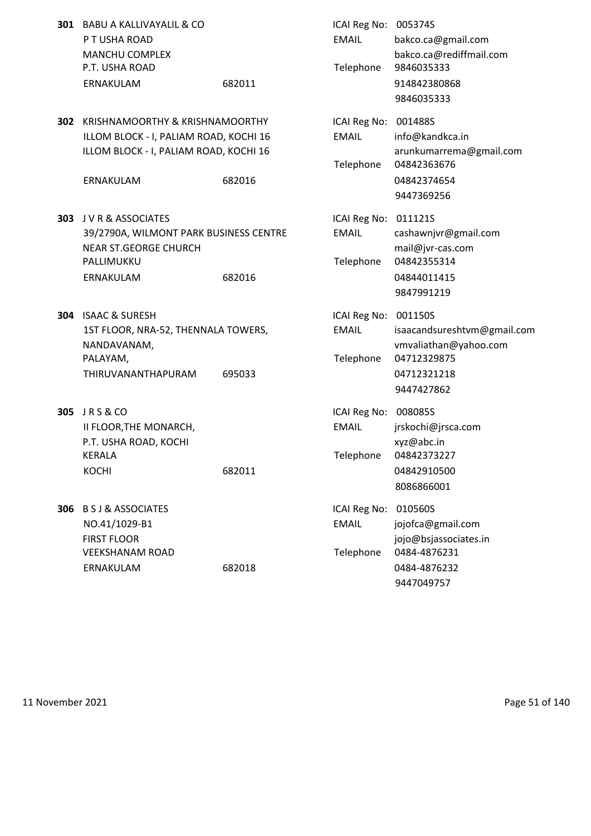|     | 301 BABU A KALLIVAYALIL & CO<br>P T USHA ROAD<br><b>MANCHU COMPLEX</b><br>P.T. USHA ROAD<br>ERNAKULAM                            | 682011 | ICAI Reg No: 005374S<br><b>EMAIL</b><br>Telephone | bakco.ca@gmail.com<br>bakco.ca@rediffmail.com<br>9846035333<br>914842380868<br>9846035333           |
|-----|----------------------------------------------------------------------------------------------------------------------------------|--------|---------------------------------------------------|-----------------------------------------------------------------------------------------------------|
| 302 | KRISHNAMOORTHY & KRISHNAMOORTHY<br>ILLOM BLOCK - I, PALIAM ROAD, KOCHI 16<br>ILLOM BLOCK - I, PALIAM ROAD, KOCHI 16<br>ERNAKULAM | 682016 | ICAI Reg No: 001488S<br><b>EMAIL</b><br>Telephone | info@kandkca.in<br>arunkumarrema@gmail.com<br>04842363676<br>04842374654<br>9447369256              |
|     | 303 J V R & ASSOCIATES<br>39/2790A, WILMONT PARK BUSINESS CENTRE<br><b>NEAR ST.GEORGE CHURCH</b><br>PALLIMUKKU<br>ERNAKULAM      | 682016 | ICAI Reg No: 011121S<br><b>EMAIL</b><br>Telephone | cashawnjvr@gmail.com<br>mail@jvr-cas.com<br>04842355314<br>04844011415<br>9847991219                |
|     | 304 ISAAC & SURESH<br>1ST FLOOR, NRA-52, THENNALA TOWERS,<br>NANDAVANAM,<br>PALAYAM,<br>THIRUVANANTHAPURAM                       | 695033 | ICAI Reg No: 001150S<br><b>EMAIL</b><br>Telephone | isaacandsureshtvm@gmail.com<br>vmvaliathan@yahoo.com<br>04712329875<br>04712321218<br>9447427862    |
| 305 | JRS&CO<br>II FLOOR, THE MONARCH,<br>P.T. USHA ROAD, KOCHI<br>KERALA<br><b>KOCHI</b>                                              | 682011 | ICAI Reg No: 008085S<br><b>EMAIL</b><br>Telephone | jrskochi@jrsca.com<br>xyz@abc.in<br>04842373227<br>04842910500<br>8086866001                        |
| 306 | <b>B S J &amp; ASSOCIATES</b><br>NO.41/1029-B1<br><b>FIRST FLOOR</b><br><b>VEEKSHANAM ROAD</b><br>ERNAKULAM                      | 682018 | ICAI Reg No:<br><b>EMAIL</b><br>Telephone         | 010560S<br>jojofca@gmail.com<br>jojo@bsjassociates.in<br>0484-4876231<br>0484-4876232<br>9447049757 |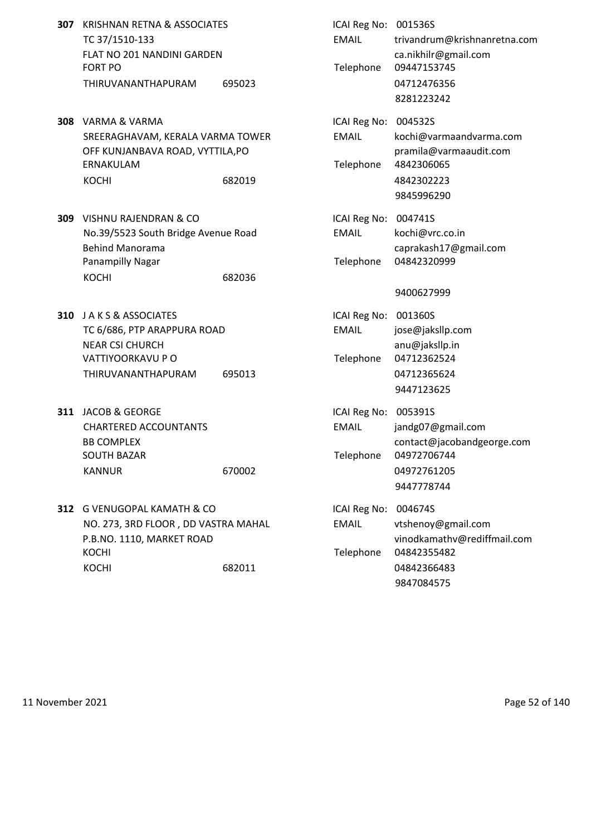- **307 KRISHNAN RETNA & ASSOCIATES** TC 37/1510-133 FLAT NO 201 NANDINI GARDEN FORT PO **Telephone** 09447153745 THIRUVANANTHAPURAM 695023
- **308** VARMA & VARMA SREERAGHAVAM, KERALA VARMA TOWER OFF KUNJANBAVA ROAD, VYTTILA, PO ERNAKULAM
- **309** VISHNU RAJENDRAN & CO No.39/5523 South Bridge Avenue Road Behind Manorama Panampilly Nagar KOCHI 682036
- **310** J A K S & ASSOCIATES TC 6/686, PTP ARAPPURA ROAD NEAR CSI CHURCH VATTIYOORKAVU P O THIRUVANANTHAPURAM 695013
- **311 JACOB & GEORGE** CHARTERED ACCOUNTANTS SOUTH BAZAR
- **312 G VENUGOPAL KAMATH & CO** NO. 273, 3RD FLOOR, DD VASTRA MAHAL P.B.NO. 1110, MARKET ROAD KOCHI ROCHI 2001 - Telephone 04842355482 KOCHI 682011 682011 682011

| 695023 | ICAI Reg No: 001536S<br><b>EMAIL</b><br>Telephone                                                                                                                                                                                                        | trivandrum@krishnanretna.com<br>ca.nikhilr@gmail.com<br>09447153745<br>04712476356 |
|--------|----------------------------------------------------------------------------------------------------------------------------------------------------------------------------------------------------------------------------------------------------------|------------------------------------------------------------------------------------|
|        |                                                                                                                                                                                                                                                          | 8281223242                                                                         |
|        |                                                                                                                                                                                                                                                          | kochi@varmaandvarma.com                                                            |
|        |                                                                                                                                                                                                                                                          | pramila@varmaaudit.com                                                             |
|        | Telephone                                                                                                                                                                                                                                                | 4842306065                                                                         |
| 682019 |                                                                                                                                                                                                                                                          | 4842302223                                                                         |
|        |                                                                                                                                                                                                                                                          | 9845996290                                                                         |
|        | ICAI Reg No: 004741S                                                                                                                                                                                                                                     |                                                                                    |
|        | <b>EMAIL</b>                                                                                                                                                                                                                                             | kochi@vrc.co.in                                                                    |
|        |                                                                                                                                                                                                                                                          | caprakash17@gmail.com                                                              |
|        | Telephone                                                                                                                                                                                                                                                | 04842320999                                                                        |
| 682036 |                                                                                                                                                                                                                                                          |                                                                                    |
|        |                                                                                                                                                                                                                                                          | 9400627999                                                                         |
|        | ICAI Reg No: 001360S                                                                                                                                                                                                                                     |                                                                                    |
|        | <b>EMAIL</b>                                                                                                                                                                                                                                             | jose@jaksllp.com                                                                   |
|        |                                                                                                                                                                                                                                                          | anu@jaksllp.in                                                                     |
|        | Telephone                                                                                                                                                                                                                                                | 04712362524                                                                        |
| 695013 |                                                                                                                                                                                                                                                          | 04712365624                                                                        |
|        |                                                                                                                                                                                                                                                          | 9447123625                                                                         |
|        | ICAI Reg No: 005391S                                                                                                                                                                                                                                     |                                                                                    |
|        | <b>EMAIL</b>                                                                                                                                                                                                                                             | jandg07@gmail.com                                                                  |
|        |                                                                                                                                                                                                                                                          | contact@jacobandgeorge.com                                                         |
|        | Telephone                                                                                                                                                                                                                                                | 04972706744                                                                        |
| 670002 |                                                                                                                                                                                                                                                          | 04972761205                                                                        |
|        |                                                                                                                                                                                                                                                          | 9447778744                                                                         |
|        | ICAI Reg No:                                                                                                                                                                                                                                             | 004674S                                                                            |
|        | <b>EMAIL</b>                                                                                                                                                                                                                                             | vtshenoy@gmail.com                                                                 |
|        |                                                                                                                                                                                                                                                          | vinodkamathv@rediffmail.com<br>04842355482                                         |
|        |                                                                                                                                                                                                                                                          | 04842366483                                                                        |
|        |                                                                                                                                                                                                                                                          | 9847084575                                                                         |
|        | KRISHNAN RETNA & ASSOCIATES<br>FLAT NO 201 NANDINI GARDEN<br>SREERAGHAVAM, KERALA VARMA TOWER<br>OFF KUNJANBAVA ROAD, VYTTILA, PO<br>No.39/5523 South Bridge Avenue Road<br>TC 6/686, PTP ARAPPURA ROAD<br>NO. 273, 3RD FLOOR, DD VASTRA MAHAL<br>682011 | ICAI Reg No: 004532S<br><b>EMAIL</b><br>Telephone                                  |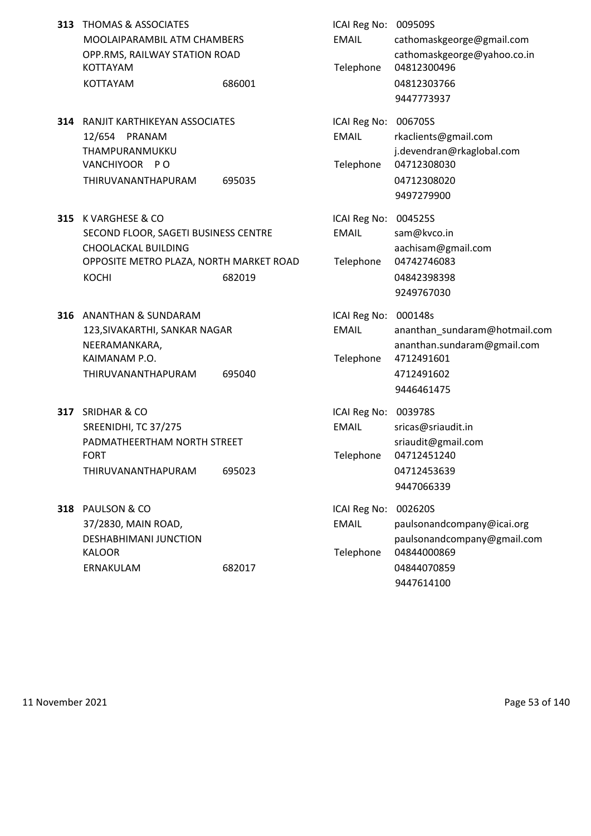| 313 | <b>THOMAS &amp; ASSOCIATES</b><br>MOOLAIPARAMBIL ATM CHAMBERS<br>OPP.RMS, RAILWAY STATION ROAD<br><b>KOTTAYAM</b><br>KOTTAYAM             | 686001 | ICAI Reg No: 009509S<br><b>EMAIL</b><br>Telephone | cathomaskgeorge@gmail.com<br>cathomaskgeorge@yahoo.co.in<br>04812300496<br>04812303766<br>9447773937             |
|-----|-------------------------------------------------------------------------------------------------------------------------------------------|--------|---------------------------------------------------|------------------------------------------------------------------------------------------------------------------|
|     | <b>314 RANJIT KARTHIKEYAN ASSOCIATES</b><br>12/654 PRANAM<br>THAMPURANMUKKU<br>VANCHIYOOR PO<br>THIRUVANANTHAPURAM                        | 695035 | ICAI Reg No: 006705S<br><b>EMAIL</b><br>Telephone | rkaclients@gmail.com<br>j.devendran@rkaglobal.com<br>04712308030<br>04712308020<br>9497279900                    |
| 315 | K VARGHESE & CO<br>SECOND FLOOR, SAGETI BUSINESS CENTRE<br>CHOOLACKAL BUILDING<br>OPPOSITE METRO PLAZA, NORTH MARKET ROAD<br><b>KOCHI</b> | 682019 | ICAI Reg No: 004525S<br><b>EMAIL</b><br>Telephone | sam@kvco.in<br>aachisam@gmail.com<br>04742746083<br>04842398398<br>9249767030                                    |
|     | 316 ANANTHAN & SUNDARAM<br>123, SIVAKARTHI, SANKAR NAGAR<br>NEERAMANKARA,<br>KAIMANAM P.O.<br>THIRUVANANTHAPURAM                          | 695040 | ICAI Reg No: 000148s<br><b>EMAIL</b><br>Telephone | ananthan_sundaram@hotmail.com<br>ananthan.sundaram@gmail.com<br>4712491601<br>4712491602<br>9446461475           |
| 317 | <b>SRIDHAR &amp; CO</b><br>SREENIDHI, TC 37/275<br>PADMATHEERTHAM NORTH STREET<br><b>FORT</b><br>THIRUVANANTHAPURAM                       | 695023 | ICAI Reg No: 003978S<br><b>EMAIL</b><br>Telephone | sricas@sriaudit.in<br>sriaudit@gmail.com<br>04712451240<br>04712453639<br>9447066339                             |
| 318 | PAULSON & CO<br>37/2830, MAIN ROAD,<br><b>DESHABHIMANI JUNCTION</b><br><b>KALOOR</b><br>ERNAKULAM                                         | 682017 | ICAI Reg No:<br><b>EMAIL</b><br>Telephone         | 002620S<br>paulsonandcompany@icai.org<br>paulsonandcompany@gmail.com<br>04844000869<br>04844070859<br>9447614100 |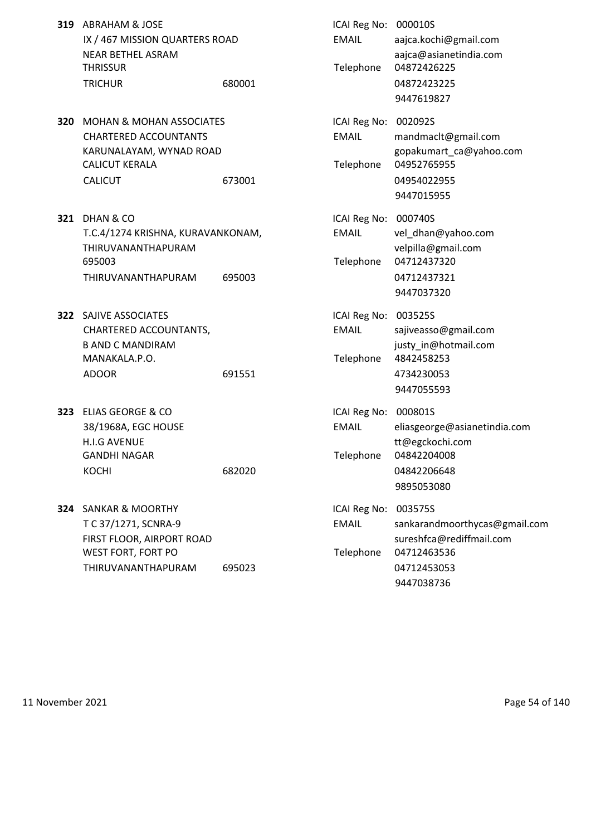|     | 319 ABRAHAM & JOSE<br>IX / 467 MISSION QUARTERS ROAD<br><b>NEAR BETHEL ASRAM</b><br><b>THRISSUR</b>                                       |        | ICAI Reg No: 000010S<br><b>EMAIL</b><br>Telephone | aajca.kochi@gmail.com<br>aajca@asianetindia.com<br>04872426225                                                   |
|-----|-------------------------------------------------------------------------------------------------------------------------------------------|--------|---------------------------------------------------|------------------------------------------------------------------------------------------------------------------|
|     | <b>TRICHUR</b>                                                                                                                            | 680001 |                                                   | 04872423225<br>9447619827                                                                                        |
| 320 | <b>MOHAN &amp; MOHAN ASSOCIATES</b><br><b>CHARTERED ACCOUNTANTS</b><br>KARUNALAYAM, WYNAD ROAD<br><b>CALICUT KERALA</b><br><b>CALICUT</b> | 673001 | ICAI Reg No:<br><b>EMAIL</b><br>Telephone         | 002092S<br>mandmaclt@gmail.com<br>gopakumart ca@yahoo.com<br>04952765955<br>04954022955<br>9447015955            |
| 321 | DHAN & CO<br>T.C.4/1274 KRISHNA, KURAVANKONAM,<br>THIRUVANANTHAPURAM<br>695003<br>THIRUVANANTHAPURAM                                      | 695003 | ICAI Reg No: 000740S<br><b>EMAIL</b><br>Telephone | vel_dhan@yahoo.com<br>velpilla@gmail.com<br>04712437320<br>04712437321<br>9447037320                             |
|     | <b>322 SAJIVE ASSOCIATES</b><br>CHARTERED ACCOUNTANTS,<br><b>B AND C MANDIRAM</b><br>MANAKALA.P.O.<br><b>ADOOR</b>                        | 691551 | ICAI Reg No:<br><b>EMAIL</b><br>Telephone         | 003525S<br>sajiveasso@gmail.com<br>justy_in@hotmail.com<br>4842458253<br>4734230053<br>9447055593                |
| 323 | <b>ELIAS GEORGE &amp; CO</b><br>38/1968A, EGC HOUSE<br><b>H.I.G AVENUE</b><br>GANDHI NAGAR<br><b>KOCHI</b>                                | 682020 | ICAI Reg No:<br><b>EMAIL</b><br>Telephone         | 000801S<br>eliasgeorge@asianetindia.com<br>tt@egckochi.com<br>04842204008<br>04842206648<br>9895053080           |
|     | 324 SANKAR & MOORTHY<br>T C 37/1271, SCNRA-9<br>FIRST FLOOR, AIRPORT ROAD<br>WEST FORT, FORT PO<br>THIRUVANANTHAPURAM                     | 695023 | ICAI Reg No:<br><b>EMAIL</b><br>Telephone         | 003575S<br>sankarandmoorthycas@gmail.com<br>sureshfca@rediffmail.com<br>04712463536<br>04712453053<br>9447038736 |

11 November 2021 **Page 54 of 140**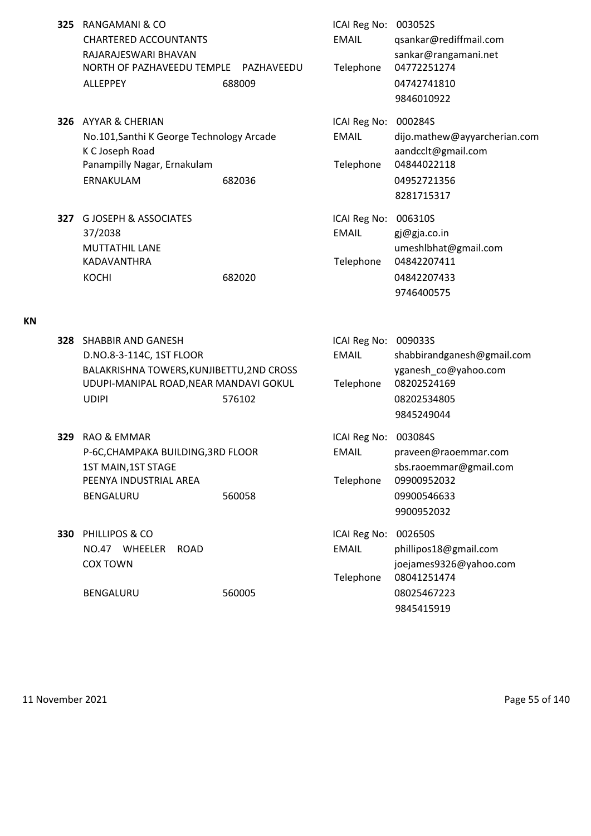- **325** RANGAMANI & CO **ICAI Reg No: 003052S** CHARTERED ACCOUNTANTS EMAIL qsankar@rediffmail.com RAJARAJESWARI BHAVAN and a sankar@rangamani.net NORTH OF PAZHAVEEDU TEMPLE PAZHAVEEDU Telephone 04772251274 ALLEPPEY 688009 688009 04742741810
- **326** AYYAR & CHERIAN **ICAI Reg No: 000284S** No.101,Santhi K George Technology Arcade EMAIL dijo.mathew@ayyarcherian.com K C Joseph Road aandcclt@gmail.com Panampilly Nagar, Ernakulam Telephone 04844022118 ERNAKULAM 682036 04952721356
- **327** G JOSEPH & ASSOCIATES **ICAI Reg No: 006310S** 37/2038 EMAIL gj@gja.co.in MUTTATHIL LANE umeshlbhat@gmail.com KADAVANTHRA Telephone 04842207411 KOCHI 682020 682020 04842207433

**KN**

**328** SHABBIR AND GANESH **ICAI REGISTER IN STATISTICAL REGISTER** ICAI Reg No: 009033S D.NO.8-3-114C, 1ST FLOOR EMAIL shabbirandganesh@gmail.com BALAKRISHNA TOWERS, KUNJIBETTU, 2ND CROSS yganesh co@yahoo.com UDUPI-MANIPAL ROAD,NEAR MANDAVI GOKUL Telephone 08202524169 UDIPI 576102 08202534805 9845249044 **329** RAO & EMMAR **ICAI Reg No: 003084S** P-6C,CHAMPAKA BUILDING,3RD FLOOR EMAIL praveen@raoemmar.com 1ST MAIN, 1ST STAGE States and the state of the state space sbs.raoemmar@gmail.com PEENYA INDUSTRIAL AREA Telephone 09900952032 BENGALURU 560058 09900546633 9900952032 **330** PHILLIPOS & CO **ICAI Reg No: 002650S** NO.47 WHEELER ROAD EMAIL phillipos18@gmail.com COX TOWN joejames9326@yahoo.com Telephone 08041251474 BENGALURU 560005 560005 08025467223 9845415919

9846010922

8281715317

9746400575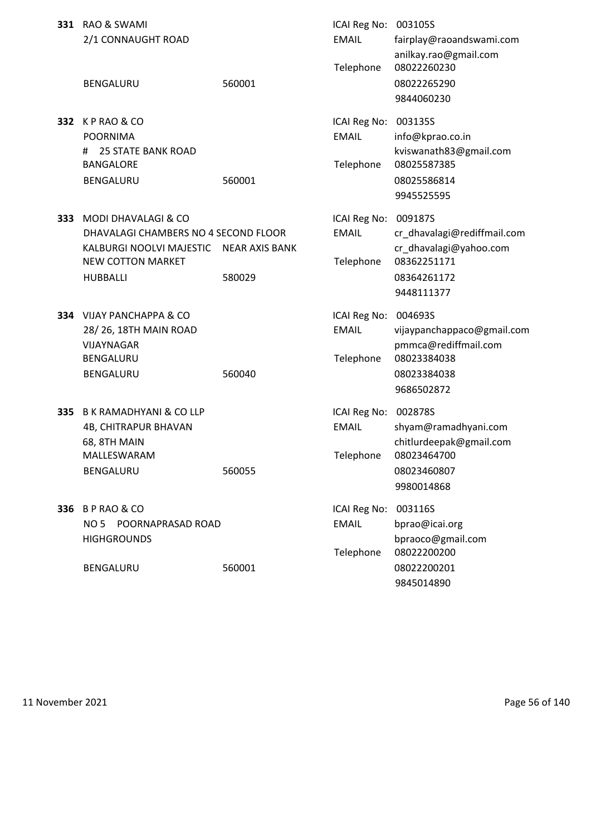|     | 331 RAO & SWAMI<br>2/1 CONNAUGHT ROAD                                                                                                             |                                 | ICAI Reg No: 003105S<br><b>EMAIL</b>      | fairplay@raoandswami.com<br>anilkay.rao@gmail.com                                                            |
|-----|---------------------------------------------------------------------------------------------------------------------------------------------------|---------------------------------|-------------------------------------------|--------------------------------------------------------------------------------------------------------------|
|     | BENGALURU                                                                                                                                         | 560001                          | Telephone                                 | 08022260230<br>08022265290<br>9844060230                                                                     |
|     | <b>332 KP RAO &amp; CO</b><br><b>POORNIMA</b><br><b>25 STATE BANK ROAD</b><br>#<br><b>BANGALORE</b><br>BENGALURU                                  | 560001                          | ICAI Reg No:<br><b>EMAIL</b><br>Telephone | 003135S<br>info@kprao.co.in<br>kviswanath83@gmail.com<br>08025587385<br>08025586814<br>9945525595            |
| 333 | <b>MODI DHAVALAGI &amp; CO</b><br>DHAVALAGI CHAMBERS NO 4 SECOND FLOOR<br>KALBURGI NOOLVI MAJESTIC<br><b>NEW COTTON MARKET</b><br><b>HUBBALLI</b> | <b>NEAR AXIS BANK</b><br>580029 | ICAI Reg No:<br><b>EMAIL</b><br>Telephone | 009187S<br>cr_dhavalagi@rediffmail.com<br>cr_dhavalagi@yahoo.com<br>08362251171<br>08364261172<br>9448111377 |
|     | 334 VIJAY PANCHAPPA & CO<br>28/26, 18TH MAIN ROAD<br>VIJAYNAGAR<br>BENGALURU<br>BENGALURU                                                         | 560040                          | ICAI Reg No:<br><b>EMAIL</b><br>Telephone | 004693S<br>vijaypanchappaco@gmail.com<br>pmmca@rediffmail.com<br>08023384038<br>08023384038<br>9686502872    |
| 335 | <b>B K RAMADHYANI &amp; CO LLP</b><br>4B, CHITRAPUR BHAVAN<br>68, 8TH MAIN<br>MALLESWARAM<br>BENGALURU                                            | 560055                          | ICAI Reg No:<br><b>EMAIL</b><br>Telephone | 002878S<br>shyam@ramadhyani.com<br>chitlurdeepak@gmail.com<br>08023464700<br>08023460807<br>9980014868       |
|     | 336 B P RAO & CO<br>NO 5 POORNAPRASAD ROAD<br><b>HIGHGROUNDS</b>                                                                                  |                                 | ICAI Reg No:<br><b>EMAIL</b><br>Telephone | 003116S<br>bprao@icai.org<br>bpraoco@gmail.com<br>08022200200                                                |
|     | BENGALURU                                                                                                                                         | 560001                          |                                           | 08022200201<br>9845014890                                                                                    |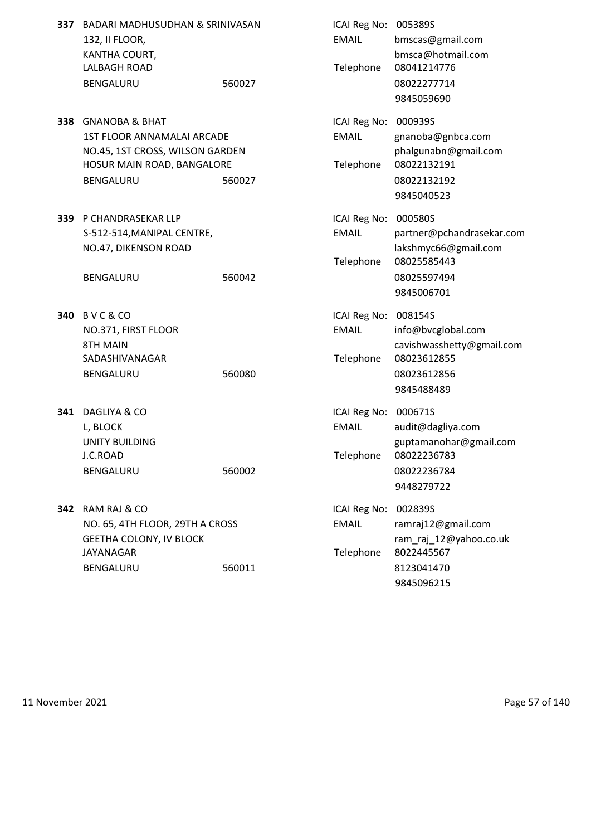| 337 | BADARI MADHUSUDHAN & SRINIVASAN<br>132, II FLOOR,<br>KANTHA COURT, |        | ICAI Reg No: 005389S<br><b>EMAIL</b> | bmscas@gmail.com<br>bmsca@hotmail.com |
|-----|--------------------------------------------------------------------|--------|--------------------------------------|---------------------------------------|
|     | <b>LALBAGH ROAD</b>                                                |        | Telephone                            | 08041214776                           |
|     | BENGALURU                                                          | 560027 |                                      | 08022277714                           |
|     |                                                                    |        |                                      | 9845059690                            |
| 338 | <b>GNANOBA &amp; BHAT</b>                                          |        | ICAI Reg No:                         | 000939S                               |
|     | 1ST FLOOR ANNAMALAI ARCADE                                         |        | <b>EMAIL</b>                         | gnanoba@gnbca.com                     |
|     | NO.45, 1ST CROSS, WILSON GARDEN                                    |        |                                      | phalgunabn@gmail.com                  |
|     | HOSUR MAIN ROAD, BANGALORE                                         |        | Telephone                            | 08022132191                           |
|     | BENGALURU                                                          | 560027 |                                      | 08022132192                           |
|     |                                                                    |        |                                      | 9845040523                            |
| 339 | P CHANDRASEKAR LLP                                                 |        | ICAI Reg No:                         | 000580S                               |
|     | S-512-514, MANIPAL CENTRE,                                         |        | <b>EMAIL</b>                         | partner@pchandrasekar.com             |
|     | NO.47, DIKENSON ROAD                                               |        |                                      | lakshmyc66@gmail.com                  |
|     |                                                                    |        | Telephone                            | 08025585443                           |
|     | BENGALURU                                                          | 560042 |                                      | 08025597494                           |
|     |                                                                    |        |                                      | 9845006701                            |
|     | 340 BVC&CO                                                         |        | ICAI Reg No:                         | 008154S                               |
|     | NO.371, FIRST FLOOR                                                |        | <b>EMAIL</b>                         | info@bvcglobal.com                    |
|     | 8TH MAIN                                                           |        |                                      | cavishwasshetty@gmail.com             |
|     | SADASHIVANAGAR                                                     |        | Telephone                            | 08023612855                           |
|     | BENGALURU                                                          | 560080 |                                      | 08023612856                           |
|     |                                                                    |        |                                      | 9845488489                            |
| 341 | DAGLIYA & CO                                                       |        | ICAI Reg No:                         | 000671S                               |
|     | L, BLOCK                                                           |        | <b>EMAIL</b>                         | audit@dagliya.com                     |
|     | <b>UNITY BUILDING</b>                                              |        |                                      | guptamanohar@gmail.com                |
|     | J.C.ROAD                                                           |        | Telephone                            | 08022236783                           |
|     | BENGALURU                                                          | 560002 |                                      | 08022236784                           |
|     |                                                                    |        |                                      | 9448279722                            |
|     | 342 RAM RAJ & CO                                                   |        | ICAI Reg No:                         | 002839S                               |
|     | NO. 65, 4TH FLOOR, 29TH A CROSS                                    |        | <b>EMAIL</b>                         | ramraj12@gmail.com                    |
|     | <b>GEETHA COLONY, IV BLOCK</b>                                     |        |                                      | ram_raj_12@yahoo.co.uk                |
|     | <b>JAYANAGAR</b>                                                   |        | Telephone                            | 8022445567                            |
|     | BENGALURU                                                          | 560011 |                                      | 8123041470                            |
|     |                                                                    |        |                                      | 9845096215                            |

11 November 2021 **Page 57 of 140**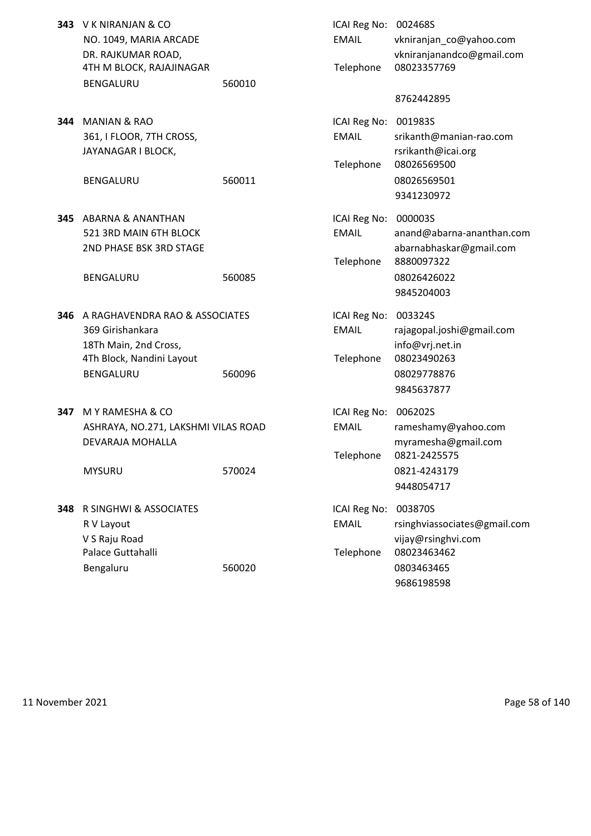| 343 V K NIRANJAN & CO    |        | ICAI Reg No: 002468S |                       |
|--------------------------|--------|----------------------|-----------------------|
| NO. 1049, MARIA ARCADE   |        | EMAIL                | vkniranjan co         |
| DR. RAJKUMAR ROAD.       |        |                      | vkniranjanano         |
| 4TH M BLOCK, RAJAJINAGAR |        |                      | Telephone 08023357769 |
| <b>BENGALURU</b>         | 560010 |                      |                       |

**344 MANIAN & RAO** 361, I FLOOR, 7TH CROSS, JAYANAGAR I BLOCK,

- **345** ABARNA & ANANTHAN 521 3RD MAIN 6TH BLOCK 2ND PHASE BSK 3RD STAGE
	- BENGALURU 560085
- **346** A RAGHAVENDRA RAO & ASSOCIATES 369 Girishankara 18Th Main, 2nd Cross. 4Th Block, Nandini Layout BENGALURU 560096
- **347** M Y RAMESHA & CO ASHRAYA, NO.271, LAKSHMI VILAS ROAD DEVARAJA MOHALLA

**348** R SINGHWI & ASSOCIATES R V Layout V S Raju Road Palace Guttahalli Bengaluru 560020 560020 0803463465

| V K NIRANJAN & CO<br>NO. 1049, MARIA ARCADE<br>DR. RAJKUMAR ROAD,<br>4TH M BLOCK, RAJAJINAGAR<br>BENGALURU                   | 560010 | ICAI Reg No: 002468S<br><b>EMAIL</b><br>Telephone | vkniranjan_co@yahoo.com<br>vkniranjanandco@gmail.com<br>08023357769                                    |
|------------------------------------------------------------------------------------------------------------------------------|--------|---------------------------------------------------|--------------------------------------------------------------------------------------------------------|
|                                                                                                                              |        |                                                   | 8762442895                                                                                             |
| <b>MANIAN &amp; RAO</b><br>361, I FLOOR, 7TH CROSS,<br>JAYANAGAR I BLOCK,<br><b>BENGALURU</b>                                | 560011 | ICAI Reg No: 001983S<br><b>EMAIL</b><br>Telephone | srikanth@manian-rao.com<br>rsrikanth@icai.org<br>08026569500<br>08026569501<br>9341230972              |
| ABARNA & ANANTHAN<br>521 3RD MAIN 6TH BLOCK<br>2ND PHASE BSK 3RD STAGE<br><b>BENGALURU</b>                                   | 560085 | ICAI Reg No: 000003S<br><b>EMAIL</b><br>Telephone | anand@abarna-ananthan.com<br>abarnabhaskar@gmail.com<br>8880097322<br>08026426022                      |
| A RAGHAVENDRA RAO & ASSOCIATES<br>369 Girishankara<br>18Th Main, 2nd Cross,<br>4Th Block, Nandini Layout<br><b>BENGALURU</b> | 560096 | ICAI Reg No: 003324S<br><b>EMAIL</b><br>Telephone | 9845204003<br>rajagopal.joshi@gmail.com<br>info@vrj.net.in<br>08023490263<br>08029778876<br>9845637877 |
| M Y RAMESHA & CO<br>ASHRAYA, NO.271, LAKSHMI VILAS ROAD<br>DEVARAJA MOHALLA<br><b>MYSURU</b>                                 | 570024 | ICAI Reg No:<br><b>EMAIL</b><br>Telephone         | 006202S<br>rameshamy@yahoo.com<br>myramesha@gmail.com<br>0821-2425575<br>0821-4243179<br>9448054717    |
| R SINGHWI & ASSOCIATES<br>R V Layout<br>V S Raju Road<br>Palace Guttahalli                                                   |        | ICAI Reg No:<br><b>EMAIL</b><br>Telephone         | 003870S<br>rsinghviassociates@gmail.com<br>vijay@rsinghvi.com<br>08023463462                           |
|                                                                                                                              |        |                                                   |                                                                                                        |

9686198598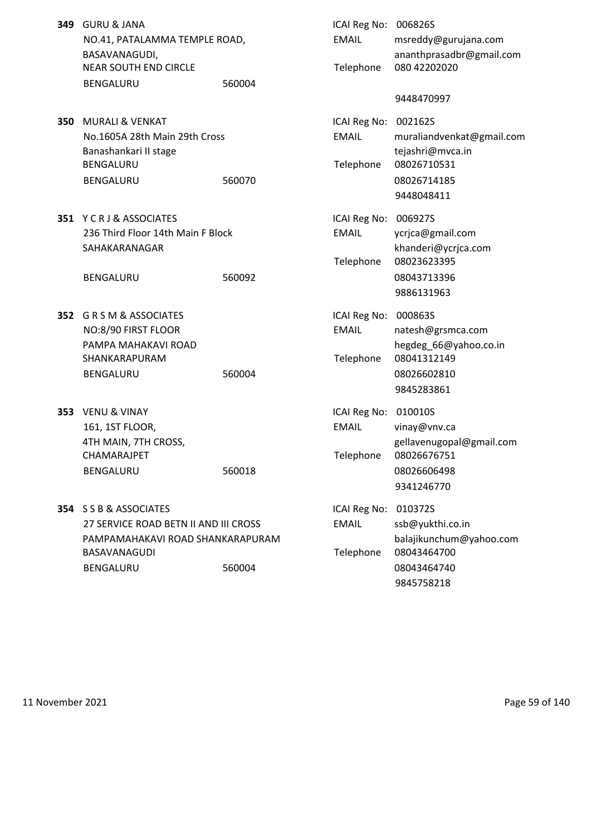- **349** GURU & JANA NO.41, PATALAMMA TEMPLE ROAD, BASAVANAGUDI, NEAR SOUTH END CIRCLE BENGALURU 560004
- **350 MURALI & VENKAT** No.1605A 28th Main 29th Cross Banashankari II stage BENGALURU BENGALURU 560070
- **351 Y C R J & ASSOCIATES** 236 Third Floor 14th Main F Block SAHAKARANAGAR

BENGALURU 560092

- **352** G R S M & ASSOCIATES NO:8/90 FIRST FLOOR PAMPA MAHAKAVI ROAD SHANKARAPURAM BENGALURU 560004
- **353** VENU & VINAY 161, 1ST FLOOR, 4TH MAIN, 7TH CROSS, CHAMARAJPET BENGALURU 560018

**354** S S B & ASSOCIATES 27 SERVICE ROAD BETN II AND III CROSS PAMPAMAHAKAVI ROAD SHANKARAPURAM BASAVANAGUDI BENGALURU 560004

| ICAI Reg No:<br><b>EMAIL</b><br>Telephone         | 006826S<br>msreddy@gurujana.com<br>ananthprasadbr@gmail.com<br>080 42202020               |
|---------------------------------------------------|-------------------------------------------------------------------------------------------|
|                                                   | 9448470997                                                                                |
| ICAI Reg No: 002162S<br><b>FMAIL</b><br>Telephone | muraliandvenkat@gmail.com<br>tejashri@mvca.in<br>08026710531<br>08026714185<br>9448048411 |
| ICAI Reg No: 006927S<br><b>EMAIL</b>              | ycrjca@gmail.com<br>khanderi@ycrjca.com                                                   |
| Telephone                                         | 08023623395<br>08043713396<br>9886131963                                                  |
| ICAI Reg No:                                      | 000863S                                                                                   |
| <b>EMAIL</b>                                      | natesh@grsmca.com                                                                         |
| Telephone                                         | hegdeg_66@yahoo.co.in<br>08041312149<br>08026602810                                       |
|                                                   | 9845283861                                                                                |
| ICAI Reg No: 010010S<br><b>EMAIL</b>              | vinay@vnv.ca                                                                              |
| Telephone                                         | gellavenugopal@gmail.com<br>08026676751<br>08026606498<br>9341246770                      |
| ICAI Reg No:                                      | 010372S                                                                                   |
| <b>EMAIL</b>                                      | ssb@yukthi.co.in                                                                          |
| Telephone                                         | balajikunchum@yahoo.com<br>08043464700<br>08043464740                                     |
|                                                   |                                                                                           |

9845758218

11 November 2021 **Page 59 of 140**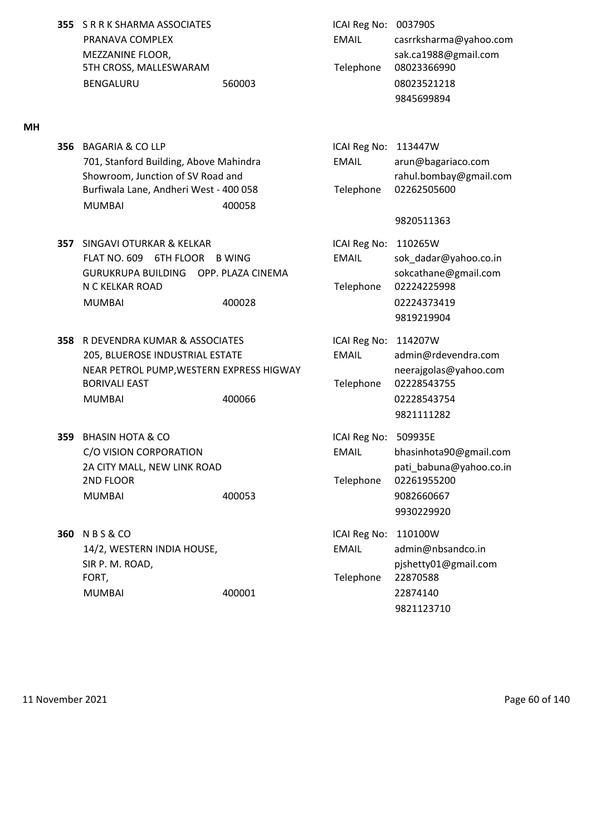**355** S R R K SHARMA ASSOCIATES **ICAI Reg No: 003790S** 5TH CROSS, MALLESWARAM Telephone 08023366990 BENGALURU 560003 08023521218

## **MH**

**356 BAGARIA & CO LLP** 701, Stanford Building, Above Mahindra Showroom, Junction of SV Road and Burfiwala Lane, Andheri West - 400 058 MUMBAI 400058

**357** SINGAVI OTURKAR & KELKAR ICAI Reg No: 110265W FLAT NO. 609 6TH FLOOR B WING EMAIL sok dadar@yahoo.co.in GURUKRUPA BUILDING OPP. PLAZA CINEMA SOKCathane@gmail.com N C KELKAR ROAD Telephone 02224225998 MUMBAI 400028 02224373419

**358** R DEVENDRA KUMAR & ASSOCIATES **ICAI Reg No: 114207W** 205, BLUEROSE INDUSTRIAL ESTATE EMAIL admin@rdevendra.com NEAR PETROL PUMP, WESTERN EXPRESS HIGWAY neerajgolas@yahoo.com BORIVALI EAST **Telephone** 02228543755 MUMBAI 400066 02228543754

- **359** BHASIN HOTA & CO **ICAI REGISTED ICAI Reg No: 509935E** 2ND FLOOR Telephone 02261955200 MUMBAI 400053 9082660667
- **360** N B S & CO **ICAI Reg No: 110100W** FORT, **Telephone 22870588** MUMBAI 400001 400001

PRANAVA COMPLEX EMAIL casrrksharma@yahoo.com MEZZANINE FLOOR, and the same of the same of the sake of the sake sake and sake and sake and sake and sake and sake and sake and sake and sake and sake and sake and sake and sake and sake and sake and sake and sake and sak 9845699894

| ICAI Reg No: 113447W |                        |
|----------------------|------------------------|
| EMAIL                | arun@bagariaco.com     |
|                      | rahul.bombay@gmail.com |
| Telephone            | 02262505600            |

## 9820511363

9819219904

9821111282

C/O VISION CORPORATION EMAIL bhasinhota90@gmail.com 2A CITY MALL, NEW LINK ROAD **patition of the set of the contract of the contract of the contract of the contract of the contract of the contract of the contract of the contract of the contract of the contract of the contra** 9930229920

14/2, WESTERN INDIA HOUSE, EMAIL admin@nbsandco.in SIR P. M. ROAD, pjshetty01@gmail.com 9821123710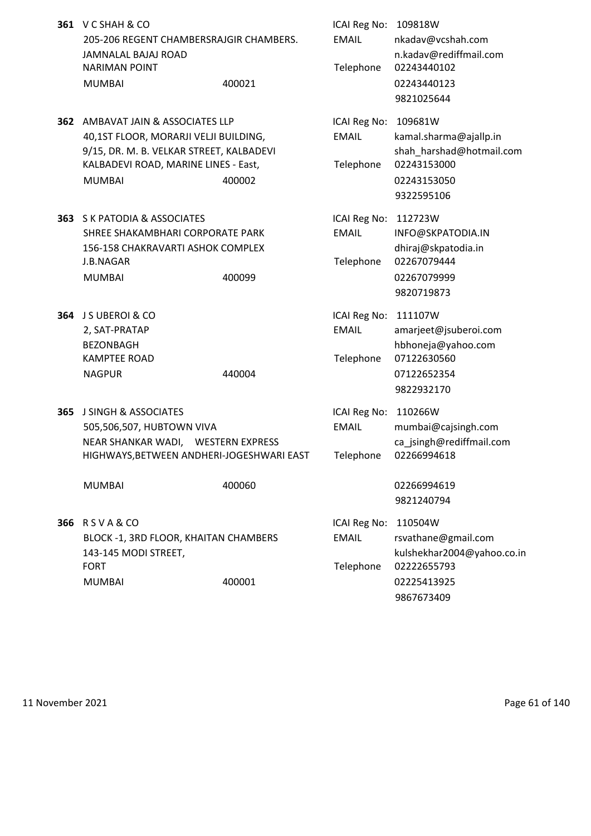|     | 361 V C SHAH & CO<br>205-206 REGENT CHAMBERSRAJGIR CHAMBERS.<br>JAMNALAL BAJAJ ROAD<br><b>NARIMAN POINT</b><br><b>MUMBAI</b>                                                               | 400021 | ICAI Reg No: 109818W<br><b>EMAIL</b><br>Telephone | nkadav@vcshah.com<br>n.kadav@rediffmail.com<br>02243440102<br>02243440123<br>9821025644                   |
|-----|--------------------------------------------------------------------------------------------------------------------------------------------------------------------------------------------|--------|---------------------------------------------------|-----------------------------------------------------------------------------------------------------------|
|     | <b>362 AMBAVAT JAIN &amp; ASSOCIATES LLP</b><br>40,1ST FLOOR, MORARJI VELJI BUILDING,<br>9/15, DR. M. B. VELKAR STREET, KALBADEVI<br>KALBADEVI ROAD, MARINE LINES - East,<br><b>MUMBAI</b> | 400002 | ICAI Reg No:<br><b>EMAIL</b><br>Telephone         | 109681W<br>kamal.sharma@ajallp.in<br>shah_harshad@hotmail.com<br>02243153000<br>02243153050<br>9322595106 |
|     | <b>363 S K PATODIA &amp; ASSOCIATES</b><br>SHREE SHAKAMBHARI CORPORATE PARK<br>156-158 CHAKRAVARTI ASHOK COMPLEX<br>J.B.NAGAR<br><b>MUMBAI</b>                                             | 400099 | ICAI Reg No:<br><b>EMAIL</b><br>Telephone         | 112723W<br>INFO@SKPATODIA.IN<br>dhiraj@skpatodia.in<br>02267079444<br>02267079999<br>9820719873           |
|     | 364 J S UBEROI & CO<br>2, SAT-PRATAP<br><b>BEZONBAGH</b><br><b>KAMPTEE ROAD</b><br><b>NAGPUR</b>                                                                                           | 440004 | ICAI Reg No:<br><b>EMAIL</b><br>Telephone         | 111107W<br>amarjeet@jsuberoi.com<br>hbhoneja@yahoo.com<br>07122630560<br>07122652354<br>9822932170        |
| 365 | <b>J SINGH &amp; ASSOCIATES</b><br>505,506,507, HUBTOWN VIVA<br>NEAR SHANKAR WADI, WESTERN EXPRESS<br>HIGHWAYS, BETWEEN ANDHERI-JOGESHWARI EAST<br><b>MUMBAI</b>                           | 400060 | ICAI Reg No:<br><b>EMAIL</b><br>Telephone         | 110266W<br>mumbai@cajsingh.com<br>ca jsingh@rediffmail.com<br>02266994618<br>02266994619<br>9821240794    |
|     | 366 RSVA&CO<br>BLOCK -1, 3RD FLOOR, KHAITAN CHAMBERS<br>143-145 MODI STREET,<br><b>FORT</b><br><b>MUMBAI</b>                                                                               | 400001 | <b>ICAI Reg No:</b><br><b>EMAIL</b><br>Telephone  | 110504W<br>rsvathane@gmail.com<br>kulshekhar2004@yahoo.co.in<br>02222655793<br>02225413925<br>9867673409  |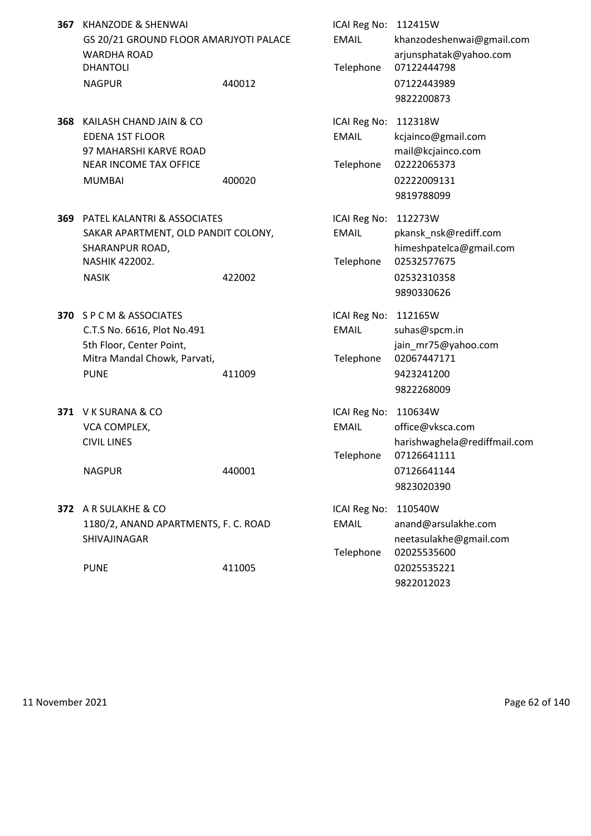- **367** KHANZODE & SHENWAI GS 20/21 GROUND FLOOR AMARJYOTI PALACE WARDHA ROAD DHANTOLI NAGPUR 440012 440012
- **368** KAILASH CHAND JAIN & CO EDENA 1ST FLOOR 97 MAHARSHI KARVE ROAD NEAR INCOME TAX OFFICE MUMBAI 400020 400020 02222009131
- **369** PATEL KALANTRI & ASSOCIATES SAKAR APARTMENT, OLD PANDIT COLONY, SHARANPUR ROAD, NASHIK 422002.
- **370** S P C M & ASSOCIATES C.T.S No. 6616, Plot No.491 5th Floor, Center Point, Mitra Mandal Chowk, Parvati, PUNE 411009 9423241200
- **371 V K SURANA & CO** VCA COMPLEX,

**372** A R SULAKHE & CO 1180/2, ANAND APARTMENTS, F. C. ROAD SHIVAJINAGAR

| KHANZODE & SHENWAI                                                                                           |        | ICAI Reg No: 112415W                      |                                                                    |
|--------------------------------------------------------------------------------------------------------------|--------|-------------------------------------------|--------------------------------------------------------------------|
| GS 20/21 GROUND FLOOR AMARJYOTI PALACE<br>WARDHA ROAD<br><b>DHANTOLI</b>                                     |        | <b>EMAIL</b><br>Telephone                 | khanzodeshenwai@gmail.com<br>arjunsphatak@yahoo.com<br>07122444798 |
| <b>NAGPUR</b>                                                                                                | 440012 |                                           | 07122443989<br>9822200873                                          |
| KAILASH CHAND JAIN & CO<br><b>EDENA 1ST FLOOR</b><br>97 MAHARSHI KARVE ROAD<br><b>NEAR INCOME TAX OFFICE</b> |        | ICAI Reg No:<br><b>EMAIL</b><br>Telephone | 112318W<br>kcjainco@gmail.com<br>mail@kcjainco.com<br>02222065373  |
| <b>MUMBAI</b>                                                                                                | 400020 |                                           | 02222009131<br>9819788099                                          |
| PATEL KALANTRI & ASSOCIATES<br>SAKAR APARTMENT, OLD PANDIT COLONY,<br>SHARANPUR ROAD,                        |        | ICAI Reg No:<br><b>EMAIL</b>              | 112273W<br>pkansk_nsk@rediff.com<br>himeshpatelca@gmail.com        |
| NASHIK 422002.<br><b>NASIK</b>                                                                               | 422002 | Telephone                                 | 02532577675<br>02532310358<br>9890330626                           |
| S P C M & ASSOCIATES<br>C.T.S No. 6616, Plot No.491<br>5th Floor, Center Point,                              |        | ICAI Reg No:<br><b>EMAIL</b>              | 112165W<br>suhas@spcm.in<br>jain_mr75@yahoo.com                    |
| Mitra Mandal Chowk, Parvati,<br><b>PUNE</b>                                                                  | 411009 | Telephone                                 | 02067447171<br>9423241200<br>9822268009                            |
| V K SURANA & CO<br>VCA COMPLEX,<br><b>CIVIL LINES</b>                                                        |        | ICAI Reg No:<br><b>EMAIL</b>              | 110634W<br>office@vksca.com<br>harishwaghela@rediffmail.com        |
| <b>NAGPUR</b>                                                                                                | 440001 | Telephone                                 | 07126641111<br>07126641144<br>9823020390                           |
| A R SULAKHE & CO<br>1180/2, ANAND APARTMENTS, F. C. ROAD<br>SHIVAJINAGAR                                     |        | ICAI Reg No:<br><b>EMAIL</b>              | 110540W<br>anand@arsulakhe.com<br>neetasulakhe@gmail.com           |
| <b>PUNE</b>                                                                                                  | 411005 | Telephone                                 | 02025535600<br>02025535221<br>9822012023                           |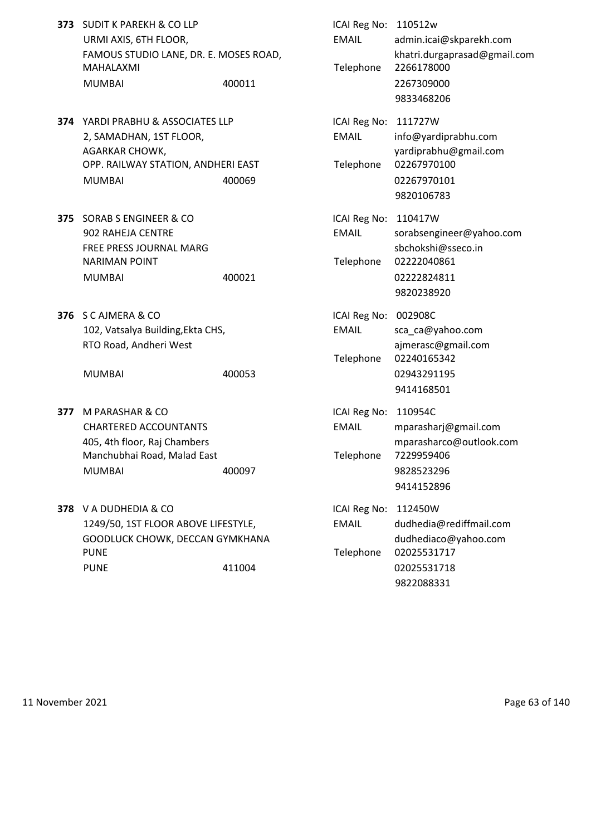- **373** SUDIT K PAREKH & CO LLP URMI AXIS, 6TH FLOOR, FAMOUS STUDIO LANE, DR. E. MOSES ROAD, MAHALAXMI MUMBAI 400011 400011 2267309000
- **374** YARDI PRABHU & ASSOCIATES LLP 2, SAMADHAN, 1ST FLOOR, AGARKAR CHOWK, OPP. RAILWAY STATION, ANDHERI EAST MUMBAI 400069 400069
- **375** SORAB S ENGINEER & CO 902 RAHEJA CENTRE FREE PRESS JOURNAL MARG **NARIMAN POINT** MUMBAI 400021 400021
- **376** S C AJMERA & CO 102, Vatsalya Building, Ekta CHS, RTO Road, Andheri West

- **377 M PARASHAR & CO** CHARTERED ACCOUNTANTS 405, 4th floor, Raj Chambers Manchubhai Road, Malad East MUMBAI 400097 400097
- **378** V A DUDHEDIA & CO 1249/50, 1ST FLOOR ABOVE LIFESTYLE, GOODLUCK CHOWK, DECCAN GYMKHANA PUNE PUNE Telephone 02025531717 PUNE 11004 411004

| <b>SUDIT K PAREKH &amp; CO LLP</b><br>URMI AXIS, 6TH FLOOR,<br>FAMOUS STUDIO LANE, DR. E. MOSES ROAD,<br>MAHALAXMI<br><b>MUMBAI</b> | 400011 | ICAI Reg No: 110512w<br><b>EMAIL</b><br>Telephone | admin.icai@skparekh.com<br>khatri.durgaprasad@gmail.com<br>2266178000<br>2267309000<br>9833468206       |
|-------------------------------------------------------------------------------------------------------------------------------------|--------|---------------------------------------------------|---------------------------------------------------------------------------------------------------------|
| YARDI PRABHU & ASSOCIATES LLP<br>2, SAMADHAN, 1ST FLOOR,<br>AGARKAR CHOWK,<br>OPP. RAILWAY STATION, ANDHERI EAST<br><b>MUMBAI</b>   | 400069 | ICAI Reg No: 111727W<br><b>EMAIL</b><br>Telephone | info@yardiprabhu.com<br>yardiprabhu@gmail.com<br>02267970100<br>02267970101<br>9820106783               |
| SORAB S ENGINEER & CO<br>902 RAHEJA CENTRE<br>FREE PRESS JOURNAL MARG<br>NARIMAN POINT<br>MUMBAI                                    | 400021 | ICAI Reg No: 110417W<br><b>EMAIL</b><br>Telephone | sorabsengineer@yahoo.com<br>sbchokshi@sseco.in<br>02222040861<br>02222824811<br>9820238920              |
| <b>S C AJMERA &amp; CO</b><br>102, Vatsalya Building, Ekta CHS,<br>RTO Road, Andheri West<br>MUMBAI                                 | 400053 | ICAI Reg No: 002908C<br><b>EMAIL</b><br>Telephone | sca_ca@yahoo.com<br>ajmerasc@gmail.com<br>02240165342<br>02943291195                                    |
| M PARASHAR & CO<br>CHARTERED ACCOUNTANTS<br>405, 4th floor, Raj Chambers<br>Manchubhai Road, Malad East<br><b>MUMBAI</b>            | 400097 | ICAI Reg No: 110954C<br><b>EMAIL</b><br>Telephone | 9414168501<br>mparasharj@gmail.com<br>mparasharco@outlook.com<br>7229959406<br>9828523296<br>9414152896 |
| V A DUDHEDIA & CO<br>1249/50, 1ST FLOOR ABOVE LIFESTYLE,<br>GOODLUCK CHOWK, DECCAN GYMKHANA<br>PUNE<br><b>PUNE</b>                  | 411004 | <b>ICAI Reg No:</b><br><b>EMAIL</b><br>Telephone  | 112450W<br>dudhedia@rediffmail.com<br>dudhediaco@yahoo.com<br>02025531717<br>02025531718<br>9822088331  |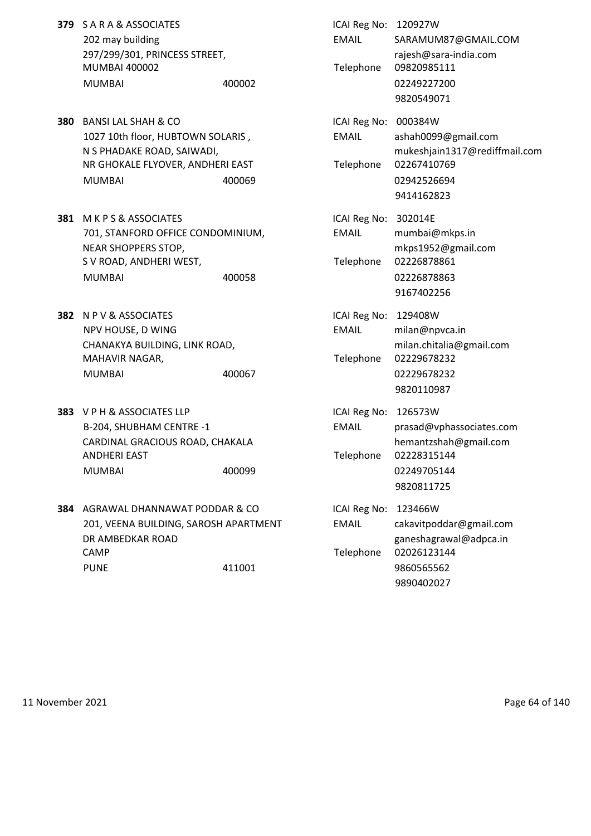- **379** S A R A & ASSOCIATES 202 may building 297/299/301, PRINCESS STREET, MUMBAI 400002 MUMBAI 400002 400002
- **380 BANSI LAL SHAH & CO** 1027 10th floor, HUBTOWN SOLARIS, N S PHADAKE ROAD, SAIWADI, NR GHOKALE FLYOVER, ANDHERI EAST MUMBAI 400069 400069
- **381 M K P S & ASSOCIATES** 701, STANFORD OFFICE CONDOMINIUM, NEAR SHOPPERS STOP, S V ROAD, ANDHERI WEST, MUMBAI 400058 400058
- **382** N P V & ASSOCIATES NPV HOUSE, D WING CHANAKYA BUILDING, LINK ROAD, MAHAVIR NAGAR, MUMBAI 400067 400067
- **383** V P H & ASSOCIATES LLP B-204, SHUBHAM CENTRE -1 CARDINAL GRACIOUS ROAD, CHAKALA **ANDHERI EAST** MUMBAI 400099 400099 400099
- **384** AGRAWAL DHANNAWAT PODDAR & CO 201, VEENA BUILDING, SAROSH APARTMENT DR AMBEDKAR ROAD CAMP CAMP CAMP CAMP PUNE 9860565562

| ICAI Reg No:<br><b>FMAIL</b><br>Telephone | 120927W<br>SARAMUM87@GMAIL.COM<br>rajesh@sara-india.com<br>09820985111<br>02249227200<br>9820549071         |
|-------------------------------------------|-------------------------------------------------------------------------------------------------------------|
| ICAI Reg No:<br><b>FMAIL</b><br>Telephone | 000384W<br>ashah0099@gmail.com<br>mukeshjain1317@rediffmail.com<br>02267410769<br>02942526694<br>9414162823 |
| ICAI Reg No:<br><b>EMAIL</b><br>Telephone | 302014E<br>mumbai@mkps.in<br>mkps1952@gmail.com<br>02226878861<br>02226878863<br>9167402256                 |
| ICAI Reg No:<br><b>EMAIL</b><br>Telephone | 129408W<br>milan@npvca.in<br>milan.chitalia@gmail.com<br>02229678232<br>02229678232<br>9820110987           |
| ICAI Reg No:<br><b>EMAIL</b><br>Telephone | 126573W<br>prasad@vphassociates.com<br>hemantzshah@gmail.com<br>02228315144<br>02249705144<br>9820811725    |
| ICAI Reg No:<br><b>EMAIL</b><br>Telephone | 123466W<br>cakavitpoddar@gmail.com<br>ganeshagrawal@adpca.in<br>02026123144<br>9860565562<br>9890402027     |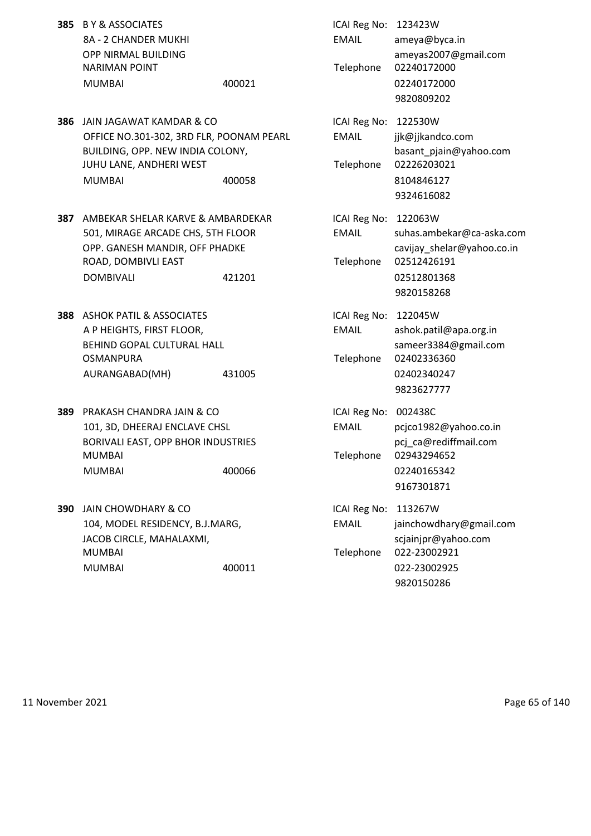| <b>385 BY &amp; ASSOCIATES</b> |        | ICAI Reg No: 123423W |                       |
|--------------------------------|--------|----------------------|-----------------------|
| 8A - 2 CHANDER MUKHI           |        | EMAIL                | ameya@byca.in         |
| OPP NIRMAL BUILDING            |        |                      | ameyas2007@g          |
| NARIMAN POINT                  |        |                      | Telephone 02240172000 |
| MUMBAI                         | 400021 |                      | 02240172000           |

- **386** JAIN JAGAWAT KAMDAR & CO OFFICE NO.301-302, 3RD FLR, POONAM PEARL BUILDING, OPP. NEW INDIA COLONY, JUHU LANE, ANDHERI WEST MUMBAI 400058 400058
- **387** AMBEKAR SHELAR KARVE & AMBARDEKAR 501, MIRAGE ARCADE CHS, 5TH FLOOR OPP. GANESH MANDIR, OFF PHADKE ROAD, DOMBIVLI EAST DOMBIVALI 421201
- **388** ASHOK PATIL & ASSOCIATES A P HEIGHTS, FIRST FLOOR, BEHIND GOPAL CULTURAL HALL **OSMANPURA** AURANGABAD(MH) 431005
- **389 PRAKASH CHANDRA JAIN & CO** 101, 3D, DHEERAJ ENCLAVE CHSL BORIVALI EAST, OPP BHOR INDUSTRIES MUMBAI 2009 12943294652 MUMBAI 400066 400066 02240165342
- **390** JAIN CHOWDHARY & CO 104, MODEL RESIDENCY, B.J.MARG, JACOB CIRCLE, MAHALAXMI, MUMBAI Telephone 022-23002921 MUMBAI 400011 400011

| <b>BY &amp; ASSOCIATES</b><br>8A - 2 CHANDER MUKHI<br>OPP NIRMAL BUILDING<br><b>NARIMAN POINT</b><br><b>MUMBAI</b>                                   | 400021 | ICAI Reg No:<br><b>EMAIL</b><br>Telephone | 123423W<br>ameya@byca.in<br>ameyas2007@gmail.com<br>02240172000<br>02240172000<br>9820809202                   |
|------------------------------------------------------------------------------------------------------------------------------------------------------|--------|-------------------------------------------|----------------------------------------------------------------------------------------------------------------|
| JAIN JAGAWAT KAMDAR & CO<br>OFFICE NO.301-302, 3RD FLR, POONAM PEARL<br>BUILDING, OPP. NEW INDIA COLONY,<br>JUHU LANE, ANDHERI WEST<br><b>MUMBAI</b> | 400058 | ICAI Reg No:<br><b>EMAIL</b><br>Telephone | 122530W<br>jjk@jjkandco.com<br>basant pjain@yahoo.com<br>02226203021<br>8104846127<br>9324616082               |
| AMBEKAR SHELAR KARVE & AMBARDEKAR<br>501, MIRAGE ARCADE CHS, 5TH FLOOR<br>OPP. GANESH MANDIR, OFF PHADKE<br>ROAD, DOMBIVLI EAST<br><b>DOMBIVALI</b>  | 421201 | ICAI Reg No:<br>EMAIL<br>Telephone        | 122063W<br>suhas.ambekar@ca-aska.com<br>cavijay_shelar@yahoo.co.in<br>02512426191<br>02512801368<br>9820158268 |
| <b>ASHOK PATIL &amp; ASSOCIATES</b><br>A P HEIGHTS, FIRST FLOOR,<br>BEHIND GOPAL CULTURAL HALL<br>OSMANPURA<br>AURANGABAD(MH)                        | 431005 | ICAI Reg No:<br><b>EMAIL</b><br>Telephone | 122045W<br>ashok.patil@apa.org.in<br>sameer3384@gmail.com<br>02402336360<br>02402340247<br>9823627777          |
| PRAKASH CHANDRA JAIN & CO<br>101, 3D, DHEERAJ ENCLAVE CHSL<br>BORIVALI EAST, OPP BHOR INDUSTRIES<br>MUMBAI<br><b>MUMBAI</b>                          | 400066 | ICAI Reg No:<br><b>EMAIL</b><br>Telephone | 002438C<br>pcjco1982@yahoo.co.in<br>pcj_ca@rediffmail.com<br>02943294652<br>02240165342<br>9167301871          |
| <b>JAIN CHOWDHARY &amp; CO</b><br>104, MODEL RESIDENCY, B.J.MARG,<br>JACOB CIRCLE, MAHALAXMI,<br>MUMBAI<br><b>MUMBAI</b>                             | 400011 | ICAI Reg No:<br><b>EMAIL</b><br>Telephone | 113267W<br>jainchowdhary@gmail.com<br>scjainjpr@yahoo.com<br>022-23002921<br>022-23002925                      |

9820150286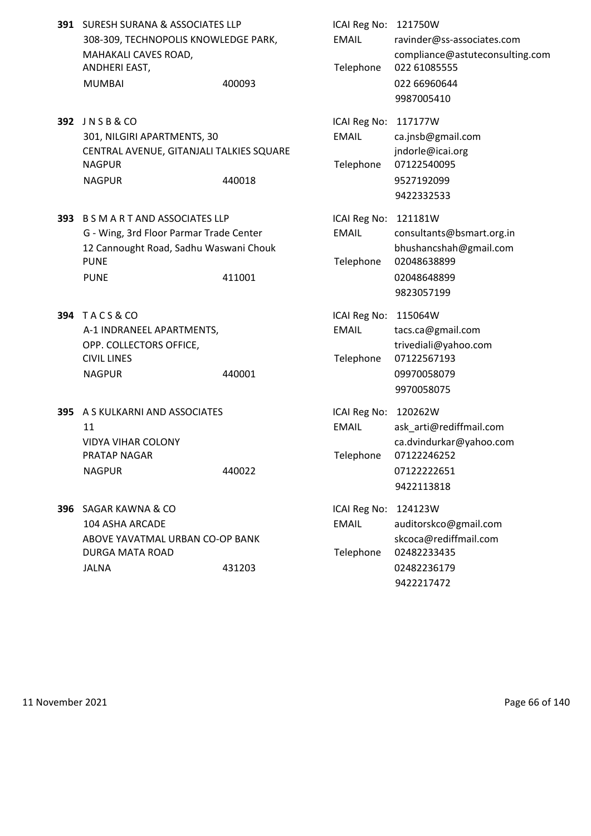|     | 391 SURESH SURANA & ASSOCIATES LLP<br>308-309, TECHNOPOLIS KNOWLEDGE PARK,<br>MAHAKALI CAVES ROAD,<br>ANDHERI EAST,<br><b>MUMBAI</b>                     | 400093 | ICAI Reg No: 121750W<br><b>EMAIL</b><br>Telephone | ravinder@ss-associates.com<br>compliance@astuteconsulting.com<br>022 61085555<br>022 66960644<br>9987005410 |
|-----|----------------------------------------------------------------------------------------------------------------------------------------------------------|--------|---------------------------------------------------|-------------------------------------------------------------------------------------------------------------|
|     | 392 JNSB&CO<br>301, NILGIRI APARTMENTS, 30<br>CENTRAL AVENUE, GITANJALI TALKIES SQUARE<br><b>NAGPUR</b><br><b>NAGPUR</b>                                 | 440018 | ICAI Reg No: 117177W<br><b>EMAIL</b><br>Telephone | ca.jnsb@gmail.com<br>jndorle@icai.org<br>07122540095<br>9527192099<br>9422332533                            |
| 393 | <b>B S M A R T AND ASSOCIATES LLP</b><br>G - Wing, 3rd Floor Parmar Trade Center<br>12 Cannought Road, Sadhu Waswani Chouk<br><b>PUNE</b><br><b>PUNE</b> | 411001 | ICAI Reg No: 121181W<br><b>EMAIL</b><br>Telephone | consultants@bsmart.org.in<br>bhushancshah@gmail.com<br>02048638899<br>02048648899<br>9823057199             |
|     | <b>394 TACS&amp;CO</b><br>A-1 INDRANEEL APARTMENTS,<br>OPP. COLLECTORS OFFICE,<br><b>CIVIL LINES</b><br><b>NAGPUR</b>                                    | 440001 | ICAI Reg No: 115064W<br><b>EMAIL</b><br>Telephone | tacs.ca@gmail.com<br>trivediali@yahoo.com<br>07122567193<br>09970058079<br>9970058075                       |
| 395 | A S KULKARNI AND ASSOCIATES<br>11<br><b>VIDYA VIHAR COLONY</b><br>PRATAP NAGAR<br><b>NAGPUR</b>                                                          | 440022 | ICAI Reg No: 120262W<br><b>EMAIL</b><br>Telephone | ask_arti@rediffmail.com<br>ca.dvindurkar@yahoo.com<br>07122246252<br>07122222651<br>9422113818              |
|     | 396 SAGAR KAWNA & CO<br>104 ASHA ARCADE<br>ABOVE YAVATMAL URBAN CO-OP BANK<br>DURGA MATA ROAD<br><b>JALNA</b>                                            | 431203 | ICAI Reg No: 124123W<br><b>EMAIL</b><br>Telephone | auditorskco@gmail.com<br>skcoca@rediffmail.com<br>02482233435<br>02482236179<br>9422217472                  |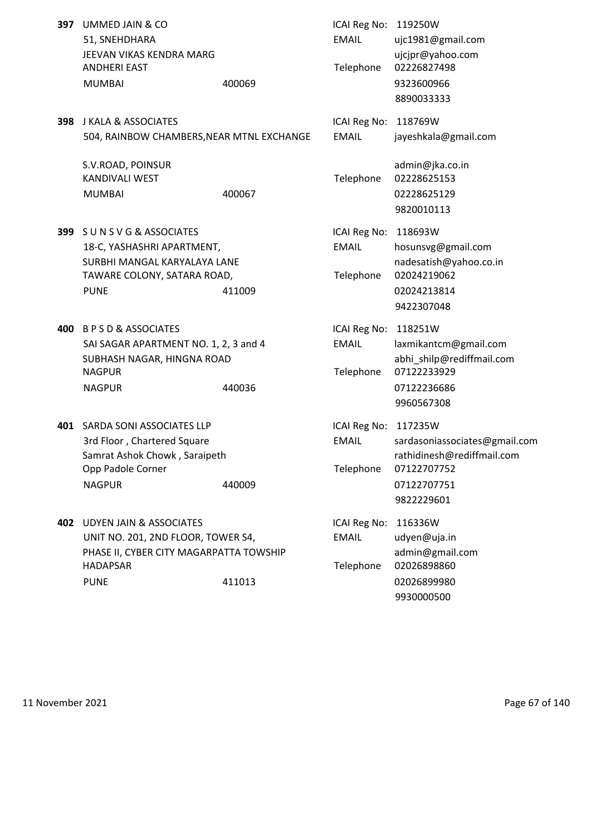| <b>397</b> UMMED JAIN & CO |        |
|----------------------------|--------|
| 51. SNEHDHARA              |        |
| JEEVAN VIKAS KENDRA MARG   |        |
| ANDHERI EAST               |        |
| MUMBAI                     | 400069 |
|                            |        |

**398** J KALA & ASSOCIATES **ICAI REG NO: 118769W** 504, RAINBOW CHAMBERS,NEAR MTNL EXCHANGE EMAIL jayeshkala@gmail.com

S.V.ROAD, POINSUR and the state of the state of the state of the state of the state of the state of the state of the state of the state of the state of the state of the state of the state of the state of the state of the s KANDIVALI WEST Telephone 02228625153 MUMBAI 400067 02228625129

- **399** S U N S V G & ASSOCIATES ICAI Reg No: 118693W 18-C, YASHASHRI APARTMENT, EMAIL hosunsvg@gmail.com TAWARE COLONY, SATARA ROAD, Telephone 02024219062 PUNE 202024213814
- **400** B P S D & ASSOCIATES ICAI Reg No: 118251W SAI SAGAR APARTMENT NO. 1, 2, 3 and 4 EMAIL laxmikantcm@gmail.com NAGPUR Telephone 07122233929 NAGPUR 440036 07122236686
- **401** SARDA SONI ASSOCIATES LLP **ICAI Reg No: 117235W** Opp Padole Corner Telephone 07122707752 NAGPUR 440009 440009 07122707751
- **402** UDYEN JAIN & ASSOCIATES **ICAI Reg No: 116336W** UNIT NO. 201, 2ND FLOOR, TOWER S4, EMAIL udyen@uja.in PHASE II, CYBER CITY MAGARPATTA TOWSHIP admin@gmail.com HADAPSAR Telephone 02026898860 PUNE 202026899980 202026899980

**ICAI Reg No: 119250W** EMAIL ujc1981@gmail.com uicipr@yahoo.com Telephone 02226827498 9323600966 8890033333 9820010113 SURBHI MANGAL KARYALAYA LANE nadesatish@yahoo.co.in 9422307048 SUBHASH NAGAR, HINGNA ROAD **abhi\_shilp@rediffmail.com** 9960567308 3rd Floor , Chartered Square EMAIL sardasoniassociates@gmail.com Samrat Ashok Chowk, Saraipeth rathidinesh@rediffmail.com 9822229601

9930000500

11 November 2021 2021 2021 2021 2022 2023 2024 2024 2025 2020 2021 2022 2034 2036 2041 2022 2021 2022 2021 202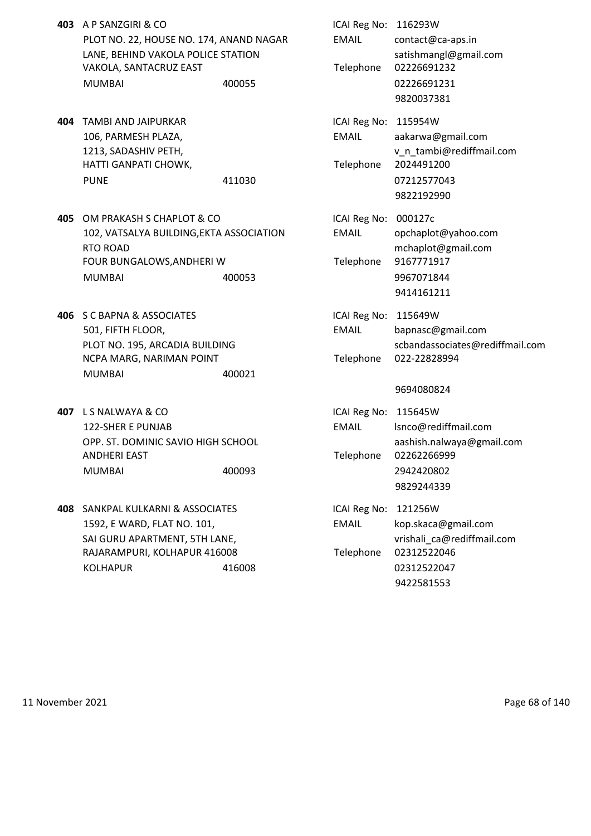- **403** A P SANZGIRI & CO PLOT NO. 22, HOUSE NO. 174, ANAND NAGAR LANE, BEHIND VAKOLA POLICE STATION VAKOLA, SANTACRUZ EAST MUMBAI 400055 400055 02226691231
- **404 TAMBI AND JAIPURKAR** 106, PARMESH PLAZA, 1213, SADASHIV PETH, HATTI GANPATI CHOWK, PUNE 11030 411030
- **405** OM PRAKASH S CHAPLOT & CO 102, VATSALYA BUILDING, EKTA ASSOCIATION RTO ROAD and the state of the state of the state of the state of the monotonic mechaplot  $\omega$  gmail.com FOUR BUNGALOWS, ANDHERI W MUMBAI 400053 400053
- **406** S C BAPNA & ASSOCIATES 501, FIFTH FLOOR, PLOT NO. 195, ARCADIA BUILDING NCPA MARG, NARIMAN POINT MUMBAI 400021
- **407** L S NALWAYA & CO 122-SHER E PUNJAB OPP. ST. DOMINIC SAVIO HIGH SCHOOL **ANDHERI EAST** MUMBAI 400093 400093
- **408** SANKPAL KULKARNI & ASSOCIATES 1592, E WARD, FLAT NO. 101, SAI GURU APARTMENT, 5TH LANE, RAJARAMPURI, KOLHAPUR 416008 KOLHAPUR 416008

| ICAI Reg No:         | 116293W                         |
|----------------------|---------------------------------|
| <b>EMAIL</b>         | contact@ca-aps.in               |
|                      | satishmangl@gmail.com           |
| Telephone            | 02226691232                     |
|                      | 02226691231                     |
|                      | 9820037381                      |
| ICAI Reg No:         | 115954W                         |
| <b>EMAIL</b>         | aakarwa@gmail.com               |
|                      | v n tambi@rediffmail.com        |
| Telephone            | 2024491200                      |
|                      | 07212577043                     |
|                      | 9822192990                      |
| ICAI Reg No:         | 000127c                         |
| <b>FMAIL</b>         | opchaplot@yahoo.com             |
|                      | mchaplot@gmail.com              |
| Telephone            | 9167771917                      |
|                      | 9967071844                      |
|                      | 9414161211                      |
| ICAI Reg No:         | 115649W                         |
| <b>EMAIL</b>         | bapnasc@gmail.com               |
|                      | scbandassociates@rediffmail.com |
| Telephone            | 022-22828994                    |
|                      | 9694080824                      |
| ICAI Reg No: 115645W |                                 |
| <b>EMAIL</b>         | lsnco@rediffmail.com            |
|                      | aashish.nalwaya@gmail.com       |
| Telephone            | 02262266999                     |
|                      | 2942420802                      |
|                      | 9829244339                      |
| ICAI Reg No:         | 121256W                         |
| <b>EMAIL</b>         | kop.skaca@gmail.com             |
|                      | vrishali_ca@rediffmail.com      |
| Telephone            | 02312522046                     |
|                      | 02312522047                     |

9422581553

11 November 2021 **Page 68 of 140**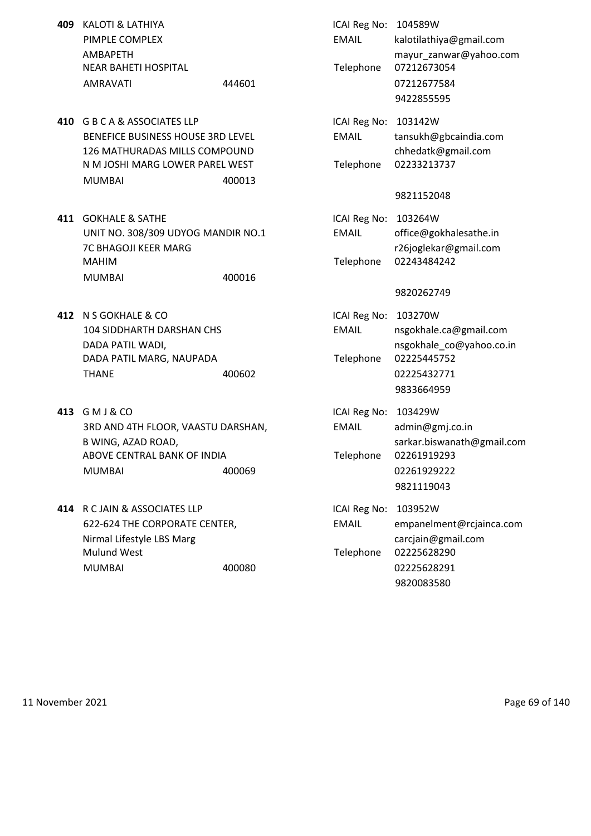- **409** KALOTI & LATHIYA PIMPLE COMPLEX AMBAPETH NEAR BAHETI HOSPITAL AMRAVATI 444601
- **410** G B C A & ASSOCIATES LLP BENEFICE BUSINESS HOUSE 3RD LEVEL 126 MATHURADAS MILLS COMPOUND N M JOSHI MARG LOWER PAREL WEST MUMBAI 400013
- **411 GOKHALE & SATHE** UNIT NO. 308/309 UDYOG MANDIR NO.1 7C BHAGOJI KEER MARG MAHIM Telephone 02243484242 MUMBAI 400016
- **412** N S GOKHALE & CO 104 SIDDHARTH DARSHAN CHS DADA PATIL WADI. DADA PATIL MARG, NAUPADA THANE 400602 400602
- **413** GMJ&CO 3RD AND 4TH FLOOR, VAASTU DARSHAN, B WING, AZAD ROAD, ABOVE CENTRAL BANK OF INDIA MUMBAI 400069 400069
- **414** R C JAIN & ASSOCIATES LLP 622-624 THE CORPORATE CENTER, Nirmal Lifestyle LBS Marg Mulund West MUMBAI 400080 400080

| ICAI Reg No:<br><b>EMAIL</b><br>Telephone | 104589W<br>kalotilathiya@gmail.com<br>mayur_zanwar@yahoo.com<br>07212673054<br>07212677584<br>9422855595  |
|-------------------------------------------|-----------------------------------------------------------------------------------------------------------|
| ICAI Reg No:<br><b>FMAIL</b><br>Telephone | 103142W<br>tansukh@gbcaindia.com<br>chhedatk@gmail.com<br>02233213737                                     |
|                                           | 9821152048                                                                                                |
| ICAI Reg No:<br><b>EMAIL</b><br>Telephone | 103264W<br>office@gokhalesathe.in<br>r26joglekar@gmail.com<br>02243484242                                 |
|                                           | 9820262749                                                                                                |
| ICAI Reg No:<br><b>FMAIL</b><br>Telephone | 103270W<br>nsgokhale.ca@gmail.com<br>nsgokhale_co@yahoo.co.in<br>02225445752<br>02225432771<br>9833664959 |
| ICAI Reg No:<br><b>FMAIL</b>              | 103429W<br>admin@gmj.co.in<br>sarkar.biswanath@gmail.com                                                  |
| Telephone                                 | 02261919293<br>02261929222<br>9821119043                                                                  |
| ICAI Reg No:<br><b>EMAIL</b><br>Telephone | 103952W<br>empanelment@rcjainca.com<br>carcjain@gmail.com<br>02225628290                                  |
|                                           | 02225628291<br>9820083580                                                                                 |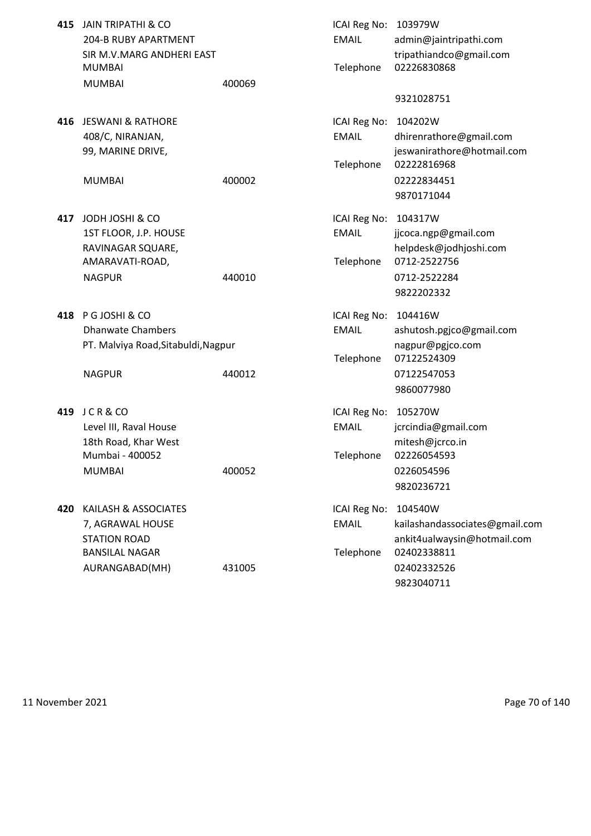| 415 | <b>JAIN TRIPATHI &amp; CO</b><br>204-B RUBY APARTMENT<br>SIR M.V.MARG ANDHERI EAST<br><b>MUMBAI</b>        |        | ICAI Reg No:<br><b>EMAIL</b><br>Telephone | 103979W<br>admin@jaintripathi.com<br>tripathiandco@gmail.com<br>02226830868                                          |
|-----|------------------------------------------------------------------------------------------------------------|--------|-------------------------------------------|----------------------------------------------------------------------------------------------------------------------|
|     | <b>MUMBAI</b>                                                                                              | 400069 |                                           | 9321028751                                                                                                           |
|     | 416 JESWANI & RATHORE<br>408/C, NIRANJAN,<br>99, MARINE DRIVE,<br><b>MUMBAI</b>                            | 400002 | ICAI Reg No:<br><b>EMAIL</b><br>Telephone | 104202W<br>dhirenrathore@gmail.com<br>jeswanirathore@hotmail.com<br>02222816968<br>02222834451                       |
| 417 | JODH JOSHI & CO<br>1ST FLOOR, J.P. HOUSE                                                                   |        | ICAI Reg No:<br><b>EMAIL</b>              | 9870171044<br>104317W<br>jjcoca.ngp@gmail.com                                                                        |
|     | RAVINAGAR SQUARE,<br>AMARAVATI-ROAD,<br><b>NAGPUR</b>                                                      | 440010 | Telephone                                 | helpdesk@jodhjoshi.com<br>0712-2522756<br>0712-2522284<br>9822202332                                                 |
| 418 | P G JOSHI & CO<br><b>Dhanwate Chambers</b><br>PT. Malviya Road, Sitabuldi, Nagpur<br><b>NAGPUR</b>         | 440012 | ICAI Reg No:<br><b>EMAIL</b><br>Telephone | 104416W<br>ashutosh.pgjco@gmail.com<br>nagpur@pgjco.com<br>07122524309<br>07122547053<br>9860077980                  |
| 419 | JCR&CO<br>Level III, Raval House<br>18th Road, Khar West<br>Mumbai - 400052<br><b>MUMBAI</b>               | 400052 | ICAI Reg No:<br><b>EMAIL</b><br>Telephone | 105270W<br>jcrcindia@gmail.com<br>mitesh@jcrco.in<br>02226054593<br>0226054596<br>9820236721                         |
| 420 | KAILASH & ASSOCIATES<br>7, AGRAWAL HOUSE<br><b>STATION ROAD</b><br><b>BANSILAL NAGAR</b><br>AURANGABAD(MH) | 431005 | ICAI Reg No:<br><b>EMAIL</b><br>Telephone | 104540W<br>kailashandassociates@gmail.com<br>ankit4ualwaysin@hotmail.com<br>02402338811<br>02402332526<br>9823040711 |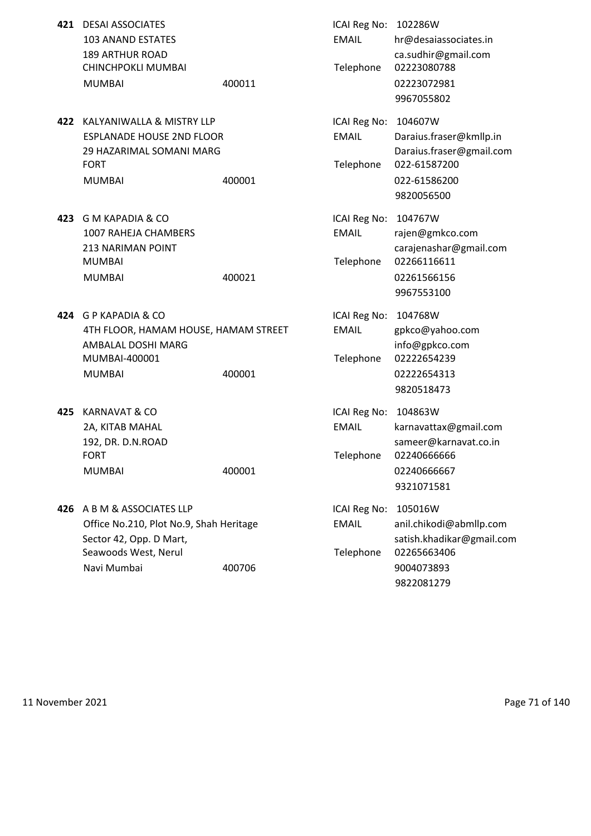| 421 | <b>DESAI ASSOCIATES</b><br><b>103 ANAND ESTATES</b><br><b>189 ARTHUR ROAD</b><br>CHINCHPOKLI MUMBAI<br><b>MUMBAI</b>                    | 400011 | ICAI Reg No: 102286W<br><b>EMAIL</b><br>Telephone | hr@desaiassociates.in<br>ca.sudhir@gmail.com<br>02223080788<br>02223072981<br>9967055802                     |
|-----|-----------------------------------------------------------------------------------------------------------------------------------------|--------|---------------------------------------------------|--------------------------------------------------------------------------------------------------------------|
| 422 | KALYANIWALLA & MISTRY LLP<br><b>ESPLANADE HOUSE 2ND FLOOR</b><br>29 HAZARIMAL SOMANI MARG<br><b>FORT</b><br><b>MUMBAI</b>               | 400001 | ICAI Reg No:<br><b>EMAIL</b><br>Telephone         | 104607W<br>Daraius.fraser@kmllp.in<br>Daraius.fraser@gmail.com<br>022-61587200<br>022-61586200<br>9820056500 |
| 423 | <b>G M KAPADIA &amp; CO</b><br>1007 RAHEJA CHAMBERS<br><b>213 NARIMAN POINT</b><br><b>MUMBAI</b><br><b>MUMBAI</b>                       | 400021 | ICAI Reg No:<br><b>EMAIL</b><br>Telephone         | 104767W<br>rajen@gmkco.com<br>carajenashar@gmail.com<br>02266116611<br>02261566156<br>9967553100             |
| 424 | <b>G P KAPADIA &amp; CO</b><br>4TH FLOOR, HAMAM HOUSE, HAMAM STREET<br>AMBALAL DOSHI MARG<br>MUMBAI-400001<br><b>MUMBAI</b>             | 400001 | ICAI Reg No:<br><b>EMAIL</b><br>Telephone         | 104768W<br>gpkco@yahoo.com<br>info@gpkco.com<br>02222654239<br>02222654313<br>9820518473                     |
| 425 | <b>KARNAVAT &amp; CO</b><br>2A, KITAB MAHAL<br>192, DR. D.N.ROAD<br><b>FORT</b><br><b>MUMBAI</b>                                        | 400001 | ICAI Reg No: 104863W<br><b>EMAIL</b><br>Telephone | karnavattax@gmail.com<br>sameer@karnavat.co.in<br>02240666666<br>02240666667<br>9321071581                   |
|     | 426 A B M & ASSOCIATES LLP<br>Office No.210, Plot No.9, Shah Heritage<br>Sector 42, Opp. D Mart,<br>Seawoods West, Nerul<br>Navi Mumbai | 400706 | ICAI Reg No:<br><b>EMAIL</b><br>Telephone         | 105016W<br>anil.chikodi@abmllp.com<br>satish.khadikar@gmail.com<br>02265663406<br>9004073893<br>9822081279   |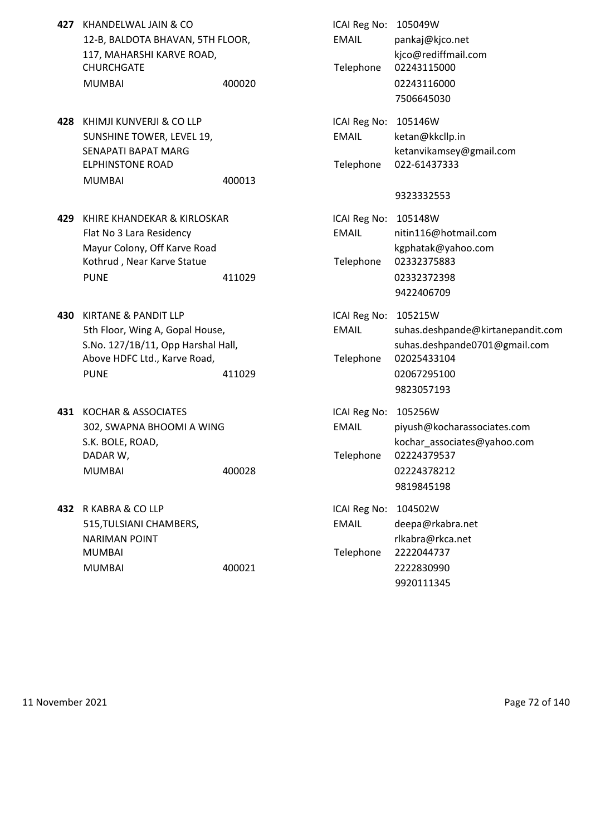- **427** KHANDELWAL JAIN & CO 12-B, BALDOTA BHAVAN, 5TH FLOOR, 117, MAHARSHI KARVE ROAD, CHURCHGATE MUMBAI 400020 400020 400020
- **428** KHIMJI KUNVERJI & CO LLP SUNSHINE TOWER, LEVEL 19, SENAPATI BAPAT MARG **ELPHINSTONE ROAD** MUMBAI 400013
- **429** KHIRE KHANDEKAR & KIRLOSKAR Flat No 3 Lara Residency Mayur Colony, Off Karve Road Kothrud, Near Karve Statue PUNE 2332372398
- **430 KIRTANE & PANDIT LLP** 5th Floor, Wing A, Gopal House, S.No. 127/1B/11, Opp Harshal Hall, Above HDFC Ltd., Karve Road, PUNE 20067295100
- **431 KOCHAR & ASSOCIATES** 302, SWAPNA BHOOMI A WING S.K. BOLE, ROAD, DADAR W,
- **432 R KABRA & CO LLP** 515, TULSIANI CHAMBERS, NARIMAN POINT MUMBAI 2222044737

| KHANDELWAL JAIN & CO<br>12-B, BALDOTA BHAVAN, 5TH FLOOR,<br>117, MAHARSHI KARVE ROAD,<br>CHURCHGATE<br>MUMBAI                        | 400020 | ICAI Reg No: 105049W<br><b>EMAIL</b><br>Telephone | pankaj@kjco.net<br>kjco@rediffmail.com<br>02243115000<br>02243116000<br>7506645030     |
|--------------------------------------------------------------------------------------------------------------------------------------|--------|---------------------------------------------------|----------------------------------------------------------------------------------------|
| KHIMJI KUNVERJI & CO LLP<br>SUNSHINE TOWER, LEVEL 19,<br>SENAPATI BAPAT MARG<br><b>ELPHINSTONE ROAD</b><br>MUMBAI                    | 400013 | ICAI Reg No: 105146W<br><b>EMAIL</b><br>Telephone | ketan@kkcllp.in<br>ketanvikamsey@gmail.com<br>022-61437333                             |
|                                                                                                                                      |        |                                                   | 9323332553                                                                             |
| KHIRE KHANDEKAR & KIRLOSKAR<br>Flat No 3 Lara Residency<br>Mayur Colony, Off Karve Road<br>Kothrud, Near Karve Statue<br><b>PUNE</b> | 411029 | ICAI Reg No: 105148W<br><b>EMAIL</b><br>Telephone | nitin116@hotmail.com<br>kgphatak@yahoo.com<br>02332375883<br>02332372398<br>9422406709 |
| KIRTANE & PANDIT LLP                                                                                                                 |        | ICAI Reg No: 105215W                              |                                                                                        |
| 5th Floor, Wing A, Gopal House,                                                                                                      |        | <b>EMAIL</b>                                      | suhas.deshpande@kirtanepandit.com                                                      |
| S.No. 127/1B/11, Opp Harshal Hall,<br>Above HDFC Ltd., Karve Road,                                                                   |        | Telephone                                         | suhas.deshpande0701@gmail.com<br>02025433104                                           |
| <b>PUNE</b>                                                                                                                          | 411029 |                                                   | 02067295100<br>9823057193                                                              |
| KOCHAR & ASSOCIATES<br>302, SWAPNA BHOOMI A WING<br>S.K. BOLE, ROAD,                                                                 |        | ICAI Reg No: 105256W<br><b>EMAIL</b>              | piyush@kocharassociates.com<br>kochar_associates@yahoo.com                             |
| DADAR W,<br><b>MUMBAI</b>                                                                                                            | 400028 | Telephone                                         | 02224379537<br>02224378212<br>9819845198                                               |
| R KABRA & CO LLP                                                                                                                     |        | ICAI Reg No:                                      | 104502W                                                                                |
| 515, TULSIANI CHAMBERS,                                                                                                              |        | <b>EMAIL</b>                                      | deepa@rkabra.net                                                                       |
| <b>NARIMAN POINT</b>                                                                                                                 |        |                                                   | rlkabra@rkca.net                                                                       |
| MUMBAI                                                                                                                               |        | Telephone                                         | 2222044737                                                                             |
| <b>MUMBAI</b>                                                                                                                        | 400021 |                                                   | 2222830990<br>9920111345                                                               |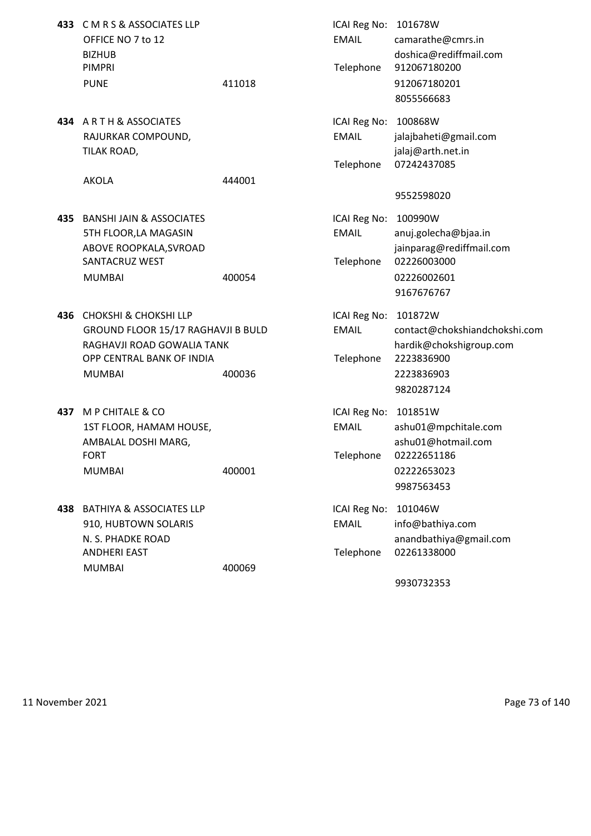|     | 433 CMRS&ASSOCIATES LLP<br>OFFICE NO 7 to 12<br><b>BIZHUB</b><br><b>PIMPRI</b>                                                                     |        | ICAI Reg No: 101678W<br><b>EMAIL</b><br>Telephone | camarathe@cmrs.in<br>doshica@rediffmail.com<br>912067180200                                                   |
|-----|----------------------------------------------------------------------------------------------------------------------------------------------------|--------|---------------------------------------------------|---------------------------------------------------------------------------------------------------------------|
|     | <b>PUNE</b>                                                                                                                                        | 411018 |                                                   | 912067180201<br>8055566683                                                                                    |
|     | 434 ARTH & ASSOCIATES<br>RAJURKAR COMPOUND,<br>TILAK ROAD,                                                                                         |        | ICAI Reg No:<br><b>EMAIL</b><br>Telephone         | 100868W<br>jalajbaheti@gmail.com<br>jalaj@arth.net.in<br>07242437085                                          |
|     | <b>AKOLA</b>                                                                                                                                       | 444001 |                                                   | 9552598020                                                                                                    |
|     | <b>435 BANSHI JAIN &amp; ASSOCIATES</b><br>5TH FLOOR, LA MAGASIN<br>ABOVE ROOPKALA, SVROAD<br>SANTACRUZ WEST<br><b>MUMBAI</b>                      | 400054 | ICAI Reg No:<br><b>EMAIL</b><br>Telephone         | 100990W<br>anuj.golecha@bjaa.in<br>jainparag@rediffmail.com<br>02226003000<br>02226002601<br>9167676767       |
| 436 | <b>CHOKSHI &amp; CHOKSHI LLP</b><br>GROUND FLOOR 15/17 RAGHAVJI B BULD<br>RAGHAVJI ROAD GOWALIA TANK<br>OPP CENTRAL BANK OF INDIA<br><b>MUMBAI</b> | 400036 | ICAI Reg No:<br><b>EMAIL</b><br>Telephone         | 101872W<br>contact@chokshiandchokshi.com<br>hardik@chokshigroup.com<br>2223836900<br>2223836903<br>9820287124 |
|     | 437 M P CHITALE & CO<br>1ST FLOOR, HAMAM HOUSE,<br>AMBALAL DOSHI MARG,<br><b>FORT</b><br><b>MUMBAI</b>                                             | 400001 | ICAI Reg No:<br><b>EMAIL</b><br>Telephone         | 101851W<br>ashu01@mpchitale.com<br>ashu01@hotmail.com<br>02222651186<br>02222653023<br>9987563453             |
|     | 438 BATHIYA & ASSOCIATES LLP<br>910, HUBTOWN SOLARIS<br>N. S. PHADKE ROAD<br><b>ANDHERI EAST</b><br><b>MUMBAI</b>                                  | 400069 | ICAI Reg No:<br><b>EMAIL</b><br>Telephone         | 101046W<br>info@bathiya.com<br>anandbathiya@gmail.com<br>02261338000                                          |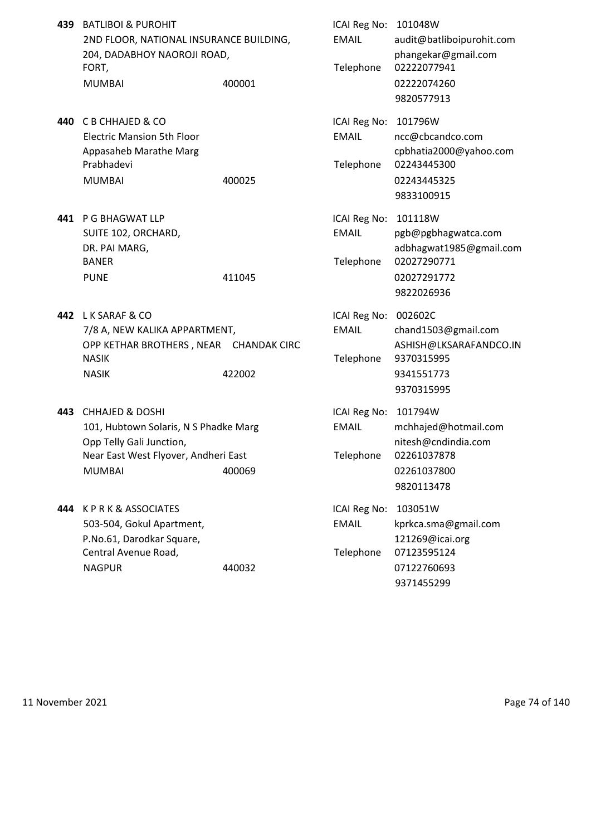| 439 | <b>BATLIBOI &amp; PUROHIT</b><br>2ND FLOOR, NATIONAL INSURANCE BUILDING,<br>204, DADABHOY NAOROJI ROAD,<br>FORT,<br><b>MUMBAI</b>                        | 400001 | ICAI Reg No: 101048W<br><b>EMAIL</b><br>Telephone | audit@batliboipurohit.com<br>phangekar@gmail.com<br>02222077941<br>02222074260<br>9820577913          |
|-----|----------------------------------------------------------------------------------------------------------------------------------------------------------|--------|---------------------------------------------------|-------------------------------------------------------------------------------------------------------|
| 440 | C B CHHAJED & CO<br><b>Electric Mansion 5th Floor</b><br>Appasaheb Marathe Marg<br>Prabhadevi<br><b>MUMBAI</b>                                           | 400025 | ICAI Reg No:<br><b>EMAIL</b><br>Telephone         | 101796W<br>ncc@cbcandco.com<br>cpbhatia2000@yahoo.com<br>02243445300<br>02243445325<br>9833100915     |
|     | 441 P G BHAGWAT LLP<br>SUITE 102, ORCHARD,<br>DR. PAI MARG,<br><b>BANER</b><br><b>PUNE</b>                                                               | 411045 | ICAI Reg No:<br><b>EMAIL</b><br>Telephone         | 101118W<br>pgb@pgbhagwatca.com<br>adbhagwat1985@gmail.com<br>02027290771<br>02027291772<br>9822026936 |
|     | 442 LK SARAF & CO<br>7/8 A, NEW KALIKA APPARTMENT,<br>OPP KETHAR BROTHERS, NEAR CHANDAK CIRC<br><b>NASIK</b><br><b>NASIK</b>                             | 422002 | ICAI Reg No: 002602C<br><b>EMAIL</b><br>Telephone | chand1503@gmail.com<br>ASHISH@LKSARAFANDCO.IN<br>9370315995<br>9341551773<br>9370315995               |
| 443 | <b>CHHAJED &amp; DOSHI</b><br>101, Hubtown Solaris, N S Phadke Marg<br>Opp Telly Gali Junction,<br>Near East West Flyover, Andheri East<br><b>MUMBAI</b> | 400069 | ICAI Reg No:<br><b>EMAIL</b><br>Telephone         | 101794W<br>mchhajed@hotmail.com<br>nitesh@cndindia.com<br>02261037878<br>02261037800<br>9820113478    |
| 444 | <b>KPRK&amp;ASSOCIATES</b><br>503-504, Gokul Apartment,<br>P.No.61, Darodkar Square,<br>Central Avenue Road,<br><b>NAGPUR</b>                            | 440032 | ICAI Reg No:<br><b>EMAIL</b><br>Telephone         | 103051W<br>kprkca.sma@gmail.com<br>121269@icai.org<br>07123595124<br>07122760693<br>9371455299        |

11 November 2021 **Page 74 of 140**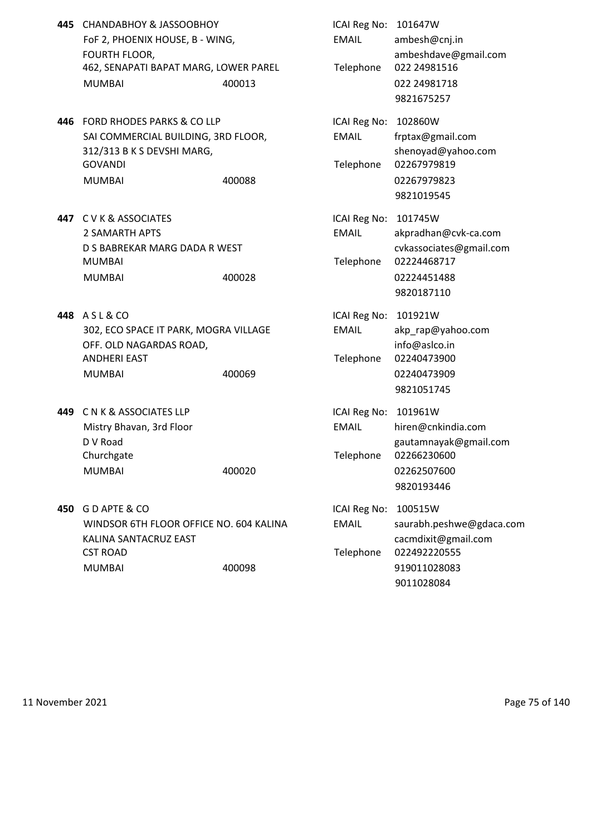- **445** CHANDABHOY & JASSOOBHOY ICAI Reg No: 101647W FoF 2, PHOENIX HOUSE, B - WING, The MAIL ambesh@cnj.in 462, SENAPATI BAPAT MARG, LOWER PAREL Telephone 022 24981516 MUMBAI 400013 022 24981718
- 446 FORD RHODES PARKS & CO LLP ICAI Reg No: 102860W SAI COMMERCIAL BUILDING, 3RD FLOOR, EMAIL frptax@gmail.com 312/313 B K S DEVSHI MARG, Shenoyad@yahoo.com GOVANDI Telephone 02267979819 MUMBAI 400088 02267979823
- **447** C V K & ASSOCIATES **ICAI Reg No: 101745W** MUMBAI Telephone 02224468717 MUMBAI 400028 02224451488
- **448** A S L & CO **ICAI Reg No: 101921W** 302, ECO SPACE IT PARK, MOGRA VILLAGE EMAIL akp\_rap@yahoo.com OFF. OLD NAGARDAS ROAD, info@aslco.in ANDHERI EAST Telephone 02240473900 MUMBAI 400069 02240473909
- **449** C N K & ASSOCIATES LLP **ICAL REGISTED** ICAI Reg No: 101961W Churchgate Churchgate Churchgate Churchgate Churchgate Telephone 02266230600 MUMBAI 400020 02262507600
- **450** G D APTE & CO ICAI Reg No: 100515W KALINA SANTACRUZ EAST **cacmdixit@gmail.com** CST ROAD Telephone 022492220555 MUMBAI 400098 919011028083
- FOURTH FLOOR, ambeshdave@gmail.com 9821675257 9821019545 2 SAMARTH APTS EMAIL akpradhan@cvk-ca.com D S BABREKAR MARG DADA R WEST cvkassociates@gmail.com 9820187110 9821051745 Mistry Bhavan, 3rd Floor **EMAIL** hiren@cnkindia.com D V Road gautamnayak@gmail.com 9820193446 WINDSOR 6TH FLOOR OFFICE NO. 604 KALINA EMAIL saurabh.peshwe@gdaca.com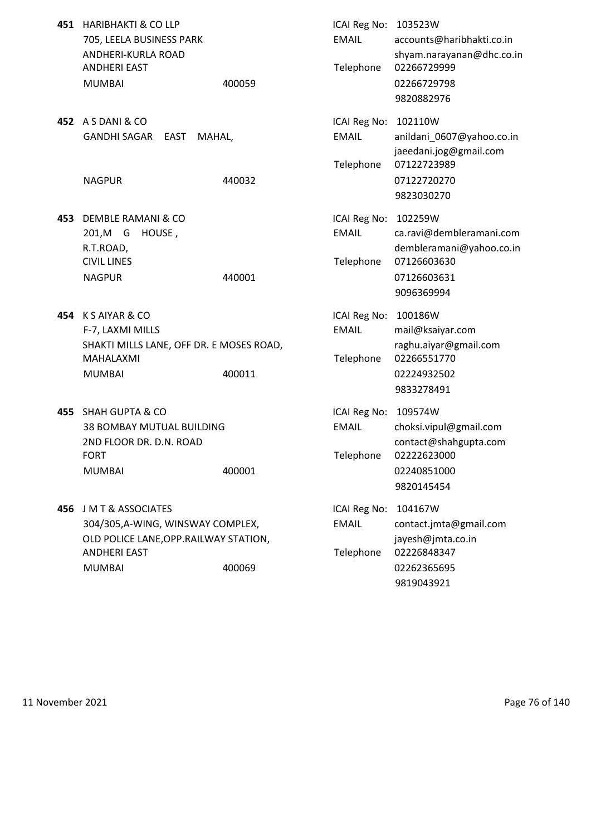|     | 451 HARIBHAKTI & CO LLP<br>705, LEELA BUSINESS PARK<br>ANDHERI-KURLA ROAD<br><b>ANDHERI EAST</b><br><b>MUMBAI</b>                         | 400059 | ICAI Reg No: 103523W<br><b>EMAIL</b><br>Telephone | accounts@haribhakti.co.in<br>shyam.narayanan@dhc.co.in<br>02266729999<br>02266729798<br>9820882976                        |
|-----|-------------------------------------------------------------------------------------------------------------------------------------------|--------|---------------------------------------------------|---------------------------------------------------------------------------------------------------------------------------|
|     | 452 A S DANI & CO<br>GANDHI SAGAR<br>EAST<br>MAHAL,<br><b>NAGPUR</b>                                                                      | 440032 | ICAI Reg No:<br><b>EMAIL</b><br>Telephone         | 102110W<br>anildani_0607@yahoo.co.in<br>jaeedani.jog@gmail.com<br>07122723989<br>07122720270                              |
| 453 | DEMBLE RAMANI & CO<br>201,M G<br>HOUSE,<br>R.T.ROAD,<br><b>CIVIL LINES</b><br><b>NAGPUR</b>                                               | 440001 | ICAI Reg No:<br><b>EMAIL</b><br>Telephone         | 9823030270<br>102259W<br>ca.ravi@dembleramani.com<br>dembleramani@yahoo.co.in<br>07126603630<br>07126603631<br>9096369994 |
| 454 | K S AIYAR & CO<br>F-7, LAXMI MILLS<br>SHAKTI MILLS LANE, OFF DR. E MOSES ROAD,<br>MAHALAXMI<br><b>MUMBAI</b>                              | 400011 | ICAI Reg No:<br><b>EMAIL</b><br>Telephone         | 100186W<br>mail@ksaiyar.com<br>raghu.aiyar@gmail.com<br>02266551770<br>02224932502<br>9833278491                          |
| 455 | <b>SHAH GUPTA &amp; CO</b><br>38 BOMBAY MUTUAL BUILDING<br>2ND FLOOR DR. D.N. ROAD<br><b>FORT</b><br><b>MUMBAI</b>                        | 400001 | ICAI Reg No:<br><b>EMAIL</b><br>Telephone         | 109574W<br>choksi.vipul@gmail.com<br>contact@shahgupta.com<br>02222623000<br>02240851000<br>9820145454                    |
| 456 | J M T & ASSOCIATES<br>304/305, A-WING, WINSWAY COMPLEX,<br>OLD POLICE LANE, OPP. RAILWAY STATION,<br><b>ANDHERI EAST</b><br><b>MUMBAI</b> | 400069 | ICAI Reg No:<br><b>EMAIL</b><br>Telephone         | 104167W<br>contact.jmta@gmail.com<br>jayesh@jmta.co.in<br>02226848347<br>02262365695<br>9819043921                        |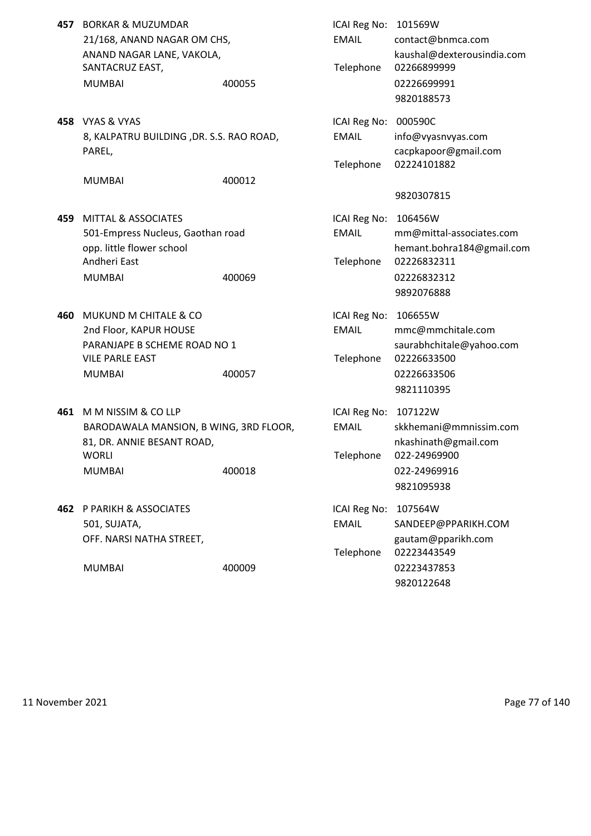| SANTACRUZ EAST,<br><b>MUMBAI</b>                                                             | 400055                                                                                  | <b>EMAIL</b><br>Telephone                                                                                                                                                                                           | 101569W<br>contact@bnmca.com<br>kaushal@dexterousindia.com<br>02266899999<br>02226699991<br>9820188573       |
|----------------------------------------------------------------------------------------------|-----------------------------------------------------------------------------------------|---------------------------------------------------------------------------------------------------------------------------------------------------------------------------------------------------------------------|--------------------------------------------------------------------------------------------------------------|
| PAREL,<br><b>MUMBAI</b>                                                                      | 400012                                                                                  | <b>EMAIL</b><br>Telephone                                                                                                                                                                                           | 000590C<br>info@vyasnvyas.com<br>cacpkapoor@gmail.com<br>02224101882                                         |
|                                                                                              |                                                                                         |                                                                                                                                                                                                                     | 9820307815                                                                                                   |
| <b>MITTAL &amp; ASSOCIATES</b><br>opp. little flower school<br>Andheri East<br><b>MUMBAI</b> | 400069                                                                                  | <b>EMAIL</b><br>Telephone                                                                                                                                                                                           | 106456W<br>mm@mittal-associates.com<br>hemant.bohra184@gmail.com<br>02226832311<br>02226832312<br>9892076888 |
| MUKUND M CHITALE & CO<br>2nd Floor, KAPUR HOUSE<br><b>VILE PARLE EAST</b><br><b>MUMBAI</b>   | 400057                                                                                  | <b>EMAIL</b><br>Telephone                                                                                                                                                                                           | 106655W<br>mmc@mmchitale.com<br>saurabhchitale@yahoo.com<br>02226633500<br>02226633506<br>9821110395         |
| M M NISSIM & CO LLP<br>81, DR. ANNIE BESANT ROAD,<br>WORLI<br><b>MUMBAI</b>                  | 400018                                                                                  | <b>EMAIL</b><br>Telephone                                                                                                                                                                                           | 107122W<br>skkhemani@mmnissim.com<br>nkashinath@gmail.com<br>022-24969900<br>022-24969916<br>9821095938      |
| 501, SUJATA,<br>OFF. NARSI NATHA STREET,<br><b>MUMBAI</b>                                    | 400009                                                                                  | <b>ICAI Reg No:</b><br><b>EMAIL</b><br>Telephone                                                                                                                                                                    | 107564W<br>SANDEEP@PPARIKH.COM<br>gautam@pparikh.com<br>02223443549<br>02223437853<br>9820122648             |
|                                                                                              | <b>BORKAR &amp; MUZUMDAR</b><br>458 VYAS & VYAS<br><b>462 P PARIKH &amp; ASSOCIATES</b> | 21/168, ANAND NAGAR OM CHS,<br>ANAND NAGAR LANE, VAKOLA,<br>8, KALPATRU BUILDING, DR. S.S. RAO ROAD,<br>501-Empress Nucleus, Gaothan road<br>PARANJAPE B SCHEME ROAD NO 1<br>BARODAWALA MANSION, B WING, 3RD FLOOR, | ICAI Reg No:<br>ICAI Reg No:<br>ICAI Reg No:<br>ICAI Reg No:<br>ICAI Reg No:                                 |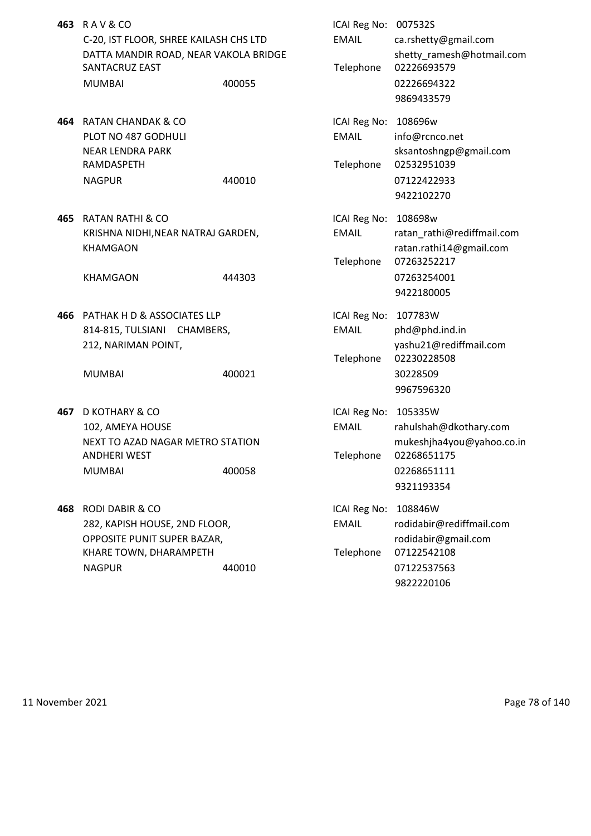| 463 RAV&CO                             |        | ICAI Reg No: 007532S |                       |
|----------------------------------------|--------|----------------------|-----------------------|
| C-20, IST FLOOR, SHREE KAILASH CHS LTD |        | EMAIL                | ca.rshetty@gmail.com  |
| DATTA MANDIR ROAD, NEAR VAKOLA BRIDGE  |        |                      | shetty ramesh@hotm    |
| SANTACRUZ EAST                         |        |                      | Telephone 02226693579 |
| <b>MUMBAI</b>                          | 400055 |                      | 02226694322           |

- **464 RATAN CHANDAK & CO** PLOT NO 487 GODHULI NEAR LENDRA PARK RAMDASPETH NAGPUR 440010 440010
- **465 RATAN RATHI & CO** KRISHNA NIDHI, NEAR NATRAJ GARDEN, KHAMGAON

**466** PATHAK H D & ASSOCIATES LLP 814-815, TULSIANI CHAMBERS, 212, NARIMAN POINT,

- **467** D KOTHARY & CO 102, AMEYA HOUSE NEXT TO AZAD NAGAR METRO STATION ANDHERI WEST MUMBAI 400058
- **468 RODI DABIR & CO** 282, KAPISH HOUSE, 2ND FLOOR, OPPOSITE PUNIT SUPER BAZAR, KHARE TOWN, DHARAMPETH NAGPUR 440010 440010

| RAV&CO                                 |        | ICAI Reg No: 007532S |                            |
|----------------------------------------|--------|----------------------|----------------------------|
| C-20, IST FLOOR, SHREE KAILASH CHS LTD |        | <b>EMAIL</b>         | ca.rshetty@gmail.com       |
| DATTA MANDIR ROAD, NEAR VAKOLA BRIDGE  |        |                      | shetty_ramesh@hotmail.com  |
| <b>SANTACRUZ EAST</b>                  |        | Telephone            | 02226693579                |
| <b>MUMBAI</b>                          | 400055 |                      | 02226694322                |
|                                        |        |                      | 9869433579                 |
| RATAN CHANDAK & CO                     |        | ICAI Reg No: 108696w |                            |
| PLOT NO 487 GODHULI                    |        | <b>EMAIL</b>         | info@rcnco.net             |
| NEAR LENDRA PARK                       |        |                      | sksantoshngp@gmail.com     |
| RAMDASPETH                             |        | Telephone            | 02532951039                |
| <b>NAGPUR</b>                          | 440010 |                      | 07122422933                |
|                                        |        |                      | 9422102270                 |
| RATAN RATHI & CO                       |        | ICAI Reg No:         | 108698w                    |
| KRISHNA NIDHI, NEAR NATRAJ GARDEN,     |        | <b>EMAIL</b>         | ratan_rathi@rediffmail.com |
| <b>KHAMGAON</b>                        |        |                      | ratan.rathi14@gmail.com    |
|                                        |        | Telephone            | 07263252217                |
| <b>KHAMGAON</b>                        | 444303 |                      | 07263254001                |
|                                        |        |                      | 9422180005                 |
|                                        |        |                      |                            |
| PATHAK H D & ASSOCIATES LLP            |        | ICAI Reg No: 107783W |                            |
| 814-815, TULSIANI CHAMBERS,            |        | <b>EMAIL</b>         | phd@phd.ind.in             |
| 212, NARIMAN POINT,                    |        |                      | yashu21@rediffmail.com     |
|                                        |        | Telephone            | 02230228508                |
| <b>MUMBAI</b>                          | 400021 |                      | 30228509                   |
|                                        |        |                      | 9967596320                 |
| D KOTHARY & CO                         |        | ICAI Reg No:         | 105335W                    |
| 102, AMEYA HOUSE                       |        | <b>EMAIL</b>         | rahulshah@dkothary.com     |
| NEXT TO AZAD NAGAR METRO STATION       |        |                      | mukeshjha4you@yahoo.co.in  |
| ANDHERI WEST                           |        | Telephone            | 02268651175                |
| <b>MUMBAI</b>                          | 400058 |                      | 02268651111                |
|                                        |        |                      | 9321193354                 |
| RODI DABIR & CO                        |        | ICAI Reg No:         | 108846W                    |
| 282, KAPISH HOUSE, 2ND FLOOR,          |        | <b>EMAIL</b>         | rodidabir@rediffmail.com   |
| OPPOSITE PUNIT SUPER BAZAR,            |        |                      | rodidabir@gmail.com        |
| KHARE TOWN, DHARAMPETH                 |        | Telephone            | 07122542108                |
| <b>NAGPUR</b>                          | 440010 |                      | 07122537563                |
|                                        |        |                      | 9822220106                 |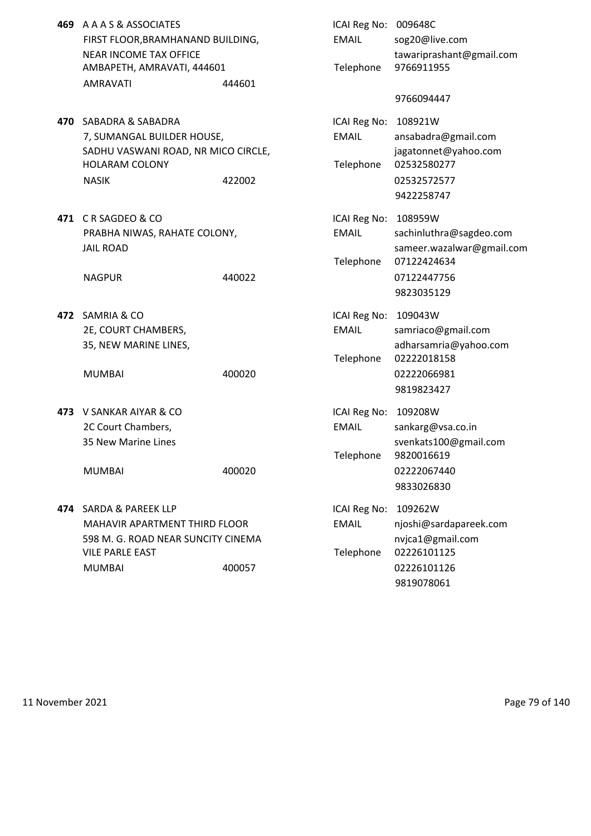- **469** A A A S & ASSOCIATES FIRST FLOOR, BRAMHANAND BUILDING, NEAR INCOME TAX OFFICE AMBAPETH, AMRAVATI, 444601 AMRAVATI 444601
- **470** SABADRA & SABADRA 7, SUMANGAL BUILDER HOUSE, SADHU VASWANI ROAD, NR MICO CIRCLE, HOLARAM COLONY
- **471 C R SAGDEO & CO** PRABHA NIWAS, RAHATE COLONY,

- **472 SAMRIA & CO** 2E, COURT CHAMBERS, 35, NEW MARINE LINES,
	-
- **473** V SANKAR AIYAR & CO 2C Court Chambers, 35 New Marine Lines

**474** SARDA & PAREEK LLP MAHAVIR APARTMENT THIRD FLOOR 598 M. G. ROAD NEAR SUNCITY CINEMA VILE PARLE FAST

| A A A S & ASSOCIATES                |        | ICAI Reg No: 009648C |                           |
|-------------------------------------|--------|----------------------|---------------------------|
| FIRST FLOOR, BRAMHANAND BUILDING,   |        | <b>EMAIL</b>         | sog20@live.com            |
| <b>NEAR INCOME TAX OFFICE</b>       |        |                      | tawariprashant@gmail.com  |
| AMBAPETH, AMRAVATI, 444601          |        | Telephone            | 9766911955                |
| <b>AMRAVATI</b>                     | 444601 |                      |                           |
|                                     |        |                      | 9766094447                |
| SABADRA & SABADRA                   |        | ICAI Reg No: 108921W |                           |
| 7, SUMANGAL BUILDER HOUSE,          |        | <b>EMAIL</b>         | ansabadra@gmail.com       |
| SADHU VASWANI ROAD, NR MICO CIRCLE, |        |                      | jagatonnet@yahoo.com      |
| <b>HOLARAM COLONY</b>               |        | Telephone            | 02532580277               |
| <b>NASIK</b>                        | 422002 |                      | 02532572577               |
|                                     |        |                      | 9422258747                |
| CRSAGDEO&CO                         |        | ICAI Reg No: 108959W |                           |
| PRABHA NIWAS, RAHATE COLONY,        |        | <b>EMAIL</b>         | sachinluthra@sagdeo.com   |
| <b>JAIL ROAD</b>                    |        |                      | sameer.wazalwar@gmail.com |
|                                     |        | Telephone            | 07122424634               |
| <b>NAGPUR</b>                       | 440022 |                      | 07122447756               |
|                                     |        |                      | 9823035129                |
| SAMRIA & CO                         |        | ICAI Reg No: 109043W |                           |
| 2E, COURT CHAMBERS,                 |        | <b>EMAIL</b>         | samriaco@gmail.com        |
| 35, NEW MARINE LINES,               |        |                      | adharsamria@yahoo.com     |
|                                     |        | Telephone            | 02222018158               |
| <b>MUMBAI</b>                       | 400020 |                      | 02222066981               |
|                                     |        |                      | 9819823427                |
| V SANKAR AIYAR & CO                 |        | ICAI Reg No: 109208W |                           |
| 2C Court Chambers,                  |        | <b>EMAIL</b>         | sankarg@vsa.co.in         |
| 35 New Marine Lines                 |        |                      | svenkats100@gmail.com     |
|                                     |        | Telephone            | 9820016619                |
| <b>MUMBAI</b>                       | 400020 |                      | 02222067440               |
|                                     |        |                      | 9833026830                |
| <b>SARDA &amp; PAREEK LLP</b>       |        | ICAI Reg No:         | 109262W                   |
| MAHAVIR APARTMENT THIRD FLOOR       |        | <b>EMAIL</b>         | njoshi@sardapareek.com    |
| 598 M. G. ROAD NEAR SUNCITY CINEMA  |        |                      | nvjca1@gmail.com          |
| <b>VILE PARLE EAST</b>              |        | Telephone            | 02226101125               |
| <b>MUMBAI</b>                       | 400057 |                      | 02226101126               |
|                                     |        |                      | 9819078061                |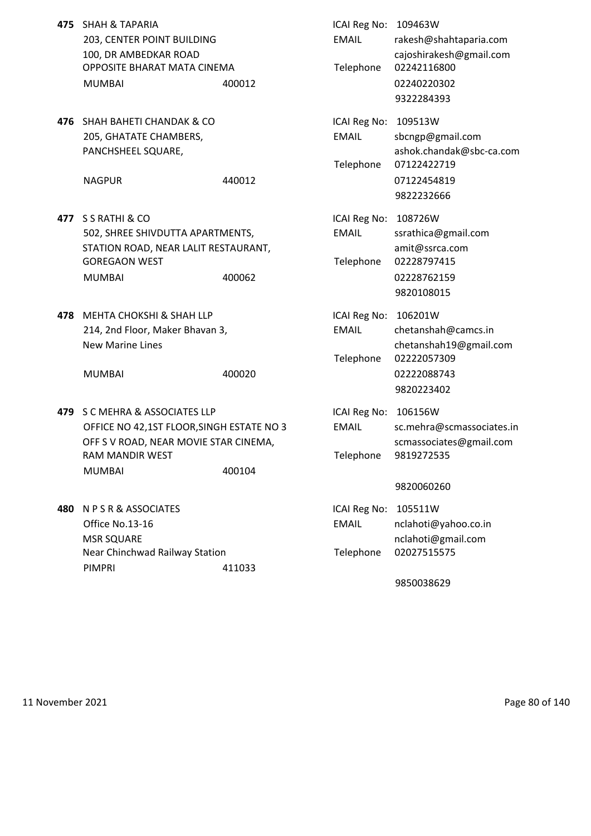- **475** SHAH & TAPARIA ICAI Reg No: 109463W OPPOSITE BHARAT MATA CINEMA TELEPHONE 02242116800 MUMBAI 400012 02240220302
- **476** SHAH BAHETI CHANDAK & CO **ICAI Reg No: 109513W**

- **477** S S RATHI & CO ICAI Reg No: 108726W 502, SHREE SHIVDUTTA APARTMENTS, EMAIL ssrathica@gmail.com STATION ROAD, NEAR LALIT RESTAURANT, and the matrix of amit@ssrca.com GOREGAON WEST **Telephone** 02228797415 MUMBAI 400062 02228762159
- **478** MEHTA CHOKSHI & SHAH LLP **ICAI Reg No: 106201W**

- **479** S C MEHRA & ASSOCIATES LLP **ICAI Reg No: 106156W** OFFICE NO 42,1ST FLOOR, SINGH ESTATE NO 3 EMAIL sc.mehra@scmassociates.in OFF S V ROAD, NEAR MOVIE STAR CINEMA, SCHOOL SCHOSSOCIATES@gmail.com RAM MANDIR WEST Telephone 9819272535 MUMBAI 400104
- **480** N P S R & ASSOCIATES **ICAI Reg No: 105511W** Office No.13-16 EMAIL nclahoti@yahoo.co.in MSR SQUARE nclahoti@gmail.com Near Chinchwad Railway Station Telephone 02027515575 PIMPRI 411033

203, CENTER POINT BUILDING EMAIL rakesh@shahtaparia.com 100, DR AMBEDKAR ROAD cajoshirakesh@gmail.com 9322284393 205, GHATATE CHAMBERS, The Contract of EMAIL sbcngp@gmail.com PANCHSHEEL SQUARE, ashok.chandak@sbc-ca.com Telephone 07122422719 NAGPUR 440012 07122454819 9822232666 9820108015 214, 2nd Floor, Maker Bhavan 3, EMAIL chetanshah@camcs.in New Marine Lines chetanshah19@gmail.com Telephone 02222057309 MUMBAI 400020 400020 02222088743 9820223402 9820060260

9850038629

11 November 2021 Page 80 of 140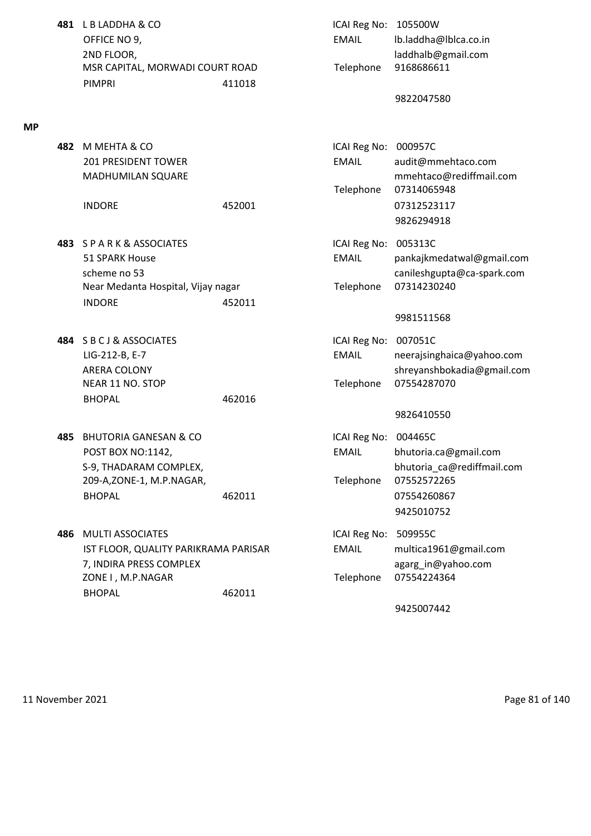**481** L B LADDHA & CO **ICAI Reg No: 105500W** OFFICE NO 9, The Contract of the Contract of the EMAIL Ib.laddha@lblca.co.in 2ND FLOOR, laddhalb@gmail.com MSR CAPITAL, MORWADI COURT ROAD Telephone 9168686611 PIMPRI 411018

## **MP**

**482** M MEHTA & CO ICAI Reg No: 000957C 201 PRESIDENT TOWER EMAIL audit@mmehtaco.com MADHUMILAN SQUARE mmehtaco@rediffmail.com Telephone 07314065948 INDORE 452001 07312523117 9826294918 **483** S P A R K & ASSOCIATES ICAI Reg No: 005313C 51 SPARK House EMAIL pankajkmedatwal@gmail.com scheme no 53 canileshgupta@ca-spark.com Near Medanta Hospital, Vijay nagar Telephone 07314230240 INDORE 452011 9981511568 **484** S B C J & ASSOCIATES **ICAI Reg No: 007051C** LIG-212-B, E-7 EMAIL neerajsinghaica@yahoo.com ARERA COLONY shreyanshbokadia@gmail.com NEAR 11 NO. STOP Telephone 07554287070 BHOPAL 462016 9826410550 **485** BHUTORIA GANESAN & CO **ICAI REGISTED BET** ICAI Reg No: 004465C POST BOX NO:1142, EMAIL bhutoria.ca@gmail.com S-9, THADARAM COMPLEX, extending the state of the bhutoria ca@rediffmail.com 209-A,ZONE-1, M.P.NAGAR, Telephone 07552572265 BHOPAL 462011 462011 07554260867 9425010752 **486** MULTI ASSOCIATES **ICAI Reg No: 509955C** IST FLOOR, QUALITY PARIKRAMA PARISAR EMAIL multica1961@gmail.com 7, INDIRA PRESS COMPLEX **agarg** in@yahoo.com ZONE I , M.P.NAGAR Telephone 07554224364 BHOPAL 462011 9425007442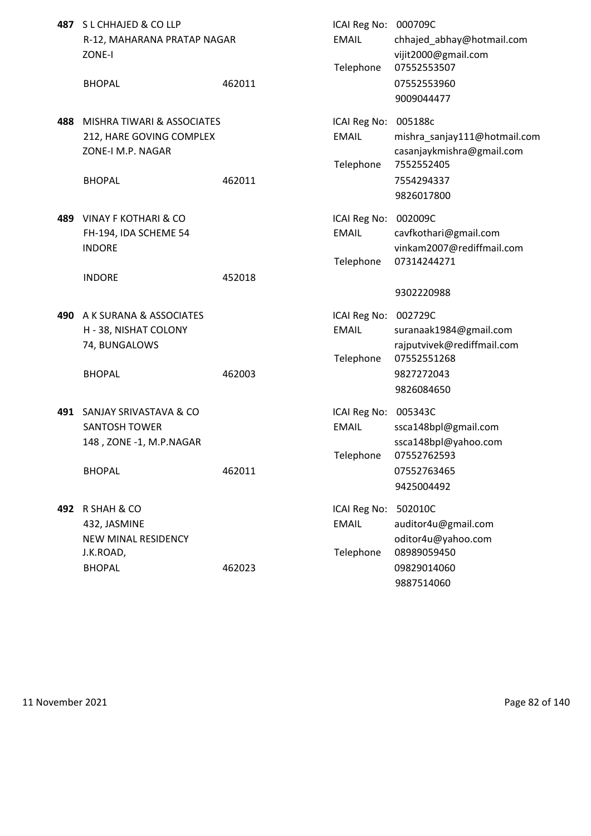|      | 487 SL CHHAJED & COLLP<br>R-12, MAHARANA PRATAP NAGAR<br>ZONE-I                              |        | ICAI Reg No:<br><b>EMAIL</b><br>Telephone | 000709C<br>chhajed_abhay@hotmail.com<br>vijit2000@gmail.com<br>07552553507                       |
|------|----------------------------------------------------------------------------------------------|--------|-------------------------------------------|--------------------------------------------------------------------------------------------------|
|      | <b>BHOPAL</b>                                                                                | 462011 |                                           | 07552553960<br>9009044477                                                                        |
| 488  | MISHRA TIWARI & ASSOCIATES<br>212, HARE GOVING COMPLEX<br>ZONE-I M.P. NAGAR<br><b>BHOPAL</b> | 462011 | ICAI Reg No:<br><b>EMAIL</b><br>Telephone | 005188c<br>mishra_sanjay111@hotmail.com<br>casanjaykmishra@gmail.com<br>7552552405<br>7554294337 |
|      |                                                                                              |        |                                           | 9826017800                                                                                       |
| 489. | VINAY F KOTHARI & CO<br>FH-194, IDA SCHEME 54<br><b>INDORE</b>                               |        | ICAI Reg No:<br><b>EMAIL</b><br>Telephone | 002009C<br>cavfkothari@gmail.com<br>vinkam2007@rediffmail.com<br>07314244271                     |
|      | <b>INDORE</b>                                                                                | 452018 |                                           | 9302220988                                                                                       |
| 490  | A K SURANA & ASSOCIATES<br>H - 38, NISHAT COLONY<br>74, BUNGALOWS<br><b>BHOPAL</b>           | 462003 | ICAI Reg No:<br><b>EMAIL</b><br>Telephone | 002729C<br>suranaak1984@gmail.com<br>rajputvivek@rediffmail.com<br>07552551268<br>9827272043     |
|      |                                                                                              |        |                                           | 9826084650                                                                                       |
| 491  | SANJAY SRIVASTAVA & CO<br><b>SANTOSH TOWER</b><br>148, ZONE -1, M.P.NAGAR                    |        | ICAI Reg No:<br><b>EMAIL</b><br>Telephone | 005343C<br>ssca148bpl@gmail.com<br>ssca148bpl@yahoo.com<br>07552762593                           |
|      | <b>BHOPAL</b>                                                                                | 462011 |                                           | 07552763465<br>9425004492                                                                        |
| 492  | R SHAH & CO<br>432, JASMINE<br><b>NEW MINAL RESIDENCY</b><br>J.K.ROAD,                       |        | ICAI Reg No:<br><b>EMAIL</b><br>Telephone | 502010C<br>auditor4u@gmail.com<br>oditor4u@yahoo.com<br>08989059450                              |
|      | <b>BHOPAL</b>                                                                                | 462023 |                                           | 09829014060<br>9887514060                                                                        |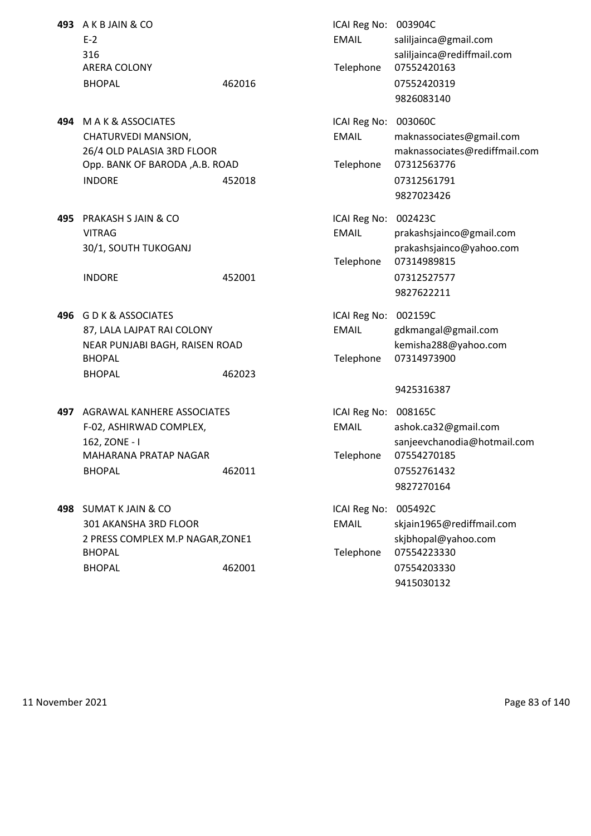**493** A K B JAIN & CO ICAI Reg No: 003904C ARERA COLONY Telephone 07552420163 BHOPAL 462016 462016 07552420319

- **494** M A K & ASSOCIATES **ICAI Reg No: 003060C** Opp. BANK OF BARODA ,A.B. ROAD Telephone 07312563776 INDORE 452018 07312561791
- **495** PRAKASH S JAIN & CO **ICAI Reg No: 002423C**

- **496** G D K & ASSOCIATES **ICAI Reg No: 002159C** BHOPAL BHOPAL **Telephone 07314973900** BHOPAL 462023
- **497** AGRAWAL KANHERE ASSOCIATES ICAI Reg No: 008165C MAHARANA PRATAP NAGAR TELEPHONE 07554270185 BHOPAL 462011 07552761432
- **498** SUMAT K JAIN & CO **ICAI REGISTED SOME REGISTER SUMAT K** JAIN & CO BHOPAL BHOPAL Telephone 07554223330 BHOPAL 462001 07554203330

E-2 E-2 E-2 EMAIL saliljainca@gmail.com 316 saliljainca@rediffmail.com 9826083140 CHATURVEDI MANSION, The CHATURVEDI MANSION, The CHATURVEDI MANSION, 26/4 OLD PALASIA 3RD FLOOR maknassociates@rediffmail.com 9827023426 VITRAG EMAIL prakashsjainco@gmail.com 30/1, SOUTH TUKOGANJ prakashsjainco@yahoo.com Telephone 07314989815 INDORE 452001 07312527577 9827622211 87, LALA LAJPAT RAI COLONY **EMAIL** gdkmangal@gmail.com NEAR PUNJABI BAGH, RAISEN ROAD kemisha288@yahoo.com 9425316387 F-02, ASHIRWAD COMPLEX, The Computer of the EMAIL ashok.ca32@gmail.com 162, ZONE - I sanjeevchanodia@hotmail.com 9827270164 301 AKANSHA 3RD FLOOR EMAIL skjain1965@rediffmail.com 2 PRESS COMPLEX M.P NAGAR, ZONE1 skiphopal@yahoo.com

9415030132

11 November 2021 Page 83 of 140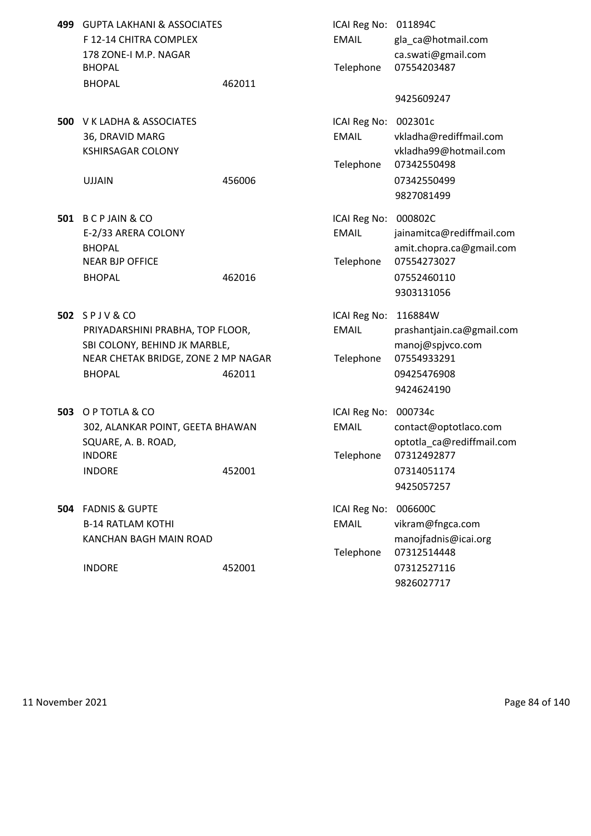| 499 GUPTA LAKHANI & ASSOCIATES |        | ICAI Reg No: $011894C$ |                       |
|--------------------------------|--------|------------------------|-----------------------|
| F 12-14 CHITRA COMPLEX         |        | EMAIL                  | gla ca@hotm           |
| 178 ZONE-I M.P. NAGAR          |        |                        | ca.swati@gm           |
| <b>BHOPAL</b>                  |        |                        | Telephone 07554203487 |
| <b>BHOPAL</b>                  | 462011 |                        |                       |

**500** V K LADHA & ASSOCIATES 36, DRAVID MARG KSHIRSAGAR COLONY

- **501 B C P JAIN & CO** E-2/33 ARERA COLONY NEAR BJP OFFICE BHOPAL 462016 462016 07552460110
- **502** SPJV&CO PRIYADARSHINI PRABHA, TOP FLOOR, SBI COLONY, BEHIND JK MARBLE, NEAR CHETAK BRIDGE, ZONE 2 MP NAGAR BHOPAL 462011 462011 09425476908
- **503** O P TOTLA & CO 302, ALANKAR POINT, GEETA BHAWAN SQUARE, A. B. ROAD, INDORE **Telephone 07312492877** INDORE 452001 452001 07314051174
- **504 FADNIS & GUPTE B-14 RATLAM KOTHI** KANCHAN BAGH MAIN ROAD

| <b>GUPTA LAKHANI &amp; ASSOCIATES</b><br>F 12-14 CHITRA COMPLEX<br>178 ZONE-I M.P. NAGAR<br><b>BHOPAL</b> |        | ICAI Reg No: 011894C<br><b>EMAIL</b><br>Telephone | gla_ca@hotmail.com<br>ca.swati@gmail.com<br>07554203487                       |
|-----------------------------------------------------------------------------------------------------------|--------|---------------------------------------------------|-------------------------------------------------------------------------------|
| <b>BHOPAL</b>                                                                                             | 462011 |                                                   | 9425609247                                                                    |
| V K LADHA & ASSOCIATES<br>36, DRAVID MARG<br><b>KSHIRSAGAR COLONY</b><br><b>UJJAIN</b>                    | 456006 | ICAI Reg No: 002301c<br><b>EMAIL</b><br>Telephone | vkladha@rediffmail.com<br>vkladha99@hotmail.com<br>07342550498<br>07342550499 |
|                                                                                                           |        |                                                   | 9827081499                                                                    |
| <b>BCPJAIN &amp; CO</b><br>E-2/33 ARERA COLONY<br><b>BHOPAL</b>                                           |        | ICAI Reg No: 000802C<br><b>EMAIL</b>              | jainamitca@rediffmail.com<br>amit.chopra.ca@gmail.com                         |
| <b>NEAR BJP OFFICE</b><br><b>BHOPAL</b>                                                                   | 462016 | Telephone                                         | 07554273027<br>07552460110<br>9303131056                                      |
| SPJV&CO                                                                                                   |        | ICAI Reg No:                                      | 116884W                                                                       |
| PRIYADARSHINI PRABHA, TOP FLOOR,<br>SBI COLONY, BEHIND JK MARBLE,                                         |        | <b>EMAIL</b>                                      | prashantjain.ca@gmail.com<br>manoj@spjvco.com                                 |
| NEAR CHETAK BRIDGE, ZONE 2 MP NAGAR<br><b>BHOPAL</b>                                                      | 462011 | Telephone                                         | 07554933291<br>09425476908<br>9424624190                                      |
| O P TOTLA & CO<br>302, ALANKAR POINT, GEETA BHAWAN<br>SQUARE, A. B. ROAD,                                 |        | ICAI Reg No: 000734c<br><b>EMAIL</b>              | contact@optotlaco.com<br>optotla_ca@rediffmail.com                            |
| INDORE<br><b>INDORE</b>                                                                                   | 452001 | Telephone                                         | 07312492877<br>07314051174<br>9425057257                                      |
| <b>FADNIS &amp; GUPTE</b><br><b>B-14 RATLAM KOTHI</b><br>KANCHAN BAGH MAIN ROAD                           |        | ICAI Reg No:<br><b>EMAIL</b>                      | 006600C<br>vikram@fngca.com<br>manojfadnis@icai.org                           |
| <b>INDORE</b>                                                                                             | 452001 | Telephone                                         | 07312514448<br>07312527116<br>9826027717                                      |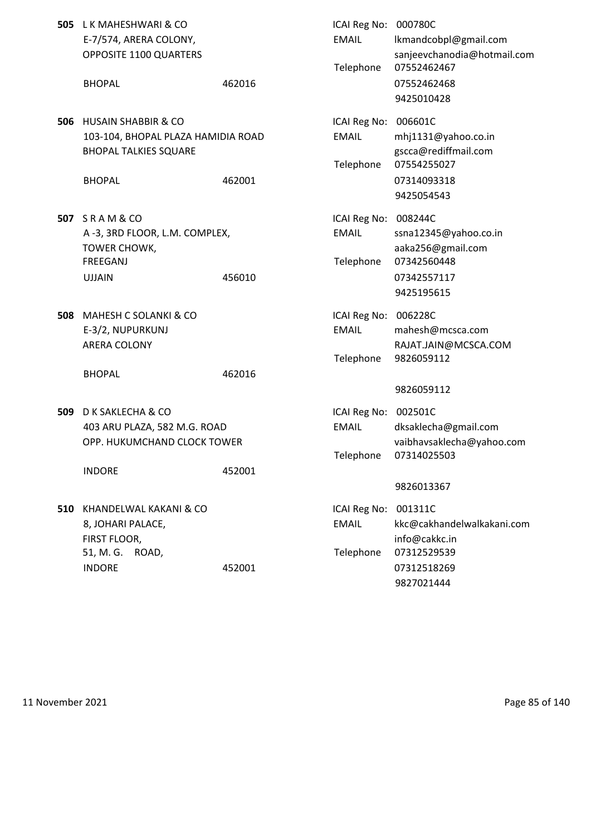|     | 505 LK MAHESHWARI & CO<br>E-7/574, ARERA COLONY,<br>OPPOSITE 1100 QUARTERS                                            |        | ICAI Reg No: 000780C<br><b>EMAIL</b><br>Telephone | lkmandcobpl@gmail.com<br>sanjeevchanodia@hotmail.com<br>07552462467                     |
|-----|-----------------------------------------------------------------------------------------------------------------------|--------|---------------------------------------------------|-----------------------------------------------------------------------------------------|
|     | <b>BHOPAL</b>                                                                                                         | 462016 |                                                   | 07552462468<br>9425010428                                                               |
| 506 | <b>HUSAIN SHABBIR &amp; CO</b><br>103-104, BHOPAL PLAZA HAMIDIA ROAD<br><b>BHOPAL TALKIES SQUARE</b><br><b>BHOPAL</b> | 462001 | ICAI Reg No: 006601C<br><b>EMAIL</b><br>Telephone | mhj1131@yahoo.co.in<br>gscca@rediffmail.com<br>07554255027<br>07314093318<br>9425054543 |
|     | <b>507 SRAM&amp;CO</b><br>A -3, 3RD FLOOR, L.M. COMPLEX,<br>TOWER CHOWK,<br>FREEGANJ<br><b>UJJAIN</b>                 | 456010 | ICAI Reg No: 008244C<br><b>EMAIL</b><br>Telephone | ssna12345@yahoo.co.in<br>aaka256@gmail.com<br>07342560448<br>07342557117<br>9425195615  |
| 508 | MAHESH C SOLANKI & CO<br>E-3/2, NUPURKUNJ<br>ARERA COLONY                                                             |        | ICAI Reg No: 006228C<br><b>EMAIL</b><br>Telephone | mahesh@mcsca.com<br>RAJAT.JAIN@MCSCA.COM<br>9826059112                                  |
|     | <b>BHOPAL</b>                                                                                                         | 462016 |                                                   | 9826059112                                                                              |
| 509 | D K SAKLECHA & CO<br>403 ARU PLAZA, 582 M.G. ROAD<br>OPP. HUKUMCHAND CLOCK TOWER                                      |        | ICAI Reg No: 002501C<br><b>EMAIL</b><br>Telephone | dksaklecha@gmail.com<br>vaibhavsaklecha@yahoo.com<br>07314025503                        |
|     | <b>INDORE</b>                                                                                                         | 452001 |                                                   | 9826013367                                                                              |
|     | 510 KHANDELWAL KAKANI & CO<br>8, JOHARI PALACE,<br>FIRST FLOOR,<br>51, M. G.<br>ROAD,                                 |        | ICAI Reg No: 001311C<br><b>EMAIL</b><br>Telephone | kkc@cakhandelwalkakani.com<br>info@cakkc.in<br>07312529539                              |
|     | <b>INDORE</b>                                                                                                         | 452001 |                                                   | 07312518269<br>9827021444                                                               |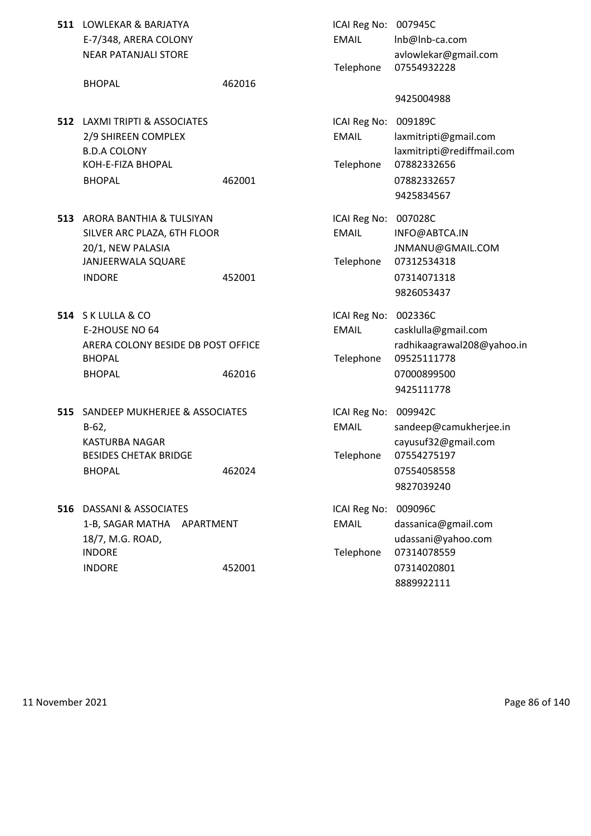| 511 LOWLEKAR & BARJATYA | ICAI Reg No: 007945C |           |
|-------------------------|----------------------|-----------|
| E-7/348, ARERA COLONY   | EMAIL                | -lnb@lnb  |
| NEAR PATANJALI STORE    |                      | avlowleka |

- **512 LAXMI TRIPTI & ASSOCIATES** 2/9 SHIREEN COMPLEX **B.D.A COLONY** KOH-E-FIZA BHOPAL
- **513** ARORA BANTHIA & TULSIYAN SILVER ARC PLAZA, 6TH FLOOR 20/1, NEW PALASIA JANJEERWALA SQUARE INDORE 452001 452001 452001
- **514** S K LULLA & CO E-2HOUSE NO 64 ARERA COLONY BESIDE DB POST OFFICE BHOPAL **BHOPAL Telephone** 09525111778 BHOPAL 462016 462016 07000899500
- **515** SANDEEP MUKHERJEE & ASSOCIATES KASTURBA NAGAR BESIDES CHETAK BRIDGE BHOPAL 462024
- **516** DASSANI & ASSOCIATES 1-B, SAGAR MATHA APARTMENT 18/7, M.G. ROAD, INDORE NORE CONTROLLER Telephone 07314078559 INDORE 452001 452001 452001

| LOWLEKAR & BARJATYA<br>E-7/348, ARERA COLONY<br><b>NEAR PATANJALI STORE</b>                                   |        | ICAI Reg No: 007945C<br><b>EMAIL</b><br>Telephone | Inb@Inb-ca.com<br>avlowlekar@gmail.com<br>07554932228                                                      |
|---------------------------------------------------------------------------------------------------------------|--------|---------------------------------------------------|------------------------------------------------------------------------------------------------------------|
| <b>BHOPAL</b>                                                                                                 | 462016 |                                                   | 9425004988                                                                                                 |
| LAXMI TRIPTI & ASSOCIATES<br>2/9 SHIREEN COMPLEX<br><b>B.D.A COLONY</b><br>KOH-E-FIZA BHOPAL<br><b>BHOPAL</b> | 462001 | ICAI Reg No:<br><b>EMAIL</b><br>Telephone         | 009189C<br>laxmitripti@gmail.com<br>laxmitripti@rediffmail.com<br>07882332656<br>07882332657<br>9425834567 |
| ARORA BANTHIA & TULSIYAN<br>SILVER ARC PLAZA, 6TH FLOOR<br>20/1, NEW PALASIA<br>JANJEERWALA SQUARE            |        | ICAI Reg No: 007028C<br><b>EMAIL</b><br>Telephone | INFO@ABTCA.IN<br>JNMANU@GMAIL.COM<br>07312534318                                                           |
| <b>INDORE</b>                                                                                                 | 452001 |                                                   | 07314071318<br>9826053437                                                                                  |
| S K LULLA & CO<br>E-2HOUSE NO 64<br>ARERA COLONY BESIDE DB POST OFFICE<br>BHOPAL<br><b>BHOPAL</b>             | 462016 | ICAI Reg No: 002336C<br><b>EMAIL</b><br>Telephone | casklulla@gmail.com<br>radhikaagrawal208@yahoo.in<br>09525111778<br>07000899500                            |
| SANDEEP MUKHERJEE & ASSOCIATES                                                                                |        | ICAI Reg No: 009942C                              | 9425111778                                                                                                 |
| $B-62,$<br><b>KASTURBA NAGAR</b>                                                                              |        | <b>EMAIL</b>                                      | sandeep@camukherjee.in<br>cayusuf32@gmail.com                                                              |
| <b>BESIDES CHETAK BRIDGE</b><br><b>BHOPAL</b>                                                                 | 462024 | Telephone                                         | 07554275197<br>07554058558<br>9827039240                                                                   |
| DASSANI & ASSOCIATES<br>1-B, SAGAR MATHA<br>APARTMENT<br>18/7, M.G. ROAD,                                     |        | ICAI Reg No:<br><b>EMAIL</b>                      | 009096C<br>dassanica@gmail.com<br>udassani@yahoo.com                                                       |
| <b>INDORE</b><br><b>INDORE</b>                                                                                | 452001 | Telephone                                         | 07314078559<br>07314020801<br>8889922111                                                                   |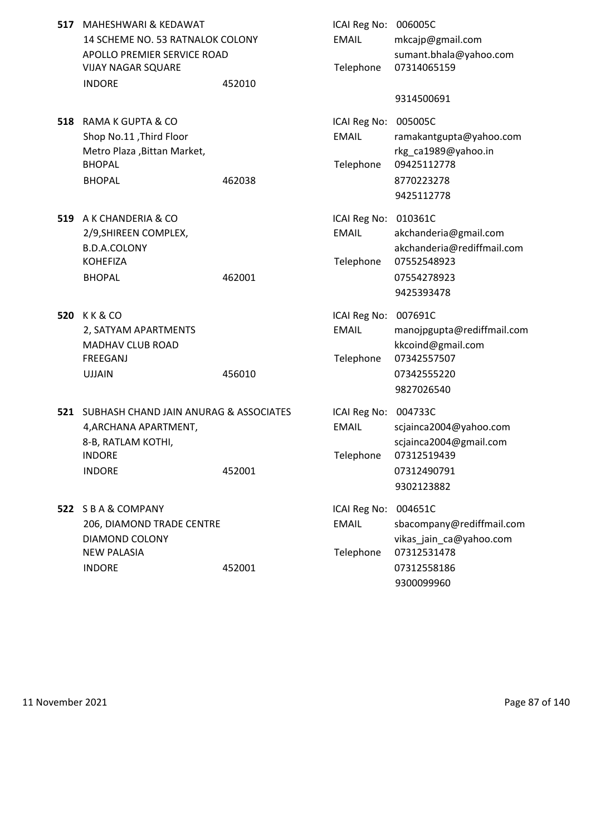| 517 MAHESHWARI & KEDAWAT         |        | ICAI Reg No: 006005C |                       |
|----------------------------------|--------|----------------------|-----------------------|
| 14 SCHEME NO. 53 RATNALOK COLONY |        | EMAIL                | mkcajp@gmail.com      |
| APOLLO PREMIER SERVICE ROAD      |        |                      | sumant.bhala@yah      |
| <b>VIJAY NAGAR SQUARE</b>        |        |                      | Telephone 07314065159 |
| <b>INDORE</b>                    | 452010 |                      |                       |

- **518** RAMA K GUPTA & CO Shop No.11 ,Third Floor Metro Plaza , Bittan Market, BHOPAL **BHOPAL Telephone 09425112778** BHOPAL 462038 462038 8770223278
- **519** A K CHANDERIA & CO 2/9,SHIREEN COMPLEX, B.D.A.COLONY KOHEFIZA BHOPAL 462001
- **520 K K & CO** 2, SATYAM APARTMENTS MADHAV CLUB ROAD FREEGANJ
- **521 SUBHASH CHAND JAIN ANURAG & ASSOCIATES** 4, ARCHANA APARTMENT, 8-B, RATLAM KOTHI, INDORE NORE Telephone 07312519439
- **522 S B A & COMPANY** 206, DIAMOND TRADE CENTRE DIAMOND COLONY **NEW PALASIA**

| MAHESHWARI & KEDAWAT                   |        | ICAI Reg No: 006005C |                            |
|----------------------------------------|--------|----------------------|----------------------------|
| 14 SCHEME NO. 53 RATNALOK COLONY       |        | <b>FMAIL</b>         | mkcajp@gmail.com           |
| APOLLO PREMIER SERVICE ROAD            |        |                      | sumant.bhala@yahoo.com     |
| VIJAY NAGAR SQUARE                     |        | Telephone            | 07314065159                |
| <b>INDORE</b>                          | 452010 |                      |                            |
|                                        |        |                      | 9314500691                 |
| RAMA K GUPTA & CO                      |        | ICAI Reg No: 005005C |                            |
| Shop No.11, Third Floor                |        | <b>EMAIL</b>         | ramakantgupta@yahoo.com    |
| Metro Plaza, Bittan Market,            |        |                      | rkg_ca1989@yahoo.in        |
| <b>BHOPAL</b>                          |        | Telephone            | 09425112778                |
| <b>BHOPAL</b>                          | 462038 |                      | 8770223278                 |
|                                        |        |                      | 9425112778                 |
| A K CHANDERIA & CO                     |        | ICAI Reg No: 010361C |                            |
| 2/9, SHIREEN COMPLEX,                  |        | <b>EMAIL</b>         | akchanderia@gmail.com      |
| <b>B.D.A.COLONY</b>                    |        |                      | akchanderia@rediffmail.com |
| KOHEFIZA                               |        | Telephone            | 07552548923                |
| <b>BHOPAL</b>                          | 462001 |                      | 07554278923                |
|                                        |        |                      | 9425393478                 |
| K K & CO                               |        | ICAI Reg No:         | 007691C                    |
| 2, SATYAM APARTMENTS                   |        | <b>EMAIL</b>         | manojpgupta@rediffmail.com |
| MADHAV CLUB ROAD                       |        |                      | kkcoind@gmail.com          |
| FREEGANJ                               |        | Telephone            | 07342557507                |
| <b>UJJAIN</b>                          | 456010 |                      | 07342555220                |
|                                        |        |                      | 9827026540                 |
| SUBHASH CHAND JAIN ANURAG & ASSOCIATES |        | ICAI Reg No: 004733C |                            |
| 4, ARCHANA APARTMENT,                  |        | <b>EMAIL</b>         | scjainca2004@yahoo.com     |
| 8-B, RATLAM KOTHI,                     |        |                      | sciainca2004@gmail.com     |
| INDORE                                 |        | Telephone            | 07312519439                |
| <b>INDORE</b>                          | 452001 |                      | 07312490791                |
|                                        |        |                      | 9302123882                 |
| <b>SBA&amp;COMPANY</b>                 |        | ICAI Reg No:         | 004651C                    |
| 206, DIAMOND TRADE CENTRE              |        | <b>EMAIL</b>         | sbacompany@rediffmail.com  |
| DIAMOND COLONY                         |        |                      | vikas_jain_ca@yahoo.com    |
| <b>NEW PALASIA</b>                     |        | Telephone            | 07312531478                |
| <b>INDORE</b>                          | 452001 |                      | 07312558186                |

9300099960

11 November 2021 Page 87 of 140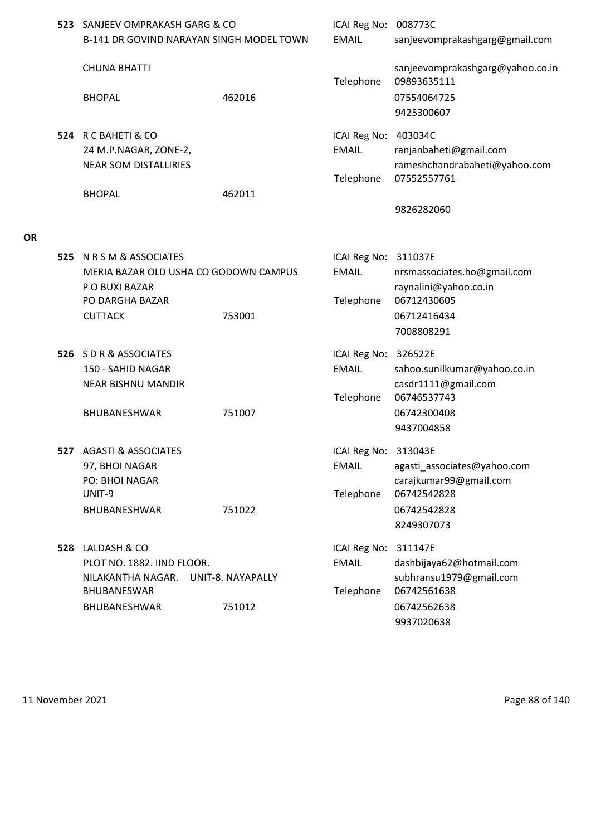| 523 SANJEEV OMPRAKASH GARG & CO<br><b>B-141 DR GOVIND NARAYAN SINGH MODEL TOWN</b>                                                  |                             | ICAI Reg No: 008773C<br><b>EMAIL</b>              | sanjeevomprakashgarg@gmail.com                                                                             |
|-------------------------------------------------------------------------------------------------------------------------------------|-----------------------------|---------------------------------------------------|------------------------------------------------------------------------------------------------------------|
| <b>CHUNA BHATTI</b><br><b>BHOPAL</b>                                                                                                | 462016                      | Telephone                                         | sanjeevomprakashgarg@yahoo.co.in<br>09893635111<br>07554064725<br>9425300607                               |
| 524 R C BAHETI & CO<br>24 M.P.NAGAR, ZONE-2,<br><b>NEAR SOM DISTALLIRIES</b><br><b>BHOPAL</b>                                       | 462011                      | ICAI Reg No: 403034C<br><b>EMAIL</b><br>Telephone | ranjanbaheti@gmail.com<br>rameshchandrabaheti@yahoo.com<br>07552557761<br>9826282060                       |
| <b>525 N R S M &amp; ASSOCIATES</b><br>MERIA BAZAR OLD USHA CO GODOWN CAMPUS<br>P O BUXI BAZAR<br>PO DARGHA BAZAR<br><b>CUTTACK</b> | 753001                      | ICAI Reg No: 311037E<br><b>EMAIL</b><br>Telephone | nrsmassociates.ho@gmail.com<br>raynalini@yahoo.co.in<br>06712430605<br>06712416434<br>7008808291           |
| 526 SDR&ASSOCIATES<br>150 - SAHID NAGAR<br><b>NEAR BISHNU MANDIR</b><br><b>BHUBANESHWAR</b>                                         | 751007                      | ICAI Reg No: 326522E<br><b>EMAIL</b><br>Telephone | sahoo.sunilkumar@yahoo.co.in<br>casdr1111@gmail.com<br>06746537743<br>06742300408<br>9437004858            |
| <b>527 AGASTI &amp; ASSOCIATES</b><br>97, BHOI NAGAR<br>PO: BHOI NAGAR<br>UNIT-9<br><b>BHUBANESHWAR</b>                             | 751022                      | ICAI Reg No: 313043E<br><b>EMAIL</b><br>Telephone | agasti_associates@yahoo.com<br>carajkumar99@gmail.com<br>06742542828<br>06742542828<br>8249307073          |
| 528 LALDASH & CO<br>PLOT NO. 1882. IIND FLOOR.<br>NILAKANTHA NAGAR.<br>BHUBANESWAR<br>BHUBANESHWAR                                  | UNIT-8. NAYAPALLY<br>751012 | ICAI Reg No:<br><b>EMAIL</b><br>Telephone         | 311147E<br>dashbijaya62@hotmail.com<br>subhransu1979@gmail.com<br>06742561638<br>06742562638<br>9937020638 |

**OR**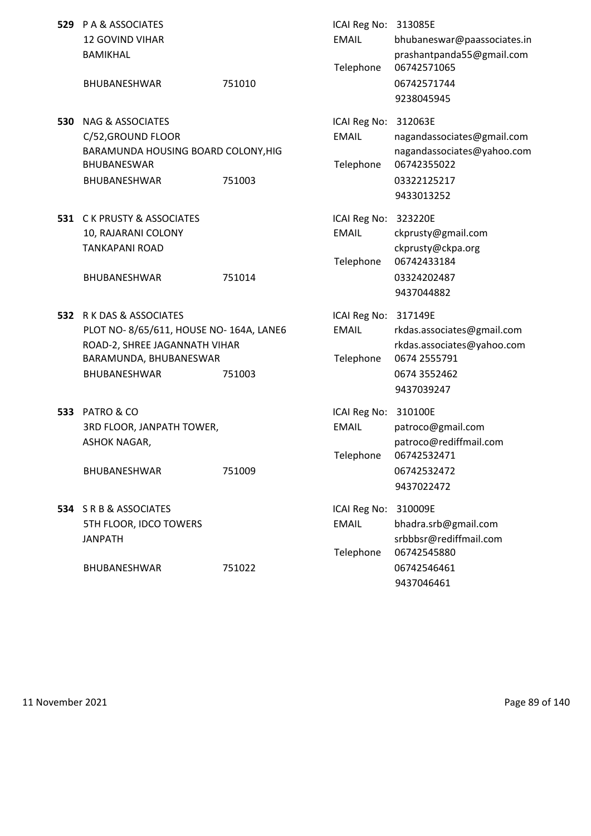|     | 529 PA & ASSOCIATES<br><b>12 GOVIND VIHAR</b><br><b>BAMIKHAL</b>                                                                              |        | ICAI Reg No: 313085E<br><b>EMAIL</b><br>Telephone | bhubaneswar@paassociates.in<br>prashantpanda55@gmail.com<br>06742571065                                |
|-----|-----------------------------------------------------------------------------------------------------------------------------------------------|--------|---------------------------------------------------|--------------------------------------------------------------------------------------------------------|
|     | <b>BHUBANESHWAR</b>                                                                                                                           | 751010 |                                                   | 06742571744<br>9238045945                                                                              |
| 530 | <b>NAG &amp; ASSOCIATES</b><br>C/52, GROUND FLOOR<br>BARAMUNDA HOUSING BOARD COLONY, HIG<br><b>BHUBANESWAR</b><br>BHUBANESHWAR                | 751003 | ICAI Reg No: 312063E<br><b>EMAIL</b><br>Telephone | nagandassociates@gmail.com<br>nagandassociates@yahoo.com<br>06742355022<br>03322125217<br>9433013252   |
|     | 531 C K PRUSTY & ASSOCIATES<br>10, RAJARANI COLONY<br><b>TANKAPANI ROAD</b><br><b>BHUBANESHWAR</b>                                            | 751014 | ICAI Reg No: 323220E<br><b>EMAIL</b><br>Telephone | ckprusty@gmail.com<br>ckprusty@ckpa.org<br>06742433184<br>03324202487<br>9437044882                    |
|     | 532 R K DAS & ASSOCIATES<br>PLOT NO-8/65/611, HOUSE NO-164A, LANE6<br>ROAD-2, SHREE JAGANNATH VIHAR<br>BARAMUNDA, BHUBANESWAR<br>BHUBANESHWAR | 751003 | ICAI Reg No: 317149E<br><b>EMAIL</b><br>Telephone | rkdas.associates@gmail.com<br>rkdas.associates@yahoo.com<br>0674 2555791<br>0674 3552462<br>9437039247 |
|     | <b>533 PATRO &amp; CO</b><br>3RD FLOOR, JANPATH TOWER,<br><b>ASHOK NAGAR,</b><br><b>BHUBANESHWAR</b>                                          | 751009 | ICAI Reg No: 310100E<br><b>EMAIL</b><br>Telephone | patroco@gmail.com<br>patroco@rediffmail.com<br>06742532471<br>06742532472<br>9437022472                |
|     | 534 SRB&ASSOCIATES<br>5TH FLOOR, IDCO TOWERS<br><b>JANPATH</b><br><b>BHUBANESHWAR</b>                                                         | 751022 | ICAI Reg No:<br><b>EMAIL</b><br>Telephone         | 310009E<br>bhadra.srb@gmail.com<br>srbbbsr@rediffmail.com<br>06742545880<br>06742546461                |
|     |                                                                                                                                               |        |                                                   | 9437046461                                                                                             |

11 November 2021 **Page 89 of 140**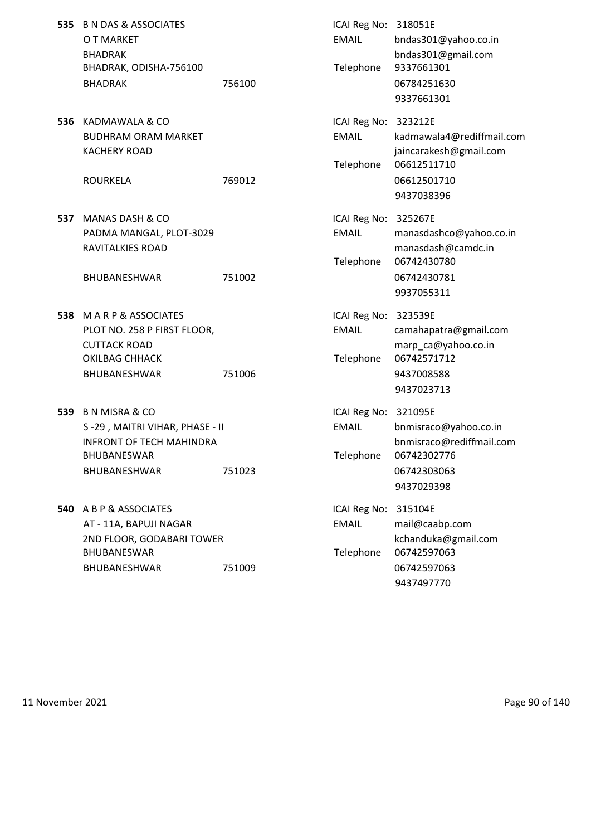| 535 B N DAS & ASSOCIATES |        | ICAI Reg No: 318051E |          |
|--------------------------|--------|----------------------|----------|
| O T MARKET               |        | EMAIL                | bndas301 |
| <b>BHADRAK</b>           |        |                      | bndas301 |
| BHADRAK, ODISHA-756100   |        | Telephone            | 93376613 |
| <b>BHADRAK</b>           | 756100 |                      | 06784251 |

**536** KADMAWALA & CO **ICAI Reg No: 323212E** 

**537** MANAS DASH & CO **ICAI Reg No: 325267E** 

BHUBANESHWAR 751002 06742430781

- **538** M A R P & ASSOCIATES **ICAI Reg No: 323539E** OKILBAG CHHACK Telephone 06742571712 BHUBANESHWAR 751006 9437008588
- **539** B N MISRA & CO **ICAI Reg No: 321095E** BHUBANESWAR Telephone 06742302776 BHUBANESHWAR 751023 06742303063
- **540** A B P & ASSOCIATES **ICAI Reg No: 315104E** AT - 11A, BAPUJI NAGAR EMAIL mail@caabp.com BHUBANESWAR Telephone 06742597063 BHUBANESHWAR 751009 06742597063

EMAIL bndas301@yahoo.co.in bndas301@gmail.com Telephone 9337661301 06784251630 9337661301 BUDHRAM ORAM MARKET **EMAIL** kadmawala4@rediffmail.com KACHERY ROAD **interval in the set of the set of the set of the set of the set of the set of the set of the set of the set of the set of the set of the set of the set of the set of the set of the set of the set of the set o** Telephone 06612511710 ROURKELA 769012 06612501710 9437038396 PADMA MANGAL, PLOT-3029 EMAIL manasdashco@yahoo.co.in RAVITALKIES ROAD manasdash@camdc.in Telephone 06742430780 9937055311 PLOT NO. 258 P FIRST FLOOR, The COMBIN COMMUNIC Camahapatra@gmail.com CUTTACK ROAD marp ca@yahoo.co.in 9437023713 S-29, MAITRI VIHAR, PHASE - II CHAR BOOK AND EMAIL bnmisraco@yahoo.co.in INFRONT OF TECH MAHINDRA bnmisraco@rediffmail.com 9437029398 2ND FLOOR, GODABARI TOWER kchanduka@gmail.com

9437497770

11 November 2021 Page 90 of 140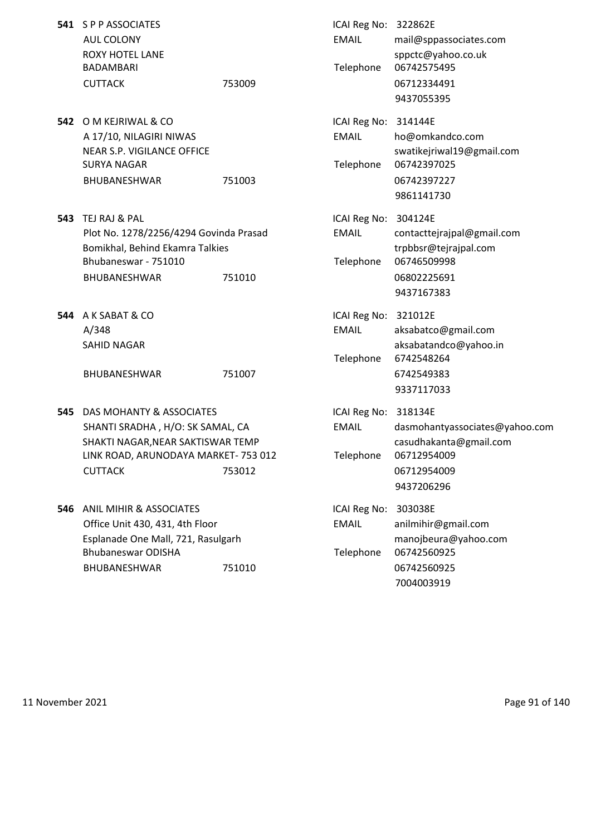|     | 541 S P P ASSOCIATES                   |        | ICAI Reg No: 322862E |                           |
|-----|----------------------------------------|--------|----------------------|---------------------------|
|     | AUL COLONY                             |        | <b>EMAIL</b>         | mail@sppassociates.com    |
|     | <b>ROXY HOTEL LANE</b>                 |        |                      | sppctc@yahoo.co.uk        |
|     | <b>BADAMBARI</b>                       |        | Telephone            | 06742575495               |
|     | <b>CUTTACK</b>                         | 753009 |                      | 06712334491               |
|     |                                        |        |                      | 9437055395                |
| 542 | O M KEIRIWAL & CO                      |        | ICAI Reg No:         | 314144E                   |
|     | A 17/10, NILAGIRI NIWAS                |        | <b>EMAIL</b>         | ho@omkandco.com           |
|     | NEAR S.P. VIGILANCE OFFICE             |        |                      | swatikejriwal19@gmail.co  |
|     | SURYA NAGAR                            |        | Telephone            | 06742397025               |
|     | <b>BHUBANESHWAR</b>                    | 751003 |                      | 06742397227               |
|     |                                        |        |                      | 9861141730                |
| 543 | TEJ RAJ & PAL                          |        | ICAI Reg No:         | 304124E                   |
|     | Plot No. 1278/2256/4294 Govinda Prasad |        | <b>EMAIL</b>         | contacttejrajpal@gmail.co |
|     | Bomikhal, Behind Ekamra Talkies        |        |                      | trpbbsr@tejrajpal.com     |
|     | Bhubaneswar - 751010                   |        | Telephone            | 06746509998               |
|     | <b>BHUBANESHWAR</b>                    | 751010 |                      | 06802225691               |
|     |                                        |        |                      | 9437167383                |
|     | 544 A K SABAT & CO                     |        | ICAI Reg No: 321012E |                           |
|     |                                        |        |                      |                           |

BHUBANESHWAR 751007 751007 6742549383

**545** DAS MOHANTY & ASSOCIATES **ICAI Reg No: 318134E** SHAKTI NAGAR, NEAR SAKTISWAR TEMP casudhakanta@gmail.com LINK ROAD, ARUNODAYA MARKET- 753 012 Telephone 06712954009 CUTTACK 753012 06712954009

**546** ANIL MIHIR & ASSOCIATES **ICAI Reg No: 303038E** Office Unit 430, 431, 4th Floor **EMAIL** anilmihir@gmail.com Bhubaneswar ODISHA Telephone 06742560925 BHUBANESHWAR 751010 06742560925

9437055395 al 19@gmail.com 9861141730  $p$ ajpal@gmail.com irajpal.com 9437167383 A/348 EMAIL aksabatco@gmail.com SAHID NAGAR aksabatandco@yahoo.in Telephone 6742548264 9337117033 SHANTI SRADHA , H/O: SK SAMAL, CA EMAIL dasmohantyassociates@yahoo.com 9437206296 Esplanade One Mall, 721, Rasulgarh manojbeura@yahoo.com 7004003919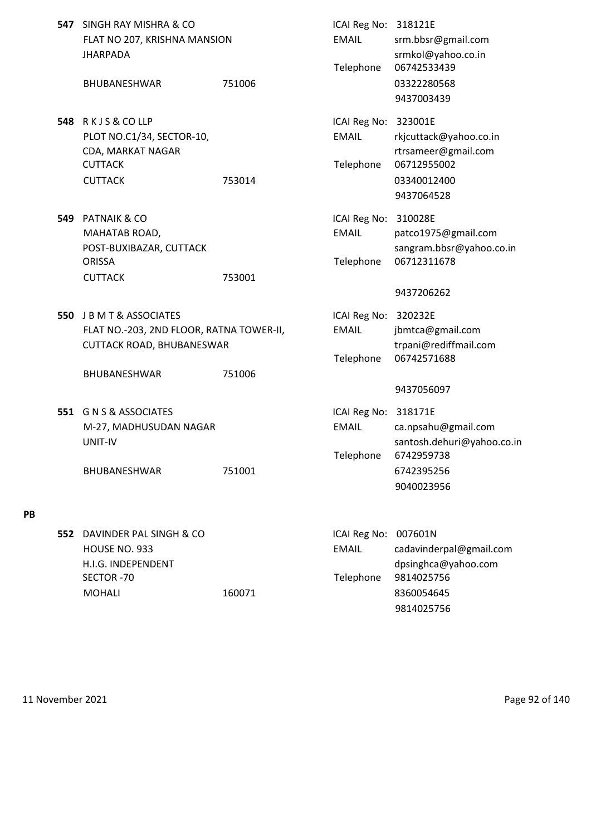| 547 | SINGH RAY MISHRA & CO<br>FLAT NO 207, KRISHNA MANSION<br><b>JHARPADA</b><br><b>BHUBANESHWAR</b>                             | 751006 | ICAI Reg No: 318121E<br><b>EMAIL</b><br>Telephone | srm.bbsr@gmail.com<br>srmkol@yahoo.co.in<br>06742533439<br>03322280568<br>9437003439                                 |
|-----|-----------------------------------------------------------------------------------------------------------------------------|--------|---------------------------------------------------|----------------------------------------------------------------------------------------------------------------------|
|     | 548 RKJS&COLLP<br>PLOT NO.C1/34, SECTOR-10,<br>CDA, MARKAT NAGAR<br><b>CUTTACK</b><br><b>CUTTACK</b>                        | 753014 | ICAI Reg No: 323001E<br><b>EMAIL</b><br>Telephone | rkjcuttack@yahoo.co.in<br>rtrsameer@gmail.com<br>06712955002<br>03340012400<br>9437064528                            |
| 549 | <b>PATNAIK &amp; CO</b><br>MAHATAB ROAD,<br>POST-BUXIBAZAR, CUTTACK<br><b>ORISSA</b><br><b>CUTTACK</b>                      | 753001 | ICAI Reg No: 310028E<br><b>EMAIL</b><br>Telephone | patco1975@gmail.com<br>sangram.bbsr@yahoo.co.in<br>06712311678<br>9437206262                                         |
| 550 | J B M T & ASSOCIATES<br>FLAT NO.-203, 2ND FLOOR, RATNA TOWER-II,<br><b>CUTTACK ROAD, BHUBANESWAR</b><br><b>BHUBANESHWAR</b> | 751006 | ICAI Reg No: 320232E<br><b>EMAIL</b><br>Telephone | jbmtca@gmail.com<br>trpani@rediffmail.com<br>06742571688                                                             |
| 551 | <b>G N S &amp; ASSOCIATES</b><br>M-27, MADHUSUDAN NAGAR<br>UNIT-IV<br><b>BHUBANESHWAR</b>                                   | 751001 | ICAI Reg No:<br><b>EMAIL</b><br>Telephone         | 9437056097<br>318171E<br>ca.npsahu@gmail.com<br>santosh.dehuri@yahoo.co.in<br>6742959738<br>6742395256<br>9040023956 |
| 552 | DAVINDER PAL SINGH & CO<br>HOUSE NO. 933<br>H.I.G. INDEPENDENT<br>SECTOR-70                                                 |        | ICAI Reg No:<br><b>EMAIL</b><br>Telephone         | 007601N<br>cadavinderpal@gmail.com<br>dpsinghca@yahoo.com<br>9814025756                                              |

MOHALI 160071 8360054645

**PB**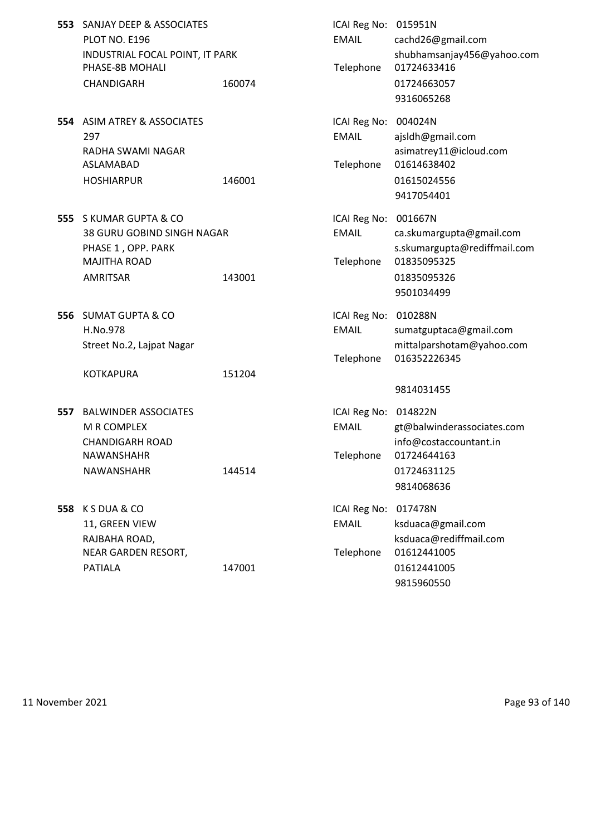|     | 553 SANJAY DEEP & ASSOCIATES<br><b>PLOT NO. E196</b><br>INDUSTRIAL FOCAL POINT, IT PARK<br>PHASE-8B MOHALI<br><b>CHANDIGARH</b> | 160074 | ICAI Reg No: 015951N<br><b>EMAIL</b><br>Telephone | cachd26@gmail.com<br>shubhamsanjay456@yahoo.com<br>01724633416<br>01724663057<br>9316065268          |
|-----|---------------------------------------------------------------------------------------------------------------------------------|--------|---------------------------------------------------|------------------------------------------------------------------------------------------------------|
|     | 554 ASIM ATREY & ASSOCIATES<br>297<br>RADHA SWAMI NAGAR<br>ASLAMABAD<br><b>HOSHIARPUR</b>                                       | 146001 | ICAI Reg No: 004024N<br><b>EMAIL</b><br>Telephone | ajsldh@gmail.com<br>asimatrey11@icloud.com<br>01614638402<br>01615024556<br>9417054401               |
|     | 555 S KUMAR GUPTA & CO<br><b>38 GURU GOBIND SINGH NAGAR</b><br>PHASE 1, OPP. PARK<br><b>MAJITHA ROAD</b><br><b>AMRITSAR</b>     | 143001 | ICAI Reg No: 001667N<br><b>EMAIL</b><br>Telephone | ca.skumargupta@gmail.com<br>s.skumargupta@rediffmail.com<br>01835095325<br>01835095326<br>9501034499 |
|     | 556 SUMAT GUPTA & CO<br>H.No.978<br>Street No.2, Lajpat Nagar<br><b>KOTKAPURA</b>                                               | 151204 | ICAI Reg No: 010288N<br><b>EMAIL</b><br>Telephone | sumatguptaca@gmail.com<br>mittalparshotam@yahoo.com<br>016352226345<br>9814031455                    |
| 557 | <b>BALWINDER ASSOCIATES</b><br>M R COMPLEX<br><b>CHANDIGARH ROAD</b><br><b>NAWANSHAHR</b><br>NAWANSHAHR                         | 144514 | ICAI Reg No: 014822N<br><b>FMAIL</b><br>Telephone | gt@balwinderassociates.com<br>info@costaccountant.in<br>01724644163<br>01724631125<br>9814068636     |

**558** K S DUA & CO **ICAI Reg No: 017478N** 11, GREEN VIEW **EMAIL** ksduaca@gmail.com RAJBAHA ROAD, ksduaca@rediffmail.com NEAR GARDEN RESORT, Telephone 01612441005 PATIALA 147001 01612441005

9815960550

11 November 2021 Page 93 of 140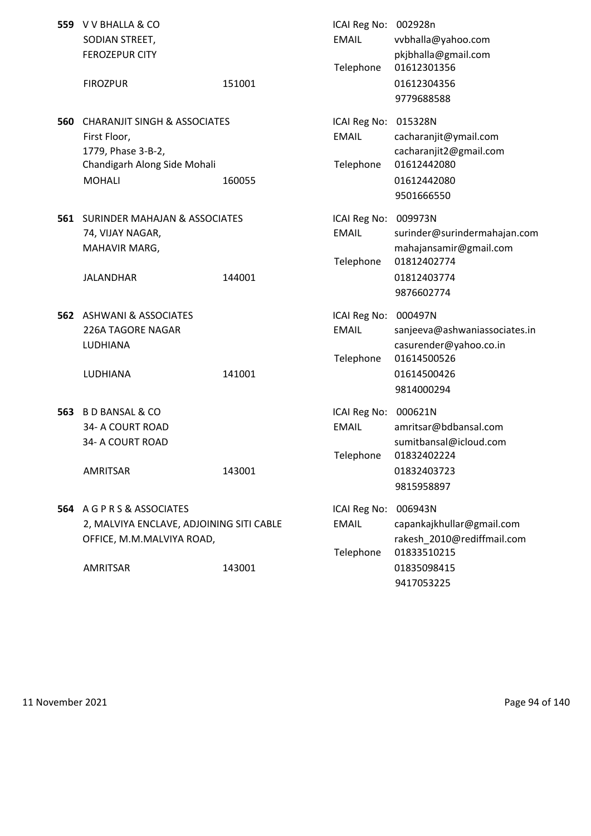|     | 559 V V BHALLA & CO<br>SODIAN STREET,<br><b>FEROZEPUR CITY</b>                                                                 |        | ICAI Reg No: 002928n<br><b>EMAIL</b><br>Telephone | vvbhalla@yahoo.com<br>pkjbhalla@gmail.com<br>01612301356                                                       |
|-----|--------------------------------------------------------------------------------------------------------------------------------|--------|---------------------------------------------------|----------------------------------------------------------------------------------------------------------------|
|     | <b>FIROZPUR</b>                                                                                                                | 151001 |                                                   | 01612304356<br>9779688588                                                                                      |
| 560 | <b>CHARANJIT SINGH &amp; ASSOCIATES</b><br>First Floor,<br>1779, Phase 3-B-2,<br>Chandigarh Along Side Mohali<br><b>MOHALI</b> | 160055 | ICAI Reg No:<br><b>EMAIL</b><br>Telephone         | 015328N<br>cacharanjit@ymail.com<br>cacharanjit2@gmail.com<br>01612442080<br>01612442080<br>9501666550         |
|     | <b>561 SURINDER MAHAJAN &amp; ASSOCIATES</b><br>74, VIJAY NAGAR,<br>MAHAVIR MARG,<br><b>JALANDHAR</b>                          | 144001 | ICAI Reg No:<br><b>EMAIL</b><br>Telephone         | 009973N<br>surinder@surindermahajan.com<br>mahajansamir@gmail.com<br>01812402774<br>01812403774<br>9876602774  |
|     | <b>562 ASHWANI &amp; ASSOCIATES</b><br><b>226A TAGORE NAGAR</b><br>LUDHIANA<br>LUDHIANA                                        | 141001 | ICAI Reg No:<br><b>EMAIL</b><br>Telephone         | 000497N<br>sanjeeva@ashwaniassociates.in<br>casurender@yahoo.co.in<br>01614500526<br>01614500426<br>9814000294 |
| 563 | <b>B D BANSAL &amp; CO</b><br>34- A COURT ROAD<br>34- A COURT ROAD<br>AMRITSAR                                                 | 143001 | ICAI Reg No:<br><b>EMAIL</b><br>Telephone         | 000621N<br>amritsar@bdbansal.com<br>sumitbansal@icloud.com<br>01832402224<br>01832403723<br>9815958897         |
|     | 564 A G P R S & ASSOCIATES<br>2, MALVIYA ENCLAVE, ADJOINING SITI CABLE<br>OFFICE, M.M.MALVIYA ROAD,<br><b>AMRITSAR</b>         | 143001 | ICAI Reg No:<br><b>EMAIL</b><br>Telephone         | 006943N<br>capankajkhullar@gmail.com<br>rakesh 2010@rediffmail.com<br>01833510215<br>01835098415<br>9417053225 |

11 November 2021 **Page 94 of 140**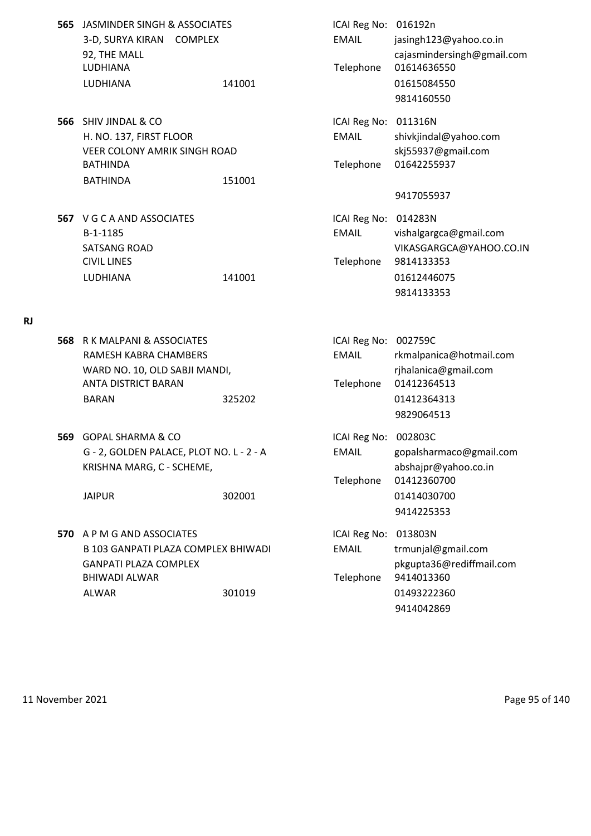- **565** JASMINDER SINGH & ASSOCIATES **ICAI Reg No: 016192n** 3-D, SURYA KIRAN COMPLEX EMAIL jasingh123@yahoo.co.in 92, THE MALL cajasmindersingh@gmail.com LUDHIANA Telephone 01614636550 LUDHIANA 141001 01615084550
- **566** SHIV JINDAL & CO **ICAI Reg No: 011316N** H. NO. 137, FIRST FLOOR EMAIL shivkjindal@yahoo.com VEER COLONY AMRIK SINGH ROAD skj55937@gmail.com BATHINDA Telephone 01642255937 BATHINDA 151001
- **567** V G C A AND ASSOCIATES **ICAI Reg No: 014283N** B-1-1185 EMAIL vishalgargca@gmail.com CIVIL LINES Telephone 9814133353 LUDHIANA 141001 01612446075

## **RJ**

- **568** R K MALPANI & ASSOCIATES **ICAI Reg No: 002759C** RAMESH KABRA CHAMBERS EMAIL rkmalpanica@hotmail.com WARD NO. 10, OLD SABJI MANDI, The Control of the Communication of the Communication of the Communication of the Communication of the Communication of the Communication of the Communication of the Communication of the Commu ANTA DISTRICT BARAN Telephone 01412364513 BARAN 325202 01412364313 9829064513 **569** GOPAL SHARMA & CO **ICAI REG NO: 002803C**
- KRISHNA MARG, C SCHEME, abshajpr@yahoo.co.in

JAIPUR 302001 01414030700

**570** A P M G AND ASSOCIATES **ICAI Reg No: 013803N** B 103 GANPATI PLAZA COMPLEX BHIWADI EMAIL trmunial@gmail.com GANPATI PLAZA COMPLEX pkgupta36@rediffmail.com BHIWADI ALWAR Telephone 9414013360 ALWAR 301019 01493222360

SATSANG ROAD SATSANG ROAD SATSANG ROAD SATSANG ROAD SATSANG ROAD SATSANG ROAD SATSANG ROAD SATSANG ROAD SATSANG TA 9814133353

9814160550

- G 2, GOLDEN PALACE, PLOT NO. L 2 A EMAIL gopalsharmaco@gmail.com Telephone 01412360700 9414225353
	- 9414042869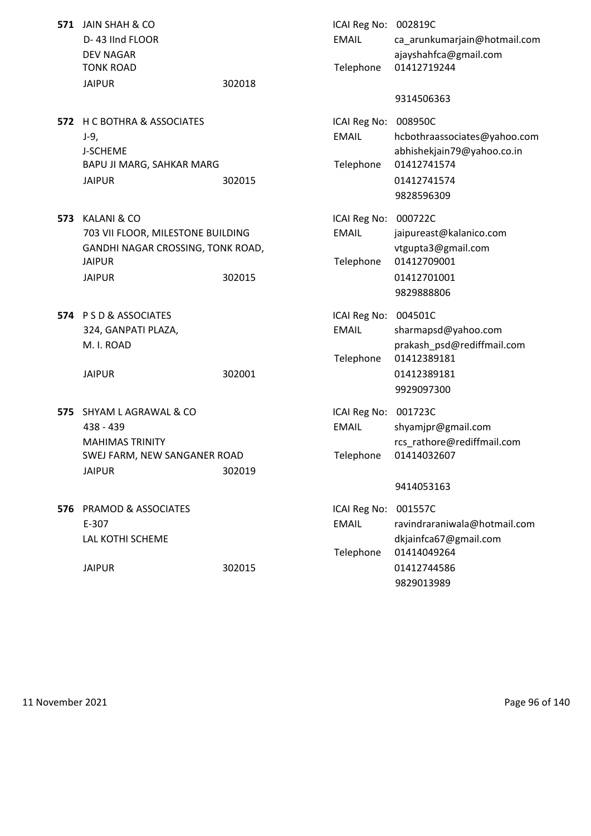|      | 571 JAIN SHAH & CO<br>D-43 IInd FLOOR<br><b>DEV NAGAR</b><br><b>TONK ROAD</b>                                           |        | ICAI Reg No: 002819C<br><b>EMAIL</b><br>Telephone | ca_arunkumarjain@hotmail.com<br>ajayshahfca@gmail.com<br>01412719244                                         |
|------|-------------------------------------------------------------------------------------------------------------------------|--------|---------------------------------------------------|--------------------------------------------------------------------------------------------------------------|
|      | <b>JAIPUR</b>                                                                                                           | 302018 |                                                   | 9314506363                                                                                                   |
|      | <b>572 H C BOTHRA &amp; ASSOCIATES</b><br>J-9,<br>J-SCHEME<br>BAPU JI MARG, SAHKAR MARG<br><b>JAIPUR</b>                | 302015 | ICAI Reg No: 008950C<br><b>EMAIL</b><br>Telephone | hcbothraassociates@yahoo.com<br>abhishekjain79@yahoo.co.in<br>01412741574<br>01412741574<br>9828596309       |
| 573  | KALANI & CO<br>703 VII FLOOR, MILESTONE BUILDING<br>GANDHI NAGAR CROSSING, TONK ROAD,<br><b>JAIPUR</b><br><b>JAIPUR</b> | 302015 | ICAI Reg No: 000722C<br><b>EMAIL</b><br>Telephone | jaipureast@kalanico.com<br>vtgupta3@gmail.com<br>01412709001<br>01412701001<br>9829888806                    |
|      | 574 PSD & ASSOCIATES<br>324, GANPATI PLAZA,<br>M. I. ROAD<br><b>JAIPUR</b>                                              | 302001 | ICAI Reg No: 004501C<br><b>EMAIL</b><br>Telephone | sharmapsd@yahoo.com<br>prakash_psd@rediffmail.com<br>01412389181<br>01412389181<br>9929097300                |
| 575. | SHYAM L AGRAWAL & CO<br>438 - 439<br><b>MAHIMAS TRINITY</b><br>SWEJ FARM, NEW SANGANER ROAD<br><b>JAIPUR</b>            | 302019 | ICAI Reg No: 001723C<br><b>EMAIL</b><br>Telephone | shyamjpr@gmail.com<br>rcs rathore@rediffmail.com<br>01414032607<br>9414053163                                |
|      | <b>576 PRAMOD &amp; ASSOCIATES</b><br>E-307<br>LAL KOTHI SCHEME<br><b>JAIPUR</b>                                        | 302015 | ICAI Reg No:<br><b>EMAIL</b><br>Telephone         | 001557C<br>ravindraraniwala@hotmail.com<br>dkjainfca67@gmail.com<br>01414049264<br>01412744586<br>9829013989 |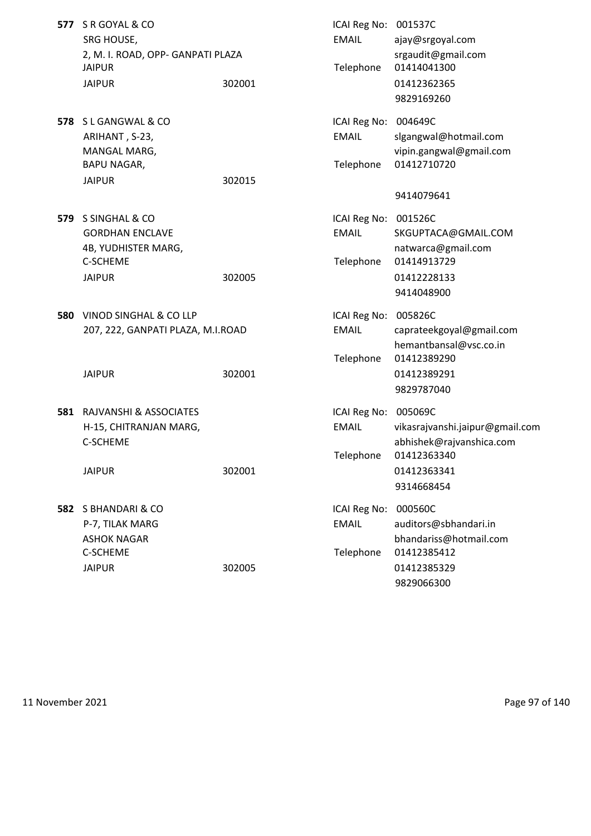| 577 | S R GOYAL & CO<br>SRG HOUSE,<br>2, M. I. ROAD, OPP- GANPATI PLAZA    |        | ICAI Reg No: 001537C<br><b>EMAIL</b>      | ajay@srgoyal.com<br>srgaudit@gmail.com                                     |
|-----|----------------------------------------------------------------------|--------|-------------------------------------------|----------------------------------------------------------------------------|
|     | <b>JAIPUR</b><br><b>JAIPUR</b>                                       | 302001 | Telephone                                 | 01414041300<br>01412362365<br>9829169260                                   |
|     | 578 SL GANGWAL & CO<br>ARIHANT, S-23,<br>MANGAL MARG,<br>BAPU NAGAR, |        | ICAI Reg No:<br><b>EMAIL</b><br>Telephone | 004649C<br>slgangwal@hotmail.com<br>vipin.gangwal@gmail.com<br>01412710720 |
|     | <b>JAIPUR</b>                                                        | 302015 |                                           | 9414079641                                                                 |
| 579 | S SINGHAL & CO<br><b>GORDHAN ENCLAVE</b><br>4B, YUDHISTER MARG,      |        | ICAI Reg No: 001526C<br><b>EMAIL</b>      | SKGUPTACA@GMAIL.COM<br>natwarca@gmail.com                                  |
|     | C-SCHEME<br><b>JAIPUR</b>                                            | 302005 | Telephone                                 | 01414913729<br>01412228133<br>9414048900                                   |
| 580 | VINOD SINGHAL & CO LLP<br>207, 222, GANPATI PLAZA, M.I.ROAD          |        | ICAI Reg No:<br><b>EMAIL</b>              | 005826C<br>caprateekgoyal@gmail.com<br>hemantbansal@vsc.co.in              |
|     | <b>JAIPUR</b>                                                        | 302001 | Telephone                                 | 01412389290<br>01412389291<br>9829787040                                   |
| 581 | RAJVANSHI & ASSOCIATES<br>H-15, CHITRANJAN MARG,<br>C-SCHEME         |        | ICAI Reg No: 005069C<br><b>EMAIL</b>      | vikasrajvanshi.jaipur@gmail.com<br>abhishek@rajvanshica.com                |
|     | <b>JAIPUR</b>                                                        | 302001 | Telephone                                 | 01412363340<br>01412363341<br>9314668454                                   |
| 582 | S BHANDARI & CO<br>P-7, TILAK MARG<br><b>ASHOK NAGAR</b><br>C-SCHEME |        | ICAI Reg No:<br><b>EMAIL</b><br>Telephone | 000560C<br>auditors@sbhandari.in<br>bhandariss@hotmail.com<br>01412385412  |
|     | <b>JAIPUR</b>                                                        | 302005 |                                           | 01412385329<br>9829066300                                                  |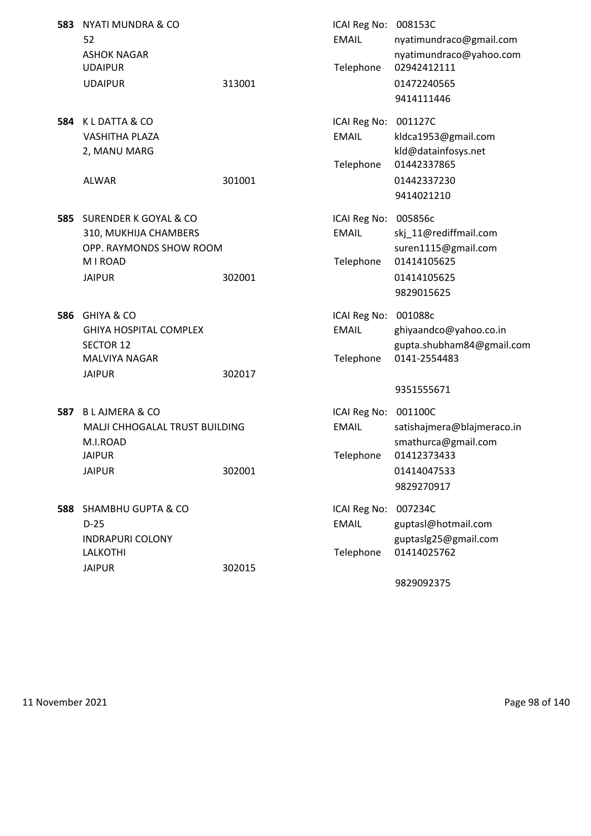| 583 | NYATI MUNDRA & CO<br>52<br><b>ASHOK NAGAR</b><br><b>UDAIPUR</b><br><b>UDAIPUR</b>                                   | 313001 | ICAI Reg No: 008153C<br><b>EMAIL</b><br>Telephone | nyatimundraco@gmail.com<br>nyatimundraco@yahoo.com<br>02942412111<br>01472240565<br>9414111446           |
|-----|---------------------------------------------------------------------------------------------------------------------|--------|---------------------------------------------------|----------------------------------------------------------------------------------------------------------|
| 584 | K L DATTA & CO<br><b>VASHITHA PLAZA</b><br>2, MANU MARG<br><b>ALWAR</b>                                             | 301001 | ICAI Reg No:<br><b>EMAIL</b><br>Telephone         | 001127C<br>kldca1953@gmail.com<br>kld@datainfosys.net<br>01442337865<br>01442337230<br>9414021210        |
| 585 | SURENDER K GOYAL & CO<br>310, MUKHIJA CHAMBERS<br>OPP. RAYMONDS SHOW ROOM<br>M I ROAD<br><b>JAIPUR</b>              | 302001 | ICAI Reg No:<br><b>EMAIL</b><br>Telephone         | 005856c<br>skj 11@rediffmail.com<br>suren1115@gmail.com<br>01414105625<br>01414105625<br>9829015625      |
| 586 | <b>GHIYA &amp; CO</b><br><b>GHIYA HOSPITAL COMPLEX</b><br><b>SECTOR 12</b><br><b>MALVIYA NAGAR</b><br><b>JAIPUR</b> | 302017 | ICAI Reg No:<br><b>EMAIL</b><br>Telephone         | 001088c<br>ghiyaandco@yahoo.co.in<br>gupta.shubham84@gmail.com<br>0141-2554483<br>9351555671             |
| 587 | <b>BLAJMERA &amp; CO</b><br>MALJI CHHOGALAL TRUST BUILDING<br>M.I.ROAD<br><b>JAIPUR</b><br><b>JAIPUR</b>            | 302001 | ICAI Reg No:<br><b>EMAIL</b><br>Telephone         | 001100C<br>satishajmera@blajmeraco.in<br>smathurca@gmail.com<br>01412373433<br>01414047533<br>9829270917 |
|     | 588 SHAMBHU GUPTA & CO<br>$D-25$<br><b>INDRAPURI COLONY</b><br><b>LALKOTHI</b><br><b>JAIPUR</b>                     | 302015 | ICAI Reg No:<br><b>EMAIL</b><br>Telephone         | 007234C<br>guptasl@hotmail.com<br>guptaslg25@gmail.com<br>01414025762                                    |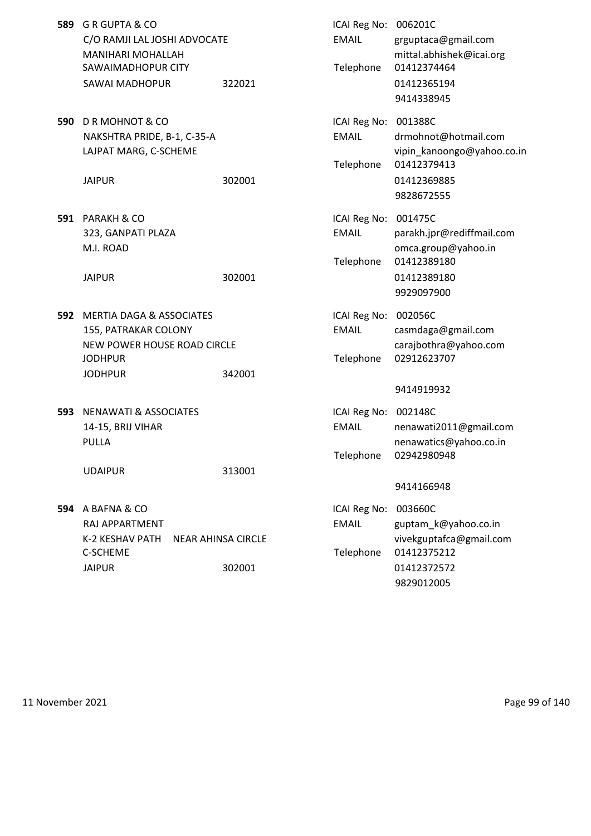| 589 | G R GUPTA & CO<br>C/O RAMJI LAL JOSHI ADVOCATE<br><b>MANIHARI MOHALLAH</b><br>SAWAIMADHOPUR CITY<br>SAWAI MADHOPUR      | 322021                              | ICAI Reg No: 006201C<br><b>EMAIL</b><br>Telephone | grguptaca@gmail.com<br>mittal.abhishek@icai.org<br>01412374464<br>01412365194<br>9414338945                          |
|-----|-------------------------------------------------------------------------------------------------------------------------|-------------------------------------|---------------------------------------------------|----------------------------------------------------------------------------------------------------------------------|
| 590 | D R MOHNOT & CO<br>NAKSHTRA PRIDE, B-1, C-35-A<br>LAJPAT MARG, C-SCHEME<br><b>JAIPUR</b>                                | 302001                              | ICAI Reg No:<br><b>EMAIL</b><br>Telephone         | 001388C<br>drmohnot@hotmail.com<br>vipin_kanoongo@yahoo.co.in<br>01412379413<br>01412369885<br>9828672555            |
| 591 | <b>PARAKH &amp; CO</b><br>323, GANPATI PLAZA<br>M.I. ROAD<br><b>JAIPUR</b>                                              | 302001                              | ICAI Reg No:<br><b>EMAIL</b><br>Telephone         | 001475C<br>parakh.jpr@rediffmail.com<br>omca.group@yahoo.in<br>01412389180<br>01412389180<br>9929097900              |
|     | 592 MERTIA DAGA & ASSOCIATES<br>155, PATRAKAR COLONY<br>NEW POWER HOUSE ROAD CIRCLE<br><b>JODHPUR</b><br><b>JODHPUR</b> | 342001                              | ICAI Reg No:<br><b>EMAIL</b><br>Telephone         | 002056C<br>casmdaga@gmail.com<br>carajbothra@yahoo.com<br>02912623707<br>9414919932                                  |
| 593 | <b>NENAWATI &amp; ASSOCIATES</b><br>14-15, BRIJ VIHAR<br>PULLA<br><b>UDAIPUR</b>                                        | 313001                              | ICAI Reg No:<br><b>EMAIL</b><br>Telephone         | 002148C<br>nenawati2011@gmail.com<br>nenawatics@yahoo.co.in<br>02942980948                                           |
|     | 594 A BAFNA & CO<br>RAJ APPARTMENT<br>K-2 KESHAV PATH<br>C-SCHEME<br><b>JAIPUR</b>                                      | <b>NEAR AHINSA CIRCLE</b><br>302001 | ICAI Reg No:<br><b>EMAIL</b><br>Telephone         | 9414166948<br>003660C<br>guptam_k@yahoo.co.in<br>vivekguptafca@gmail.com<br>01412375212<br>01412372572<br>9829012005 |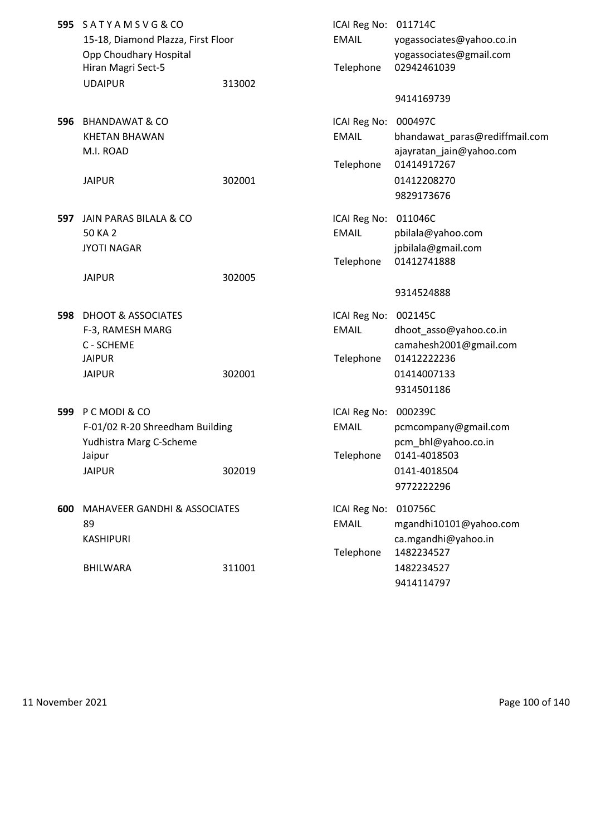|     | 595 SATYAMSVG&CO<br>15-18, Diamond Plazza, First Floor<br>Opp Choudhary Hospital<br>Hiran Magri Sect-5<br><b>UDAIPUR</b> | 313002 | ICAI Reg No: 011714C<br><b>EMAIL</b><br>Telephone | yogassociates@yahoo.co.in<br>yogassociates@gmail.com<br>02942461039                                     |
|-----|--------------------------------------------------------------------------------------------------------------------------|--------|---------------------------------------------------|---------------------------------------------------------------------------------------------------------|
|     |                                                                                                                          |        |                                                   | 9414169739                                                                                              |
| 596 | <b>BHANDAWAT &amp; CO</b><br><b>KHETAN BHAWAN</b><br>M.I. ROAD<br><b>JAIPUR</b>                                          | 302001 | ICAI Reg No:<br><b>EMAIL</b><br>Telephone         | 000497C<br>bhandawat_paras@rediffmail.com<br>ajayratan_jain@yahoo.com<br>01414917267<br>01412208270     |
|     |                                                                                                                          |        |                                                   | 9829173676                                                                                              |
| 597 | JAIN PARAS BILALA & CO<br>50 KA 2<br><b>JYOTI NAGAR</b>                                                                  |        | ICAI Reg No:<br><b>EMAIL</b><br>Telephone         | 011046C<br>pbilala@yahoo.com<br>jpbilala@gmail.com<br>01412741888                                       |
|     | <b>JAIPUR</b>                                                                                                            | 302005 |                                                   | 9314524888                                                                                              |
| 598 | <b>DHOOT &amp; ASSOCIATES</b><br>F-3, RAMESH MARG<br>C - SCHEME<br><b>JAIPUR</b><br><b>JAIPUR</b>                        | 302001 | ICAI Reg No:<br><b>EMAIL</b><br>Telephone         | 002145C<br>dhoot_asso@yahoo.co.in<br>camahesh2001@gmail.com<br>01412222236<br>01414007133<br>9314501186 |
| 599 | P C MODI & CO<br>F-01/02 R-20 Shreedham Building<br>Yudhistra Marg C-Scheme<br>Jaipur<br><b>JAIPUR</b>                   | 302019 | ICAI Reg No:<br><b>EMAIL</b><br>Telephone         | 000239C<br>pcmcompany@gmail.com<br>pcm_bhl@yahoo.co.in<br>0141-4018503<br>0141-4018504<br>9772222296    |
| 600 | <b>MAHAVEER GANDHI &amp; ASSOCIATES</b><br>89<br>KASHIPURI<br><b>BHILWARA</b>                                            | 311001 | ICAI Reg No:<br><b>EMAIL</b><br>Telephone         | 010756C<br>mgandhi10101@yahoo.com<br>ca.mgandhi@yahoo.in<br>1482234527<br>1482234527                    |
|     |                                                                                                                          |        |                                                   | 9414114797                                                                                              |

11 November 2021 **Page 100 of 140**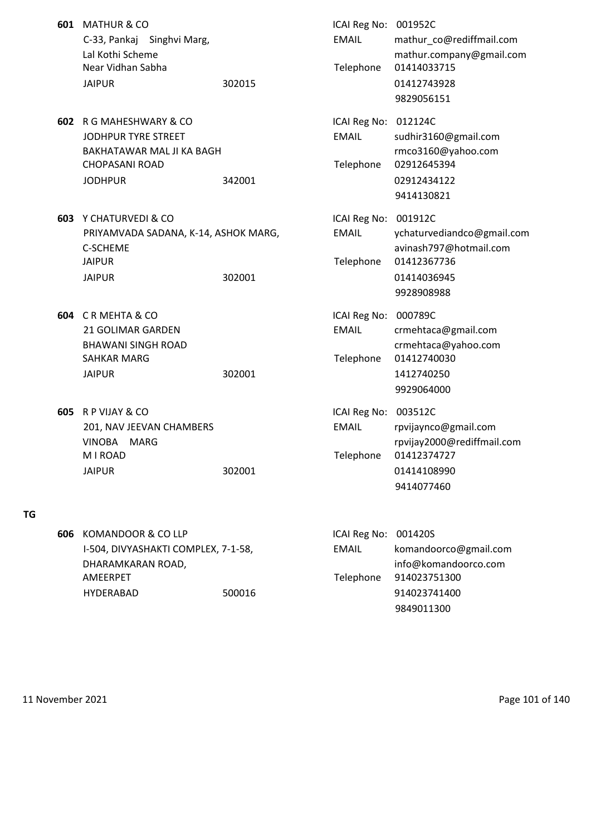|     | 601 MATHUR & CO<br>C-33, Pankaj Singhvi Marg,<br>Lal Kothi Scheme<br>Near Vidhan Sabha<br><b>JAIPUR</b>                   | 302015 | ICAI Reg No: 001952C<br><b>EMAIL</b><br>Telephone | mathur_co@rediffmail.com<br>mathur.company@gmail.com<br>01414033715<br>01412743928<br>9829056151            |
|-----|---------------------------------------------------------------------------------------------------------------------------|--------|---------------------------------------------------|-------------------------------------------------------------------------------------------------------------|
| 602 | R G MAHESHWARY & CO<br><b>JODHPUR TYRE STREET</b><br>BAKHATAWAR MAL JI KA BAGH<br><b>CHOPASANI ROAD</b><br><b>JODHPUR</b> | 342001 | ICAI Reg No:<br><b>EMAIL</b><br>Telephone         | 012124C<br>sudhir3160@gmail.com<br>rmco3160@yahoo.com<br>02912645394<br>02912434122<br>9414130821           |
|     | <b>603</b> Y CHATURVEDI & CO<br>PRIYAMVADA SADANA, K-14, ASHOK MARG,<br><b>C-SCHEME</b><br><b>JAIPUR</b><br><b>JAIPUR</b> | 302001 | ICAI Reg No:<br><b>EMAIL</b><br>Telephone         | 001912C<br>ychaturvediandco@gmail.com<br>avinash797@hotmail.com<br>01412367736<br>01414036945<br>9928908988 |
| 604 | CRMEHTA & CO<br><b>21 GOLIMAR GARDEN</b><br><b>BHAWANI SINGH ROAD</b><br><b>SAHKAR MARG</b><br><b>JAIPUR</b>              | 302001 | ICAI Reg No:<br><b>EMAIL</b><br>Telephone         | 000789C<br>crmehtaca@gmail.com<br>crmehtaca@yahoo.com<br>01412740030<br>1412740250<br>9929064000            |
| 605 | R P VIJAY & CO<br>201, NAV JEEVAN CHAMBERS<br>VINOBA MARG<br>M I ROAD<br><b>JAIPUR</b>                                    | 302001 | ICAI Reg No:<br><b>EMAIL</b><br>Telephone         | 003512C<br>rpvijaynco@gmail.com<br>rpvijay2000@rediffmail.com<br>01412374727<br>01414108990<br>9414077460   |
| 606 | <b>KOMANDOOR &amp; CO LLP</b><br>I-504, DIVYASHAKTI COMPLEX, 7-1-58,<br>DHARAMKARAN ROAD,<br>AMEERPET<br>HYDERABAD        | 500016 | ICAI Reg No:<br><b>EMAIL</b><br>Telephone         | 001420S<br>komandoorco@gmail.com<br>info@komandoorco.com<br>914023751300<br>914023741400                    |

**TG**

11 November 2021 **Page 101 of 140**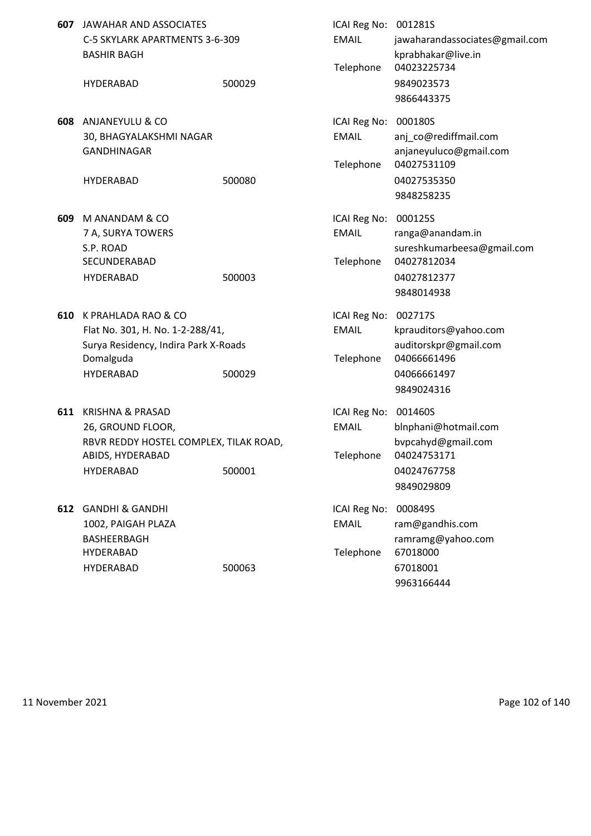| 607 | JAWAHAR AND ASSOCIATES<br>C-5 SKYLARK APARTMENTS 3-6-309<br><b>BASHIR BAGH</b>                                                     |        | ICAI Reg No: 001281S<br><b>EMAIL</b><br>Telephone | jawaharandassociates@gmail.com<br>kprabhakar@live.in<br>04023225734                                   |
|-----|------------------------------------------------------------------------------------------------------------------------------------|--------|---------------------------------------------------|-------------------------------------------------------------------------------------------------------|
|     | <b>HYDERABAD</b>                                                                                                                   | 500029 |                                                   | 9849023573<br>9866443375                                                                              |
| 608 | ANJANEYULU & CO<br>30, BHAGYALAKSHMI NAGAR<br><b>GANDHINAGAR</b>                                                                   |        | ICAI Reg No:<br><b>EMAIL</b><br>Telephone         | 000180S<br>anj_co@rediffmail.com<br>anjaneyuluco@gmail.com<br>04027531109                             |
|     | <b>HYDERABAD</b>                                                                                                                   | 500080 |                                                   | 04027535350<br>9848258235                                                                             |
| 609 | M ANANDAM & CO<br>7 A, SURYA TOWERS<br>S.P. ROAD<br>SECUNDERABAD<br><b>HYDERABAD</b>                                               | 500003 | ICAI Reg No:<br><b>EMAIL</b><br>Telephone         | 000125S<br>ranga@anandam.in<br>sureshkumarbeesa@gmail.com<br>04027812034<br>04027812377<br>9848014938 |
| 610 | K PRAHLADA RAO & CO<br>Flat No. 301, H. No. 1-2-288/41,<br>Surya Residency, Indira Park X-Roads<br>Domalguda<br><b>HYDERABAD</b>   | 500029 | ICAI Reg No:<br><b>EMAIL</b><br>Telephone         | 002717S<br>kprauditors@yahoo.com<br>auditorskpr@gmail.com<br>04066661496<br>04066661497<br>9849024316 |
| 611 | <b>KRISHNA &amp; PRASAD</b><br>26, GROUND FLOOR,<br>RBVR REDDY HOSTEL COMPLEX, TILAK ROAD,<br>ABIDS, HYDERABAD<br><b>HYDERABAD</b> | 500001 | ICAI Reg No:<br><b>EMAIL</b><br>Telephone         | 001460S<br>bInphani@hotmail.com<br>bvpcahyd@gmail.com<br>04024753171<br>04024767758<br>9849029809     |
| 612 | <b>GANDHI &amp; GANDHI</b><br>1002, PAIGAH PLAZA<br>BASHEERBAGH<br>HYDERABAD<br><b>HYDERABAD</b>                                   | 500063 | ICAI Reg No:<br><b>EMAIL</b><br>Telephone         | 000849S<br>ram@gandhis.com<br>ramramg@yahoo.com<br>67018000<br>67018001<br>9963166444                 |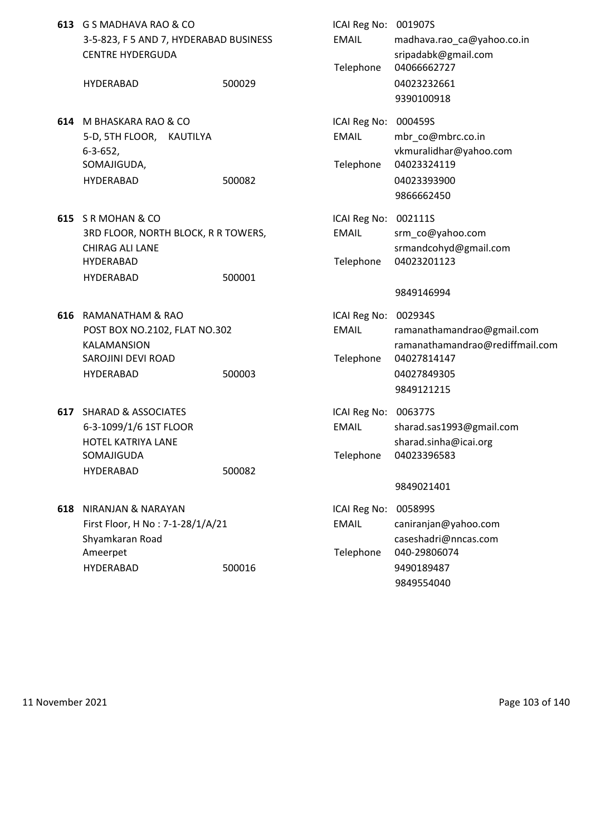|     | 613 G S MADHAVA RAO & CO<br>3-5-823, F 5 AND 7, HYDERABAD BUSINESS<br><b>CENTRE HYDERGUDA</b>                  |        | ICAI Reg No: 001907S<br><b>EMAIL</b>              | madhava.rao_ca@yahoo.co.in<br>sripadabk@gmail.com                                                         |
|-----|----------------------------------------------------------------------------------------------------------------|--------|---------------------------------------------------|-----------------------------------------------------------------------------------------------------------|
|     | <b>HYDERABAD</b>                                                                                               | 500029 | Telephone                                         | 04066662727<br>04023232661<br>9390100918                                                                  |
|     | 614 M BHASKARA RAO & CO<br>5-D, 5TH FLOOR, KAUTILYA<br>$6 - 3 - 652$                                           |        | ICAI Reg No: 000459S<br><b>EMAIL</b>              | mbr co@mbrc.co.in<br>vkmuralidhar@yahoo.com                                                               |
|     | SOMAJIGUDA,<br>HYDERABAD                                                                                       | 500082 | Telephone                                         | 04023324119<br>04023393900<br>9866662450                                                                  |
|     | 615 SR MOHAN & CO<br>3RD FLOOR, NORTH BLOCK, R R TOWERS,<br>CHIRAG ALI LANE<br>HYDERABAD                       |        | ICAI Reg No: 002111S<br><b>EMAIL</b>              | srm_co@yahoo.com<br>srmandcohyd@gmail.com<br>04023201123                                                  |
|     | HYDERABAD                                                                                                      | 500001 | Telephone                                         | 9849146994                                                                                                |
|     | 616 RAMANATHAM & RAO<br>POST BOX NO.2102, FLAT NO.302<br><b>KALAMANSION</b><br>SAROJINI DEVI ROAD<br>HYDERABAD | 500003 | ICAI Reg No: 002934S<br><b>EMAIL</b><br>Telephone | ramanathamandrao@gmail.com<br>ramanathamandrao@rediffmail.com<br>04027814147<br>04027849305<br>9849121215 |
|     | 617 SHARAD & ASSOCIATES<br>6-3-1099/1/6 1ST FLOOR<br>HOTEL KATRIYA LANE<br>SOMAJIGUDA<br>HYDERABAD             | 500082 | ICAI Reg No: 006377S<br><b>EMAIL</b><br>Telephone | sharad.sas1993@gmail.com<br>sharad.sinha@icai.org<br>04023396583                                          |
| 618 | NIRANJAN & NARAYAN<br>First Floor, H No: 7-1-28/1/A/21                                                         |        | ICAI Reg No:<br><b>EMAIL</b>                      | 9849021401<br>005899S                                                                                     |
|     | Shyamkaran Road<br>Ameerpet                                                                                    |        | Telephone                                         | caniranjan@yahoo.com<br>caseshadri@nncas.com<br>040-29806074                                              |
|     | HYDERABAD                                                                                                      | 500016 |                                                   | 9490189487<br>9849554040                                                                                  |

11 November 2021 **Page 103 of 140**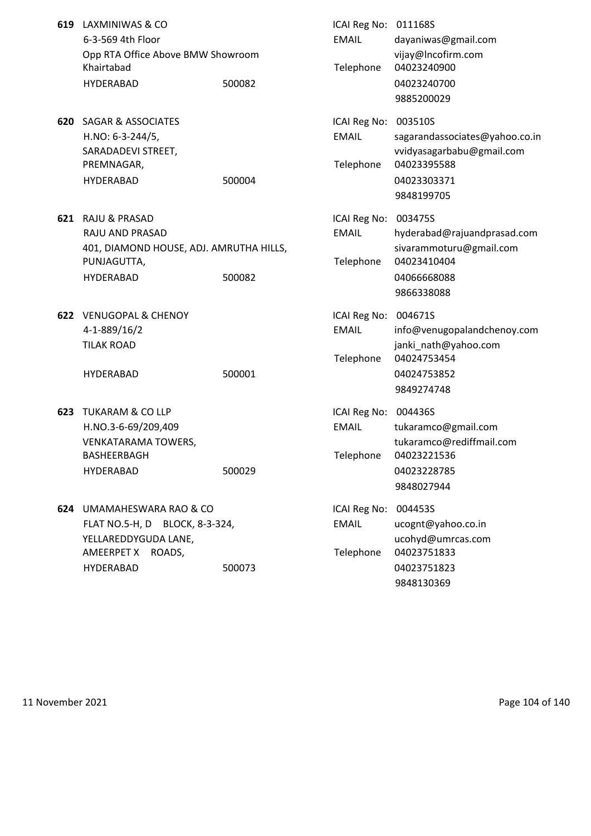| 619 | LAXMINIWAS & CO<br>6-3-569 4th Floor<br>Opp RTA Office Above BMW Showroom<br>Khairtabad<br><b>HYDERABAD</b>           | 500082 | ICAI Reg No: 011168S<br><b>EMAIL</b><br>Telephone | dayaniwas@gmail.com<br>vijay@Incofirm.com<br>04023240900<br>04023240700                                            |
|-----|-----------------------------------------------------------------------------------------------------------------------|--------|---------------------------------------------------|--------------------------------------------------------------------------------------------------------------------|
|     |                                                                                                                       |        |                                                   | 9885200029                                                                                                         |
| 620 | <b>SAGAR &amp; ASSOCIATES</b><br>H.NO: 6-3-244/5,<br>SARADADEVI STREET,<br>PREMNAGAR,<br>HYDERABAD                    | 500004 | ICAI Reg No:<br><b>EMAIL</b><br>Telephone         | 003510S<br>sagarandassociates@yahoo.co.in<br>vvidyasagarbabu@gmail.com<br>04023395588<br>04023303371<br>9848199705 |
| 621 | <b>RAJU &amp; PRASAD</b><br>RAJU AND PRASAD<br>401, DIAMOND HOUSE, ADJ. AMRUTHA HILLS,<br>PUNJAGUTTA,<br>HYDERABAD    | 500082 | ICAI Reg No:<br><b>EMAIL</b><br>Telephone         | 003475S<br>hyderabad@rajuandprasad.com<br>sivarammoturu@gmail.com<br>04023410404<br>04066668088<br>9866338088      |
|     | 622 VENUGOPAL & CHENOY<br>4-1-889/16/2<br><b>TILAK ROAD</b><br><b>HYDERABAD</b>                                       | 500001 | ICAI Reg No:<br><b>EMAIL</b><br>Telephone         | 004671S<br>info@venugopalandchenoy.com<br>janki_nath@yahoo.com<br>04024753454<br>04024753852<br>9849274748         |
| 623 | <b>TUKARAM &amp; CO LLP</b><br>H.NO.3-6-69/209,409<br><b>VENKATARAMA TOWERS,</b><br>BASHEERBAGH<br>HYDERABAD          | 500029 | ICAI Reg No:<br><b>EMAIL</b><br>Telephone         | 004436S<br>tukaramco@gmail.com<br>tukaramco@rediffmail.com<br>04023221536<br>04023228785<br>9848027944             |
|     | 624 UMAMAHESWARA RAO & CO<br>FLAT NO.5-H, D BLOCK, 8-3-324,<br>YELLAREDDYGUDA LANE,<br>AMEERPET X ROADS,<br>HYDERABAD | 500073 | ICAI Reg No:<br><b>EMAIL</b><br>Telephone         | 004453S<br>ucognt@yahoo.co.in<br>ucohyd@umrcas.com<br>04023751833<br>04023751823<br>9848130369                     |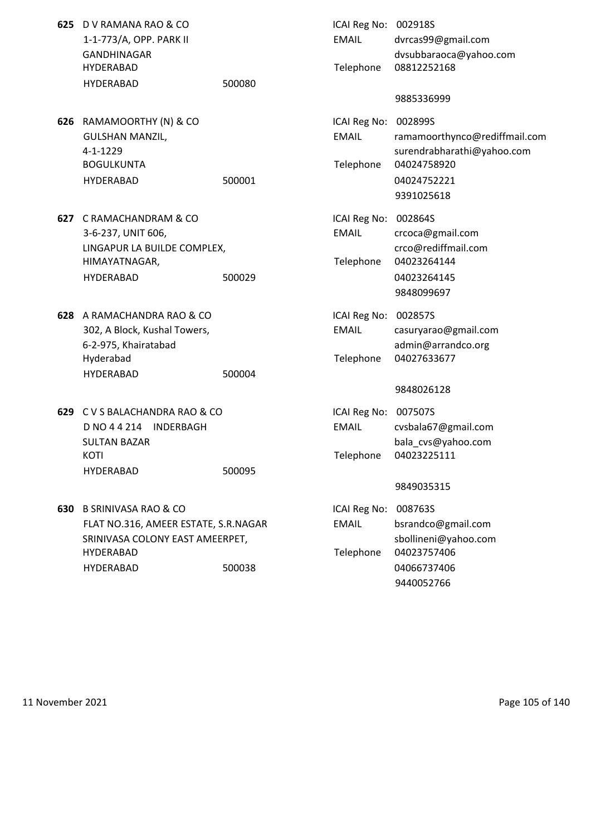| 625 | D V RAMANA RAO & CO<br>1-1-773/A, OPP. PARK II<br>GANDHINAGAR<br>HYDERABAD<br><b>HYDERABAD</b>                                                     | 500080 | ICAI Reg No: 002918S<br><b>EMAIL</b><br>Telephone | dvrcas99@gmail.com<br>dvsubbaraoca@yahoo.com<br>08812252168<br>9885336999                                          |
|-----|----------------------------------------------------------------------------------------------------------------------------------------------------|--------|---------------------------------------------------|--------------------------------------------------------------------------------------------------------------------|
| 626 | RAMAMOORTHY (N) & CO<br><b>GULSHAN MANZIL,</b><br>4-1-1229<br><b>BOGULKUNTA</b><br><b>HYDERABAD</b>                                                | 500001 | ICAI Reg No:<br><b>EMAIL</b><br>Telephone         | 002899S<br>ramamoorthynco@rediffmail.com<br>surendrabharathi@yahoo.com<br>04024758920<br>04024752221<br>9391025618 |
| 627 | C RAMACHANDRAM & CO<br>3-6-237, UNIT 606,<br>LINGAPUR LA BUILDE COMPLEX,<br>HIMAYATNAGAR,<br><b>HYDERABAD</b>                                      | 500029 | ICAI Reg No:<br><b>EMAIL</b><br>Telephone         | 002864S<br>crcoca@gmail.com<br>crco@rediffmail.com<br>04023264144<br>04023264145<br>9848099697                     |
|     | 628 A RAMACHANDRA RAO & CO<br>302, A Block, Kushal Towers,<br>6-2-975, Khairatabad<br>Hyderabad<br><b>HYDERABAD</b>                                | 500004 | ICAI Reg No:<br><b>EMAIL</b><br>Telephone         | 002857S<br>casuryarao@gmail.com<br>admin@arrandco.org<br>04027633677<br>9848026128                                 |
|     | 629 C V S BALACHANDRA RAO & CO<br>D NO 4 4 214 INDERBAGH<br><b>SULTAN BAZAR</b><br>KOTI<br><b>HYDERABAD</b>                                        | 500095 | ICAI Reg No:<br><b>EMAIL</b><br>Telephone         | 007507S<br>cvsbala67@gmail.com<br>bala_cvs@yahoo.com<br>04023225111<br>9849035315                                  |
| 630 | <b>B SRINIVASA RAO &amp; CO</b><br>FLAT NO.316, AMEER ESTATE, S.R.NAGAR<br>SRINIVASA COLONY EAST AMEERPET,<br><b>HYDERABAD</b><br><b>HYDERABAD</b> | 500038 | ICAI Reg No:<br><b>EMAIL</b><br>Telephone         | 008763S<br>bsrandco@gmail.com<br>sbollineni@yahoo.com<br>04023757406<br>04066737406<br>9440052766                  |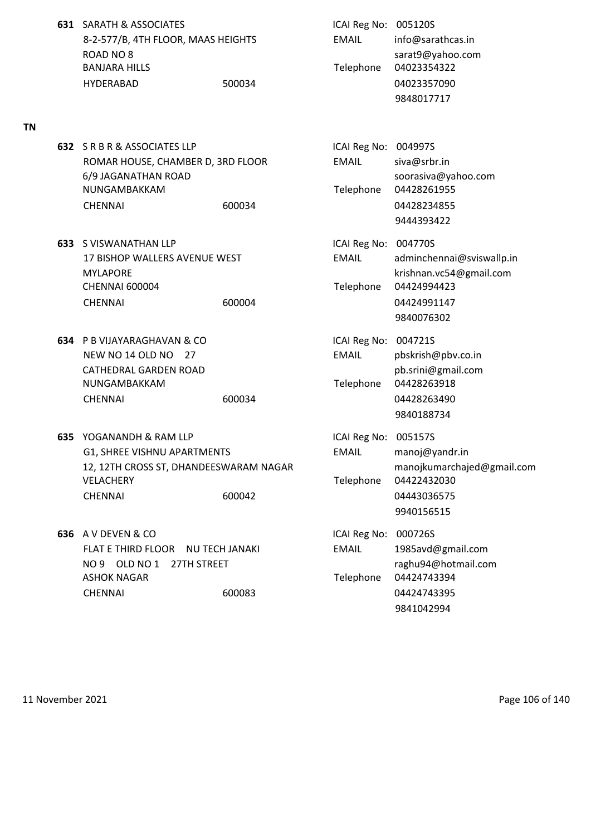**631** SARATH & ASSOCIATES **ICAI Reg No: 005120S** 8-2-577/B, 4TH FLOOR, MAAS HEIGHTS EMAIL info@sarathcas.in ROAD NO 8 sarat9@yahoo.com BANJARA HILLS **Telephone 04023354322** HYDERABAD 500034 04023357090

## **TN**

- **632** S R B R & ASSOCIATES LLP ROMAR HOUSE, CHAMBER D, 3RD FLOOR 6/9 JAGANATHAN ROAD NUNGAMBAKKAM CHENNAI 600034 600034 04428234855
- **633** S VISWANATHAN LLP **ICAI Reg No: 004770S** CHENNAI 600004 Telephone 04424994423 CHENNAI 600004 600004 04424991147
- **634** P B VIJAYARAGHAVAN & CO **ICAI Reg No: 004721S** NEW NO 14 OLD NO 27 EMAIL pbskrish@pbv.co.in CATHEDRAL GARDEN ROAD **pb.srini@gmail.com** NUNGAMBAKKAM Telephone 04428263918 CHENNAI 600034 04428263490
- **635** YOGANANDH & RAM LLP **ICAI Reg No: 005157S** G1, SHREE VISHNU APARTMENTS FOR THE MAIL manoj@yandr.in 12, 12TH CROSS ST, DHANDEESWARAM NAGAR manojkumarchajed@gmail.com VELACHERY Telephone 04422432030 CHENNAI 600042 04443036575
- **636** A V DEVEN & CO **ICAI Reg No: 000726S** FLAT E THIRD FLOOR NU TECH JANAKI EMAIL 1985avd@gmail.com NO 9 OLD NO 1 27TH STREET raghu94@hotmail.com ASHOK NAGAR TELEPHONE 04424743394 CHENNAI 600083 04424743395

9848017717

| ICAI Reg No: 004997S |                                                   |
|----------------------|---------------------------------------------------|
| EMAIL                | siva@srbr.in                                      |
| Telephone            | soorasiva@yahoo.com<br>04428261955<br>04428234855 |
|                      | 9444393422                                        |

17 BISHOP WALLERS AVENUE WEST EMAIL adminchennai@sviswallp.in MYLAPORE krishnan.vc54@gmail.com 9840076302

- 9840188734
- 9940156515
- 9841042994

11 November 2021 **Page 106 of 140**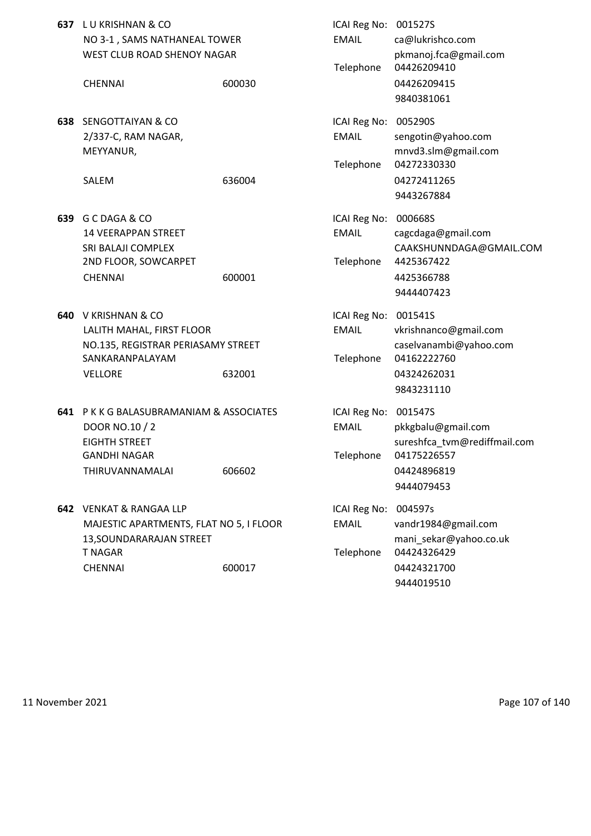|     | 637 LU KRISHNAN & CO<br>NO 3-1, SAMS NATHANEAL TOWER<br>WEST CLUB ROAD SHENOY NAGAR                                         |        | ICAI Reg No: 001527S<br><b>EMAIL</b><br>Telephone | ca@lukrishco.com<br>pkmanoj.fca@gmail.com<br>04426209410                                             |
|-----|-----------------------------------------------------------------------------------------------------------------------------|--------|---------------------------------------------------|------------------------------------------------------------------------------------------------------|
|     | <b>CHENNAI</b>                                                                                                              | 600030 |                                                   | 04426209415<br>9840381061                                                                            |
| 638 | <b>SENGOTTAIYAN &amp; CO</b><br>2/337-C, RAM NAGAR,<br>MEYYANUR,<br>SALEM                                                   | 636004 | ICAI Reg No:<br><b>EMAIL</b><br>Telephone         | 005290S<br>sengotin@yahoo.com<br>mnvd3.slm@gmail.com<br>04272330330<br>04272411265<br>9443267884     |
| 639 | G C DAGA & CO<br><b>14 VEERAPPAN STREET</b><br>SRI BALAJI COMPLEX<br>2ND FLOOR, SOWCARPET<br><b>CHENNAI</b>                 | 600001 | ICAI Reg No:<br><b>EMAIL</b><br>Telephone         | 000668S<br>cagcdaga@gmail.com<br>CAAKSHUNNDAGA@GMAIL.COM<br>4425367422<br>4425366788<br>9444407423   |
| 640 | V KRISHNAN & CO<br>LALITH MAHAL, FIRST FLOOR<br>NO.135, REGISTRAR PERIASAMY STREET<br>SANKARANPALAYAM<br><b>VELLORE</b>     | 632001 | ICAI Reg No: 001541S<br><b>EMAIL</b><br>Telephone | vkrishnanco@gmail.com<br>caselvanambi@yahoo.com<br>04162222760<br>04324262031<br>9843231110          |
|     | 641 PKKG BALASUBRAMANIAM & ASSOCIATES<br>DOOR NO.10 / 2<br><b>EIGHTH STREET</b><br>GANDHI NAGAR<br>THIRUVANNAMALAI          | 606602 | ICAI Reg No: 001547S<br><b>EMAIL</b><br>Telephone | pkkgbalu@gmail.com<br>sureshfca_tvm@rediffmail.com<br>04175226557<br>04424896819<br>9444079453       |
|     | 642 VENKAT & RANGAA LLP<br>MAJESTIC APARTMENTS, FLAT NO 5, I FLOOR<br>13, SOUNDARARAJAN STREET<br><b>T NAGAR</b><br>CHENNAI | 600017 | ICAI Reg No:<br><b>EMAIL</b><br>Telephone         | 004597s<br>vandr1984@gmail.com<br>mani sekar@yahoo.co.uk<br>04424326429<br>04424321700<br>9444019510 |

11 November 2021 **Page 107 of 140**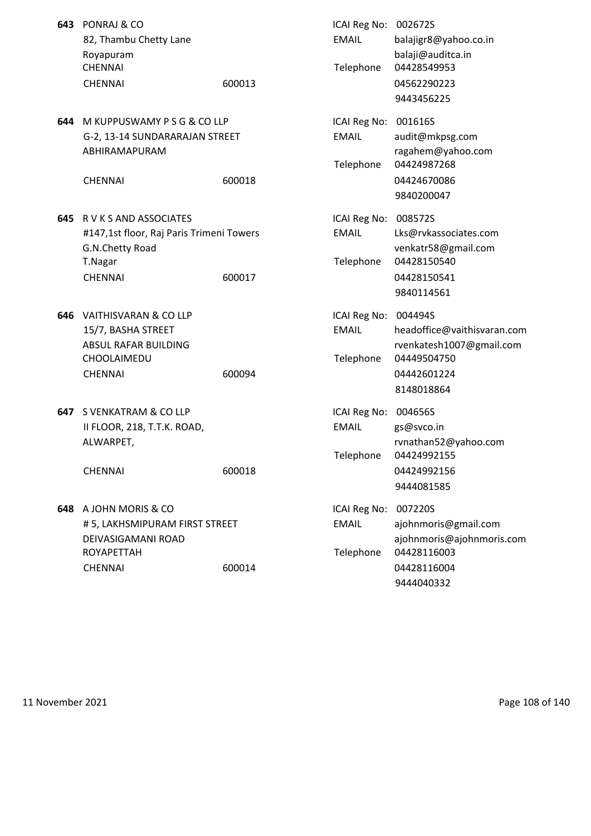|     | 643 PONRAJ & CO<br>82, Thambu Chetty Lane<br>Royapuram |        | ICAI Reg No: 002672S<br><b>EMAIL</b> | balajigr8@yahoo.co.in<br>balaji@auditca.in |
|-----|--------------------------------------------------------|--------|--------------------------------------|--------------------------------------------|
|     | <b>CHENNAI</b><br><b>CHENNAI</b>                       | 600013 | Telephone                            | 04428549953<br>04562290223<br>9443456225   |
|     | 644 M KUPPUSWAMY P S G & CO LLP                        |        | ICAI Reg No:                         | 001616S                                    |
|     | G-2, 13-14 SUNDARARAJAN STREET                         |        | <b>EMAIL</b>                         | audit@mkpsg.com                            |
|     | ABHIRAMAPURAM                                          |        |                                      | ragahem@yahoo.com                          |
|     |                                                        |        | Telephone                            | 04424987268                                |
|     | <b>CHENNAI</b>                                         | 600018 |                                      | 04424670086                                |
|     |                                                        |        |                                      | 9840200047                                 |
|     | <b>645 R V K S AND ASSOCIATES</b>                      |        | ICAI Reg No:                         | 008572S                                    |
|     | #147,1st floor, Raj Paris Trimeni Towers               |        | <b>EMAIL</b>                         | Lks@rvkassociates.com                      |
|     | G.N.Chetty Road                                        |        |                                      | venkatr58@gmail.com                        |
|     | T.Nagar                                                |        | Telephone                            | 04428150540                                |
|     | <b>CHENNAI</b>                                         | 600017 |                                      | 04428150541                                |
|     |                                                        |        |                                      | 9840114561                                 |
|     | 646 VAITHISVARAN & CO LLP                              |        | ICAI Reg No:                         | 004494S                                    |
|     | 15/7, BASHA STREET                                     |        | <b>EMAIL</b>                         | headoffice@vaithisvaran.com                |
|     | ABSUL RAFAR BUILDING<br>CHOOLAIMEDU                    |        | Telephone                            | rvenkatesh1007@gmail.com<br>04449504750    |
|     | <b>CHENNAI</b>                                         | 600094 |                                      | 04442601224                                |
|     |                                                        |        |                                      | 8148018864                                 |
| 647 | S VENKATRAM & CO LLP                                   |        | ICAI Reg No:                         | 004656S                                    |
|     | II FLOOR, 218, T.T.K. ROAD,                            |        | <b>EMAIL</b>                         | gs@svco.in                                 |
|     | ALWARPET,                                              |        |                                      | rvnathan52@yahoo.com                       |
|     |                                                        |        | Telephone                            | 04424992155                                |
|     | <b>CHENNAI</b>                                         | 600018 |                                      | 04424992156                                |
|     |                                                        |        |                                      | 9444081585                                 |
|     | 648 A JOHN MORIS & CO                                  |        | ICAI Reg No:                         | 007220S                                    |
|     | #5, LAKHSMIPURAM FIRST STREET                          |        | <b>EMAIL</b>                         | ajohnmoris@gmail.com                       |
|     | DEIVASIGAMANI ROAD                                     |        |                                      | ajohnmoris@ajohnmoris.com                  |
|     | <b>ROYAPETTAH</b>                                      |        | Telephone                            | 04428116003                                |
|     | <b>CHENNAI</b>                                         | 600014 |                                      | 04428116004                                |
|     |                                                        |        |                                      | 9444040332                                 |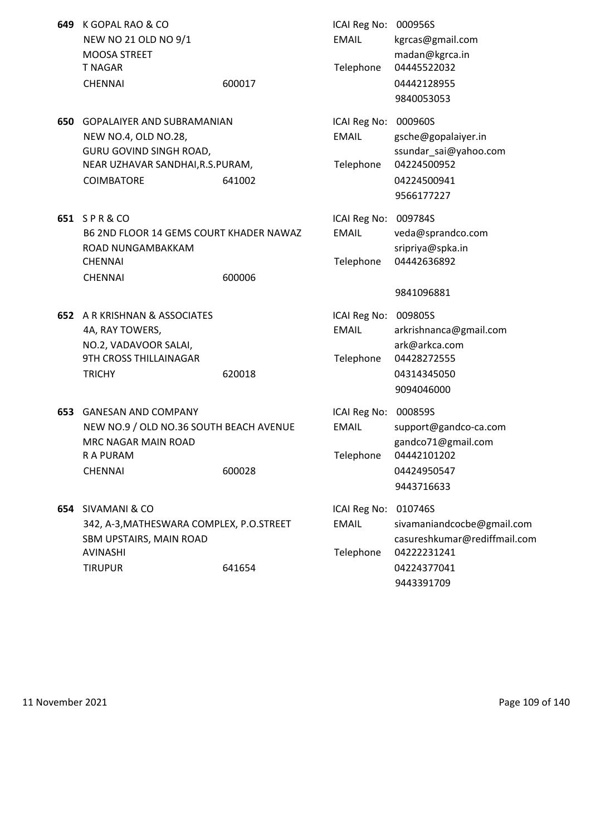| 649 | K GOPAL RAO & CO<br>NEW NO 21 OLD NO 9/1<br>MOOSA STREET<br><b>T NAGAR</b><br><b>CHENNAI</b>                                                   | 600017 | ICAI Reg No: 000956S<br><b>EMAIL</b><br>Telephone | kgrcas@gmail.com<br>madan@kgrca.in<br>04445522032<br>04442128955<br>9840053053                                    |
|-----|------------------------------------------------------------------------------------------------------------------------------------------------|--------|---------------------------------------------------|-------------------------------------------------------------------------------------------------------------------|
| 650 | <b>GOPALAIYER AND SUBRAMANIAN</b><br>NEW NO.4, OLD NO.28,<br>GURU GOVIND SINGH ROAD,<br>NEAR UZHAVAR SANDHAI, R.S. PURAM,<br><b>COIMBATORE</b> | 641002 | ICAI Reg No:<br><b>EMAIL</b><br>Telephone         | 000960S<br>gsche@gopalaiyer.in<br>ssundar_sai@yahoo.com<br>04224500952<br>04224500941<br>9566177227               |
|     | 651 SPR&CO<br>B6 2ND FLOOR 14 GEMS COURT KHADER NAWAZ<br>ROAD NUNGAMBAKKAM<br><b>CHENNAI</b><br><b>CHENNAI</b>                                 | 600006 | ICAI Reg No: 009784S<br><b>EMAIL</b><br>Telephone | veda@sprandco.com<br>sripriya@spka.in<br>04442636892<br>9841096881                                                |
| 652 | A R KRISHNAN & ASSOCIATES<br>4A, RAY TOWERS,<br>NO.2, VADAVOOR SALAI,<br>9TH CROSS THILLAINAGAR<br><b>TRICHY</b>                               | 620018 | ICAI Reg No:<br><b>EMAIL</b><br>Telephone         | 009805S<br>arkrishnanca@gmail.com<br>ark@arkca.com<br>04428272555<br>04314345050<br>9094046000                    |
| 653 | <b>GANESAN AND COMPANY</b><br>NEW NO.9 / OLD NO.36 SOUTH BEACH AVENUE<br>MRC NAGAR MAIN ROAD<br>R A PURAM<br><b>CHENNAI</b>                    | 600028 | ICAI Reg No: 000859S<br><b>EMAIL</b><br>Telephone | support@gandco-ca.com<br>gandco71@gmail.com<br>04442101202<br>04424950547<br>9443716633                           |
| 654 | SIVAMANI & CO<br>342, A-3, MATHESWARA COMPLEX, P.O.STREET<br>SBM UPSTAIRS, MAIN ROAD<br>AVINASHI<br><b>TIRUPUR</b>                             | 641654 | ICAI Reg No:<br><b>EMAIL</b><br>Telephone         | 010746S<br>sivamaniandcocbe@gmail.com<br>casureshkumar@rediffmail.com<br>04222231241<br>04224377041<br>9443391709 |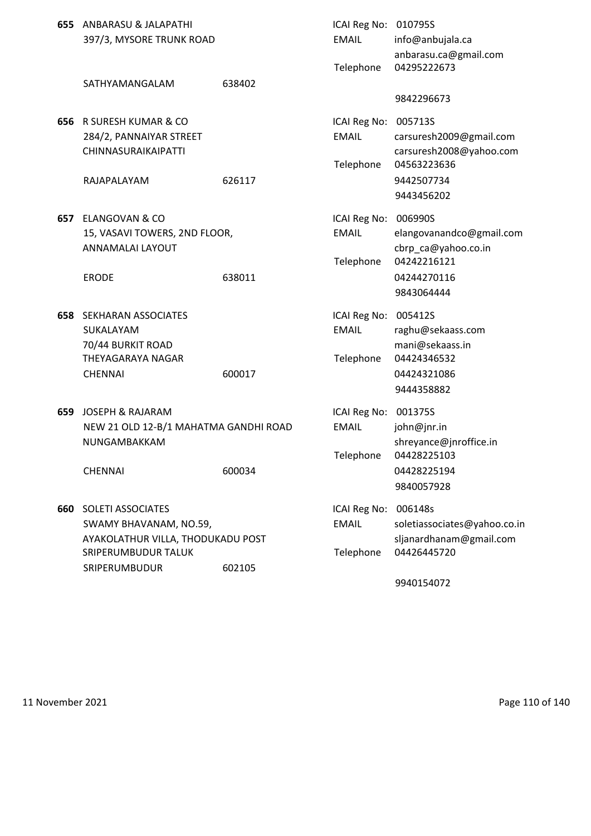|     | 655 ANBARASU & JALAPATHI<br>397/3, MYSORE TRUNK ROAD |        | ICAI Reg No: 010795S<br><b>EMAIL</b> | info@anbujala.ca<br>anbarasu.ca@gmail.com |
|-----|------------------------------------------------------|--------|--------------------------------------|-------------------------------------------|
|     |                                                      |        | Telephone                            | 04295222673                               |
|     | SATHYAMANGALAM                                       | 638402 |                                      |                                           |
|     |                                                      |        |                                      | 9842296673                                |
|     | <b>656 R SURESH KUMAR &amp; CO</b>                   |        | ICAI Reg No:                         | 005713S                                   |
|     | 284/2, PANNAIYAR STREET                              |        | <b>EMAIL</b>                         | carsuresh2009@gmail.com                   |
|     | CHINNASURAIKAIPATTI                                  |        |                                      | carsuresh2008@yahoo.com                   |
|     |                                                      |        | Telephone                            | 04563223636                               |
|     | RAJAPALAYAM                                          | 626117 |                                      | 9442507734                                |
|     |                                                      |        |                                      | 9443456202                                |
| 657 | <b>ELANGOVAN &amp; CO</b>                            |        | ICAI Reg No:                         | 006990S                                   |
|     | 15, VASAVI TOWERS, 2ND FLOOR,                        |        | <b>EMAIL</b>                         | elangovanandco@gmail.com                  |
|     | ANNAMALAI LAYOUT                                     |        |                                      | cbrp ca@yahoo.co.in                       |
|     |                                                      |        | Telephone                            | 04242216121                               |
|     | <b>ERODE</b>                                         | 638011 |                                      | 04244270116                               |
|     |                                                      |        |                                      | 9843064444                                |
| 658 | SEKHARAN ASSOCIATES                                  |        | ICAI Reg No:                         | 005412S                                   |
|     | SUKALAYAM                                            |        | <b>EMAIL</b>                         | raghu@sekaass.com                         |
|     | 70/44 BURKIT ROAD                                    |        |                                      | mani@sekaass.in                           |
|     | THEYAGARAYA NAGAR                                    |        | Telephone                            | 04424346532                               |
|     | <b>CHENNAI</b>                                       | 600017 |                                      | 04424321086                               |
|     |                                                      |        |                                      | 9444358882                                |
| 659 | <b>JOSEPH &amp; RAJARAM</b>                          |        | <b>ICAI Reg No:</b>                  | 001375S                                   |
|     | NEW 21 OLD 12-B/1 MAHATMA GANDHI ROAD                |        | <b>EMAIL</b>                         | john@jnr.in                               |
|     | NUNGAMBAKKAM                                         |        |                                      | shreyance@jnroffice.in                    |
|     |                                                      |        | Telephone                            | 04428225103                               |
|     | <b>CHENNAI</b>                                       | 600034 |                                      | 04428225194                               |
|     |                                                      |        |                                      | 9840057928                                |
|     | <b>660 SOLETI ASSOCIATES</b>                         |        | ICAI Reg No:                         | 006148s                                   |
|     | SWAMY BHAVANAM, NO.59,                               |        | <b>EMAIL</b>                         | soletiassociates@yahoo.co.in              |
|     | AYAKOLATHUR VILLA, THODUKADU POST                    |        |                                      | sljanardhanam@gmail.com                   |
|     | SRIPERUMBUDUR TALUK                                  |        | Telephone                            | 04426445720                               |
|     | SRIPERUMBUDUR                                        | 602105 |                                      |                                           |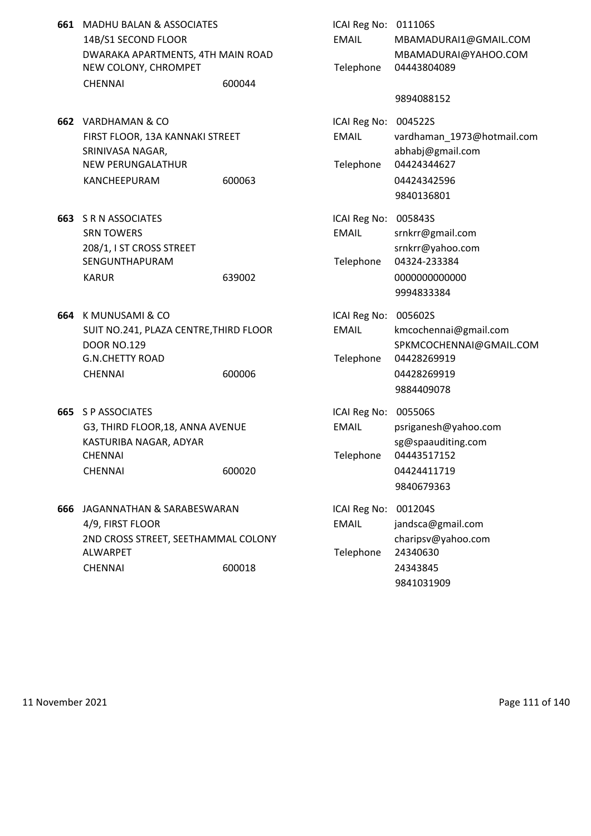- **661 MADHU BALAN & ASSOCIATES** 14B/S1 SECOND FLOOR DWARAKA APARTMENTS, 4TH MAIN ROAD NEW COLONY, CHROMPET CHENNAI 600044
- **662 VARDHAMAN & CO** FIRST FLOOR, 13A KANNAKI STREET SRINIVASA NAGAR, NEW PERUNGALATHUR KANCHEEPURAM 600063
- **663** S R N ASSOCIATES SRN TOWERS 208/1, I ST CROSS STREET SENGUNTHAPURAM
- **664** K MUNUSAMI & CO SUIT NO.241, PLAZA CENTRE, THIRD FLOOR DOOR NO.129 G.N.CHETTY ROAD CHENNAI 600006
- **665** S P ASSOCIATES G3, THIRD FLOOR, 18, ANNA AVENUE KASTURIBA NAGAR, ADYAR CHENNAI Telephone 04443517152
- **666** JAGANNATHAN & SARABESWARAN 4/9, FIRST FLOOR 2ND CROSS STREET, SEETHAMMAL COLONY **ALWARPET** CHENNAI 600018

| MADHU BALAN & ASSOCIATES<br>14B/S1 SECOND FLOOR<br>DWARAKA APARTMENTS, 4TH MAIN ROAD<br>NEW COLONY, CHROMPET<br>CHENNAI    | 600044 | ICAI Reg No: 011106S<br><b>EMAIL</b><br>Telephone | MBAMADURAI1@GMAIL.COM<br>MBAMADURAI@YAHOO.COM<br>04443804089                                 |
|----------------------------------------------------------------------------------------------------------------------------|--------|---------------------------------------------------|----------------------------------------------------------------------------------------------|
|                                                                                                                            |        |                                                   | 9894088152                                                                                   |
| VARDHAMAN & CO<br>FIRST FLOOR, 13A KANNAKI STREET<br>SRINIVASA NAGAR,<br>NEW PERUNGALATHUR<br>KANCHEEPURAM                 | 600063 | ICAI Reg No: 004522S<br><b>EMAIL</b><br>Telephone | vardhaman 1973@hotmail.com<br>abhabj@gmail.com<br>04424344627<br>04424342596<br>9840136801   |
| <b>S R N ASSOCIATES</b><br><b>SRN TOWERS</b><br>208/1, I ST CROSS STREET<br>SENGUNTHAPURAM<br>KARUR                        | 639002 | ICAI Reg No: 005843S<br><b>EMAIL</b><br>Telephone | srnkrr@gmail.com<br>srnkrr@yahoo.com<br>04324-233384<br>000000000000<br>9994833384           |
| K MUNUSAMI & CO<br>SUIT NO.241, PLAZA CENTRE,THIRD FLOOR<br><b>DOOR NO.129</b><br><b>G.N.CHETTY ROAD</b><br><b>CHENNAI</b> | 600006 | ICAI Reg No: 005602S<br><b>EMAIL</b><br>Telephone | kmcochennai@gmail.com<br>SPKMCOCHENNAI@GMAIL.COM<br>04428269919<br>04428269919<br>9884409078 |
| S P ASSOCIATES<br>G3, THIRD FLOOR, 18, ANNA AVENUE<br>KASTURIBA NAGAR, ADYAR<br>CHENNAI<br>CHENNAI                         | 600020 | ICAI Reg No: 005506S<br><b>EMAIL</b><br>Telephone | psriganesh@yahoo.com<br>sg@spaauditing.com<br>04443517152<br>04424411719<br>9840679363       |
| JAGANNATHAN & SARABESWARAN<br>4/9, FIRST FLOOR<br>2ND CROSS STREET, SEETHAMMAL COLONY<br>ALWARPET<br><b>CHENNAI</b>        | 600018 | ICAI Reg No: 001204S<br><b>EMAIL</b><br>Telephone | jandsca@gmail.com<br>charipsv@yahoo.com<br>24340630<br>24343845<br>9841031909                |

11 November 2021 **Page 111 of 140**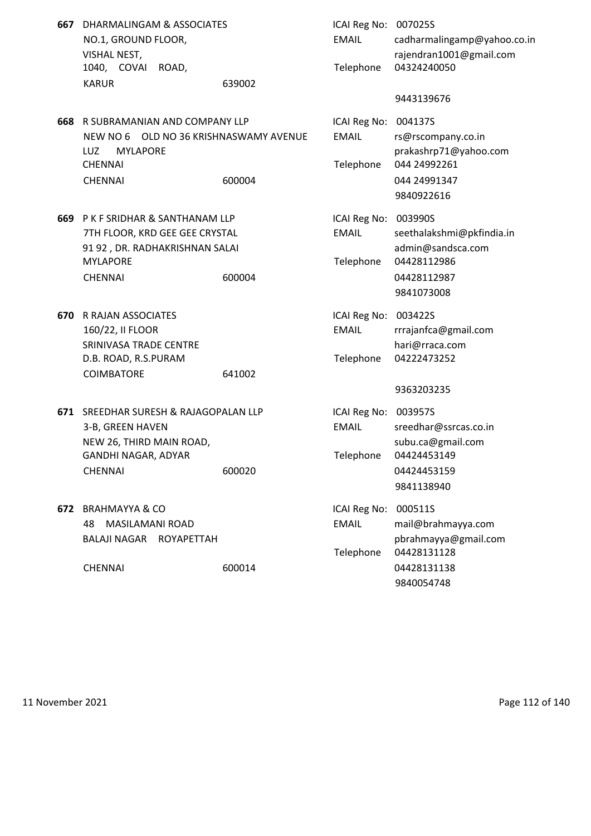| 667 DHARMALINGAM & ASSOCIATES |        | ICAI Reg No: 007025S |                       |
|-------------------------------|--------|----------------------|-----------------------|
| NO.1, GROUND FLOOR,           |        | EMAIL                | cadharmaling          |
| VISHAL NEST,                  |        |                      | rajendran100          |
| 1040. COVAI ROAD.             |        |                      | Telephone 04324240050 |
| KARUR                         | 639002 |                      |                       |

- **668** R SUBRAMANIAN AND COMPANY LLP NEW NO 6 OLD NO 36 KRISHNASWAMY AVENUE LUZ MYLAPORE CHENNAI 24992261 CHENNAI 600004 600004 044 24991347
- **669** P K F SRIDHAR & SANTHANAM LLP 7TH FLOOR, KRD GEE GEE CRYSTAL 91 92, DR. RADHAKRISHNAN SALAI **MYLAPORE** CHENNAI 600004 600004 04428112987
- **670** R RAJAN ASSOCIATES 160/22, II FLOOR SRINIVASA TRADE CENTRE D.B. ROAD, R.S.PURAM COIMBATORE 641002
- **671 SREEDHAR SURESH & RAJAGOPALAN LLP** 3-B, GREEN HAVEN NEW 26, THIRD MAIN ROAD, GANDHI NAGAR, ADYAR CHENNAI 600020 600020 04424453159
- **672 BRAHMAYYA & CO**

| DHARMALINGAM & ASSOCIATES              |        | ICAI Reg No: 007025S |                             |
|----------------------------------------|--------|----------------------|-----------------------------|
| NO.1, GROUND FLOOR,                    |        | <b>EMAIL</b>         | cadharmalingamp@yahoo.co.in |
| VISHAL NEST,                           |        |                      | rajendran1001@gmail.com     |
| 1040, COVAI<br>ROAD,                   |        | Telephone            | 04324240050                 |
| <b>KARUR</b>                           | 639002 |                      |                             |
|                                        |        |                      | 9443139676                  |
| R SUBRAMANIAN AND COMPANY LLP          |        | ICAI Reg No: 004137S |                             |
| NEW NO 6 OLD NO 36 KRISHNASWAMY AVENUE |        | <b>EMAIL</b>         | rs@rscompany.co.in          |
| LUZ<br><b>MYLAPORE</b>                 |        |                      | prakashrp71@yahoo.com       |
| <b>CHENNAI</b>                         |        | Telephone            | 044 24992261                |
| <b>CHENNAI</b>                         | 600004 |                      | 044 24991347                |
|                                        |        |                      | 9840922616                  |
| P K F SRIDHAR & SANTHANAM LLP          |        | ICAI Reg No: 003990S |                             |
| 7TH FLOOR, KRD GEE GEE CRYSTAL         |        | <b>EMAIL</b>         | seethalakshmi@pkfindia.in   |
| 91 92, DR. RADHAKRISHNAN SALAI         |        |                      | admin@sandsca.com           |
| MYLAPORE                               |        | Telephone            | 04428112986                 |
| <b>CHENNAI</b>                         | 600004 |                      | 04428112987                 |
|                                        |        |                      | 9841073008                  |
| R RAJAN ASSOCIATES                     |        | ICAI Reg No: 003422S |                             |
| 160/22, II FLOOR                       |        | <b>EMAIL</b>         | rrrajanfca@gmail.com        |
| SRINIVASA TRADE CENTRE                 |        |                      | hari@rraca.com              |
| D.B. ROAD, R.S.PURAM                   |        | Telephone            | 04222473252                 |
| <b>COIMBATORE</b>                      | 641002 |                      |                             |
|                                        |        |                      | 9363203235                  |
| SREEDHAR SURESH & RAJAGOPALAN LLP      |        | ICAI Reg No: 003957S |                             |
| 3-B, GREEN HAVEN                       |        | EMAIL                | sreedhar@ssrcas.co.in       |
| NEW 26, THIRD MAIN ROAD,               |        |                      | subu.ca@gmail.com           |
| GANDHI NAGAR, ADYAR                    |        | Telephone            | 04424453149                 |
| <b>CHENNAI</b>                         | 600020 |                      | 04424453159                 |
|                                        |        |                      | 9841138940                  |
| <b>BRAHMAYYA &amp; CO</b>              |        | ICAI Reg No: 000511S |                             |

48 MASILAMANI ROAD EMAIL mail@brahmayya.com BALAJI NAGAR ROYAPETTAH pbrahmayya@gmail.com Telephone 04428131128 CHENNAI 600014 04428131138 9840054748

11 November 2021 **Page 112 of 140**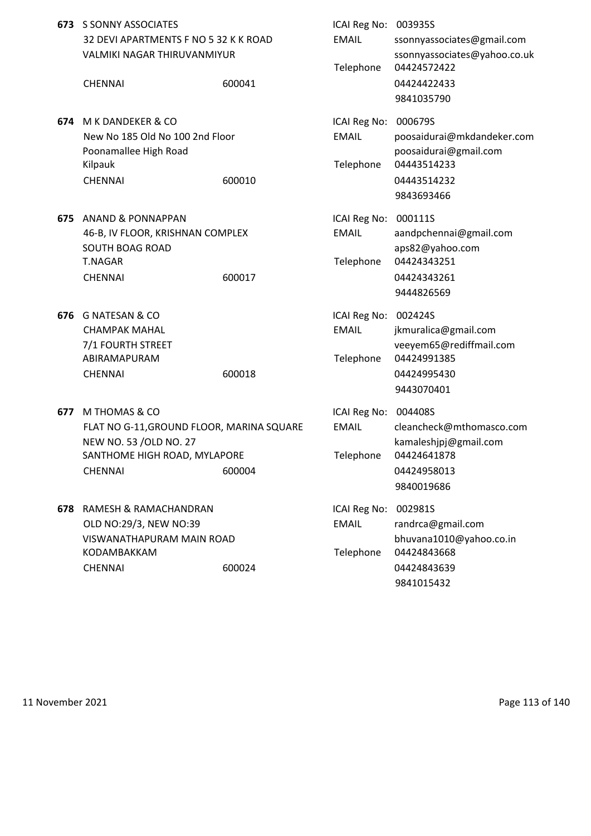|     | <b>673</b> S SONNY ASSOCIATES<br>32 DEVI APARTMENTS F NO 5 32 K K ROAD<br><b>VALMIKI NAGAR THIRUVANMIYUR</b><br><b>CHENNAI</b>         | 600041 | ICAI Reg No: 003935S<br><b>EMAIL</b><br>Telephone | ssonnyassociates@gmail.com<br>ssonnyassociates@yahoo.co.uk<br>04424572422<br>04424422433<br>9841035790 |
|-----|----------------------------------------------------------------------------------------------------------------------------------------|--------|---------------------------------------------------|--------------------------------------------------------------------------------------------------------|
| 674 | M K DANDEKER & CO<br>New No 185 Old No 100 2nd Floor<br>Poonamallee High Road<br>Kilpauk<br><b>CHENNAI</b>                             | 600010 | ICAI Reg No: 000679S<br><b>EMAIL</b><br>Telephone | poosaidurai@mkdandeker.com<br>poosaidurai@gmail.com<br>04443514233<br>04443514232<br>9843693466        |
| 675 | <b>ANAND &amp; PONNAPPAN</b><br>46-B, IV FLOOR, KRISHNAN COMPLEX<br><b>SOUTH BOAG ROAD</b><br><b>T.NAGAR</b><br><b>CHENNAI</b>         | 600017 | ICAI Reg No: 000111S<br><b>EMAIL</b><br>Telephone | aandpchennai@gmail.com<br>aps82@yahoo.com<br>04424343251<br>04424343261<br>9444826569                  |
| 676 | <b>G NATESAN &amp; CO</b><br><b>CHAMPAK MAHAL</b><br>7/1 FOURTH STREET<br>ABIRAMAPURAM<br><b>CHENNAI</b>                               | 600018 | ICAI Reg No: 002424S<br><b>EMAIL</b><br>Telephone | jkmuralica@gmail.com<br>veeyem65@rediffmail.com<br>04424991385<br>04424995430<br>9443070401            |
| 677 | M THOMAS & CO<br>FLAT NO G-11, GROUND FLOOR, MARINA SQUARE<br>NEW NO. 53 /OLD NO. 27<br>SANTHOME HIGH ROAD, MYLAPORE<br><b>CHENNAI</b> | 600004 | ICAI Reg No: 004408S<br><b>EMAIL</b><br>Telephone | cleancheck@mthomasco.com<br>kamaleshjpj@gmail.com<br>04424641878<br>04424958013<br>9840019686          |
| 678 | RAMESH & RAMACHANDRAN<br>OLD NO:29/3, NEW NO:39<br>VISWANATHAPURAM MAIN ROAD<br>KODAMBAKKAM<br><b>CHENNAI</b>                          | 600024 | ICAI Reg No:<br><b>EMAIL</b><br>Telephone         | 002981S<br>randrca@gmail.com<br>bhuvana1010@yahoo.co.in<br>04424843668<br>04424843639<br>9841015432    |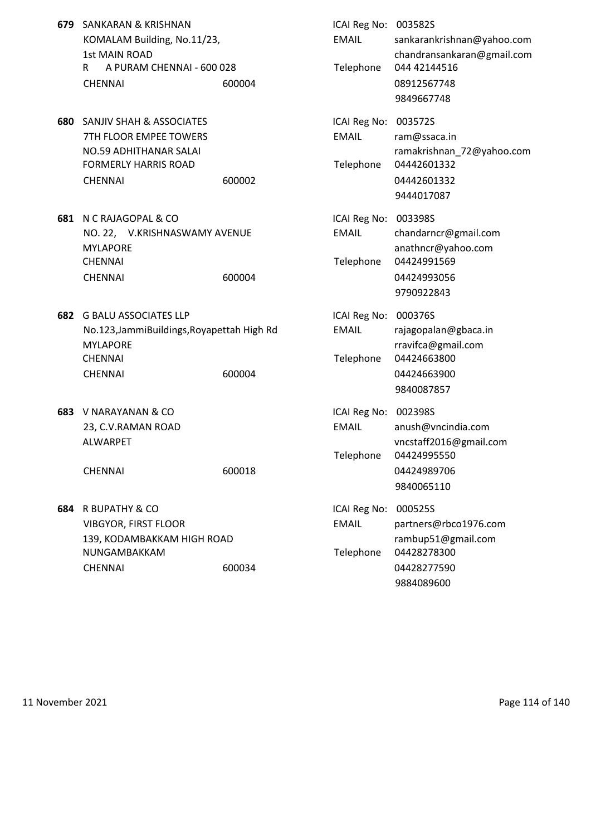- **679** SANKARAN & KRISHNAN KOMALAM Building, No.11/23, 1st MAIN ROAD R A PURAM CHENNAI - 600 028 CHENNAI 600004 600004 08912567748
- **680** SANJIV SHAH & ASSOCIATES 7TH FLOOR EMPEE TOWERS NO.59 ADHITHANAR SALAI FORMERLY HARRIS ROAD CHENNAI 600002 600002 04442601332
- **681 N C RAJAGOPAL & CO** NO. 22, V.KRISHNASWAMY AVENUE CHENNAI Telephone 04424991569 CHENNAI 600004
- **682 G BALU ASSOCIATES LLP** No.123,JammiBuildings,Royapettah High Rd **MYLAPORE** CHENNAI Telephone 04424663800
- **683 V NARAYANAN & CO** 23, C.V.RAMAN ROAD

**684** R BUPATHY & CO VIBGYOR, FIRST FLOOR 139, KODAMBAKKAM HIGH ROAD NUNGAMBAKKAM

| SANKARAN & KRISHNAN<br>KOMALAM Building, No.11/23,<br><b>1st MAIN ROAD</b><br>A PURAM CHENNAI - 600 028<br>R.<br><b>CHENNAI</b>   | 600004 | ICAI Reg No: 003582S<br><b>EMAIL</b><br>Telephone | sankarankrishnan@yahoo.com<br>chandransankaran@gmail.com<br>044 42144516<br>08912567748<br>9849667748 |
|-----------------------------------------------------------------------------------------------------------------------------------|--------|---------------------------------------------------|-------------------------------------------------------------------------------------------------------|
| <b>SANJIV SHAH &amp; ASSOCIATES</b><br>7TH FLOOR EMPEE TOWERS<br>NO.59 ADHITHANAR SALAI<br>FORMERLY HARRIS ROAD<br><b>CHENNAI</b> | 600002 | ICAI Reg No: 003572S<br><b>EMAIL</b><br>Telephone | ram@ssaca.in<br>ramakrishnan_72@yahoo.com<br>04442601332<br>04442601332<br>9444017087                 |
| N C RAJAGOPAL & CO<br>NO. 22, V.KRISHNASWAMY AVENUE<br><b>MYLAPORE</b><br><b>CHENNAI</b><br><b>CHENNAI</b>                        | 600004 | ICAI Reg No: 003398S<br><b>EMAIL</b><br>Telephone | chandarncr@gmail.com<br>anathncr@yahoo.com<br>04424991569<br>04424993056<br>9790922843                |
| <b>G BALU ASSOCIATES LLP</b><br>No.123, JammiBuildings, Royapettah High Rd<br>MYLAPORE<br>CHENNAI<br><b>CHENNAI</b>               | 600004 | ICAI Reg No: 000376S<br><b>EMAIL</b><br>Telephone | rajagopalan@gbaca.in<br>rravifca@gmail.com<br>04424663800<br>04424663900<br>9840087857                |
| V NARAYANAN & CO<br>23, C.V.RAMAN ROAD<br>ALWARPET<br><b>CHENNAI</b>                                                              | 600018 | ICAI Reg No: 002398S<br><b>EMAIL</b><br>Telephone | anush@vncindia.com<br>vncstaff2016@gmail.com<br>04424995550<br>04424989706<br>9840065110              |
| R BUPATHY & CO<br><b>VIBGYOR, FIRST FLOOR</b><br>139, KODAMBAKKAM HIGH ROAD<br>NUNGAMBAKKAM<br><b>CHENNAI</b>                     | 600034 | ICAI Reg No:<br><b>EMAIL</b><br>Telephone         | 000525S<br>partners@rbco1976.com<br>rambup51@gmail.com<br>04428278300<br>04428277590<br>9884089600    |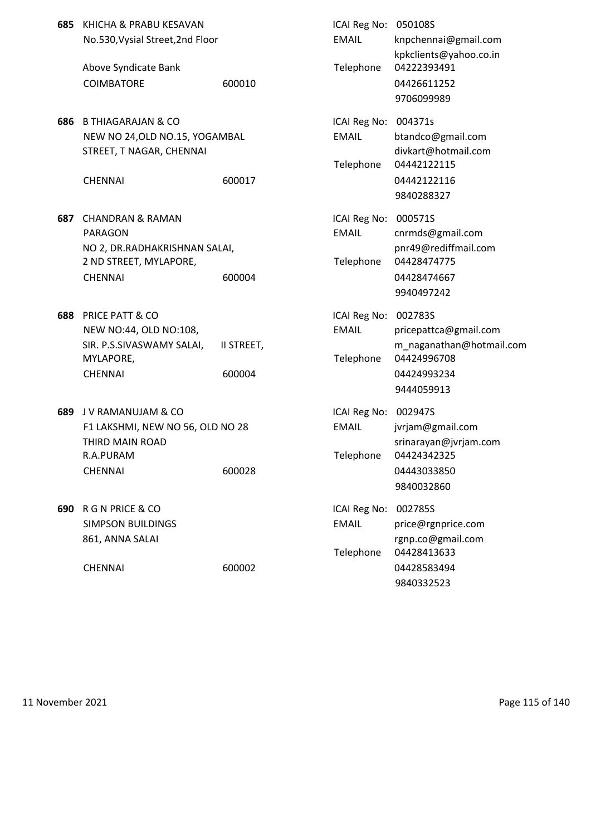| KHICHA & PRABU KESAVAN                                                                                                  |                      | ICAI Reg No:                                                                                        | 050108S                                                                                                  |
|-------------------------------------------------------------------------------------------------------------------------|----------------------|-----------------------------------------------------------------------------------------------------|----------------------------------------------------------------------------------------------------------|
| No.530, Vysial Street, 2nd Floor                                                                                        |                      | <b>EMAIL</b>                                                                                        | knpchennai@gmail.com<br>kpkclients@yahoo.co.in                                                           |
| Above Syndicate Bank<br><b>COIMBATORE</b>                                                                               | 600010               | Telephone                                                                                           | 04222393491<br>04426611252<br>9706099989                                                                 |
| <b>B THIAGARAJAN &amp; CO</b><br>686<br>STREET, T NAGAR, CHENNAI<br><b>CHENNAI</b>                                      | 600017               | ICAI Reg No:<br><b>EMAIL</b><br>Telephone                                                           | 004371s<br>btandco@gmail.com<br>divkart@hotmail.com<br>04442122115<br>04442122116<br>9840288327          |
| 687<br><b>CHANDRAN &amp; RAMAN</b><br><b>PARAGON</b><br>2 ND STREET, MYLAPORE,<br><b>CHENNAI</b>                        | 600004               | ICAI Reg No:<br><b>EMAIL</b><br>Telephone                                                           | 000571S<br>cnrmds@gmail.com<br>pnr49@rediffmail.com<br>04428474775<br>04428474667<br>9940497242          |
| 688<br><b>PRICE PATT &amp; CO</b><br>NEW NO:44, OLD NO:108,<br>SIR. P.S.SIVASWAMY SALAI,<br>MYLAPORE,<br><b>CHENNAI</b> | II STREET,<br>600004 | ICAI Reg No:<br>EMAIL<br>Telephone                                                                  | 002783S<br>pricepattca@gmail.com<br>m_naganathan@hotmail.com<br>04424996708<br>04424993234<br>9444059913 |
| 689<br>J V RAMANUJAM & CO<br>THIRD MAIN ROAD<br>R.A.PURAM<br><b>CHENNAI</b>                                             | 600028               | ICAI Reg No:<br><b>EMAIL</b><br>Telephone                                                           | 002947S<br>jvrjam@gmail.com<br>srinarayan@jvrjam.com<br>04424342325<br>04443033850<br>9840032860         |
| <b>R G N PRICE &amp; CO</b><br>690<br><b>SIMPSON BUILDINGS</b><br>861, ANNA SALAI<br><b>CHENNAI</b>                     | 600002               | ICAI Reg No:<br><b>EMAIL</b><br>Telephone                                                           | 002785S<br>price@rgnprice.com<br>rgnp.co@gmail.com<br>04428413633<br>04428583494<br>9840332523           |
|                                                                                                                         |                      | NEW NO 24, OLD NO.15, YOGAMBAL<br>NO 2, DR.RADHAKRISHNAN SALAI,<br>F1 LAKSHMI, NEW NO 56, OLD NO 28 |                                                                                                          |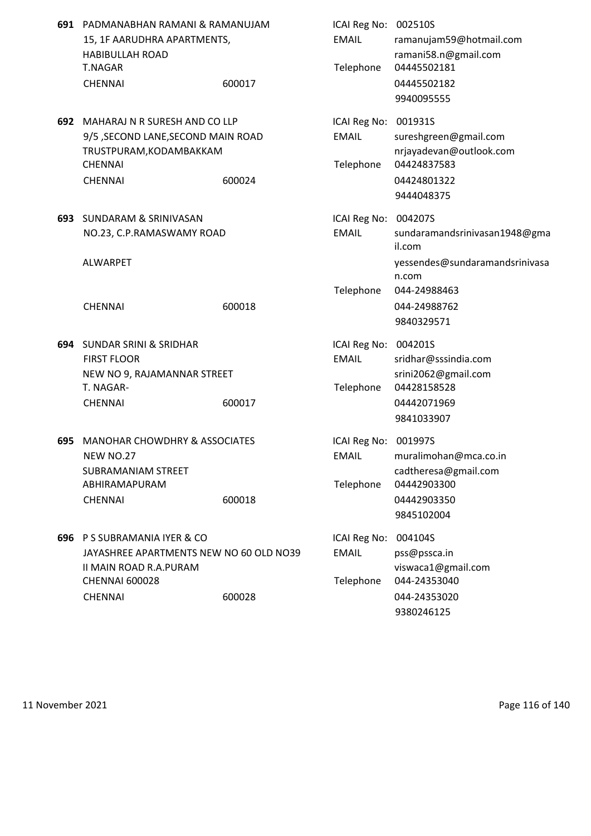| 691 | PADMANABHAN RAMANI & RAMANUJAM<br>15, 1F AARUDHRA APARTMENTS,<br><b>HABIBULLAH ROAD</b><br><b>T.NAGAR</b>                                       |        | ICAI Reg No: 002510S<br><b>EMAIL</b><br>Telephone | ramanujam59@hotmail.com<br>ramani58.n@gmail.com<br>04445502181                                       |
|-----|-------------------------------------------------------------------------------------------------------------------------------------------------|--------|---------------------------------------------------|------------------------------------------------------------------------------------------------------|
|     | <b>CHENNAI</b>                                                                                                                                  | 600017 |                                                   | 04445502182<br>9940095555                                                                            |
|     | 692 MAHARAJ N R SURESH AND CO LLP<br>9/5 , SECOND LANE, SECOND MAIN ROAD<br>TRUSTPURAM, KODAMBAKKAM<br><b>CHENNAI</b><br><b>CHENNAI</b>         | 600024 | ICAI Reg No: 001931S<br><b>EMAIL</b><br>Telephone | sureshgreen@gmail.com<br>nrjayadevan@outlook.com<br>04424837583<br>04424801322<br>9444048375         |
|     | 693 SUNDARAM & SRINIVASAN<br>NO.23, C.P.RAMASWAMY ROAD<br><b>ALWARPET</b>                                                                       |        | ICAI Reg No: 004207S<br><b>EMAIL</b>              | sundaramandsrinivasan1948@gma<br>il.com<br>yessendes@sundaramandsrinivasa<br>n.com                   |
|     | <b>CHENNAI</b>                                                                                                                                  | 600018 | Telephone                                         | 044-24988463<br>044-24988762<br>9840329571                                                           |
|     | 694 SUNDAR SRINI & SRIDHAR<br><b>FIRST FLOOR</b><br>NEW NO 9, RAJAMANNAR STREET<br>T. NAGAR-<br><b>CHENNAI</b>                                  | 600017 | ICAI Reg No:<br><b>EMAIL</b><br>Telephone         | 004201S<br>sridhar@sssindia.com<br>srini2062@gmail.com<br>04428158528<br>04442071969<br>9841033907   |
| 695 | <b>MANOHAR CHOWDHRY &amp; ASSOCIATES</b><br><b>NEW NO.27</b><br><b>SUBRAMANIAM STREET</b><br>ABHIRAMAPURAM<br><b>CHENNAI</b>                    | 600018 | ICAI Reg No:<br><b>EMAIL</b><br>Telephone         | 001997S<br>muralimohan@mca.co.in<br>cadtheresa@gmail.com<br>04442903300<br>04442903350<br>9845102004 |
| 696 | P S SUBRAMANIA IYER & CO<br>JAYASHREE APARTMENTS NEW NO 60 OLD NO39<br><b>II MAIN ROAD R.A.PURAM</b><br><b>CHENNAI 600028</b><br><b>CHENNAI</b> | 600028 | ICAI Reg No:<br><b>EMAIL</b><br>Telephone         | 004104S<br>pss@pssca.in<br>viswaca1@gmail.com<br>044-24353040<br>044-24353020<br>9380246125          |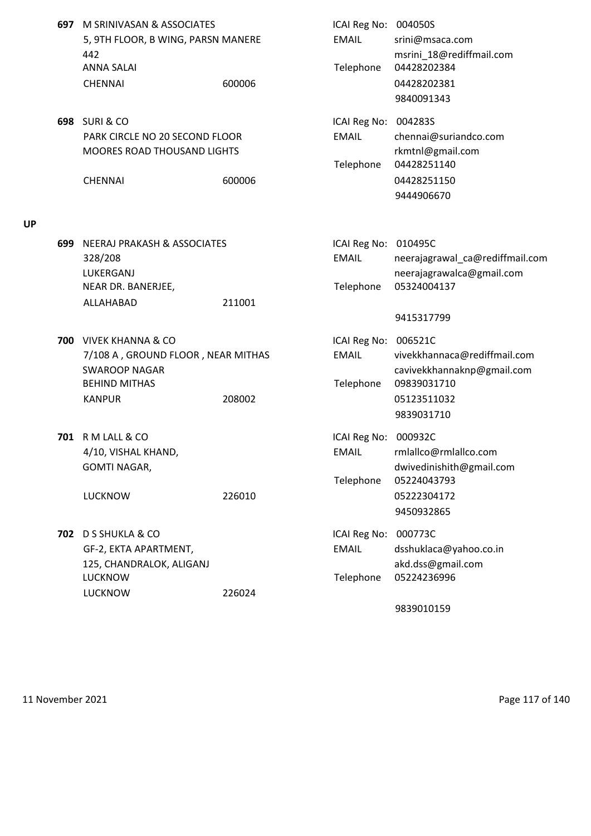| 697 | M SRINIVASAN & ASSOCIATES<br>5, 9TH FLOOR, B WING, PARSN MANERE<br>442<br><b>ANNA SALAI</b><br><b>CHENNAI</b>      | 600006 | ICAI Reg No: 004050S<br><b>EMAIL</b><br>Telephone | srini@msaca.com<br>msrini_18@rediffmail.com<br>04428202384<br>04428202381<br>9840091343 |
|-----|--------------------------------------------------------------------------------------------------------------------|--------|---------------------------------------------------|-----------------------------------------------------------------------------------------|
|     | <b>698 SURI &amp; CO</b><br>PARK CIRCLE NO 20 SECOND FLOOR<br><b>MOORES ROAD THOUSAND LIGHTS</b><br><b>CHENNAI</b> | 600006 | ICAI Reg No: 004283S<br><b>EMAIL</b><br>Telephone | chennai@suriandco.com<br>rkmtnl@gmail.com<br>04428251140<br>04428251150                 |
|     |                                                                                                                    |        |                                                   | 9444906670                                                                              |
|     | <b>699 NEERAJ PRAKASH &amp; ASSOCIATES</b>                                                                         |        | ICAI Reg No: 010495C                              |                                                                                         |
|     | 328/208                                                                                                            |        | <b>EMAIL</b>                                      | neerajagrawal_ca@rediffmail.com                                                         |
|     | LUKERGANJ<br>NEAR DR. BANERJEE,                                                                                    |        | Telephone                                         | neerajagrawalca@gmail.com<br>05324004137                                                |
|     | ALLAHABAD                                                                                                          | 211001 |                                                   |                                                                                         |
|     |                                                                                                                    |        |                                                   | 9415317799                                                                              |
|     | 700 VIVEK KHANNA & CO                                                                                              |        | ICAI Reg No:                                      | 006521C                                                                                 |
|     | 7/108 A, GROUND FLOOR, NEAR MITHAS                                                                                 |        | <b>EMAIL</b>                                      | vivekkhannaca@rediffmail.com                                                            |
|     | <b>SWAROOP NAGAR</b><br><b>BEHIND MITHAS</b>                                                                       |        |                                                   | cavivekkhannaknp@gmail.com<br>09839031710                                               |
|     | <b>KANPUR</b>                                                                                                      | 208002 | Telephone                                         | 05123511032                                                                             |
|     |                                                                                                                    |        |                                                   | 9839031710                                                                              |
|     | <b>701 RM LALL &amp; CO</b>                                                                                        |        | ICAI Reg No: 000932C                              |                                                                                         |
|     | 4/10, VISHAL KHAND,                                                                                                |        | EMAIL                                             | rmlallco@rmlallco.com                                                                   |
|     | <b>GOMTI NAGAR,</b>                                                                                                |        |                                                   | dwivedinishith@gmail.com                                                                |
|     |                                                                                                                    |        | Telephone                                         | 05224043793                                                                             |
|     | <b>LUCKNOW</b>                                                                                                     | 226010 |                                                   | 05222304172<br>9450932865                                                               |
|     | 702 D S SHUKLA & CO                                                                                                |        | ICAI Reg No:                                      | 000773C                                                                                 |
|     | GF-2, EKTA APARTMENT,                                                                                              |        | <b>EMAIL</b>                                      | dsshuklaca@yahoo.co.in                                                                  |
|     | 125, CHANDRALOK, ALIGANJ                                                                                           |        |                                                   | akd.dss@gmail.com                                                                       |
|     | <b>LUCKNOW</b>                                                                                                     |        | Telephone                                         | 05224236996                                                                             |
|     | <b>LUCKNOW</b>                                                                                                     | 226024 |                                                   | 9839010159                                                                              |
|     |                                                                                                                    |        |                                                   |                                                                                         |

**UP**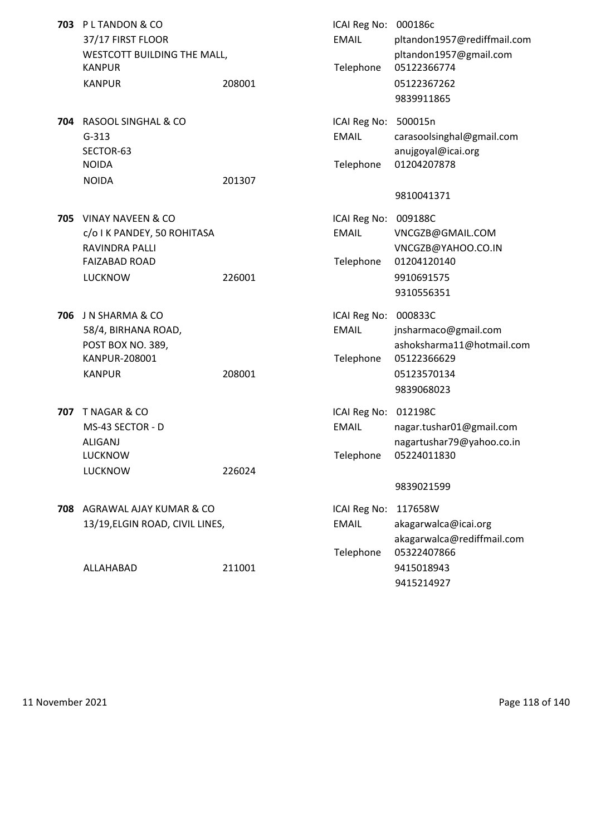|     | 703 PL TANDON & CO<br>37/17 FIRST FLOOR<br>WESTCOTT BUILDING THE MALL,<br><b>KANPUR</b><br><b>KANPUR</b> | 208001 | ICAI Reg No: 000186c<br><b>EMAIL</b><br>Telephone | pltandon1957@rediffmail.com<br>pltandon1957@gmail.com<br>05122366774<br>05122367262<br>9839911865 |
|-----|----------------------------------------------------------------------------------------------------------|--------|---------------------------------------------------|---------------------------------------------------------------------------------------------------|
|     | 704 RASOOL SINGHAL & CO<br>$G-313$<br>SECTOR-63<br><b>NOIDA</b><br><b>NOIDA</b>                          | 201307 | ICAI Reg No: 500015n<br><b>EMAIL</b><br>Telephone | carasoolsinghal@gmail.com<br>anujgoyal@icai.org<br>01204207878                                    |
|     |                                                                                                          |        |                                                   | 9810041371                                                                                        |
|     | 705 VINAY NAVEEN & CO<br>c/o I K PANDEY, 50 ROHITASA<br><b>RAVINDRA PALLI</b><br><b>FAIZABAD ROAD</b>    |        | ICAI Reg No: 009188C<br><b>EMAIL</b><br>Telephone | VNCGZB@GMAIL.COM<br>VNCGZB@YAHOO.CO.IN<br>01204120140                                             |
|     | <b>LUCKNOW</b>                                                                                           | 226001 |                                                   | 9910691575<br>9310556351                                                                          |
| 706 | J N SHARMA & CO<br>58/4, BIRHANA ROAD,<br>POST BOX NO. 389,<br>KANPUR-208001<br><b>KANPUR</b>            | 208001 | ICAI Reg No: 000833C<br><b>EMAIL</b><br>Telephone | jnsharmaco@gmail.com<br>ashoksharma11@hotmail.com<br>05122366629<br>05123570134                   |
|     |                                                                                                          |        |                                                   | 9839068023                                                                                        |
| 707 | T NAGAR & CO<br>MS-43 SECTOR - D<br><b>ALIGANJ</b><br>LUCKNOW                                            |        | ICAI Reg No: 012198C<br><b>EMAIL</b><br>Telephone | nagar.tushar01@gmail.com<br>nagartushar79@yahoo.co.in<br>05224011830                              |
|     | <b>LUCKNOW</b>                                                                                           | 226024 |                                                   |                                                                                                   |
|     |                                                                                                          |        |                                                   | 9839021599                                                                                        |
|     | 708 AGRAWAL AJAY KUMAR & CO                                                                              |        | ICAI Reg No:                                      | 117658W                                                                                           |
|     | 13/19, ELGIN ROAD, CIVIL LINES,                                                                          |        | <b>EMAIL</b>                                      | akagarwalca@icai.org                                                                              |
|     |                                                                                                          |        | Telephone                                         | akagarwalca@rediffmail.com<br>05322407866                                                         |
|     | ALLAHABAD                                                                                                | 211001 |                                                   | 9415018943                                                                                        |
|     |                                                                                                          |        |                                                   | 9415214927                                                                                        |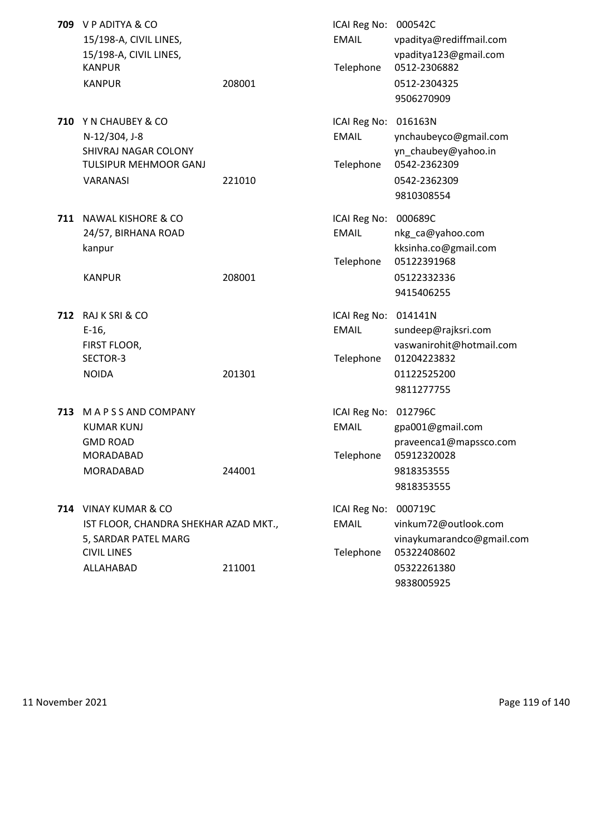|     | 709 V P ADITYA & CO<br>15/198-A, CIVIL LINES, |        | ICAI Reg No: 000542C<br><b>EMAIL</b> | vpaditya@rediffmail.com             |
|-----|-----------------------------------------------|--------|--------------------------------------|-------------------------------------|
|     | 15/198-A, CIVIL LINES,                        |        |                                      | vpaditya123@gmail.com               |
|     | <b>KANPUR</b>                                 |        | Telephone                            | 0512-2306882                        |
|     | <b>KANPUR</b>                                 | 208001 |                                      | 0512-2304325<br>9506270909          |
|     |                                               |        |                                      |                                     |
|     | 710 Y N CHAUBEY & CO                          |        | ICAI Reg No:                         | 016163N                             |
|     | N-12/304, J-8                                 |        | <b>EMAIL</b>                         | ynchaubeyco@gmail.com               |
|     | SHIVRAJ NAGAR COLONY                          |        |                                      | yn_chaubey@yahoo.in<br>0542-2362309 |
|     | TULSIPUR MEHMOOR GANJ                         |        | Telephone                            |                                     |
|     | VARANASI                                      | 221010 |                                      | 0542-2362309                        |
|     |                                               |        |                                      | 9810308554                          |
|     | <b>711 NAWAL KISHORE &amp; CO</b>             |        | ICAI Reg No:                         | 000689C                             |
|     | 24/57, BIRHANA ROAD                           |        | <b>EMAIL</b>                         | nkg_ca@yahoo.com                    |
|     | kanpur                                        |        |                                      | kksinha.co@gmail.com                |
|     |                                               |        | Telephone                            | 05122391968                         |
|     | <b>KANPUR</b>                                 | 208001 |                                      | 05122332336                         |
|     |                                               |        |                                      | 9415406255                          |
|     | 712 RAJ K SRI & CO                            |        | ICAI Reg No:                         | 014141N                             |
|     | $E-16$                                        |        | <b>EMAIL</b>                         | sundeep@rajksri.com                 |
|     | FIRST FLOOR,                                  |        |                                      | vaswanirohit@hotmail.com            |
|     | SECTOR-3                                      |        | Telephone                            | 01204223832                         |
|     | <b>NOIDA</b>                                  | 201301 |                                      | 01122525200                         |
|     |                                               |        |                                      | 9811277755                          |
| 713 | M A P S S AND COMPANY                         |        | ICAI Reg No: 012796C                 |                                     |
|     | <b>KUMAR KUNJ</b>                             |        | <b>EMAIL</b>                         | gpa001@gmail.com                    |
|     | <b>GMD ROAD</b>                               |        |                                      | praveenca1@mapssco.com              |
|     | MORADABAD                                     |        | Telephone                            | 05912320028                         |
|     | MORADABAD                                     | 244001 |                                      | 9818353555                          |
|     |                                               |        |                                      | 9818353555                          |
|     | 714 VINAY KUMAR & CO                          |        | ICAI Reg No:                         | 000719C                             |
|     | IST FLOOR, CHANDRA SHEKHAR AZAD MKT.,         |        | <b>EMAIL</b>                         | vinkum72@outlook.com                |
|     | 5, SARDAR PATEL MARG                          |        |                                      | vinaykumarandco@gmail.com           |
|     | <b>CIVIL LINES</b>                            |        | Telephone                            | 05322408602                         |
|     | ALLAHABAD                                     | 211001 |                                      | 05322261380                         |
|     |                                               |        |                                      | 9838005925                          |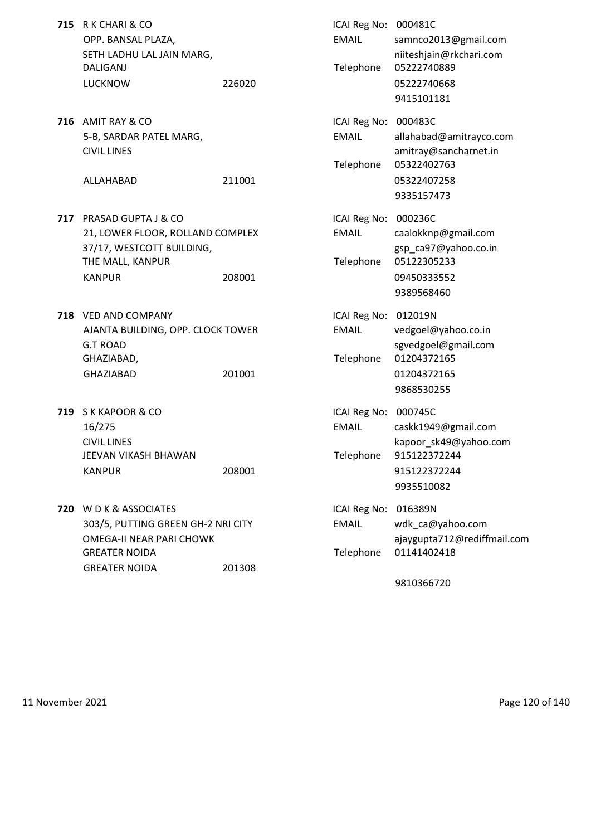| <b>715</b> R K CHARI & CO |        | ICAI Reg No: 000481C |                       |
|---------------------------|--------|----------------------|-----------------------|
| OPP. BANSAL PLAZA,        |        | EMAIL                | samnco2013@           |
| SETH LADHU LAL JAIN MARG. |        |                      | niiteshjain@r         |
| DALIGANJ                  |        |                      | Telephone 05222740889 |
| LUCKNOW                   | 226020 |                      | 05222740668           |

**716** AMIT RAY & CO 5-B, SARDAR PATEL MARG, **CIVIL LINES** 

- **717** PRASAD GUPTA J & CO 21, LOWER FLOOR, ROLLAND COMPLEX 37/17, WESTCOTT BUILDING, THE MALL, KANPUR
- **718** VED AND COMPANY AJANTA BUILDING, OPP. CLOCK TOWER G.T ROAD sgvedgoel@gmail.com GHAZIABAD, GHAZIABAD 201001
- **719** S K KAPOOR & CO JEEVAN VIKASH BHAWAN KANPUR 208001 208001 915122372244
- **720** W D K & ASSOCIATES 303/5, PUTTING GREEN GH-2 NRI CITY OMEGA-II NEAR PARI CHOWK GREATER NOIDA Telephone 01141402418 GREATER NOIDA 201308

| R K CHARI & CO<br>ICAI Reg No: 000481C<br>OPP. BANSAL PLAZA,<br><b>EMAIL</b><br>samnco2013@gmail.com<br>SETH LADHU LAL JAIN MARG,<br>niiteshjain@rkchari.com<br><b>DALIGANJ</b><br>Telephone<br>05222740889<br><b>LUCKNOW</b><br>226020<br>05222740668<br>9415101181                |  |
|-------------------------------------------------------------------------------------------------------------------------------------------------------------------------------------------------------------------------------------------------------------------------------------|--|
|                                                                                                                                                                                                                                                                                     |  |
| AMIT RAY & CO<br>ICAI Reg No: 000483C<br>5-B, SARDAR PATEL MARG,<br><b>EMAIL</b><br>allahabad@amitrayco.com<br><b>CIVIL LINES</b><br>amitray@sancharnet.in<br>Telephone<br>05322402763                                                                                              |  |
| 211001<br>05322407258<br>ALLAHABAD<br>9335157473                                                                                                                                                                                                                                    |  |
| PRASAD GUPTA J & CO<br>ICAI Reg No: 000236C<br>21, LOWER FLOOR, ROLLAND COMPLEX<br><b>EMAIL</b><br>caalokknp@gmail.com<br>37/17, WESTCOTT BUILDING,<br>gsp_ca97@yahoo.co.in<br>THE MALL, KANPUR<br>Telephone<br>05122305233<br><b>KANPUR</b><br>208001<br>09450333552<br>9389568460 |  |
| <b>VED AND COMPANY</b><br>ICAI Reg No: 012019N<br>AJANTA BUILDING, OPP. CLOCK TOWER<br><b>EMAIL</b><br>vedgoel@yahoo.co.in<br><b>G.T ROAD</b><br>sgvedgoel@gmail.com<br>Telephone<br>01204372165<br>GHAZIABAD,                                                                      |  |
| <b>GHAZIABAD</b><br>201001<br>01204372165<br>9868530255                                                                                                                                                                                                                             |  |
| S K KAPOOR & CO<br>ICAI Reg No: 000745C<br><b>EMAIL</b><br>16/275<br>caskk1949@gmail.com<br>kapoor_sk49@yahoo.com<br><b>CIVIL LINES</b>                                                                                                                                             |  |
| JEEVAN VIKASH BHAWAN<br>Telephone<br>915122372244<br><b>KANPUR</b><br>915122372244<br>208001<br>9935510082                                                                                                                                                                          |  |
| W D K & ASSOCIATES<br>ICAI Reg No: 016389N<br><b>EMAIL</b><br>303/5, PUTTING GREEN GH-2 NRI CITY<br>wdk_ca@yahoo.com<br>OMEGA-II NEAR PARI CHOWK<br>ajaygupta712@rediffmail.com<br>Telephone 01141402418<br>GREATER NOIDA                                                           |  |

9810366720

11 November 2021 **Page 120 of 140**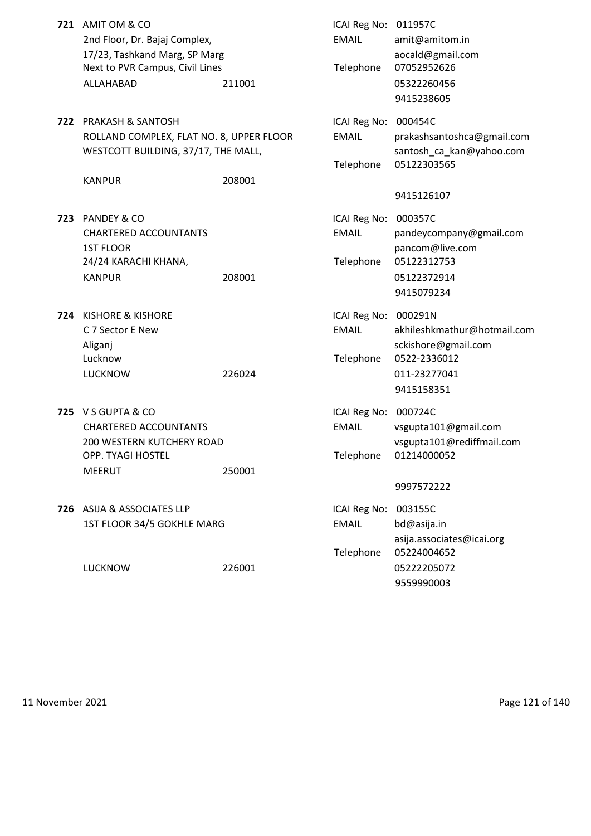|     | 721 AMIT OM & CO<br>2nd Floor, Dr. Bajaj Complex,<br>17/23, Tashkand Marg, SP Marg<br>Next to PVR Campus, Civil Lines<br>ALLAHABAD | 211001 | ICAI Reg No: 011957C<br><b>EMAIL</b><br>Telephone | amit@amitom.in<br>aocald@gmail.com<br>07052952626<br>05322260456<br>9415238605     |
|-----|------------------------------------------------------------------------------------------------------------------------------------|--------|---------------------------------------------------|------------------------------------------------------------------------------------|
|     | 722 PRAKASH & SANTOSH<br>ROLLAND COMPLEX, FLAT NO. 8, UPPER FLOOR<br>WESTCOTT BUILDING, 37/17, THE MALL,                           |        | ICAI Reg No: 000454C<br><b>EMAIL</b><br>Telephone | prakashsantoshca@gmail.com<br>santosh_ca_kan@yahoo.com<br>05122303565              |
|     | <b>KANPUR</b>                                                                                                                      | 208001 |                                                   | 9415126107                                                                         |
| 723 | PANDEY & CO<br><b>CHARTERED ACCOUNTANTS</b><br><b>1ST FLOOR</b><br>24/24 KARACHI KHANA,                                            |        | ICAI Reg No: 000357C<br><b>EMAIL</b><br>Telephone | pandeycompany@gmail.com<br>pancom@live.com<br>05122312753                          |
|     | <b>KANPUR</b>                                                                                                                      | 208001 |                                                   | 05122372914<br>9415079234                                                          |
| 724 | <b>KISHORE &amp; KISHORE</b><br>C 7 Sector E New<br>Aliganj<br>Lucknow<br><b>LUCKNOW</b>                                           | 226024 | ICAI Reg No: 000291N<br><b>EMAIL</b><br>Telephone | akhileshkmathur@hotmail.com<br>sckishore@gmail.com<br>0522-2336012<br>011-23277041 |
|     |                                                                                                                                    |        |                                                   | 9415158351                                                                         |
|     | 725 V S GUPTA & CO<br><b>CHARTERED ACCOUNTANTS</b><br>200 WESTERN KUTCHERY ROAD<br>OPP. TYAGI HOSTEL                               |        | ICAI Reg No: 000724C<br><b>EMAIL</b>              | vsgupta101@gmail.com<br>vsgupta101@rediffmail.com<br>Telephone 01214000052         |
|     | <b>MEERUT</b>                                                                                                                      | 250001 |                                                   | 9997572222                                                                         |
|     | 726 ASIJA & ASSOCIATES LLP<br>1ST FLOOR 34/5 GOKHLE MARG                                                                           |        | ICAI Reg No: 003155C<br><b>EMAIL</b><br>Telephone | bd@asija.in<br>asija.associates@icai.org<br>05224004652                            |
|     | <b>LUCKNOW</b>                                                                                                                     | 226001 |                                                   | 05222205072<br>9559990003                                                          |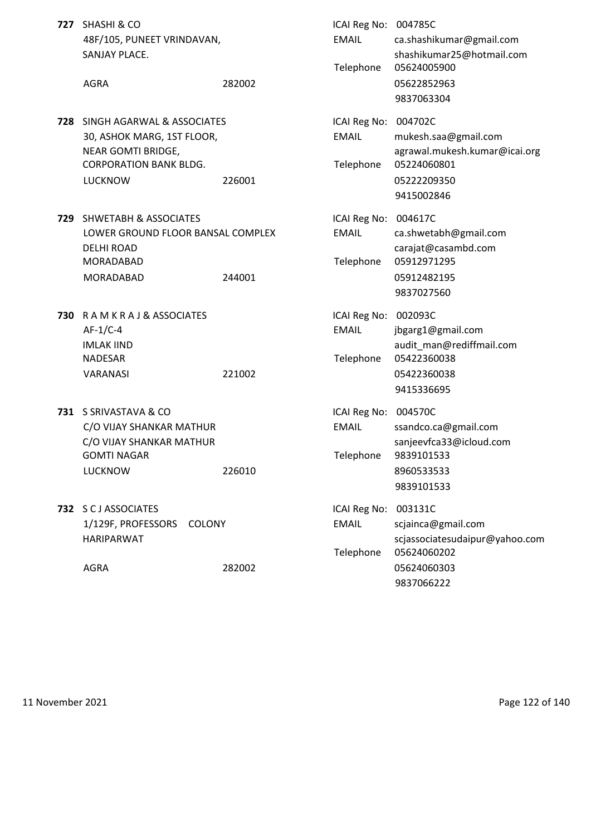| 727 | <b>SHASHI &amp; CO</b><br>48F/105, PUNEET VRINDAVAN,<br>SANJAY PLACE.                                                             |        | ICAI Reg No: 004785C<br><b>EMAIL</b>              | ca.shashikumar@gmail.com<br>shashikumar25@hotmail.com                                                        |
|-----|-----------------------------------------------------------------------------------------------------------------------------------|--------|---------------------------------------------------|--------------------------------------------------------------------------------------------------------------|
|     | <b>AGRA</b>                                                                                                                       | 282002 | Telephone                                         | 05624005900<br>05622852963<br>9837063304                                                                     |
| 728 | SINGH AGARWAL & ASSOCIATES<br>30, ASHOK MARG, 1ST FLOOR,<br>NEAR GOMTI BRIDGE,<br><b>CORPORATION BANK BLDG.</b><br><b>LUCKNOW</b> | 226001 | ICAI Reg No:<br><b>EMAIL</b><br>Telephone         | 004702C<br>mukesh.saa@gmail.com<br>agrawal.mukesh.kumar@icai.org<br>05224060801<br>05222209350<br>9415002846 |
| 729 | <b>SHWETABH &amp; ASSOCIATES</b><br>LOWER GROUND FLOOR BANSAL COMPLEX<br><b>DELHI ROAD</b><br>MORADABAD<br><b>MORADABAD</b>       | 244001 | ICAI Reg No:<br><b>EMAIL</b><br>Telephone         | 004617C<br>ca.shwetabh@gmail.com<br>carajat@casambd.com<br>05912971295<br>05912482195<br>9837027560          |
| 730 | RAMKRAJ&ASSOCIATES<br>$AF-1/C-4$<br><b>IMLAK IIND</b><br><b>NADESAR</b><br>VARANASI                                               | 221002 | ICAI Reg No:<br><b>EMAIL</b><br>Telephone         | 002093C<br>jbgarg1@gmail.com<br>audit_man@rediffmail.com<br>05422360038<br>05422360038<br>9415336695         |
|     | 731 S SRIVASTAVA & CO<br>C/O VIJAY SHANKAR MATHUR<br>C/O VIJAY SHANKAR MATHUR<br><b>GOMTI NAGAR</b><br><b>LUCKNOW</b>             | 226010 | ICAI Reg No: 004570C<br><b>EMAIL</b><br>Telephone | ssandco.ca@gmail.com<br>sanjeevfca33@icloud.com<br>9839101533<br>8960533533<br>9839101533                    |
|     | 732 S C J ASSOCIATES<br>1/129F, PROFESSORS<br><b>COLONY</b><br><b>HARIPARWAT</b><br><b>AGRA</b>                                   | 282002 | ICAI Reg No:<br><b>EMAIL</b><br>Telephone         | 003131C<br>scjainca@gmail.com<br>scjassociatesudaipur@yahoo.com<br>05624060202<br>05624060303                |
|     |                                                                                                                                   |        |                                                   | 9837066222                                                                                                   |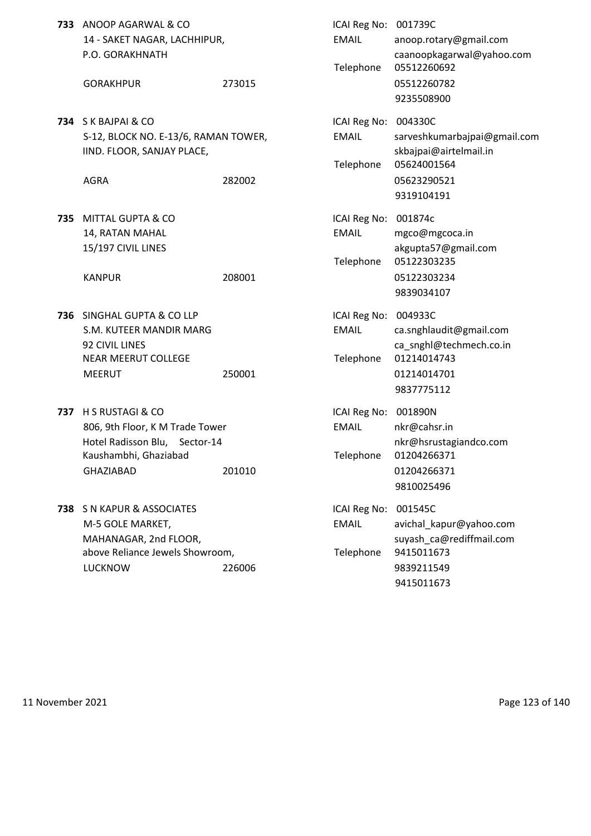|     | 733 ANOOP AGARWAL & CO<br>14 - SAKET NAGAR, LACHHIPUR,<br>P.O. GORAKHNATH<br><b>GORAKHPUR</b>                                                   | 273015 | ICAI Reg No:<br><b>EMAIL</b><br>Telephone | 001739C<br>anoop.rotary@gmail.com<br>caanoopkagarwal@yahoo.com<br>05512260692<br>05512260782                                |
|-----|-------------------------------------------------------------------------------------------------------------------------------------------------|--------|-------------------------------------------|-----------------------------------------------------------------------------------------------------------------------------|
|     | 734 SK BAJPAI & CO<br>S-12, BLOCK NO. E-13/6, RAMAN TOWER,<br>IIND. FLOOR, SANJAY PLACE,<br><b>AGRA</b>                                         | 282002 | ICAI Reg No:<br><b>EMAIL</b><br>Telephone | 9235508900<br>004330C<br>sarveshkumarbajpai@gmail.com<br>skbajpai@airtelmail.in<br>05624001564<br>05623290521<br>9319104191 |
| 735 | <b>MITTAL GUPTA &amp; CO</b><br>14, RATAN MAHAL<br>15/197 CIVIL LINES<br><b>KANPUR</b>                                                          | 208001 | ICAI Reg No:<br><b>EMAIL</b><br>Telephone | 001874c<br>mgco@mgcoca.in<br>akgupta57@gmail.com<br>05122303235<br>05122303234<br>9839034107                                |
| 736 | SINGHAL GUPTA & CO LLP<br>S.M. KUTEER MANDIR MARG<br>92 CIVIL LINES<br>NEAR MEERUT COLLEGE<br><b>MEERUT</b>                                     | 250001 | ICAI Reg No:<br><b>EMAIL</b><br>Telephone | 004933C<br>ca.snghlaudit@gmail.com<br>ca_snghl@techmech.co.in<br>01214014743<br>01214014701<br>9837775112                   |
| 737 | <b>H S RUSTAGI &amp; CO</b><br>806, 9th Floor, K M Trade Tower<br>Hotel Radisson Blu,<br>Sector-14<br>Kaushambhi, Ghaziabad<br><b>GHAZIABAD</b> | 201010 | ICAI Reg No:<br><b>EMAIL</b><br>Telephone | 001890N<br>nkr@cahsr.in<br>nkr@hsrustagiandco.com<br>01204266371<br>01204266371<br>9810025496                               |
| 738 | S N KAPUR & ASSOCIATES<br>M-5 GOLE MARKET,<br>MAHANAGAR, 2nd FLOOR,<br>above Reliance Jewels Showroom,<br><b>LUCKNOW</b>                        | 226006 | ICAI Reg No:<br><b>EMAIL</b><br>Telephone | 001545C<br>avichal_kapur@yahoo.com<br>suyash ca@rediffmail.com<br>9415011673<br>9839211549<br>9415011673                    |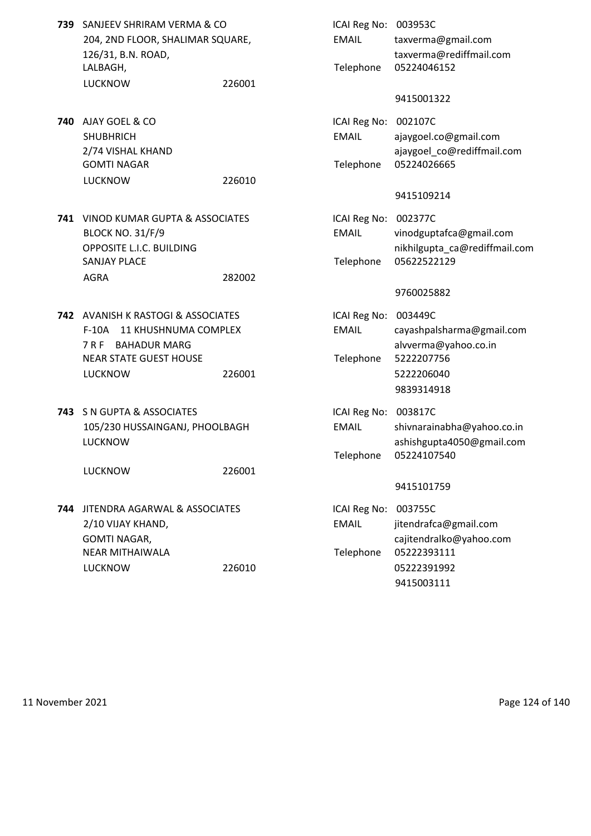- **739** SANJEEV SHRIRAM VERMA & CO **ICAI Reg No: 003953C** LALBAGH, Telephone 05224046152 LUCKNOW 226001
- **740** AJAY GOEL & CO **ICAI Reg No: 002107C** GOMTI NAGAR Telephone 05224026665 LUCKNOW 226010
- **741** VINOD KUMAR GUPTA & ASSOCIATES ICAI Reg No: 002377C SANJAY PLACE **Telephone 05622522129** AGRA 282002
- **742** AVANISH K RASTOGI & ASSOCIATES **ICAI Reg No: 003449C** NEAR STATE GUEST HOUSE Telephone 5222207756 LUCKNOW 226001 5222206040
- **743** S N GUPTA & ASSOCIATES **ICAI Reg No: 003817C**

LUCKNOW 226001

- **744** JITENDRA AGARWAL & ASSOCIATES ICAI Reg No: 003755C NEAR MITHAIWALA Telephone 05222393111 LUCKNOW 226010 05222391992
- 204, 2ND FLOOR, SHALIMAR SQUARE, EMAIL taxverma@gmail.com 126/31, B.N. ROAD, taxverma@rediffmail.com 9415001322 SHUBHRICH EMAIL ajaygoel.co@gmail.com 2/74 VISHAL KHAND **ajaygoel** co@rediffmail.com 9415109214 BLOCK NO. 31/F/9 EMAIL vinodguptafca@gmail.com OPPOSITE L.I.C. BUILDING **nichology** nikhilgupta\_ca@rediffmail.com 9760025882 F-10A 11 KHUSHNUMA COMPLEX EMAIL cayashpalsharma@gmail.com 7 R F BAHADUR MARG **all alwards alvverma@yahoo.co.in** 9839314918 105/230 HUSSAINGANJ, PHOOLBAGH EMAIL shivnarainabha@yahoo.co.in LUCKNOW ashishgupta4050@gmail.com Telephone 05224107540 9415101759 2/10 VIJAY KHAND, EMAIL jitendrafca@gmail.com GOMTI NAGAR, and the case of the calibration of the calibration of the calibration of the calibration of the calibration of the calibration of the calibration of the calibration of the calibration of the calibration of the 9415003111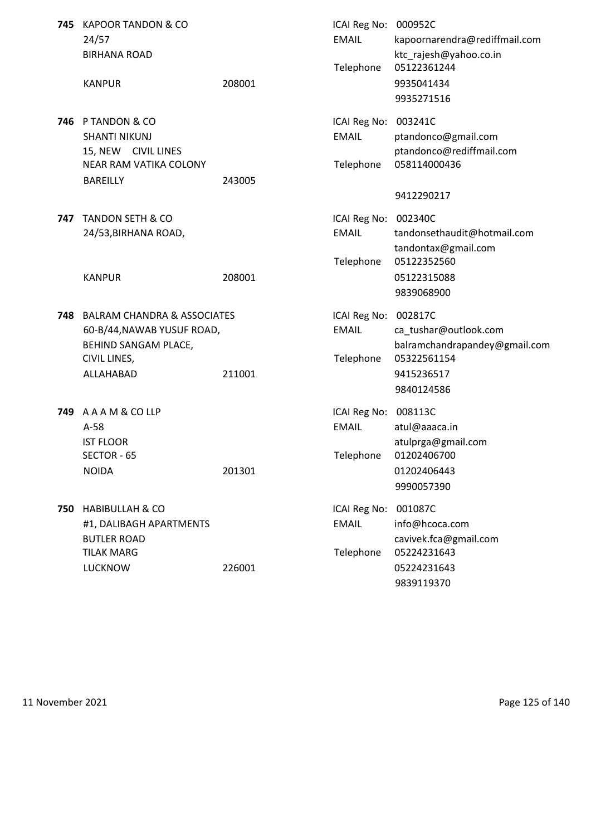| 745 | <b>KAPOOR TANDON &amp; CO</b><br>24/57<br><b>BIRHANA ROAD</b>                                                             |        | ICAI Reg No: 000952C<br><b>EMAIL</b>      | kapoornarendra@rediffmail.com<br>ktc_rajesh@yahoo.co.in<br>05122361244                                       |
|-----|---------------------------------------------------------------------------------------------------------------------------|--------|-------------------------------------------|--------------------------------------------------------------------------------------------------------------|
|     | <b>KANPUR</b>                                                                                                             | 208001 | Telephone                                 | 9935041434<br>9935271516                                                                                     |
|     | 746 P TANDON & CO<br><b>SHANTI NIKUNJ</b><br>15, NEW CIVIL LINES<br>NEAR RAM VATIKA COLONY<br><b>BAREILLY</b>             | 243005 | ICAI Reg No:<br><b>EMAIL</b><br>Telephone | 003241C<br>ptandonco@gmail.com<br>ptandonco@rediffmail.com<br>058114000436                                   |
|     |                                                                                                                           |        |                                           | 9412290217                                                                                                   |
| 747 | <b>TANDON SETH &amp; CO</b><br>24/53, BIRHANA ROAD,                                                                       |        | ICAI Reg No:<br><b>EMAIL</b>              | 002340C<br>tandonsethaudit@hotmail.com<br>tandontax@gmail.com                                                |
|     | <b>KANPUR</b>                                                                                                             | 208001 | Telephone                                 | 05122352560<br>05122315088<br>9839068900                                                                     |
| 748 | <b>BALRAM CHANDRA &amp; ASSOCIATES</b><br>60-B/44, NAWAB YUSUF ROAD,<br>BEHIND SANGAM PLACE,<br>CIVIL LINES,<br>ALLAHABAD | 211001 | ICAI Reg No:<br><b>EMAIL</b><br>Telephone | 002817C<br>ca_tushar@outlook.com<br>balramchandrapandey@gmail.com<br>05322561154<br>9415236517<br>9840124586 |
|     | 749 AAAM&COLLP<br>$A-58$<br><b>IST FLOOR</b><br>SECTOR - 65<br><b>NOIDA</b>                                               | 201301 | ICAI Reg No:<br><b>EMAIL</b><br>Telephone | 008113C<br>atul@aaaca.in<br>atulprga@gmail.com<br>01202406700<br>01202406443<br>9990057390                   |
| 750 | <b>HABIBULLAH &amp; CO</b><br>#1, DALIBAGH APARTMENTS<br><b>BUTLER ROAD</b><br><b>TILAK MARG</b><br><b>LUCKNOW</b>        | 226001 | ICAI Reg No:<br><b>EMAIL</b><br>Telephone | 001087C<br>info@hcoca.com<br>cavivek.fca@gmail.com<br>05224231643<br>05224231643                             |
|     |                                                                                                                           |        |                                           | 9839119370                                                                                                   |

11 November 2021 **Page 125 of 140**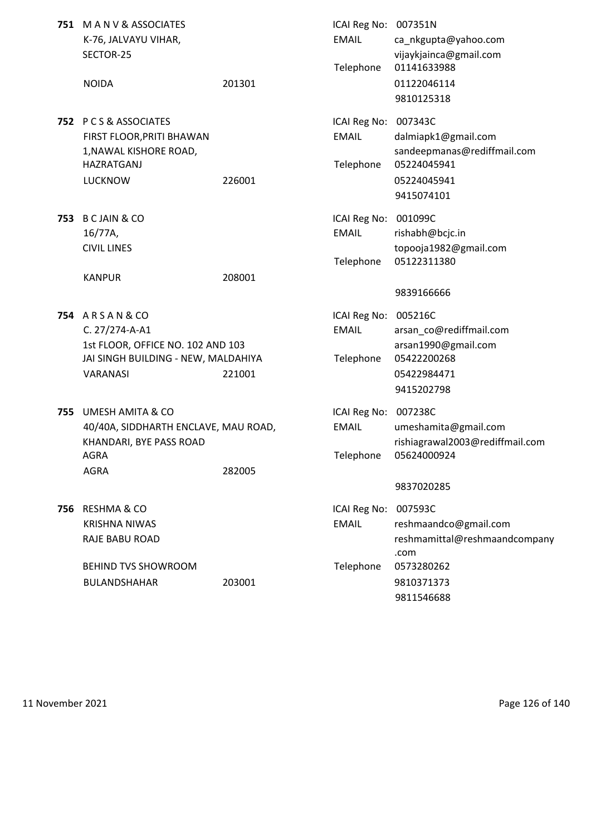| 751 | MANV& ASSOCIATES<br>K-76, JALVAYU VIHAR,<br>SECTOR-25                                                                             |        | ICAI Reg No: 007351N<br><b>EMAIL</b><br>Telephone | ca_nkgupta@yahoo.com<br>vijaykjainca@gmail.com<br>01141633988                                  |
|-----|-----------------------------------------------------------------------------------------------------------------------------------|--------|---------------------------------------------------|------------------------------------------------------------------------------------------------|
|     | <b>NOIDA</b>                                                                                                                      | 201301 |                                                   | 01122046114<br>9810125318                                                                      |
|     | 752 PCS&ASSOCIATES<br>FIRST FLOOR, PRITI BHAWAN<br>1, NAWAL KISHORE ROAD,<br><b>HAZRATGANJ</b><br><b>LUCKNOW</b>                  | 226001 | ICAI Reg No: 007343C<br><b>EMAIL</b><br>Telephone | dalmiapk1@gmail.com<br>sandeepmanas@rediffmail.com<br>05224045941<br>05224045941<br>9415074101 |
| 753 | <b>B CJAIN &amp; CO</b><br>16/77A,<br><b>CIVIL LINES</b>                                                                          |        | ICAI Reg No: 001099C<br><b>EMAIL</b><br>Telephone | rishabh@bcjc.in<br>topooja1982@gmail.com<br>05122311380                                        |
|     | <b>KANPUR</b>                                                                                                                     | 208001 |                                                   | 9839166666                                                                                     |
|     | <b>754 ARSAN&amp;CO</b><br>C. 27/274-A-A1<br>1st FLOOR, OFFICE NO. 102 AND 103<br>JAI SINGH BUILDING - NEW, MALDAHIYA<br>VARANASI | 221001 | ICAI Reg No: 005216C<br><b>EMAIL</b><br>Telephone | arsan_co@rediffmail.com<br>arsan1990@gmail.com<br>05422200268<br>05422984471<br>9415202798     |
| 755 | <b>UMESH AMITA &amp; CO</b><br>40/40A, SIDDHARTH ENCLAVE, MAU ROAD,<br>KHANDARI, BYE PASS ROAD<br>AGRA<br><b>AGRA</b>             | 282005 | ICAI Reg No: 007238C<br><b>EMAIL</b>              | umeshamita@gmail.com<br>rishiagrawal2003@rediffmail.com<br>Telephone 05624000924<br>9837020285 |
| 756 | <b>RESHMA &amp; CO</b><br><b>KRISHNA NIWAS</b><br>RAJE BABU ROAD                                                                  |        | ICAI Reg No: 007593C<br><b>EMAIL</b>              | reshmaandco@gmail.com<br>reshmamittal@reshmaandcompany<br>.com                                 |
|     | <b>BEHIND TVS SHOWROOM</b><br>BULANDSHAHAR                                                                                        | 203001 | Telephone                                         | 0573280262<br>9810371373<br>9811546688                                                         |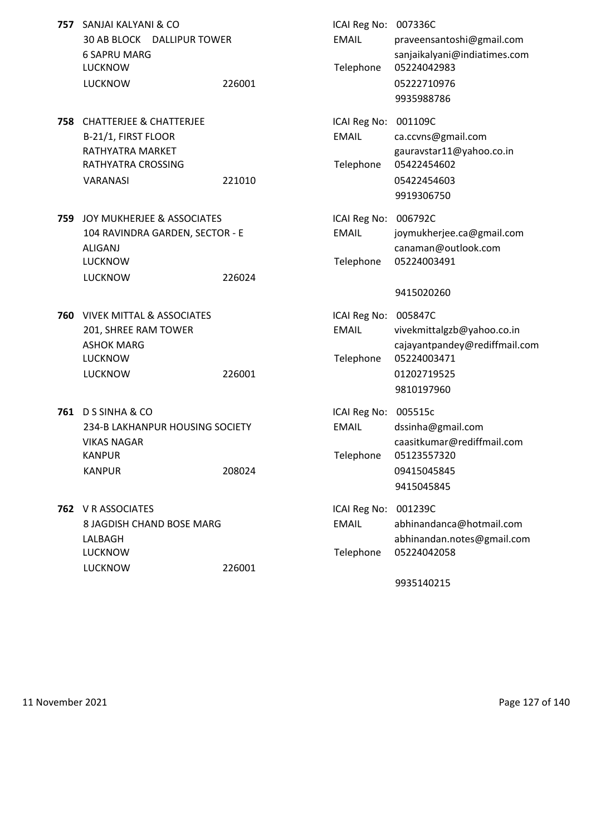|     | 757 SANJAI KALYANI & CO<br>30 AB BLOCK DALLIPUR TOWER<br><b>6 SAPRU MARG</b><br><b>LUCKNOW</b><br><b>LUCKNOW</b>           | 226001 | ICAI Reg No: 007336C<br><b>EMAIL</b><br>Telephone | praveensantoshi@gmail.com<br>sanjaikalyani@indiatimes.com<br>05224042983<br>05222710976<br>9935988786              |
|-----|----------------------------------------------------------------------------------------------------------------------------|--------|---------------------------------------------------|--------------------------------------------------------------------------------------------------------------------|
|     | <b>758 CHATTERJEE &amp; CHATTERJEE</b><br>B-21/1, FIRST FLOOR<br>RATHYATRA MARKET<br>RATHYATRA CROSSING<br><b>VARANASI</b> | 221010 | ICAI Reg No:<br><b>EMAIL</b><br>Telephone         | 001109C<br>ca.ccvns@gmail.com<br>gauravstar11@yahoo.co.in<br>05422454602<br>05422454603<br>9919306750              |
| 759 | JOY MUKHERJEE & ASSOCIATES<br>104 RAVINDRA GARDEN, SECTOR - E<br>ALIGANJ<br><b>LUCKNOW</b><br><b>LUCKNOW</b>               | 226024 | ICAI Reg No:<br><b>EMAIL</b><br>Telephone         | 006792C<br>joymukherjee.ca@gmail.com<br>canaman@outlook.com<br>05224003491<br>9415020260                           |
| 760 | <b>VIVEK MITTAL &amp; ASSOCIATES</b><br>201, SHREE RAM TOWER<br><b>ASHOK MARG</b><br><b>LUCKNOW</b><br><b>LUCKNOW</b>      | 226001 | ICAI Reg No:<br><b>EMAIL</b><br>Telephone         | 005847C<br>vivekmittalgzb@yahoo.co.in<br>cajayantpandey@rediffmail.com<br>05224003471<br>01202719525<br>9810197960 |
|     | 761 D S SINHA & CO<br>234-B LAKHANPUR HOUSING SOCIETY<br><b>VIKAS NAGAR</b><br><b>KANPUR</b><br><b>KANPUR</b>              | 208024 | ICAI Reg No: 005515c<br><b>EMAIL</b><br>Telephone | dssinha@gmail.com<br>caasitkumar@rediffmail.com<br>05123557320<br>09415045845<br>9415045845                        |
|     | 762 V R ASSOCIATES<br>8 JAGDISH CHAND BOSE MARG<br>LALBAGH<br><b>LUCKNOW</b><br><b>LUCKNOW</b>                             | 226001 | ICAI Reg No:<br><b>EMAIL</b><br>Telephone         | 001239C<br>abhinandanca@hotmail.com<br>abhinandan.notes@gmail.com<br>05224042058                                   |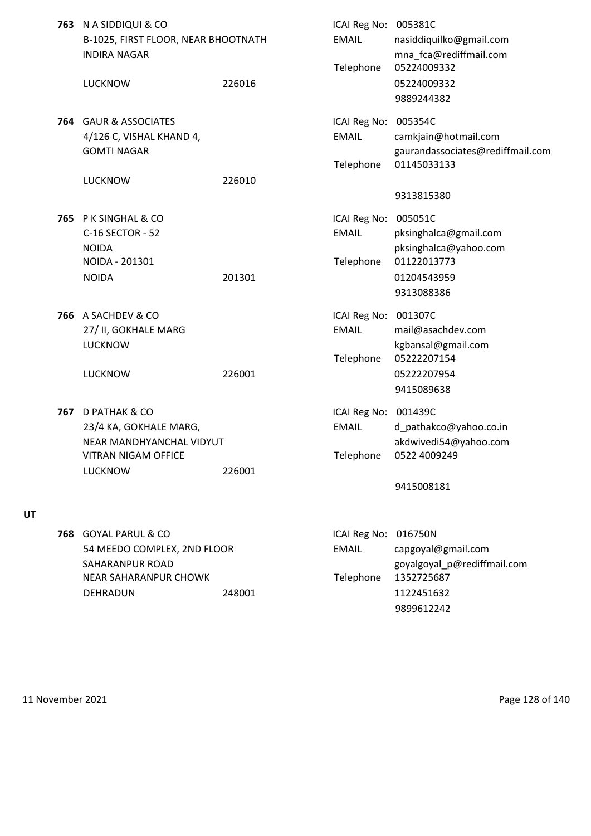|     | 763 N A SIDDIQUI & CO<br>B-1025, FIRST FLOOR, NEAR BHOOTNATH<br><b>INDIRA NAGAR</b><br><b>LUCKNOW</b>        | 226016 | ICAI Reg No: 005381C<br><b>EMAIL</b><br>Telephone | nasiddiquilko@gmail.com<br>mna_fca@rediffmail.com<br>05224009332<br>05224009332 |
|-----|--------------------------------------------------------------------------------------------------------------|--------|---------------------------------------------------|---------------------------------------------------------------------------------|
|     |                                                                                                              |        |                                                   | 9889244382                                                                      |
|     | <b>764 GAUR &amp; ASSOCIATES</b><br>4/126 C, VISHAL KHAND 4,<br><b>GOMTI NAGAR</b>                           |        | ICAI Reg No: 005354C<br><b>EMAIL</b><br>Telephone | camkjain@hotmail.com<br>gaurandassociates@rediffmail.com<br>01145033133         |
|     | <b>LUCKNOW</b>                                                                                               | 226010 |                                                   |                                                                                 |
|     |                                                                                                              |        |                                                   | 9313815380                                                                      |
| 765 | P K SINGHAL & CO<br>C-16 SECTOR - 52<br><b>NOIDA</b>                                                         |        | ICAI Reg No: 005051C<br><b>EMAIL</b>              | pksinghalca@gmail.com<br>pksinghalca@yahoo.com                                  |
|     | NOIDA - 201301<br><b>NOIDA</b>                                                                               | 201301 | Telephone                                         | 01122013773<br>01204543959                                                      |
|     |                                                                                                              |        |                                                   | 9313088386                                                                      |
|     | 766 A SACHDEV & CO<br>27/ II, GOKHALE MARG<br><b>LUCKNOW</b>                                                 |        | ICAI Reg No: 001307C<br><b>EMAIL</b>              | mail@asachdev.com<br>kgbansal@gmail.com                                         |
|     | <b>LUCKNOW</b>                                                                                               | 226001 | Telephone                                         | 05222207154<br>05222207954<br>9415089638                                        |
| 767 | D PATHAK & CO<br>23/4 KA, GOKHALE MARG,<br>NEAR MANDHYANCHAL VIDYUT<br>VITRAN NIGAM OFFICE<br><b>LUCKNOW</b> | 226001 | ICAI Reg No: 001439C<br><b>EMAIL</b><br>Telephone | d_pathakco@yahoo.co.in<br>akdwivedi54@yahoo.com<br>0522 4009249                 |
|     |                                                                                                              |        |                                                   | 9415008181                                                                      |
|     | 768 GOYAL PARUL & CO<br>54 MEEDO COMPLEX, 2ND FLOOR<br>SAHARANPUR ROAD                                       |        | ICAI Reg No:<br><b>EMAIL</b>                      | 016750N<br>capgoyal@gmail.com<br>goyalgoyal_p@rediffmail.com                    |
|     | NEAR SAHARANPUR CHOWK<br>DEHRADUN                                                                            | 248001 | Telephone                                         | 1352725687<br>1122451632<br>9899612242                                          |

**UT**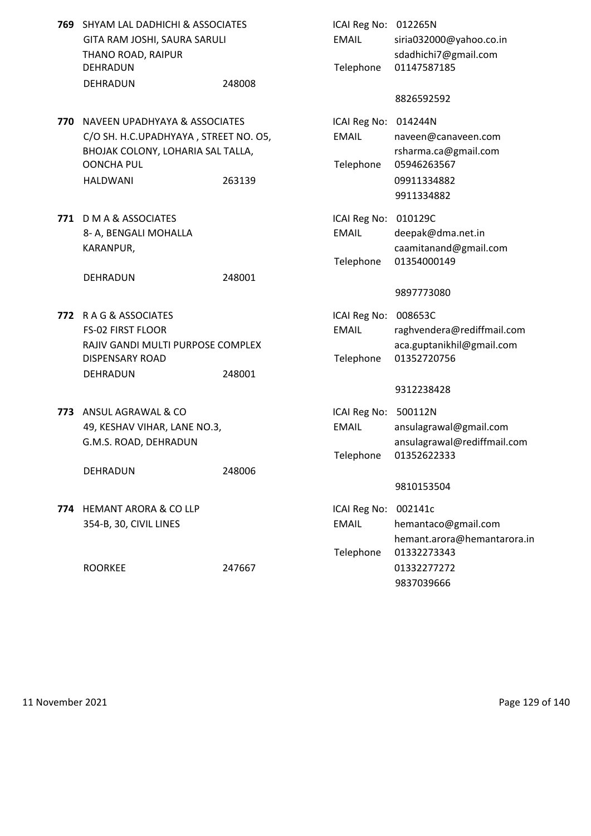| <b>769</b> SHYAM LAL DADHICHI & ASSOCIATES<br>GITA RAM JOSHI, SAURA SARULI<br>THANO ROAD, RAIPUR<br><b>DEHRADUN</b><br>DEHRADUN                         | 248008 | ICAI Reg No:<br><b>EMAIL</b><br>Telephone | 012265N<br>siria032000@yahoo.co.in<br>sdadhichi7@gmail.com<br>01147587185<br>8826592592                       |
|---------------------------------------------------------------------------------------------------------------------------------------------------------|--------|-------------------------------------------|---------------------------------------------------------------------------------------------------------------|
| 770 NAVEEN UPADHYAYA & ASSOCIATES<br>C/O SH. H.C.UPADHYAYA, STREET NO. 05,<br>BHOJAK COLONY, LOHARIA SAL TALLA,<br><b>OONCHA PUL</b><br><b>HALDWANI</b> | 263139 | ICAI Reg No:<br><b>EMAIL</b><br>Telephone | 014244N<br>naveen@canaveen.com<br>rsharma.ca@gmail.com<br>05946263567<br>09911334882<br>9911334882            |
| 771 D M A & ASSOCIATES<br>8- A, BENGALI MOHALLA<br>KARANPUR,<br>DEHRADUN                                                                                | 248001 | ICAI Reg No:<br><b>EMAIL</b><br>Telephone | 010129C<br>deepak@dma.net.in<br>caamitanand@gmail.com<br>01354000149                                          |
| 772 RAG & ASSOCIATES<br><b>FS-02 FIRST FLOOR</b><br>RAJIV GANDI MULTI PURPOSE COMPLEX<br><b>DISPENSARY ROAD</b><br>DEHRADUN                             | 248001 | ICAI Reg No:<br><b>EMAIL</b><br>Telephone | 9897773080<br>008653C<br>raghvendera@rediffmail.com<br>aca.guptanikhil@gmail.com<br>01352720756<br>9312238428 |
| 773 ANSUL AGRAWAL & CO<br>49, KESHAV VIHAR, LANE NO.3,<br>G.M.S. ROAD, DEHRADUN<br>DEHRADUN                                                             | 248006 | ICAI Reg No:<br><b>EMAIL</b><br>Telephone | 500112N<br>ansulagrawal@gmail.com<br>ansulagrawal@rediffmail.com<br>01352622333<br>9810153504                 |
| 774 HEMANT ARORA & CO LLP<br>354-B, 30, CIVIL LINES<br><b>ROORKEE</b>                                                                                   | 247667 | ICAI Reg No:<br><b>EMAIL</b><br>Telephone | 002141c<br>hemantaco@gmail.com<br>hemant.arora@hemantarora.in<br>01332273343<br>01332277272<br>9837039666     |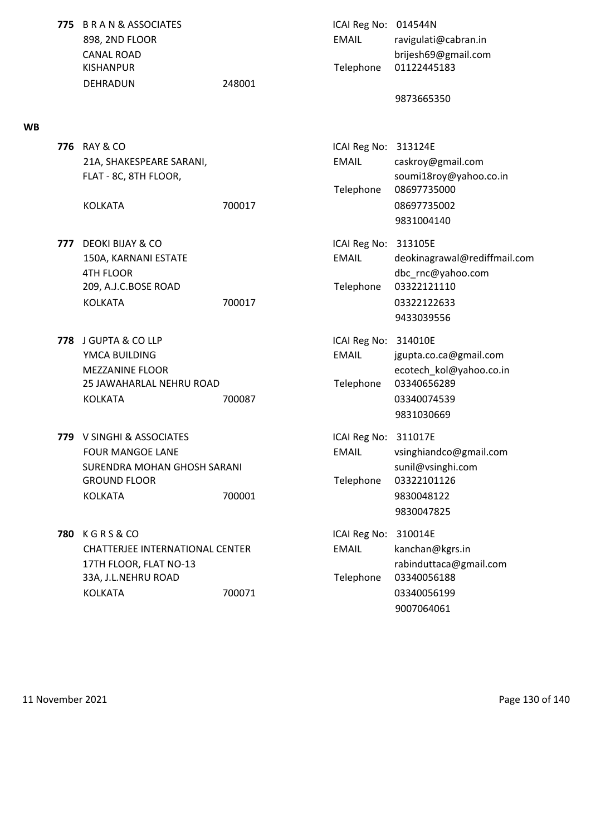| <b>775 B R A N &amp; ASSOCIATES</b> |        | ICAI Reg No: |  |
|-------------------------------------|--------|--------------|--|
| 898, 2ND FLOOR                      |        | <b>FMAIL</b> |  |
| CANAL ROAD                          |        |              |  |
| <b>KISHANPUR</b>                    |        | Telephone    |  |
| DEHRADUN                            | 248001 |              |  |

## **WB**

**776** RAY & CO **ICAI Reg No: 313124E** 

KOLKATA 700017 08697735002

- **777** DEOKI BIJAY & CO **ICAI Reg No: 313105E** 4TH FLOOR dbc rnc@yahoo.com 209, A.J.C.BOSE ROAD Telephone 03322121110 KOLKATA 700017 700017 03322122633
- **778** J GUPTA & CO LLP **ICAI Reg No: 314010E** YMCA BUILDING EMAIL jgupta.co.ca@gmail.com 25 JAWAHARLAL NEHRU ROAD Telephone 03340656289 KOLKATA 700087 03340074539
- **779** V SINGHI & ASSOCIATES **ICAI Reg No: 311017E** SURENDRA MOHAN GHOSH SARANI sunil@vsinghi.com GROUND FLOOR Telephone 03322101126 KOLKATA 700001 9830048122
- **780** K G R S & CO **ICAI Reg No: 310014E** CHATTERJEE INTERNATIONAL CENTER EMAIL kanchan@kgrs.in 17TH FLOOR, FLAT NO-13 **rabinduttaca@gmail.com** 33A, J.L.NEHRU ROAD Telephone 03340056188 KOLKATA 700071 03340056199

**ICAI Reg No: 014544N** EMAIL ravigulati@cabran.in brijesh69@gmail.com Telephone 01122445183 9873665350 21A, SHAKESPEARE SARANI, EMAIL caskroy@gmail.com FLAT - 8C, 8TH FLOOR, **Superintenant and Souminary Soumi18roy@yahoo.co.in** Telephone 08697735000 9831004140 150A, KARNANI ESTATE EMAIL deokinagrawal@rediffmail.com 9433039556 MEZZANINE FLOOR **Example 2018** and the control of the ecotech kol@yahoo.co.in 9831030669 FOUR MANGOE LANE EMAIL vsinghiandco@gmail.com 9830047825

9007064061

11 November 2021 **Page 130 of 140**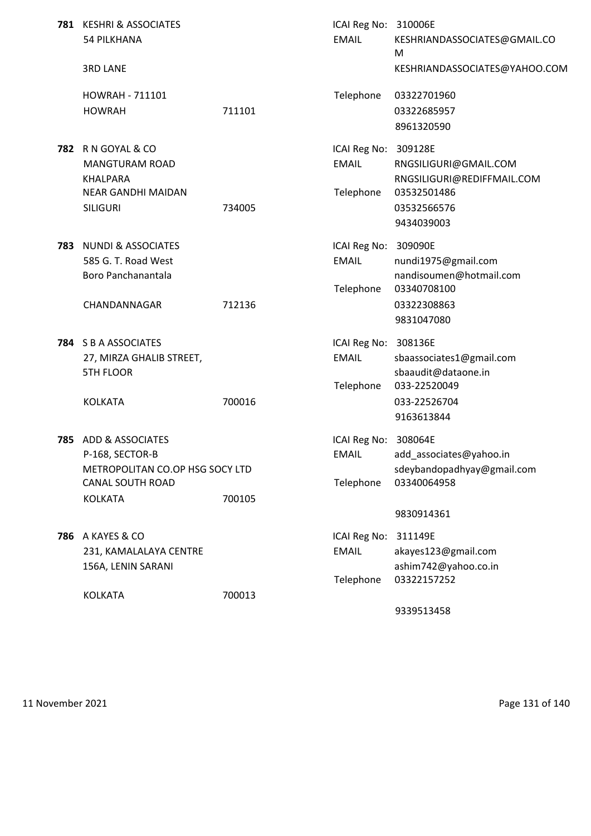| 781 KESHRI & ASSOCIATES<br><b>54 PILKHANA</b>                                                         |        | ICAI Reg No: 310006E<br><b>EMAIL</b>      | KESHRIANDASSOCIATES@GMAIL.CO<br>M                                                          |
|-------------------------------------------------------------------------------------------------------|--------|-------------------------------------------|--------------------------------------------------------------------------------------------|
| <b>3RD LANE</b>                                                                                       |        |                                           | KESHRIANDASSOCIATES@YAHOO.COM                                                              |
| <b>HOWRAH - 711101</b><br><b>HOWRAH</b>                                                               | 711101 | Telephone                                 | 03322701960<br>03322685957<br>8961320590                                                   |
| <b>782 RN GOYAL &amp; CO</b><br><b>MANGTURAM ROAD</b><br><b>KHALPARA</b><br>NEAR GANDHI MAIDAN        |        | ICAI Reg No:<br><b>EMAIL</b><br>Telephone | 309128E<br>RNGSILIGURI@GMAIL.COM<br>RNGSILIGURI@REDIFFMAIL.COM<br>03532501486              |
| <b>SILIGURI</b>                                                                                       | 734005 |                                           | 03532566576<br>9434039003                                                                  |
| 783 NUNDI & ASSOCIATES<br>585 G. T. Road West<br>Boro Panchanantala                                   |        | ICAI Reg No:<br><b>EMAIL</b>              | 309090E<br>nundi1975@gmail.com<br>nandisoumen@hotmail.com                                  |
| CHANDANNAGAR                                                                                          | 712136 | Telephone                                 | 03340708100<br>03322308863<br>9831047080                                                   |
| 784 S B A ASSOCIATES<br>27, MIRZA GHALIB STREET,<br><b>5TH FLOOR</b><br><b>KOLKATA</b>                | 700016 | ICAI Reg No:<br><b>EMAIL</b><br>Telephone | 308136E<br>sbaassociates1@gmail.com<br>sbaaudit@dataone.in<br>033-22520049<br>033-22526704 |
|                                                                                                       |        |                                           | 9163613844                                                                                 |
| 785 ADD & ASSOCIATES<br>P-168, SECTOR-B<br>METROPOLITAN CO.OP HSG SOCY LTD<br><b>CANAL SOUTH ROAD</b> |        | ICAI Reg No:<br><b>EMAIL</b><br>Telephone | 308064E<br>add_associates@yahoo.in<br>sdeybandopadhyay@gmail.com<br>03340064958            |
| <b>KOLKATA</b>                                                                                        | 700105 |                                           | 9830914361                                                                                 |
| <b>786 A KAYES &amp; CO</b><br>231, KAMALALAYA CENTRE<br>156A, LENIN SARANI                           |        | ICAI Reg No:<br><b>EMAIL</b><br>Telephone | 311149E<br>akayes123@gmail.com<br>ashim742@yahoo.co.in<br>03322157252                      |
| <b>KOLKATA</b>                                                                                        | 700013 |                                           | 9339513458                                                                                 |
|                                                                                                       |        |                                           |                                                                                            |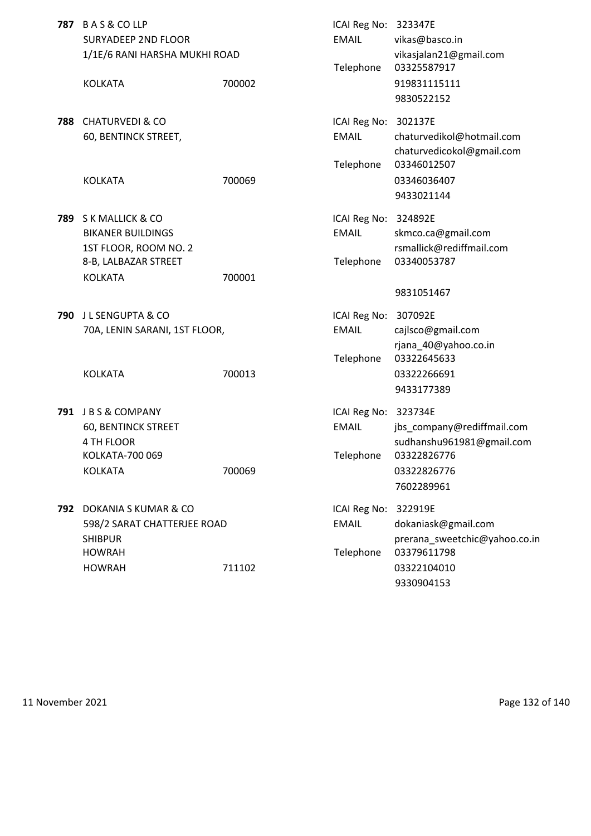| 787 | <b>BAS&amp;COLLP</b><br><b>SURYADEEP 2ND FLOOR</b><br>1/1E/6 RANI HARSHA MUKHI ROAD           |        | ICAI Reg No: 323347E<br><b>EMAIL</b><br>Telephone | vikas@basco.in<br>vikasjalan21@gmail.com<br>03325587917               |
|-----|-----------------------------------------------------------------------------------------------|--------|---------------------------------------------------|-----------------------------------------------------------------------|
|     | <b>KOLKATA</b>                                                                                | 700002 |                                                   | 919831115111<br>9830522152                                            |
| 788 | <b>CHATURVEDI &amp; CO</b><br>60, BENTINCK STREET,                                            |        | ICAI Reg No: 302137E<br><b>EMAIL</b><br>Telephone | chaturvedikol@hotmail.com<br>chaturvedicokol@gmail.com<br>03346012507 |
|     | <b>KOLKATA</b>                                                                                | 700069 |                                                   | 03346036407<br>9433021144                                             |
| 789 | S K MALLICK & CO<br><b>BIKANER BUILDINGS</b><br>1ST FLOOR, ROOM NO. 2<br>8-B, LALBAZAR STREET |        | ICAI Reg No: 324892E<br><b>EMAIL</b><br>Telephone | skmco.ca@gmail.com<br>rsmallick@rediffmail.com<br>03340053787         |
|     | <b>KOLKATA</b>                                                                                | 700001 |                                                   | 9831051467                                                            |
| 790 | J L SENGUPTA & CO<br>70A, LENIN SARANI, 1ST FLOOR,                                            |        | ICAI Reg No: 307092E<br><b>EMAIL</b><br>Telephone | cajlsco@gmail.com<br>rjana_40@yahoo.co.in<br>03322645633              |
|     | <b>KOLKATA</b>                                                                                | 700013 |                                                   | 03322266691<br>9433177389                                             |
|     | 791 JBS&COMPANY<br>60, BENTINCK STREET<br>4 TH FLOOR                                          |        | ICAI Reg No: 323734E<br><b>EMAIL</b>              | jbs_company@rediffmail.com<br>sudhanshu961981@gmail.com               |
|     | KOLKATA-700 069<br><b>KOLKATA</b>                                                             | 700069 | Telephone                                         | 03322826776<br>03322826776<br>7602289961                              |
|     | 792 DOKANIA S KUMAR & CO<br>598/2 SARAT CHATTERJEE ROAD<br><b>SHIBPUR</b><br><b>HOWRAH</b>    |        | ICAI Reg No: 322919E<br><b>EMAIL</b><br>Telephone | dokaniask@gmail.com<br>prerana sweetchic@yahoo.co.in<br>03379611798   |
|     | <b>HOWRAH</b>                                                                                 | 711102 |                                                   | 03322104010<br>9330904153                                             |

11 November 2021 **Page 132 of 140**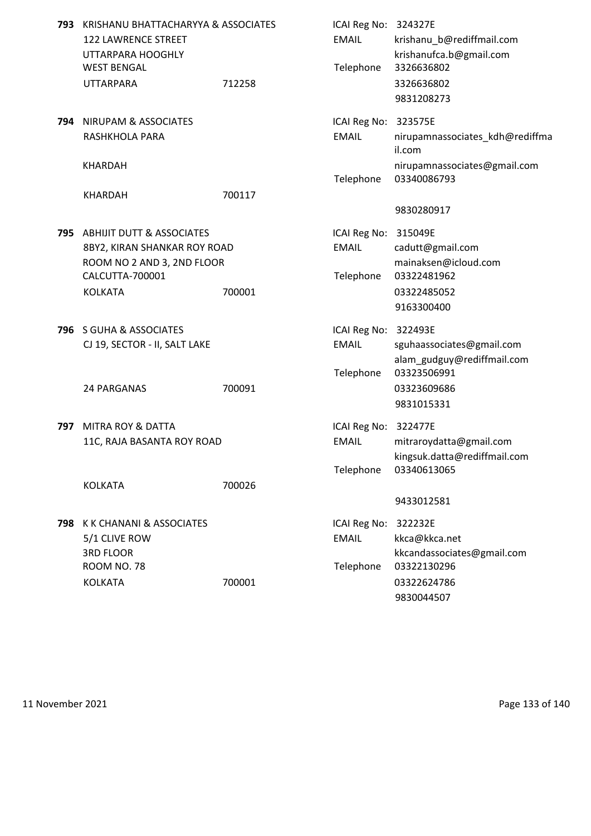| 793 | KRISHANU BHATTACHARYYA & ASSOCIATES<br>122 LAWRENCE STREET<br>UTTARPARA HOOGHLY<br><b>WEST BENGAL</b> |        | ICAI Reg No: 324327E<br><b>EMAIL</b><br>Telephone | krishanu_b@rediffmail.com<br>krishanufca.b@gmail.com<br>3326636802     |
|-----|-------------------------------------------------------------------------------------------------------|--------|---------------------------------------------------|------------------------------------------------------------------------|
|     | <b>UTTARPARA</b>                                                                                      | 712258 |                                                   | 3326636802<br>9831208273                                               |
|     | 794 NIRUPAM & ASSOCIATES<br>RASHKHOLA PARA<br><b>KHARDAH</b>                                          |        | ICAI Reg No: 323575E<br><b>EMAIL</b>              | nirupamnassociates_kdh@rediffma<br>il.com                              |
|     | <b>KHARDAH</b>                                                                                        | 700117 | Telephone                                         | nirupamnassociates@gmail.com<br>03340086793                            |
|     |                                                                                                       |        |                                                   | 9830280917                                                             |
|     | 795 ABHIJIT DUTT & ASSOCIATES<br>8BY2, KIRAN SHANKAR ROY ROAD<br>ROOM NO 2 AND 3, 2ND FLOOR           |        | ICAI Reg No: 315049E<br><b>EMAIL</b>              | cadutt@gmail.com<br>mainaksen@icloud.com                               |
|     | CALCUTTA-700001<br><b>KOLKATA</b>                                                                     | 700001 | Telephone                                         | 03322481962<br>03322485052<br>9163300400                               |
|     | 796 S GUHA & ASSOCIATES<br>CJ 19, SECTOR - II, SALT LAKE                                              |        | ICAI Reg No: 322493E<br><b>EMAIL</b><br>Telephone | sguhaassociates@gmail.com<br>alam_gudguy@rediffmail.com<br>03323506991 |
|     | 24 PARGANAS                                                                                           | 700091 |                                                   | 03323609686<br>9831015331                                              |
| 797 | <b>MITRA ROY &amp; DATTA</b><br>11C, RAJA BASANTA ROY ROAD                                            |        | ICAI Reg No: 322477E<br><b>EMAIL</b><br>Telephone | mitraroydatta@gmail.com<br>kingsuk.datta@rediffmail.com<br>03340613065 |
|     | <b>KOLKATA</b>                                                                                        | 700026 |                                                   | 9433012581                                                             |
|     | 798 K K CHANANI & ASSOCIATES<br>5/1 CLIVE ROW<br><b>3RD FLOOR</b><br><b>ROOM NO. 78</b>               |        | ICAI Reg No:<br><b>EMAIL</b><br>Telephone         | 322232E<br>kkca@kkca.net<br>kkcandassociates@gmail.com<br>03322130296  |
|     | <b>KOLKATA</b>                                                                                        | 700001 |                                                   | 03322624786<br>9830044507                                              |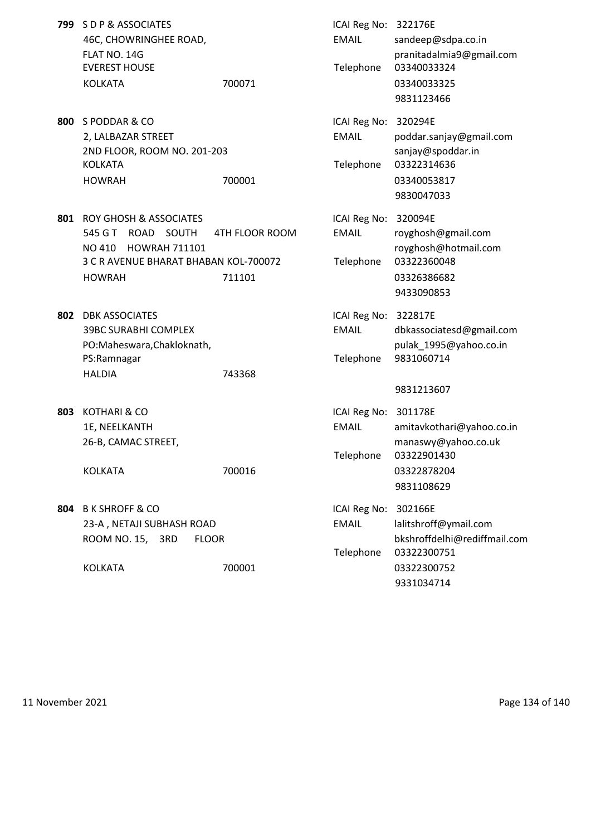| 799 | S D P & ASSOCIATES<br>46C, CHOWRINGHEE ROAD,<br>FLAT NO. 14G<br><b>EVEREST HOUSE</b><br><b>KOLKATA</b>                                                    | 700071                   | ICAI Reg No: 322176E<br><b>EMAIL</b><br>Telephone | sandeep@sdpa.co.in<br>pranitadalmia9@gmail.com<br>03340033324<br>03340033325<br>9831123466              |
|-----|-----------------------------------------------------------------------------------------------------------------------------------------------------------|--------------------------|---------------------------------------------------|---------------------------------------------------------------------------------------------------------|
| 800 | S PODDAR & CO<br>2, LALBAZAR STREET<br>2ND FLOOR, ROOM NO. 201-203<br><b>KOLKATA</b><br><b>HOWRAH</b>                                                     | 700001                   | ICAI Reg No:<br><b>EMAIL</b><br>Telephone         | 320294E<br>poddar.sanjay@gmail.com<br>sanjay@spoddar.in<br>03322314636<br>03340053817<br>9830047033     |
| 801 | <b>ROY GHOSH &amp; ASSOCIATES</b><br>545 G T<br>ROAD<br>SOUTH<br>NO 410<br><b>HOWRAH 711101</b><br>3 C R AVENUE BHARAT BHABAN KOL-700072<br><b>HOWRAH</b> | 4TH FLOOR ROOM<br>711101 | ICAI Reg No:<br><b>EMAIL</b><br>Telephone         | 320094E<br>royghosh@gmail.com<br>royghosh@hotmail.com<br>03322360048<br>03326386682<br>9433090853       |
| 802 | <b>DBK ASSOCIATES</b><br><b>39BC SURABHI COMPLEX</b><br>PO:Maheswara, Chakloknath,<br>PS:Ramnagar<br><b>HALDIA</b>                                        | 743368                   | ICAI Reg No:<br><b>EMAIL</b><br>Telephone         | 322817E<br>dbkassociatesd@gmail.com<br>pulak_1995@yahoo.co.in<br>9831060714<br>9831213607               |
| 803 | KOTHARI & CO<br>1E, NEELKANTH<br>26-B, CAMAC STREET,<br>KOLKATA                                                                                           | 700016                   | ICAI Reg No:<br><b>EMAIL</b><br>Telephone         | 301178E<br>amitavkothari@yahoo.co.in<br>manaswy@yahoo.co.uk<br>03322901430<br>03322878204<br>9831108629 |
| 804 | <b>B K SHROFF &amp; CO</b><br>23-A, NETAJI SUBHASH ROAD<br>ROOM NO. 15, 3RD<br><b>FLOOR</b><br><b>KOLKATA</b>                                             | 700001                   | ICAI Reg No:<br><b>EMAIL</b><br>Telephone         | 302166E<br>lalitshroff@ymail.com<br>bkshroffdelhi@rediffmail.com<br>03322300751<br>03322300752          |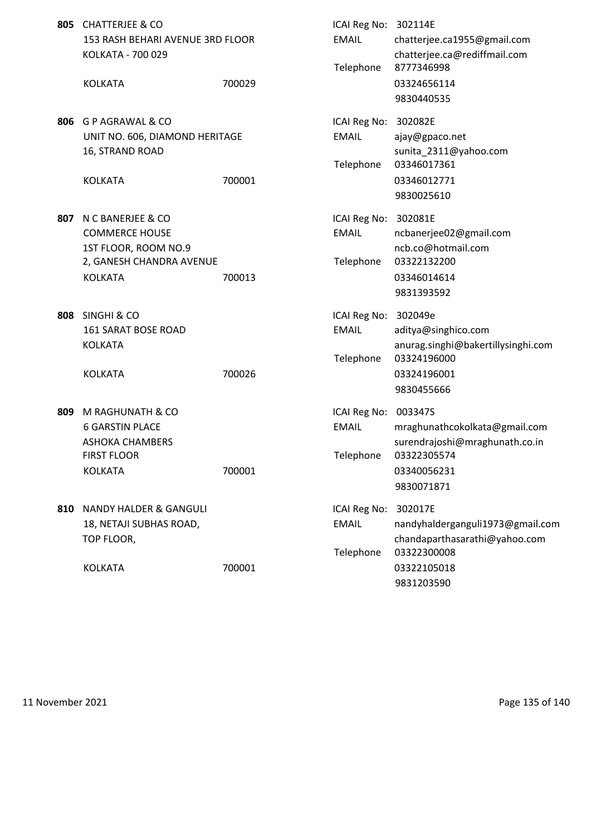|     | 805 CHATTERJEE & CO<br>153 RASH BEHARI AVENUE 3RD FLOOR<br>KOLKATA - 700 029 |        | ICAI Reg No: 302114E<br><b>EMAIL</b><br>Telephone | chatterjee.ca1955@gmail.com<br>chatterjee.ca@rediffmail.com<br>8777346998    |
|-----|------------------------------------------------------------------------------|--------|---------------------------------------------------|------------------------------------------------------------------------------|
|     | <b>KOLKATA</b>                                                               | 700029 |                                                   | 03324656114<br>9830440535                                                    |
| 806 | G P AGRAWAL & CO<br>UNIT NO. 606, DIAMOND HERITAGE<br>16, STRAND ROAD        |        | ICAI Reg No:<br><b>EMAIL</b><br>Telephone         | 302082E<br>ajay@gpaco.net<br>sunita_2311@yahoo.com<br>03346017361            |
|     | <b>KOLKATA</b>                                                               | 700001 |                                                   | 03346012771<br>9830025610                                                    |
| 807 | N C BANERJEE & CO<br><b>COMMERCE HOUSE</b><br>1ST FLOOR, ROOM NO.9           |        | ICAI Reg No: 302081E<br><b>EMAIL</b>              | ncbanerjee02@gmail.com<br>ncb.co@hotmail.com                                 |
|     | 2, GANESH CHANDRA AVENUE<br><b>KOLKATA</b>                                   | 700013 | Telephone                                         | 03322132200<br>03346014614<br>9831393592                                     |
| 808 | <b>SINGHI &amp; CO</b><br>161 SARAT BOSE ROAD<br><b>KOLKATA</b>              |        | ICAI Reg No: 302049e<br><b>EMAIL</b><br>Telephone | aditya@singhico.com<br>anurag.singhi@bakertillysinghi.com<br>03324196000     |
|     | <b>KOLKATA</b>                                                               | 700026 |                                                   | 03324196001<br>9830455666                                                    |
| 809 | M RAGHUNATH & CO<br><b>6 GARSTIN PLACE</b><br><b>ASHOKA CHAMBERS</b>         |        | ICAI Reg No:<br><b>EMAIL</b>                      | 003347S<br>mraghunathcokolkata@gmail.com<br>surendrajoshi@mraghunath.co.in   |
|     | <b>FIRST FLOOR</b><br><b>KOLKATA</b>                                         | 700001 | Telephone                                         | 03322305574<br>03340056231<br>9830071871                                     |
| 810 | <b>NANDY HALDER &amp; GANGULI</b><br>18, NETAJI SUBHAS ROAD,<br>TOP FLOOR,   |        | ICAI Reg No:<br><b>EMAIL</b>                      | 302017E<br>nandyhalderganguli1973@gmail.com<br>chandaparthasarathi@yahoo.com |
|     | <b>KOLKATA</b>                                                               | 700001 | Telephone                                         | 03322300008<br>03322105018<br>9831203590                                     |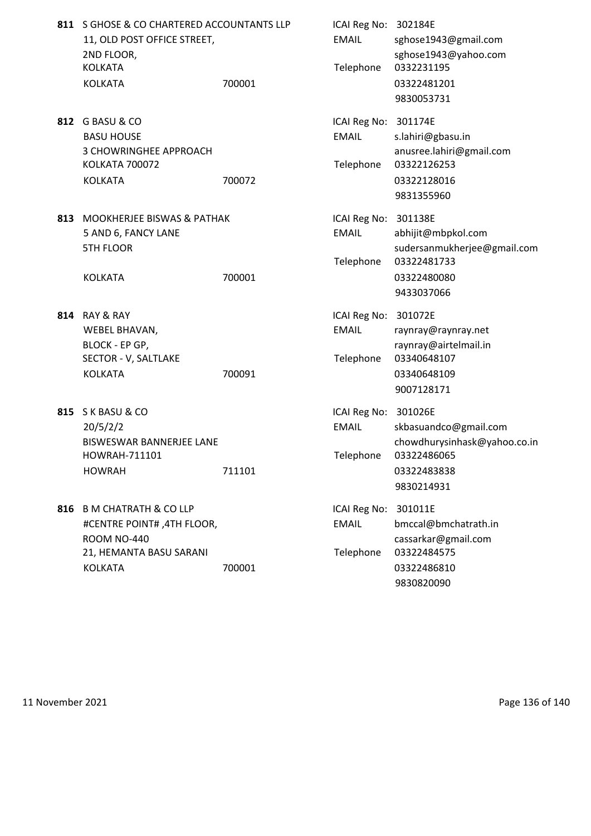|     | 811 S GHOSE & CO CHARTERED ACCOUNTANTS LLP<br>11, OLD POST OFFICE STREET,<br>2ND FLOOR,<br><b>KOLKATA</b><br><b>KOLKATA</b>       | 700001 | ICAI Reg No: 302184E<br><b>EMAIL</b><br>Telephone | sghose1943@gmail.com<br>sghose1943@yahoo.com<br>0332231195<br>03322481201<br>9830053731              |
|-----|-----------------------------------------------------------------------------------------------------------------------------------|--------|---------------------------------------------------|------------------------------------------------------------------------------------------------------|
| 812 | G BASU & CO<br><b>BASU HOUSE</b><br>3 CHOWRINGHEE APPROACH<br><b>KOLKATA 700072</b><br><b>KOLKATA</b>                             | 700072 | ICAI Reg No:<br><b>EMAIL</b><br>Telephone         | 301174E<br>s.lahiri@gbasu.in<br>anusree.lahiri@gmail.com<br>03322126253<br>03322128016<br>9831355960 |
| 813 | <b>MOOKHERJEE BISWAS &amp; PATHAK</b><br>5 AND 6, FANCY LANE<br><b>5TH FLOOR</b><br><b>KOLKATA</b>                                | 700001 | ICAI Reg No: 301138E<br><b>EMAIL</b><br>Telephone | abhijit@mbpkol.com<br>sudersanmukherjee@gmail.com<br>03322481733<br>03322480080<br>9433037066        |
| 814 | RAY & RAY<br>WEBEL BHAVAN,<br>BLOCK - EP GP,<br>SECTOR - V, SALTLAKE<br><b>KOLKATA</b>                                            | 700091 | ICAI Reg No:<br><b>EMAIL</b><br>Telephone         | 301072E<br>raynray@raynray.net<br>raynray@airtelmail.in<br>03340648107<br>03340648109<br>9007128171  |
|     | 815 S K BASU & CO<br>20/5/2/2<br><b>BISWESWAR BANNERJEE LANE</b><br>HOWRAH-711101<br><b>HOWRAH</b>                                | 711101 | ICAI Reg No: 301026E<br><b>EMAIL</b><br>Telephone | skbasuandco@gmail.com<br>chowdhurysinhask@yahoo.co.in<br>03322486065<br>03322483838<br>9830214931    |
| 816 | <b>B M CHATRATH &amp; CO LLP</b><br>#CENTRE POINT#, 4TH FLOOR,<br><b>ROOM NO-440</b><br>21, HEMANTA BASU SARANI<br><b>KOLKATA</b> | 700001 | ICAI Reg No:<br><b>EMAIL</b><br>Telephone         | 301011E<br>bmccal@bmchatrath.in<br>cassarkar@gmail.com<br>03322484575<br>03322486810                 |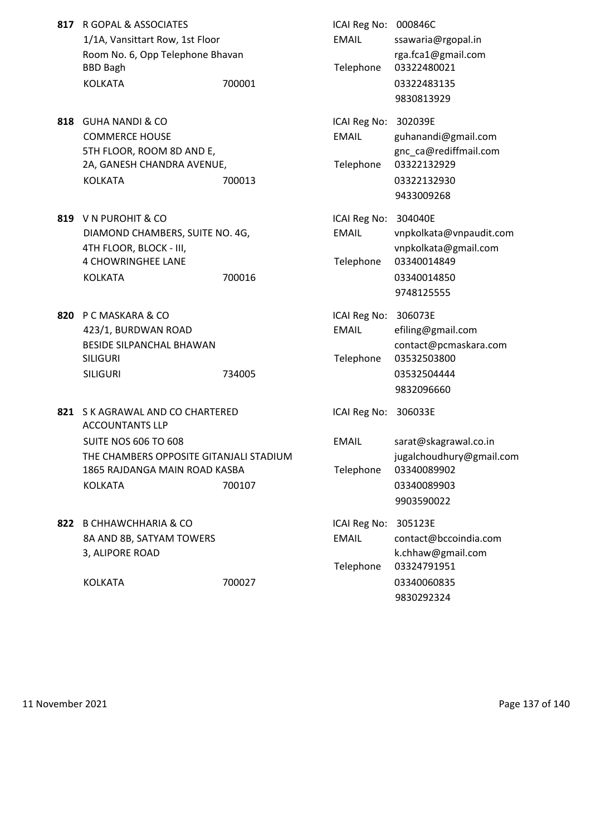| 817 R GOPAL & ASSOCIATES         |        | ICAI Reg No: 000846C |              |
|----------------------------------|--------|----------------------|--------------|
| 1/1A, Vansittart Row, 1st Floor  |        | EMAIL                | ssawaria@rgo |
| Room No. 6, Opp Telephone Bhavan |        |                      | rga.fca1@gm  |
| BBD Bagh                         |        | Telephone            | 03322480021  |
| KOLKATA                          | 700001 |                      | 03322483135  |

- **818** GUHA NANDI & CO COMMERCE HOUSE 5TH FLOOR, ROOM 8D AND E, 2A, GANESH CHANDRA AVENUE, KOLKATA 700013 03322132930
- **819** V N PUROHIT & CO DIAMOND CHAMBERS, SUITE NO. 4G, 4TH FLOOR, BLOCK - III, 4 CHOWRINGHEE LANE KOLKATA 700016
- 820 P C MASKARA & CO 423/1, BURDWAN ROAD BESIDE SILPANCHAL BHAWAN SILIGURI NEWSTER SILIGURI DENGAN TELEPHONE 03532503800 SILIGURI 734005
- **821 S K AGRAWAL AND CO CHARTERED** ACCOUNTANTS LLP SUITE NOS 606 TO 608 THE CHAMBERS OPPOSITE GITANJALI STADIUM 1865 RAJDANGA MAIN ROAD KASBA KOLKATA 700107 700107 700107
- 822 B CHHAWCHHARIA & CO 8A AND 8B, SATYAM TOWERS 3, ALIPORE ROAD

| R GOPAL & ASSOCIATES                    |        | ICAI Reg No: 000846C |                          |
|-----------------------------------------|--------|----------------------|--------------------------|
| 1/1A, Vansittart Row, 1st Floor         |        | <b>EMAIL</b>         | ssawaria@rgopal.in       |
| Room No. 6, Opp Telephone Bhavan        |        |                      | rga.fca1@gmail.com       |
| <b>BBD Bagh</b>                         |        | Telephone            | 03322480021              |
| <b>KOLKATA</b>                          | 700001 |                      | 03322483135              |
|                                         |        |                      | 9830813929               |
|                                         |        |                      |                          |
| <b>GUHA NANDI &amp; CO</b>              |        | ICAI Reg No: 302039E |                          |
| <b>COMMERCE HOUSE</b>                   |        | <b>EMAIL</b>         | guhanandi@gmail.com      |
| 5TH FLOOR, ROOM 8D AND E,               |        |                      | gnc_ca@rediffmail.com    |
| 2A, GANESH CHANDRA AVENUE,              |        | Telephone            | 03322132929              |
| <b>KOLKATA</b>                          | 700013 |                      | 03322132930              |
|                                         |        |                      | 9433009268               |
| V N PUROHIT & CO                        |        | ICAI Reg No: 304040E |                          |
| DIAMOND CHAMBERS, SUITE NO. 4G,         |        | <b>EMAIL</b>         | vnpkolkata@vnpaudit.com  |
| 4TH FLOOR, BLOCK - III,                 |        |                      | vnpkolkata@gmail.com     |
| <b>4 CHOWRINGHEE LANE</b>               |        | Telephone            | 03340014849              |
| <b>KOLKATA</b>                          | 700016 |                      | 03340014850              |
|                                         |        |                      | 9748125555               |
|                                         |        |                      |                          |
| P C MASKARA & CO                        |        | ICAI Reg No: 306073E |                          |
| 423/1, BURDWAN ROAD                     |        | <b>EMAIL</b>         | efiling@gmail.com        |
| BESIDE SILPANCHAL BHAWAN                |        |                      | contact@pcmaskara.com    |
| SILIGURI                                |        | Telephone            | 03532503800              |
| <b>SILIGURI</b>                         | 734005 |                      | 03532504444              |
|                                         |        |                      | 9832096660               |
| S K AGRAWAL AND CO CHARTERED            |        | ICAI Reg No: 306033E |                          |
| <b>ACCOUNTANTS LLP</b>                  |        |                      |                          |
| <b>SUITE NOS 606 TO 608</b>             |        | <b>EMAIL</b>         | sarat@skagrawal.co.in    |
| THE CHAMBERS OPPOSITE GITANJALI STADIUM |        |                      | jugalchoudhury@gmail.com |
| 1865 RAJDANGA MAIN ROAD KASBA           |        | Telephone            | 03340089902              |
| <b>KOLKATA</b>                          | 700107 |                      | 03340089903              |
|                                         |        |                      | 9903590022               |
| <b>B CHHAWCHHARIA &amp; CO</b>          |        | ICAI Reg No: 305123E |                          |
| 8A AND 8B, SATYAM TOWERS                |        | <b>EMAIL</b>         | contact@bccoindia.com    |
| 3, ALIPORE ROAD                         |        |                      | k.chhaw@gmail.com        |
|                                         |        | Telephone            | 03324791951              |
| <b>KOLKATA</b>                          | 700027 |                      | 03340060835              |
|                                         |        |                      |                          |

11 November 2021 Page 137 of 140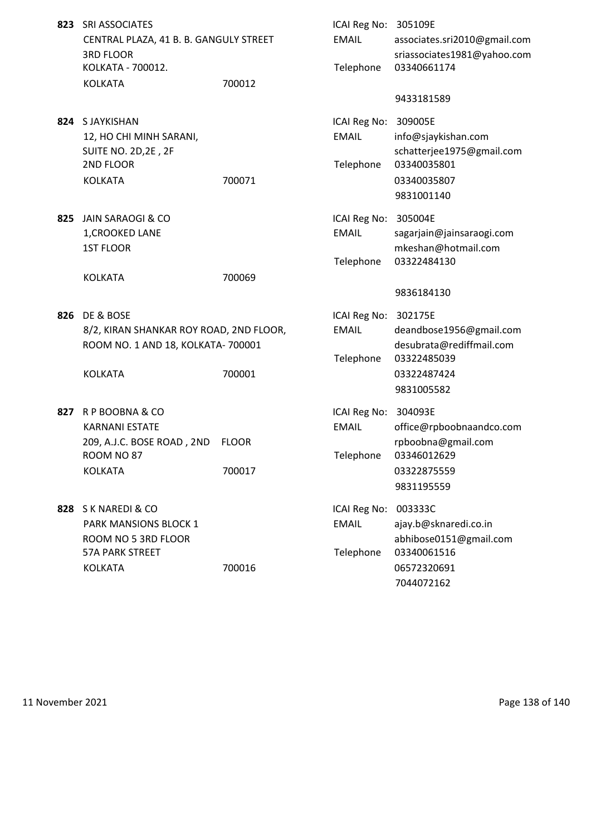- **823 SRI ASSOCIATES** CENTRAL PLAZA, 41 B. B. GANGULY STREET KOLKATA - 700012. KOLKATA 700012
- **824 S JAYKISHAN** 12, HO CHI MINH SARANI, SUITE NO. 2D, 2E, 2F 2ND FLOOR
- 825 JAIN SARAOGI & CO 1, CROOKED LANE

**826** DE & BOSE 8/2, KIRAN SHANKAR ROY ROAD, 2ND FLOOR ROOM NO. 1 AND 18, KOLKATA- 700001

- **827** R P BOOBNA & CO KARNANI ESTATE 209, A.J.C. BOSE ROAD, 2ND FLOOR ROOM NO 87
- **828** S K NAREDI & CO PARK MANSIONS BLOCK 1 ROOM NO 5 3RD FLOOR 57A PARK STREET

| SRI ASSOCIATES<br>CENTRAL PLAZA, 41 B. B. GANGULY STREET<br><b>3RD FLOOR</b><br>KOLKATA - 700012.            |        | ICAI Reg No: 305109E<br><b>EMAIL</b><br>Telephone | associates.sri2010@gmail.com<br>sriassociates1981@yahoo.com<br>03340661174                      |
|--------------------------------------------------------------------------------------------------------------|--------|---------------------------------------------------|-------------------------------------------------------------------------------------------------|
| <b>KOLKATA</b>                                                                                               | 700012 |                                                   | 9433181589                                                                                      |
| S JAYKISHAN<br>12, HO CHI MINH SARANI,<br>SUITE NO. 2D,2E, 2F<br>2ND FLOOR<br><b>KOLKATA</b>                 | 700071 | ICAI Reg No: 309005E<br><b>EMAIL</b><br>Telephone | info@sjaykishan.com<br>schatterjee1975@gmail.com<br>03340035801<br>03340035807<br>9831001140    |
| JAIN SARAOGI & CO<br>1, CROOKED LANE<br><b>1ST FLOOR</b>                                                     |        | ICAI Reg No: 305004E<br><b>EMAIL</b><br>Telephone | sagarjain@jainsaraogi.com<br>mkeshan@hotmail.com<br>03322484130                                 |
| <b>KOLKATA</b>                                                                                               | 700069 |                                                   | 9836184130                                                                                      |
| de & Bose<br>8/2, KIRAN SHANKAR ROY ROAD, 2ND FLOOR,<br>ROOM NO. 1 AND 18, KOLKATA- 700001<br><b>KOLKATA</b> | 700001 | ICAI Reg No: 302175E<br><b>EMAIL</b><br>Telephone | deandbose1956@gmail.com<br>desubrata@rediffmail.com<br>03322485039<br>03322487424<br>9831005582 |
| R P BOOBNA & CO<br><b>KARNANI ESTATE</b><br>209, A.J.C. BOSE ROAD, 2ND FLOOR<br>ROOM NO 87<br><b>KOLKATA</b> | 700017 | ICAI Reg No: 304093E<br><b>EMAIL</b><br>Telephone | office@rpboobnaandco.com<br>rpboobna@gmail.com<br>03346012629<br>03322875559<br>9831195559      |
| S K NAREDI & CO<br>PARK MANSIONS BLOCK 1<br>ROOM NO 5 3RD FLOOR<br>57A PARK STREET<br><b>KOLKATA</b>         | 700016 | ICAI Reg No:<br><b>EMAIL</b><br>Telephone         | 003333C<br>ajay.b@sknaredi.co.in<br>abhibose0151@gmail.com<br>03340061516<br>06572320691        |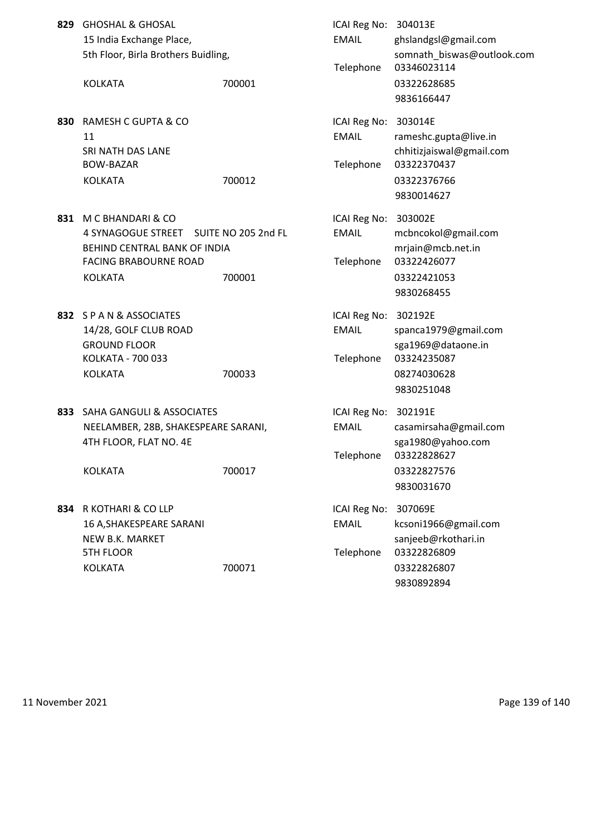|     | 829 GHOSHAL & GHOSAL<br>15 India Exchange Place,<br>5th Floor, Birla Brothers Buidling,<br><b>KOLKATA</b>                 | 700001                        | ICAI Reg No: 304013E<br><b>EMAIL</b><br>Telephone | ghslandgsl@gmail.com<br>somnath_biswas@outlook.com<br>03346023114<br>03322628685                   |
|-----|---------------------------------------------------------------------------------------------------------------------------|-------------------------------|---------------------------------------------------|----------------------------------------------------------------------------------------------------|
|     |                                                                                                                           |                               |                                                   | 9836166447                                                                                         |
| 830 | RAMESH C GUPTA & CO<br>11<br>SRI NATH DAS LANE<br><b>BOW-BAZAR</b><br><b>KOLKATA</b>                                      | 700012                        | ICAI Reg No: 303014E<br><b>EMAIL</b><br>Telephone | rameshc.gupta@live.in<br>chhitizjaiswal@gmail.com<br>03322370437<br>03322376766<br>9830014627      |
| 831 | M C BHANDARI & CO<br>4 SYNAGOGUE STREET<br>BEHIND CENTRAL BANK OF INDIA<br><b>FACING BRABOURNE ROAD</b><br><b>KOLKATA</b> | SUITE NO 205 2nd FL<br>700001 | ICAI Reg No: 303002E<br><b>EMAIL</b><br>Telephone | mcbncokol@gmail.com<br>mrjain@mcb.net.in<br>03322426077<br>03322421053<br>9830268455               |
|     | 832 SPAN & ASSOCIATES<br>14/28, GOLF CLUB ROAD<br><b>GROUND FLOOR</b><br>KOLKATA - 700 033<br><b>KOLKATA</b>              | 700033                        | ICAI Reg No: 302192E<br><b>EMAIL</b><br>Telephone | spanca1979@gmail.com<br>sga1969@dataone.in<br>03324235087<br>08274030628<br>9830251048             |
|     | 833 SAHA GANGULI & ASSOCIATES<br>NEELAMBER, 28B, SHAKESPEARE SARANI,<br>4TH FLOOR, FLAT NO. 4E<br><b>KOLKATA</b>          | 700017                        | ICAI Reg No: 302191E<br><b>EMAIL</b>              | casamirsaha@gmail.com<br>sga1980@yahoo.com<br>Telephone 03322828627<br>03322827576<br>9830031670   |
| 834 | R KOTHARI & CO LLP<br>16 A, SHAKESPEARE SARANI<br>NEW B.K. MARKET<br><b>5TH FLOOR</b><br><b>KOLKATA</b>                   | 700071                        | ICAI Reg No:<br><b>EMAIL</b><br>Telephone         | 307069E<br>kcsoni1966@gmail.com<br>sanjeeb@rkothari.in<br>03322826809<br>03322826807<br>9830892894 |

11 November 2021 **Page 139 of 140**